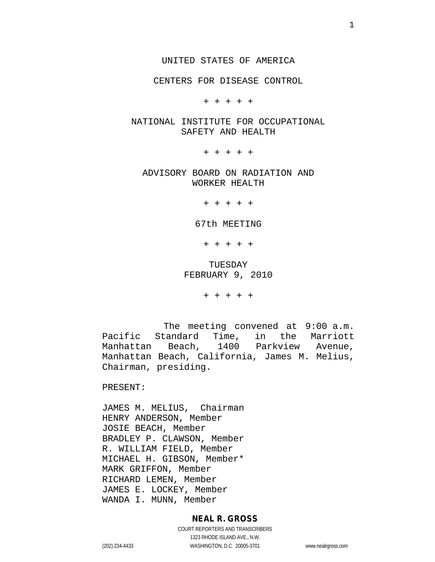CENTERS FOR DISEASE CONTROL

+ + + + +

NATIONAL INSTITUTE FOR OCCUPATIONAL SAFETY AND HEALTH

+ + + + +

ADVISORY BOARD ON RADIATION AND WORKER HEALTH

+ + + + +

67th MEETING

+ + + + +

TUESDAY FEBRUARY 9, 2010

+ + + + +

The meeting convened at 9:00 a.m. Pacific Standard Time, in the Marriott Manhattan Beach, 1400 Parkview Avenue, Manhattan Beach, California, James M. Melius, Chairman, presiding.

PRESENT:

JAMES M. MELIUS, Chairman HENRY ANDERSON, Member JOSIE BEACH, Member BRADLEY P. CLAWSON, Member R. WILLIAM FIELD, Member MICHAEL H. GIBSON, Member\* MARK GRIFFON, Member RICHARD LEMEN, Member JAMES E. LOCKEY, Member WANDA I. MUNN, Member

#### **NEAL R. GROSS**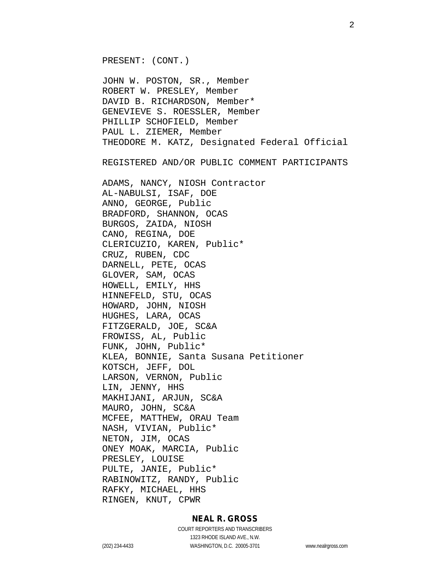PRESENT: (CONT.)

JOHN W. POSTON, SR., Member ROBERT W. PRESLEY, Member DAVID B. RICHARDSON, Member\* GENEVIEVE S. ROESSLER, Member PHILLIP SCHOFIELD, Member PAUL L. ZIEMER, Member THEODORE M. KATZ, Designated Federal Official

REGISTERED AND/OR PUBLIC COMMENT PARTICIPANTS

ADAMS, NANCY, NIOSH Contractor AL-NABULSI, ISAF, DOE ANNO, GEORGE, Public BRADFORD, SHANNON, OCAS BURGOS, ZAIDA, NIOSH CANO, REGINA, DOE CLERICUZIO, KAREN, Public\* CRUZ, RUBEN, CDC DARNELL, PETE, OCAS GLOVER, SAM, OCAS HOWELL, EMILY, HHS HINNEFELD, STU, OCAS HOWARD, JOHN, NIOSH HUGHES, LARA, OCAS FITZGERALD, JOE, SC&A FROWISS, AL, Public FUNK, JOHN, Public\* KLEA, BONNIE, Santa Susana Petitioner KOTSCH, JEFF, DOL LARSON, VERNON, Public LIN, JENNY, HHS MAKHIJANI, ARJUN, SC&A MAURO, JOHN, SC&A MCFEE, MATTHEW, ORAU Team NASH, VIVIAN, Public\* NETON, JIM, OCAS ONEY MOAK, MARCIA, Public PRESLEY, LOUISE PULTE, JANIE, Public\* RABINOWITZ, RANDY, Public RAFKY, MICHAEL, HHS RINGEN, KNUT, CPWR

#### **NEAL R. GROSS**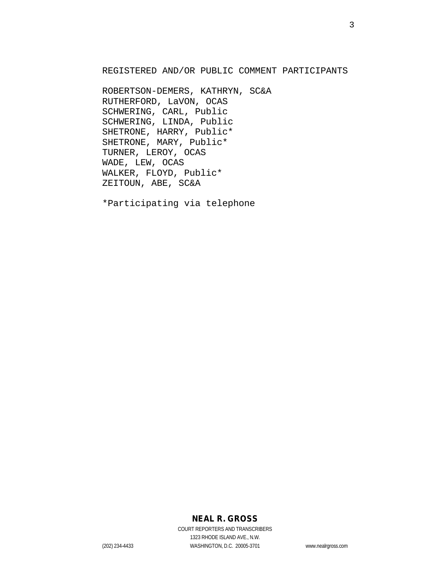REGISTERED AND/OR PUBLIC COMMENT PARTICIPANTS

ROBERTSON-DEMERS, KATHRYN, SC&A RUTHERFORD, LaVON, OCAS SCHWERING, CARL, Public SCHWERING, LINDA, Public SHETRONE, HARRY, Public\* SHETRONE, MARY, Public\* TURNER, LEROY, OCAS WADE, LEW, OCAS WALKER, FLOYD, Public\* ZEITOUN, ABE, SC&A

\*Participating via telephone

## **NEAL R. GROSS**

COURT REPORTERS AND TRANSCRIBERS 1323 RHODE ISLAND AVE., N.W. (202) 234-4433 WASHINGTON, D.C. 20005-3701 www.nealrgross.com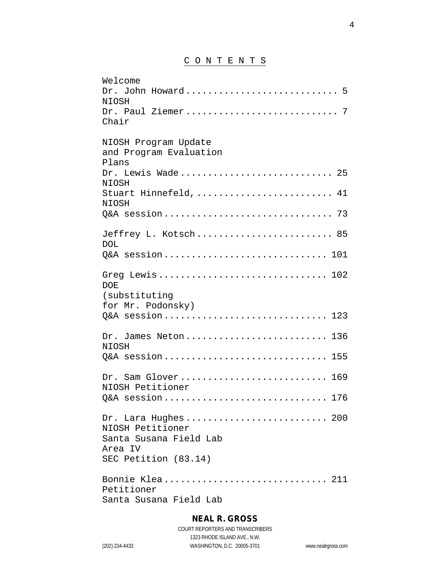# C O N T E N T S

| Welcome<br>Dr. John Howard 5                                      |
|-------------------------------------------------------------------|
| <b>NIOSH</b><br>Dr. Paul Ziemer<br>7<br>Chair                     |
| NIOSH Program Update<br>and Program Evaluation<br>Plans           |
| Dr. Lewis Wade 25<br><b>NIOSH</b><br>Stuart Hinnefeld,  41        |
| <b>NIOSH</b>                                                      |
| Jeffrey L. Kotsch 85<br><b>DOL</b>                                |
| O&A session 101                                                   |
| Greg Lewis 102<br><b>DOE</b><br>(substituting                     |
| for Mr. Podonsky)                                                 |
| Q&A session 123                                                   |
| Dr. James Neton 136<br>NIOSH                                      |
| 0&A session 155                                                   |
| Dr. Sam Glover<br>169<br>NIOSH Petitioner                         |
| 0&A session 176                                                   |
| Dr. Lara Hughes 200<br>NIOSH Petitioner<br>Santa Susana Field Lab |
| Area IV                                                           |
| SEC Petition (83.14)                                              |
| Bonnie Klea 211<br>Petitioner                                     |
| Santa Susana Field Lab                                            |

## **NEAL R. GROSS**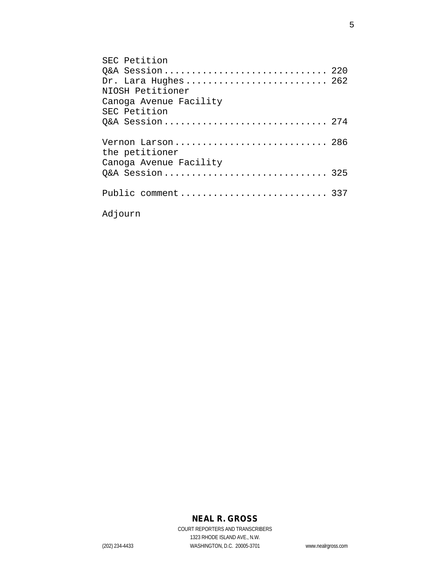| SEC Petition           |  |
|------------------------|--|
| Q&A Session 220        |  |
| Dr. Lara Hughes 262    |  |
| NIOSH Petitioner       |  |
| Canoga Avenue Facility |  |
| SEC Petition           |  |
| O&A Session 274        |  |
|                        |  |
| Vernon Larson 286      |  |
| the petitioner         |  |
| Canoga Avenue Facility |  |
| O&A Session 325        |  |
|                        |  |
|                        |  |
|                        |  |
| Adjourn                |  |

# **NEAL R. GROSS**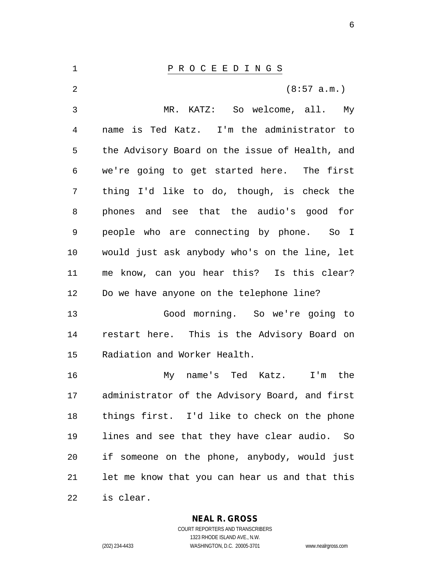P R O C E E D I N G S 2 (8:57 a.m.) MR. KATZ: So welcome, all. My name is Ted Katz. I'm the administrator to the Advisory Board on the issue of Health, and we're going to get started here. The first thing I'd like to do, though, is check the phones and see that the audio's good for people who are connecting by phone. So I would just ask anybody who's on the line, let me know, can you hear this? Is this clear? Do we have anyone on the telephone line? Good morning. So we're going to restart here. This is the Advisory Board on Radiation and Worker Health. My name's Ted Katz. I'm the administrator of the Advisory Board, and first things first. I'd like to check on the phone lines and see that they have clear audio. So if someone on the phone, anybody, would just let me know that you can hear us and that this is clear.

**NEAL R. GROSS**

COURT REPORTERS AND TRANSCRIBERS 1323 RHODE ISLAND AVE., N.W. (202) 234-4433 WASHINGTON, D.C. 20005-3701 www.nealrgross.com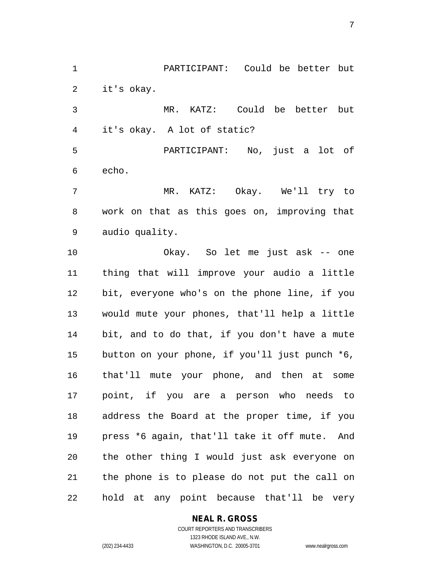PARTICIPANT: Could be better but it's okay.

 MR. KATZ: Could be better but it's okay. A lot of static? PARTICIPANT: No, just a lot of

echo.

 MR. KATZ: Okay. We'll try to work on that as this goes on, improving that audio quality.

 Okay. So let me just ask -- one thing that will improve your audio a little bit, everyone who's on the phone line, if you would mute your phones, that'll help a little bit, and to do that, if you don't have a mute button on your phone, if you'll just punch \*6, that'll mute your phone, and then at some point, if you are a person who needs to address the Board at the proper time, if you press \*6 again, that'll take it off mute. And the other thing I would just ask everyone on the phone is to please do not put the call on hold at any point because that'll be very

### **NEAL R. GROSS**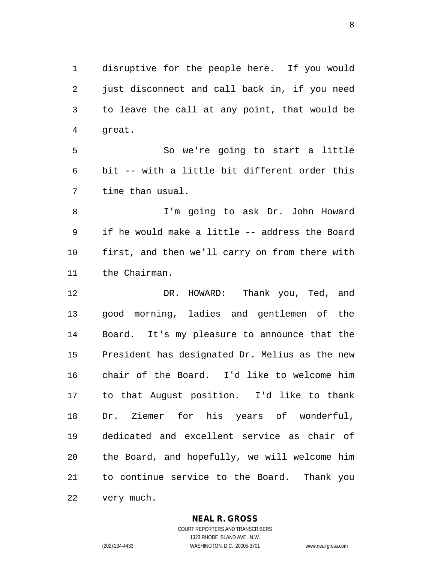disruptive for the people here. If you would just disconnect and call back in, if you need to leave the call at any point, that would be great.

 So we're going to start a little bit -- with a little bit different order this time than usual.

 I'm going to ask Dr. John Howard if he would make a little -- address the Board first, and then we'll carry on from there with the Chairman.

 DR. HOWARD: Thank you, Ted, and good morning, ladies and gentlemen of the Board. It's my pleasure to announce that the President has designated Dr. Melius as the new chair of the Board. I'd like to welcome him to that August position. I'd like to thank Dr. Ziemer for his years of wonderful, dedicated and excellent service as chair of the Board, and hopefully, we will welcome him to continue service to the Board. Thank you very much.

### **NEAL R. GROSS**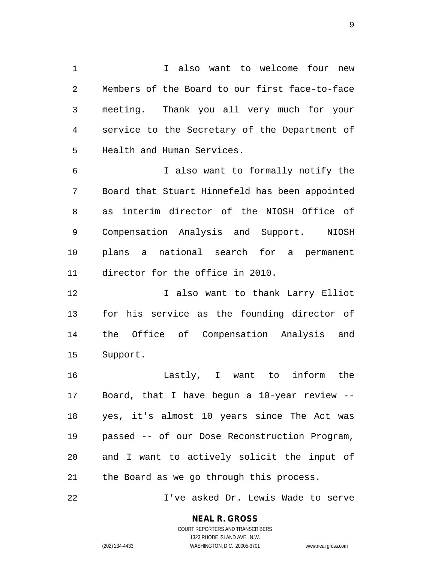I also want to welcome four new Members of the Board to our first face-to-face meeting. Thank you all very much for your service to the Secretary of the Department of Health and Human Services.

 I also want to formally notify the Board that Stuart Hinnefeld has been appointed as interim director of the NIOSH Office of Compensation Analysis and Support. NIOSH plans a national search for a permanent director for the office in 2010.

**I also want to thank Larry Elliot**  for his service as the founding director of the Office of Compensation Analysis and Support.

 Lastly, I want to inform the Board, that I have begun a 10-year review -- yes, it's almost 10 years since The Act was passed -- of our Dose Reconstruction Program, and I want to actively solicit the input of the Board as we go through this process.

I've asked Dr. Lewis Wade to serve

**NEAL R. GROSS** COURT REPORTERS AND TRANSCRIBERS

1323 RHODE ISLAND AVE., N.W. (202) 234-4433 WASHINGTON, D.C. 20005-3701 www.nealrgross.com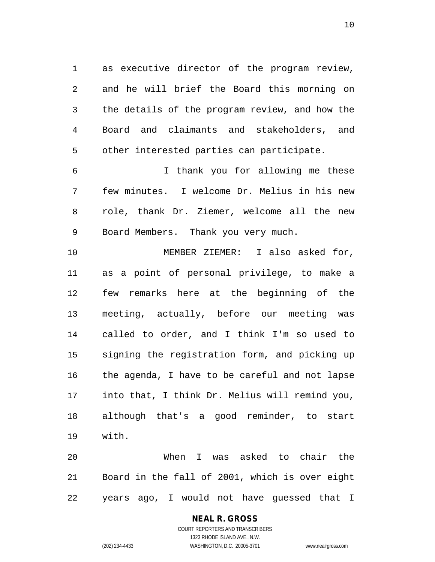as executive director of the program review, and he will brief the Board this morning on the details of the program review, and how the Board and claimants and stakeholders, and other interested parties can participate.

 I thank you for allowing me these few minutes. I welcome Dr. Melius in his new role, thank Dr. Ziemer, welcome all the new Board Members. Thank you very much.

 MEMBER ZIEMER: I also asked for, as a point of personal privilege, to make a few remarks here at the beginning of the meeting, actually, before our meeting was called to order, and I think I'm so used to signing the registration form, and picking up the agenda, I have to be careful and not lapse into that, I think Dr. Melius will remind you, although that's a good reminder, to start with.

 When I was asked to chair the Board in the fall of 2001, which is over eight years ago, I would not have guessed that I

# **NEAL R. GROSS**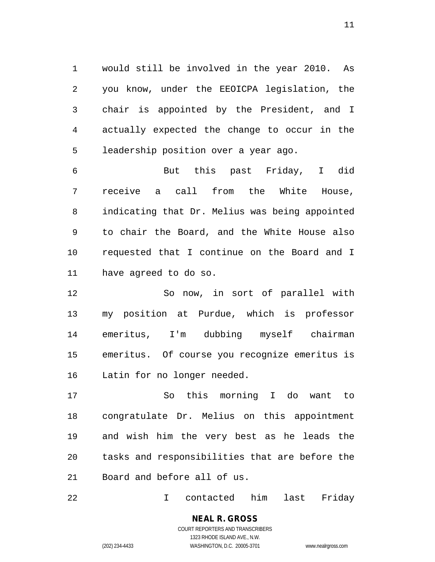would still be involved in the year 2010. As you know, under the EEOICPA legislation, the chair is appointed by the President, and I actually expected the change to occur in the leadership position over a year ago.

 But this past Friday, I did receive a call from the White House, indicating that Dr. Melius was being appointed to chair the Board, and the White House also requested that I continue on the Board and I have agreed to do so.

 So now, in sort of parallel with my position at Purdue, which is professor emeritus, I'm dubbing myself chairman emeritus. Of course you recognize emeritus is Latin for no longer needed.

 So this morning I do want to congratulate Dr. Melius on this appointment and wish him the very best as he leads the tasks and responsibilities that are before the Board and before all of us.

I contacted him last Friday

**NEAL R. GROSS** COURT REPORTERS AND TRANSCRIBERS 1323 RHODE ISLAND AVE., N.W.

(202) 234-4433 WASHINGTON, D.C. 20005-3701 www.nealrgross.com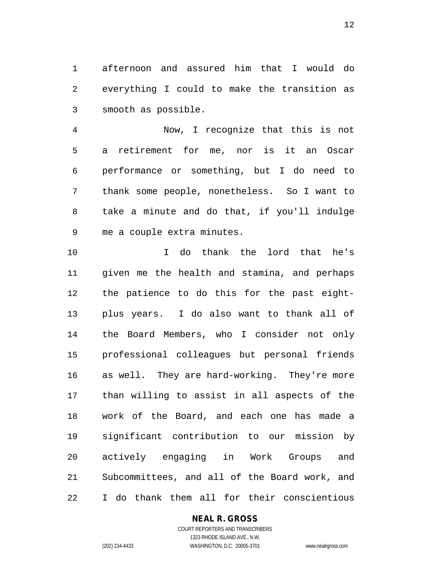afternoon and assured him that I would do everything I could to make the transition as smooth as possible.

 Now, I recognize that this is not a retirement for me, nor is it an Oscar performance or something, but I do need to thank some people, nonetheless. So I want to take a minute and do that, if you'll indulge me a couple extra minutes.

 I do thank the lord that he's given me the health and stamina, and perhaps the patience to do this for the past eight- plus years. I do also want to thank all of the Board Members, who I consider not only professional colleagues but personal friends as well. They are hard-working. They're more than willing to assist in all aspects of the work of the Board, and each one has made a significant contribution to our mission by actively engaging in Work Groups and Subcommittees, and all of the Board work, and I do thank them all for their conscientious

**NEAL R. GROSS**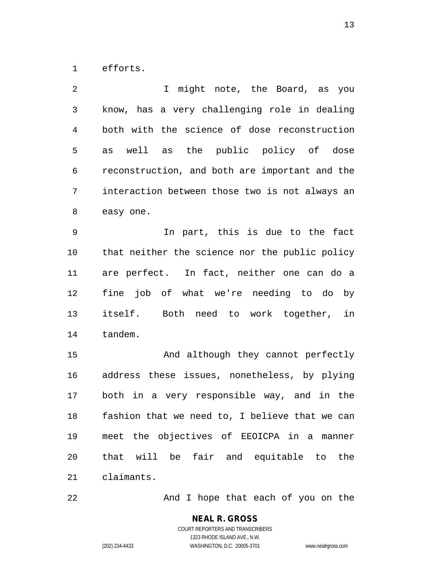efforts.

2 1 I might note, the Board, as you know, has a very challenging role in dealing both with the science of dose reconstruction as well as the public policy of dose reconstruction, and both are important and the interaction between those two is not always an easy one. In part, this is due to the fact that neither the science nor the public policy are perfect. In fact, neither one can do a fine job of what we're needing to do by itself. Both need to work together, in tandem. And although they cannot perfectly address these issues, nonetheless, by plying both in a very responsible way, and in the fashion that we need to, I believe that we can meet the objectives of EEOICPA in a manner that will be fair and equitable to the

claimants.

22 And I hope that each of you on the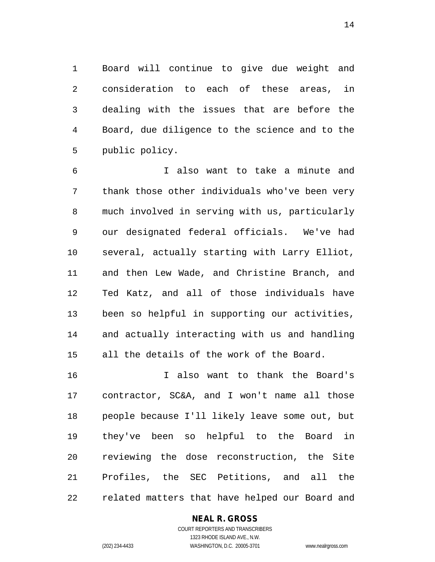Board will continue to give due weight and consideration to each of these areas, in dealing with the issues that are before the Board, due diligence to the science and to the public policy.

 I also want to take a minute and thank those other individuals who've been very much involved in serving with us, particularly our designated federal officials. We've had several, actually starting with Larry Elliot, and then Lew Wade, and Christine Branch, and Ted Katz, and all of those individuals have been so helpful in supporting our activities, and actually interacting with us and handling all the details of the work of the Board.

 I also want to thank the Board's contractor, SC&A, and I won't name all those people because I'll likely leave some out, but they've been so helpful to the Board in reviewing the dose reconstruction, the Site Profiles, the SEC Petitions, and all the related matters that have helped our Board and

### **NEAL R. GROSS**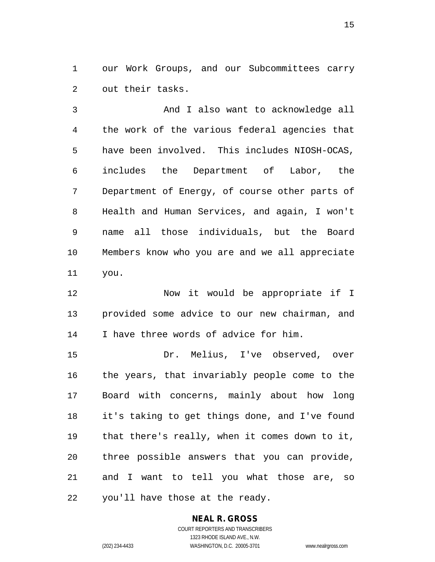our Work Groups, and our Subcommittees carry out their tasks.

 And I also want to acknowledge all the work of the various federal agencies that have been involved. This includes NIOSH-OCAS, includes the Department of Labor, the Department of Energy, of course other parts of Health and Human Services, and again, I won't name all those individuals, but the Board Members know who you are and we all appreciate you.

 Now it would be appropriate if I provided some advice to our new chairman, and I have three words of advice for him.

 Dr. Melius, I've observed, over the years, that invariably people come to the Board with concerns, mainly about how long it's taking to get things done, and I've found that there's really, when it comes down to it, three possible answers that you can provide, and I want to tell you what those are, so you'll have those at the ready.

#### **NEAL R. GROSS** COURT REPORTERS AND TRANSCRIBERS

1323 RHODE ISLAND AVE., N.W. (202) 234-4433 WASHINGTON, D.C. 20005-3701 www.nealrgross.com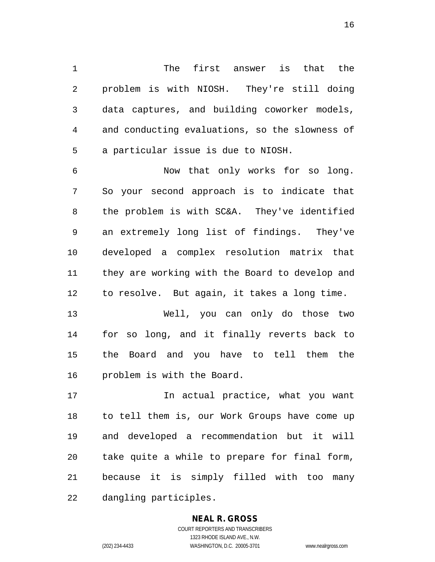1 The first answer is that the problem is with NIOSH. They're still doing data captures, and building coworker models, and conducting evaluations, so the slowness of a particular issue is due to NIOSH.

 Now that only works for so long. So your second approach is to indicate that the problem is with SC&A. They've identified an extremely long list of findings. They've developed a complex resolution matrix that they are working with the Board to develop and to resolve. But again, it takes a long time.

 Well, you can only do those two for so long, and it finally reverts back to the Board and you have to tell them the problem is with the Board.

 In actual practice, what you want to tell them is, our Work Groups have come up and developed a recommendation but it will take quite a while to prepare for final form, because it is simply filled with too many dangling participles.

### **NEAL R. GROSS** COURT REPORTERS AND TRANSCRIBERS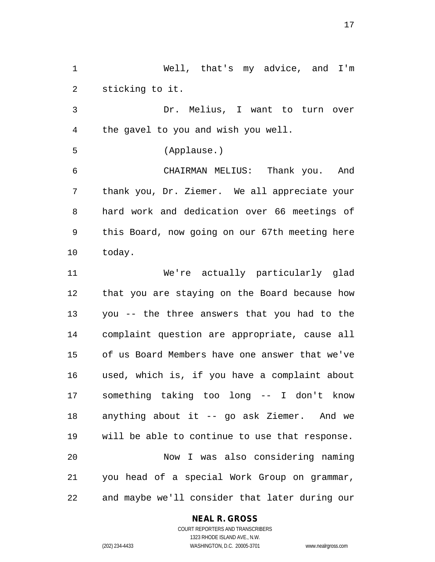Well, that's my advice, and I'm sticking to it.

 Dr. Melius, I want to turn over the gavel to you and wish you well.

(Applause.)

 CHAIRMAN MELIUS: Thank you. And thank you, Dr. Ziemer. We all appreciate your hard work and dedication over 66 meetings of this Board, now going on our 67th meeting here today.

 We're actually particularly glad that you are staying on the Board because how you -- the three answers that you had to the complaint question are appropriate, cause all of us Board Members have one answer that we've used, which is, if you have a complaint about something taking too long -- I don't know anything about it -- go ask Ziemer. And we will be able to continue to use that response. Now I was also considering naming you head of a special Work Group on grammar, and maybe we'll consider that later during our

### **NEAL R. GROSS**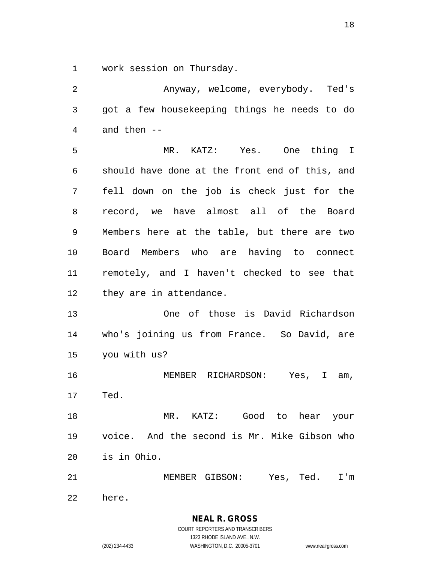work session on Thursday.

 Anyway, welcome, everybody. Ted's got a few housekeeping things he needs to do and then -- MR. KATZ: Yes. One thing I should have done at the front end of this, and fell down on the job is check just for the record, we have almost all of the Board Members here at the table, but there are two Board Members who are having to connect remotely, and I haven't checked to see that they are in attendance. One of those is David Richardson who's joining us from France. So David, are you with us? MEMBER RICHARDSON: Yes, I am, Ted. MR. KATZ: Good to hear your voice. And the second is Mr. Mike Gibson who is in Ohio. MEMBER GIBSON: Yes, Ted. I'm here.

> **NEAL R. GROSS** COURT REPORTERS AND TRANSCRIBERS 1323 RHODE ISLAND AVE., N.W. (202) 234-4433 WASHINGTON, D.C. 20005-3701 www.nealrgross.com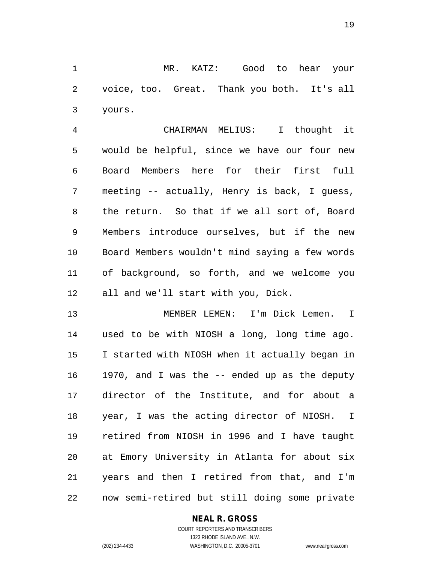MR. KATZ: Good to hear your voice, too. Great. Thank you both. It's all yours.

 CHAIRMAN MELIUS: I thought it would be helpful, since we have our four new Board Members here for their first full meeting -- actually, Henry is back, I guess, the return. So that if we all sort of, Board Members introduce ourselves, but if the new Board Members wouldn't mind saying a few words of background, so forth, and we welcome you all and we'll start with you, Dick.

 MEMBER LEMEN: I'm Dick Lemen. I used to be with NIOSH a long, long time ago. I started with NIOSH when it actually began in 1970, and I was the -- ended up as the deputy director of the Institute, and for about a year, I was the acting director of NIOSH. I retired from NIOSH in 1996 and I have taught at Emory University in Atlanta for about six years and then I retired from that, and I'm now semi-retired but still doing some private

### **NEAL R. GROSS**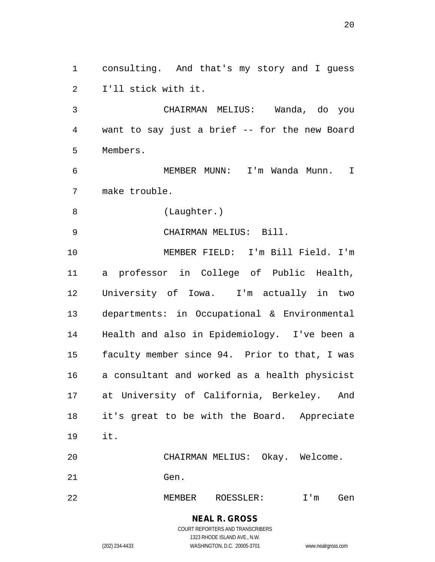consulting. And that's my story and I guess I'll stick with it.

 CHAIRMAN MELIUS: Wanda, do you want to say just a brief -- for the new Board Members.

 MEMBER MUNN: I'm Wanda Munn. I make trouble.

(Laughter.)

CHAIRMAN MELIUS: Bill.

 MEMBER FIELD: I'm Bill Field. I'm a professor in College of Public Health, University of Iowa. I'm actually in two departments: in Occupational & Environmental Health and also in Epidemiology. I've been a faculty member since 94. Prior to that, I was a consultant and worked as a health physicist at University of California, Berkeley. And it's great to be with the Board. Appreciate it.

CHAIRMAN MELIUS: Okay. Welcome.

Gen.

MEMBER ROESSLER: I'm Gen

**NEAL R. GROSS** COURT REPORTERS AND TRANSCRIBERS 1323 RHODE ISLAND AVE., N.W.

(202) 234-4433 WASHINGTON, D.C. 20005-3701 www.nealrgross.com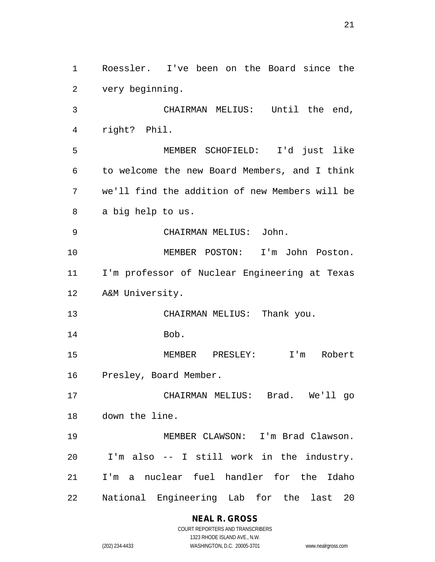Roessler. I've been on the Board since the very beginning. CHAIRMAN MELIUS: Until the end, right? Phil. MEMBER SCHOFIELD: I'd just like to welcome the new Board Members, and I think we'll find the addition of new Members will be a big help to us. CHAIRMAN MELIUS: John. MEMBER POSTON: I'm John Poston. I'm professor of Nuclear Engineering at Texas A&M University. 13 CHAIRMAN MELIUS: Thank you. Bob. MEMBER PRESLEY: I'm Robert Presley, Board Member. CHAIRMAN MELIUS: Brad. We'll go down the line. MEMBER CLAWSON: I'm Brad Clawson. I'm also -- I still work in the industry. I'm a nuclear fuel handler for the Idaho National Engineering Lab for the last 20

### **NEAL R. GROSS**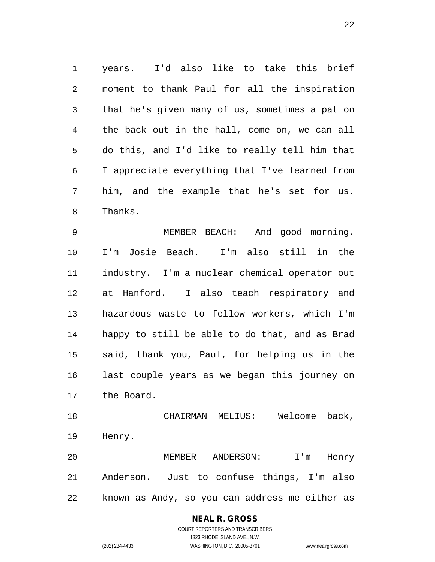years. I'd also like to take this brief moment to thank Paul for all the inspiration that he's given many of us, sometimes a pat on the back out in the hall, come on, we can all do this, and I'd like to really tell him that I appreciate everything that I've learned from him, and the example that he's set for us. Thanks.

 MEMBER BEACH: And good morning. I'm Josie Beach. I'm also still in the industry. I'm a nuclear chemical operator out at Hanford. I also teach respiratory and hazardous waste to fellow workers, which I'm happy to still be able to do that, and as Brad said, thank you, Paul, for helping us in the last couple years as we began this journey on the Board.

 CHAIRMAN MELIUS: Welcome back, Henry.

 MEMBER ANDERSON: I'm Henry Anderson. Just to confuse things, I'm also known as Andy, so you can address me either as

### **NEAL R. GROSS**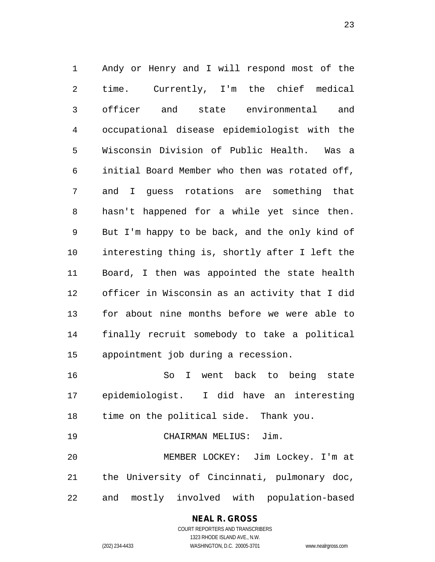Andy or Henry and I will respond most of the time. Currently, I'm the chief medical officer and state environmental and occupational disease epidemiologist with the Wisconsin Division of Public Health. Was a initial Board Member who then was rotated off, and I guess rotations are something that hasn't happened for a while yet since then. But I'm happy to be back, and the only kind of interesting thing is, shortly after I left the Board, I then was appointed the state health officer in Wisconsin as an activity that I did for about nine months before we were able to finally recruit somebody to take a political appointment job during a recession.

 So I went back to being state epidemiologist. I did have an interesting time on the political side. Thank you.

CHAIRMAN MELIUS: Jim.

 MEMBER LOCKEY: Jim Lockey. I'm at the University of Cincinnati, pulmonary doc, and mostly involved with population-based

## **NEAL R. GROSS**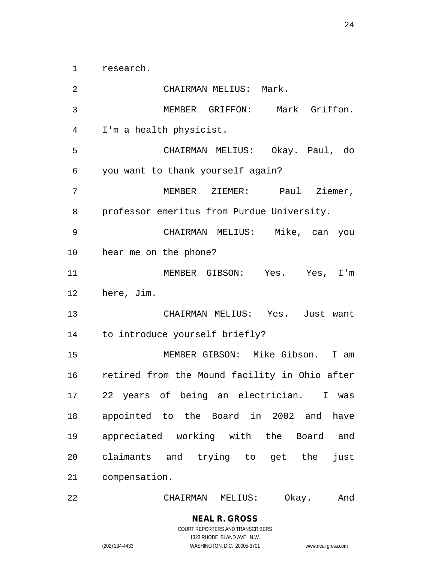research.

 CHAIRMAN MELIUS: Mark. MEMBER GRIFFON: Mark Griffon. I'm a health physicist. CHAIRMAN MELIUS: Okay. Paul, do you want to thank yourself again? MEMBER ZIEMER: Paul Ziemer, professor emeritus from Purdue University. CHAIRMAN MELIUS: Mike, can you hear me on the phone? MEMBER GIBSON: Yes. Yes, I'm here, Jim. CHAIRMAN MELIUS: Yes. Just want to introduce yourself briefly? MEMBER GIBSON: Mike Gibson. I am retired from the Mound facility in Ohio after 22 years of being an electrician. I was appointed to the Board in 2002 and have appreciated working with the Board and claimants and trying to get the just compensation.

CHAIRMAN MELIUS: Okay. And

**NEAL R. GROSS** COURT REPORTERS AND TRANSCRIBERS

1323 RHODE ISLAND AVE., N.W.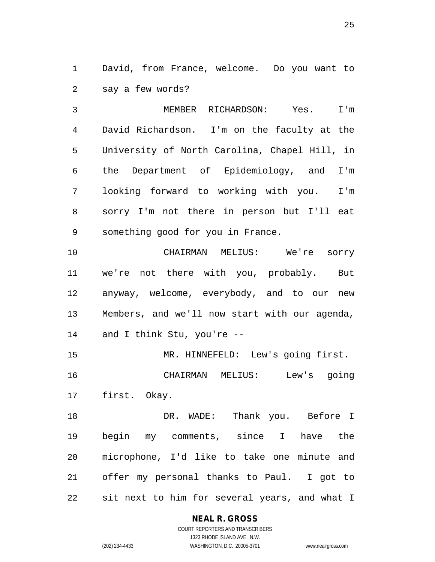David, from France, welcome. Do you want to say a few words?

 MEMBER RICHARDSON: Yes. I'm David Richardson. I'm on the faculty at the University of North Carolina, Chapel Hill, in the Department of Epidemiology, and I'm looking forward to working with you. I'm sorry I'm not there in person but I'll eat something good for you in France.

 CHAIRMAN MELIUS: We're sorry we're not there with you, probably. But anyway, welcome, everybody, and to our new Members, and we'll now start with our agenda, and I think Stu, you're --

 MR. HINNEFELD: Lew's going first. CHAIRMAN MELIUS: Lew's going first. Okay.

 DR. WADE: Thank you. Before I begin my comments, since I have the microphone, I'd like to take one minute and offer my personal thanks to Paul. I got to sit next to him for several years, and what I

#### **NEAL R. GROSS**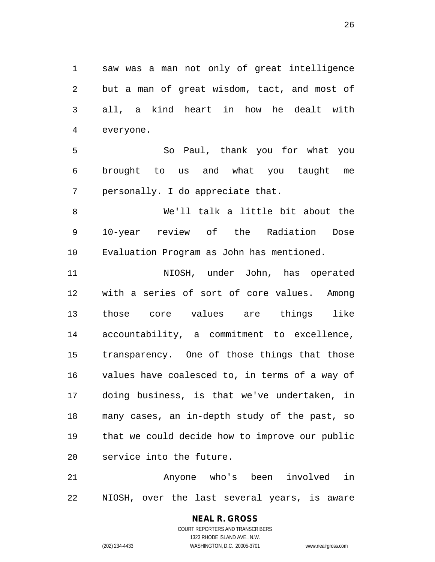saw was a man not only of great intelligence but a man of great wisdom, tact, and most of all, a kind heart in how he dealt with everyone.

 So Paul, thank you for what you brought to us and what you taught me personally. I do appreciate that.

 We'll talk a little bit about the 10-year review of the Radiation Dose Evaluation Program as John has mentioned.

 NIOSH, under John, has operated with a series of sort of core values. Among those core values are things like accountability, a commitment to excellence, transparency. One of those things that those values have coalesced to, in terms of a way of doing business, is that we've undertaken, in many cases, an in-depth study of the past, so that we could decide how to improve our public service into the future.

 Anyone who's been involved in NIOSH, over the last several years, is aware

#### **NEAL R. GROSS** COURT REPORTERS AND TRANSCRIBERS

1323 RHODE ISLAND AVE., N.W. (202) 234-4433 WASHINGTON, D.C. 20005-3701 www.nealrgross.com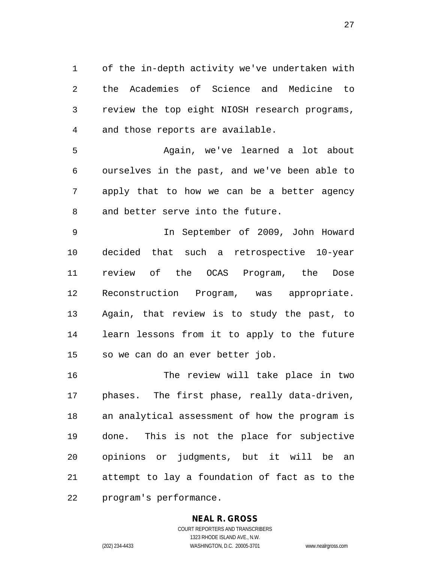of the in-depth activity we've undertaken with the Academies of Science and Medicine to review the top eight NIOSH research programs, and those reports are available.

 Again, we've learned a lot about ourselves in the past, and we've been able to apply that to how we can be a better agency and better serve into the future.

 In September of 2009, John Howard decided that such a retrospective 10-year review of the OCAS Program, the Dose Reconstruction Program, was appropriate. Again, that review is to study the past, to learn lessons from it to apply to the future so we can do an ever better job.

 The review will take place in two phases. The first phase, really data-driven, an analytical assessment of how the program is done. This is not the place for subjective opinions or judgments, but it will be an attempt to lay a foundation of fact as to the program's performance.

### **NEAL R. GROSS**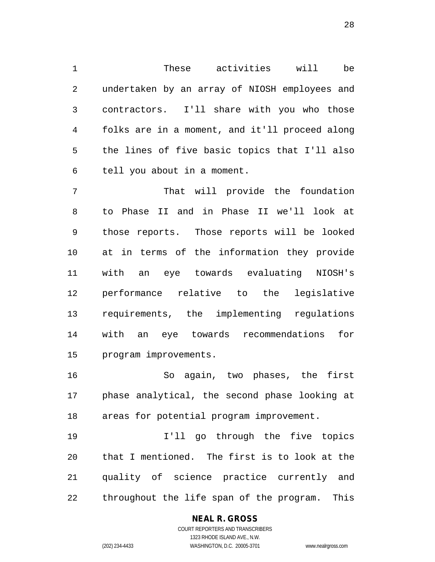These activities will be undertaken by an array of NIOSH employees and contractors. I'll share with you who those folks are in a moment, and it'll proceed along the lines of five basic topics that I'll also tell you about in a moment.

 That will provide the foundation to Phase II and in Phase II we'll look at those reports. Those reports will be looked at in terms of the information they provide with an eye towards evaluating NIOSH's performance relative to the legislative requirements, the implementing regulations with an eye towards recommendations for program improvements.

 So again, two phases, the first phase analytical, the second phase looking at areas for potential program improvement.

 I'll go through the five topics that I mentioned. The first is to look at the quality of science practice currently and throughout the life span of the program. This

# **NEAL R. GROSS**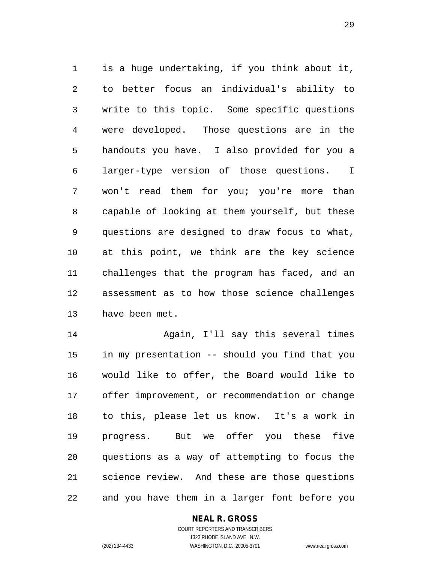is a huge undertaking, if you think about it, to better focus an individual's ability to write to this topic. Some specific questions were developed. Those questions are in the handouts you have. I also provided for you a larger-type version of those questions. I won't read them for you; you're more than capable of looking at them yourself, but these questions are designed to draw focus to what, at this point, we think are the key science challenges that the program has faced, and an assessment as to how those science challenges have been met.

 Again, I'll say this several times in my presentation -- should you find that you would like to offer, the Board would like to offer improvement, or recommendation or change to this, please let us know. It's a work in progress. But we offer you these five questions as a way of attempting to focus the science review. And these are those questions and you have them in a larger font before you

### **NEAL R. GROSS**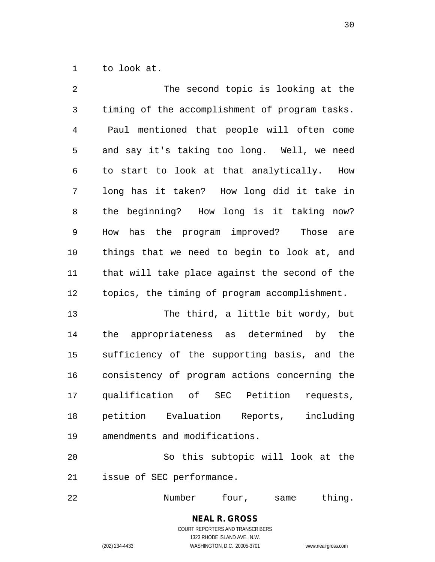to look at.

| $\overline{2}$ | The second topic is looking at the               |
|----------------|--------------------------------------------------|
| $\mathsf{3}$   | timing of the accomplishment of program tasks.   |
| $\overline{4}$ | Paul mentioned that people will often come       |
| 5              | and say it's taking too long. Well, we need      |
| 6              | to start to look at that analytically.<br>How    |
| 7              | long has it taken? How long did it take in       |
| 8              | the beginning? How long is it taking now?        |
| $\mathsf 9$    | has the program improved?<br>How<br>Those<br>are |
| 10             | things that we need to begin to look at, and     |
| 11             | that will take place against the second of the   |
| 12             | topics, the timing of program accomplishment.    |
| 13             | The third, a little bit wordy, but               |
| 14             | appropriateness as determined by<br>the<br>the   |
| 15             | sufficiency of the supporting basis, and the     |
| 16             | consistency of program actions concerning the    |
| $17$           | qualification of SEC Petition<br>requests,       |
| 18             | including<br>petition Evaluation Reports,        |
| 19             | amendments and modifications.                    |

 So this subtopic will look at the issue of SEC performance.

22 Number four, same thing.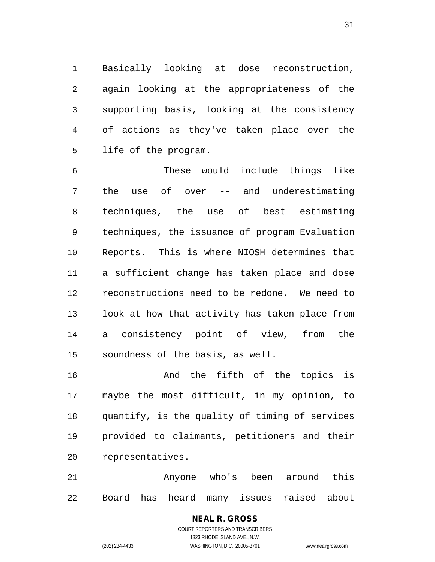Basically looking at dose reconstruction, again looking at the appropriateness of the supporting basis, looking at the consistency of actions as they've taken place over the life of the program.

 These would include things like the use of over -- and underestimating techniques, the use of best estimating techniques, the issuance of program Evaluation Reports. This is where NIOSH determines that a sufficient change has taken place and dose reconstructions need to be redone. We need to look at how that activity has taken place from a consistency point of view, from the soundness of the basis, as well.

16 And the fifth of the topics is maybe the most difficult, in my opinion, to quantify, is the quality of timing of services provided to claimants, petitioners and their representatives.

 Anyone who's been around this Board has heard many issues raised about

> **NEAL R. GROSS** COURT REPORTERS AND TRANSCRIBERS 1323 RHODE ISLAND AVE., N.W. (202) 234-4433 WASHINGTON, D.C. 20005-3701 www.nealrgross.com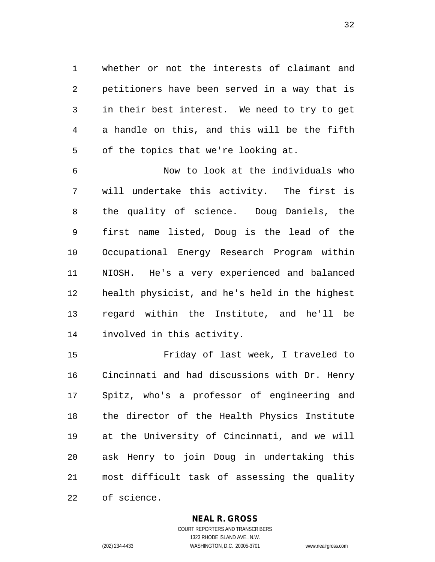whether or not the interests of claimant and petitioners have been served in a way that is in their best interest. We need to try to get a handle on this, and this will be the fifth of the topics that we're looking at.

 Now to look at the individuals who will undertake this activity. The first is the quality of science. Doug Daniels, the first name listed, Doug is the lead of the Occupational Energy Research Program within NIOSH. He's a very experienced and balanced health physicist, and he's held in the highest regard within the Institute, and he'll be involved in this activity.

 Friday of last week, I traveled to Cincinnati and had discussions with Dr. Henry Spitz, who's a professor of engineering and the director of the Health Physics Institute at the University of Cincinnati, and we will ask Henry to join Doug in undertaking this most difficult task of assessing the quality of science.

### **NEAL R. GROSS**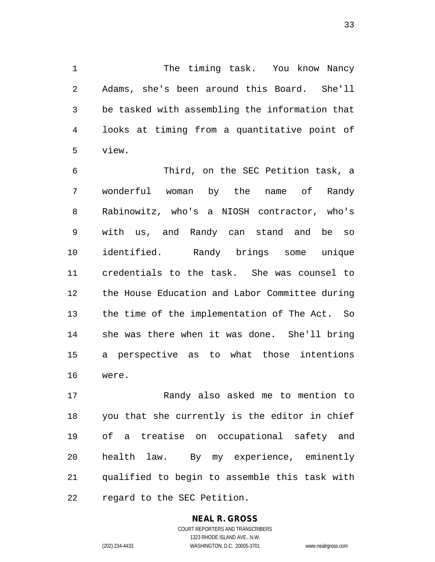The timing task. You know Nancy Adams, she's been around this Board. She'll be tasked with assembling the information that looks at timing from a quantitative point of view.

 Third, on the SEC Petition task, a wonderful woman by the name of Randy Rabinowitz, who's a NIOSH contractor, who's with us, and Randy can stand and be so identified. Randy brings some unique credentials to the task. She was counsel to the House Education and Labor Committee during the time of the implementation of The Act. So she was there when it was done. She'll bring a perspective as to what those intentions were.

 Randy also asked me to mention to you that she currently is the editor in chief of a treatise on occupational safety and health law. By my experience, eminently qualified to begin to assemble this task with regard to the SEC Petition.

### **NEAL R. GROSS**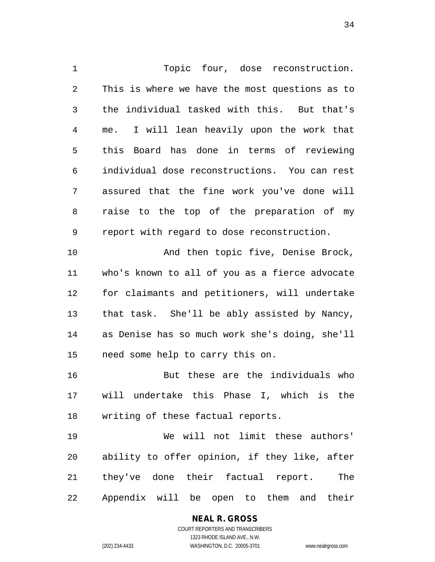Topic four, dose reconstruction. This is where we have the most questions as to the individual tasked with this. But that's me. I will lean heavily upon the work that this Board has done in terms of reviewing individual dose reconstructions. You can rest assured that the fine work you've done will raise to the top of the preparation of my report with regard to dose reconstruction. 10 And then topic five, Denise Brock, who's known to all of you as a fierce advocate for claimants and petitioners, will undertake that task. She'll be ably assisted by Nancy, as Denise has so much work she's doing, she'll need some help to carry this on. 16 But these are the individuals who will undertake this Phase I, which is the writing of these factual reports. We will not limit these authors' ability to offer opinion, if they like, after they've done their factual report. The

Appendix will be open to them and their

**NEAL R. GROSS** COURT REPORTERS AND TRANSCRIBERS 1323 RHODE ISLAND AVE., N.W.

(202) 234-4433 WASHINGTON, D.C. 20005-3701 www.nealrgross.com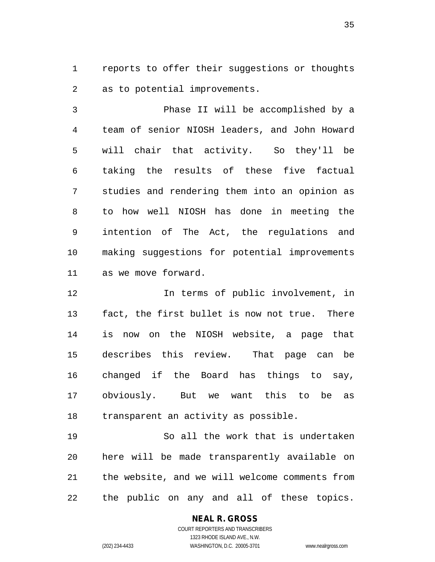reports to offer their suggestions or thoughts as to potential improvements.

 Phase II will be accomplished by a team of senior NIOSH leaders, and John Howard will chair that activity. So they'll be taking the results of these five factual studies and rendering them into an opinion as to how well NIOSH has done in meeting the intention of The Act, the regulations and making suggestions for potential improvements as we move forward.

12 12 In terms of public involvement, in fact, the first bullet is now not true. There is now on the NIOSH website, a page that describes this review. That page can be changed if the Board has things to say, obviously. But we want this to be as transparent an activity as possible.

 So all the work that is undertaken here will be made transparently available on the website, and we will welcome comments from the public on any and all of these topics.

# **NEAL R. GROSS**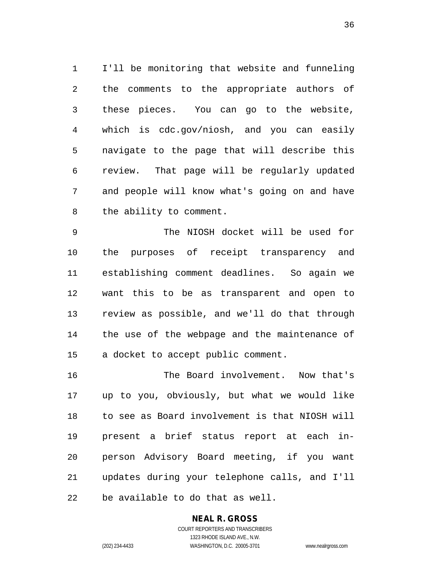I'll be monitoring that website and funneling the comments to the appropriate authors of these pieces. You can go to the website, which is cdc.gov/niosh, and you can easily navigate to the page that will describe this review. That page will be regularly updated and people will know what's going on and have the ability to comment.

 The NIOSH docket will be used for the purposes of receipt transparency and establishing comment deadlines. So again we want this to be as transparent and open to review as possible, and we'll do that through the use of the webpage and the maintenance of a docket to accept public comment.

 The Board involvement. Now that's up to you, obviously, but what we would like to see as Board involvement is that NIOSH will present a brief status report at each in- person Advisory Board meeting, if you want updates during your telephone calls, and I'll be available to do that as well.

### **NEAL R. GROSS**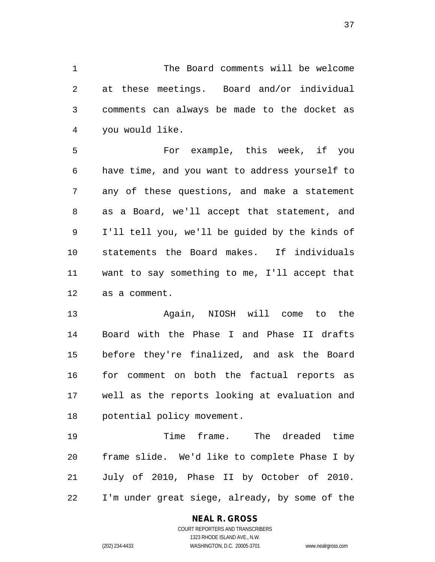The Board comments will be welcome at these meetings. Board and/or individual comments can always be made to the docket as you would like.

 For example, this week, if you have time, and you want to address yourself to any of these questions, and make a statement as a Board, we'll accept that statement, and I'll tell you, we'll be guided by the kinds of statements the Board makes. If individuals want to say something to me, I'll accept that as a comment.

 Again, NIOSH will come to the Board with the Phase I and Phase II drafts before they're finalized, and ask the Board for comment on both the factual reports as well as the reports looking at evaluation and potential policy movement.

 Time frame. The dreaded time frame slide. We'd like to complete Phase I by July of 2010, Phase II by October of 2010. I'm under great siege, already, by some of the

# **NEAL R. GROSS**

COURT REPORTERS AND TRANSCRIBERS 1323 RHODE ISLAND AVE., N.W. (202) 234-4433 WASHINGTON, D.C. 20005-3701 www.nealrgross.com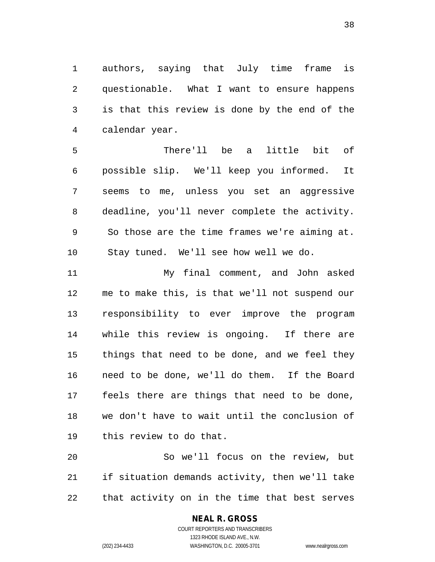authors, saying that July time frame is questionable. What I want to ensure happens is that this review is done by the end of the calendar year.

 There'll be a little bit of possible slip. We'll keep you informed. It seems to me, unless you set an aggressive deadline, you'll never complete the activity. So those are the time frames we're aiming at. Stay tuned. We'll see how well we do.

 My final comment, and John asked me to make this, is that we'll not suspend our responsibility to ever improve the program while this review is ongoing. If there are things that need to be done, and we feel they need to be done, we'll do them. If the Board feels there are things that need to be done, we don't have to wait until the conclusion of this review to do that.

 So we'll focus on the review, but if situation demands activity, then we'll take that activity on in the time that best serves

#### **NEAL R. GROSS**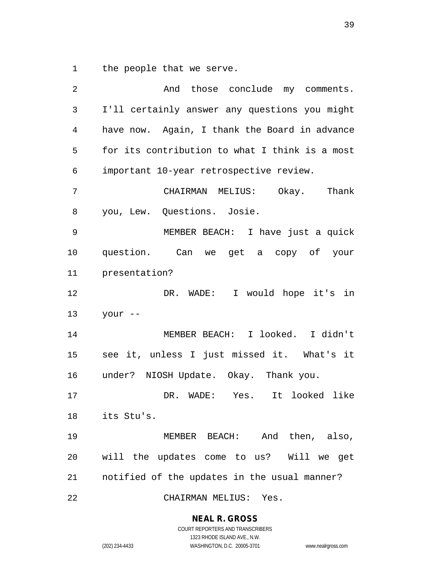the people that we serve.

| 2  | And those conclude my comments.                |
|----|------------------------------------------------|
| 3  | I'll certainly answer any questions you might  |
| 4  | have now. Again, I thank the Board in advance  |
| 5  | for its contribution to what I think is a most |
| 6  | important 10-year retrospective review.        |
| 7  | CHAIRMAN MELIUS: Okay. Thank                   |
| 8  | you, Lew. Questions. Josie.                    |
| 9  | MEMBER BEACH: I have just a quick              |
| 10 | question. Can we get a copy of your            |
| 11 | presentation?                                  |
| 12 | DR. WADE: I would hope it's in                 |
| 13 | your --                                        |
| 14 | MEMBER BEACH: I looked. I didn't               |
| 15 | see it, unless I just missed it. What's it     |
| 16 | under? NIOSH Update. Okay. Thank you.          |
| 17 | DR. WADE: Yes. It looked like                  |
|    | 18 its Stu's.                                  |
| 19 | MEMBER BEACH: And then, also,                  |
| 20 | will the updates come to us? Will we get       |
| 21 | notified of the updates in the usual manner?   |
| 22 | CHAIRMAN MELIUS: Yes.                          |

**NEAL R. GROSS**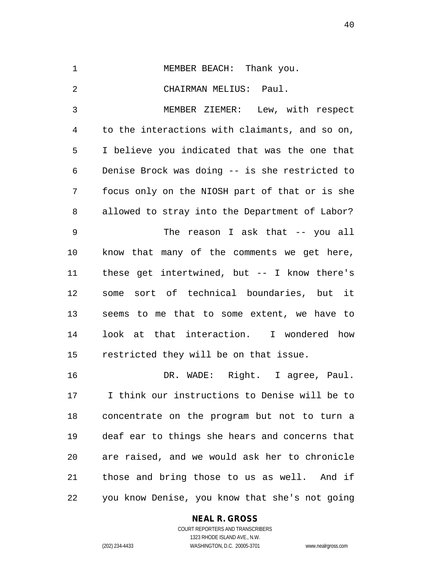| $\mathbf 1$ | MEMBER BEACH: Thank you.                       |
|-------------|------------------------------------------------|
| 2           | CHAIRMAN MELIUS: Paul.                         |
| 3           | MEMBER ZIEMER: Lew, with respect               |
| 4           | to the interactions with claimants, and so on, |
| 5           | I believe you indicated that was the one that  |
| 6           | Denise Brock was doing -- is she restricted to |
| 7           | focus only on the NIOSH part of that or is she |
| 8           | allowed to stray into the Department of Labor? |
| 9           | The reason I ask that -- you all               |
| 10          | know that many of the comments we get here,    |
| 11          | these get intertwined, but $--$ I know there's |
| 12          | some sort of technical boundaries, but it      |
| 13          | seems to me that to some extent, we have to    |
| 14          | look at that interaction. I wondered how       |
| 15          | restricted they will be on that issue.         |
| 16          | DR. WADE: Right. I agree, Paul.                |
| 17          | I think our instructions to Denise will be to  |
| 18          | concentrate on the program but not to turn a   |
| 19          | deaf ear to things she hears and concerns that |

**NEAL R. GROSS**

are raised, and we would ask her to chronicle

those and bring those to us as well. And if

you know Denise, you know that she's not going

COURT REPORTERS AND TRANSCRIBERS 1323 RHODE ISLAND AVE., N.W. (202) 234-4433 WASHINGTON, D.C. 20005-3701 www.nealrgross.com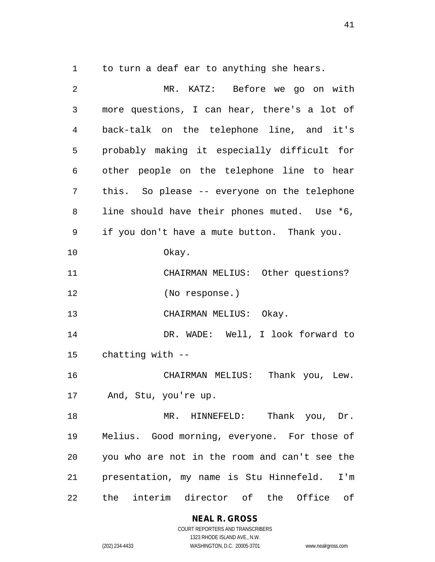to turn a deaf ear to anything she hears.

| 2  | MR. KATZ: Before we go on with                 |
|----|------------------------------------------------|
| 3  | more questions, I can hear, there's a lot of   |
| 4  | back-talk on the telephone line, and it's      |
| 5  | probably making it especially difficult for    |
| 6  | other people on the telephone line to hear     |
| 7  | this. So please -- everyone on the telephone   |
| 8  | line should have their phones muted. Use *6,   |
| 9  | if you don't have a mute button. Thank you.    |
| 10 | Okay.                                          |
| 11 | CHAIRMAN MELIUS: Other questions?              |
| 12 | (No response.)                                 |
| 13 | CHAIRMAN MELIUS: Okay.                         |
| 14 | DR. WADE: Well, I look forward to              |
| 15 | chatting with --                               |
| 16 | CHAIRMAN MELIUS: Thank you, Lew.               |
| 17 | And, Stu, you're up.                           |
| 18 | MR. HINNEFELD:<br>Thank you, Dr.               |
| 19 | Melius. Good morning, everyone. For those of   |
| 20 | you who are not in the room and can't see the  |
| 21 | presentation, my name is Stu Hinnefeld.<br>I'm |
| 22 | the interim director of the Office of          |

**NEAL R. GROSS** COURT REPORTERS AND TRANSCRIBERS

1323 RHODE ISLAND AVE., N.W. (202) 234-4433 WASHINGTON, D.C. 20005-3701 www.nealrgross.com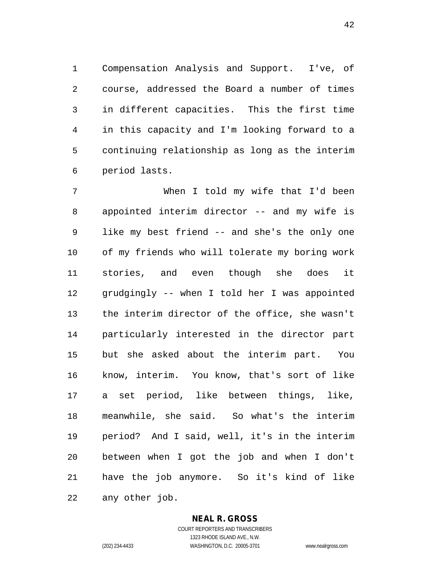Compensation Analysis and Support. I've, of course, addressed the Board a number of times in different capacities. This the first time in this capacity and I'm looking forward to a continuing relationship as long as the interim period lasts.

 When I told my wife that I'd been appointed interim director -- and my wife is like my best friend -- and she's the only one of my friends who will tolerate my boring work stories, and even though she does it grudgingly -- when I told her I was appointed the interim director of the office, she wasn't particularly interested in the director part but she asked about the interim part. You know, interim. You know, that's sort of like a set period, like between things, like, meanwhile, she said. So what's the interim period? And I said, well, it's in the interim between when I got the job and when I don't have the job anymore. So it's kind of like any other job.

#### **NEAL R. GROSS**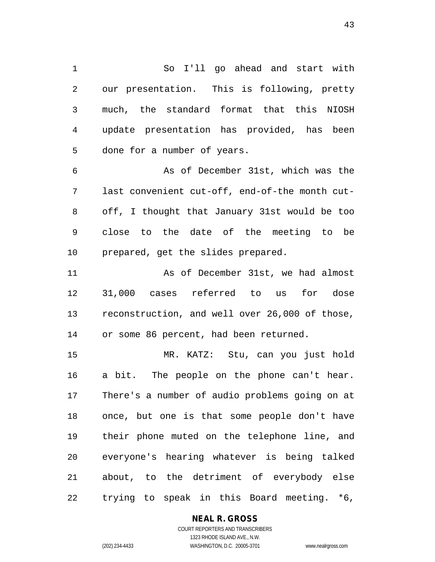So I'll go ahead and start with our presentation. This is following, pretty much, the standard format that this NIOSH update presentation has provided, has been done for a number of years.

 As of December 31st, which was the last convenient cut-off, end-of-the month cut- off, I thought that January 31st would be too close to the date of the meeting to be prepared, get the slides prepared.

 As of December 31st, we had almost 31,000 cases referred to us for dose reconstruction, and well over 26,000 of those, or some 86 percent, had been returned.

 MR. KATZ: Stu, can you just hold a bit. The people on the phone can't hear. There's a number of audio problems going on at once, but one is that some people don't have their phone muted on the telephone line, and everyone's hearing whatever is being talked about, to the detriment of everybody else trying to speak in this Board meeting. \*6,

#### **NEAL R. GROSS**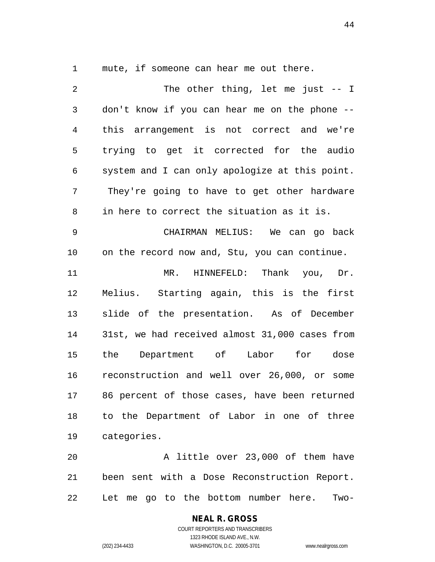mute, if someone can hear me out there.

2 The other thing, let me just -- I don't know if you can hear me on the phone -- this arrangement is not correct and we're trying to get it corrected for the audio system and I can only apologize at this point. They're going to have to get other hardware in here to correct the situation as it is. CHAIRMAN MELIUS: We can go back on the record now and, Stu, you can continue. MR. HINNEFELD: Thank you, Dr. Melius. Starting again, this is the first slide of the presentation. As of December 31st, we had received almost 31,000 cases from the Department of Labor for dose reconstruction and well over 26,000, or some 86 percent of those cases, have been returned to the Department of Labor in one of three categories. A little over 23,000 of them have been sent with a Dose Reconstruction Report.

Let me go to the bottom number here. Two-

**NEAL R. GROSS** COURT REPORTERS AND TRANSCRIBERS 1323 RHODE ISLAND AVE., N.W.

(202) 234-4433 WASHINGTON, D.C. 20005-3701 www.nealrgross.com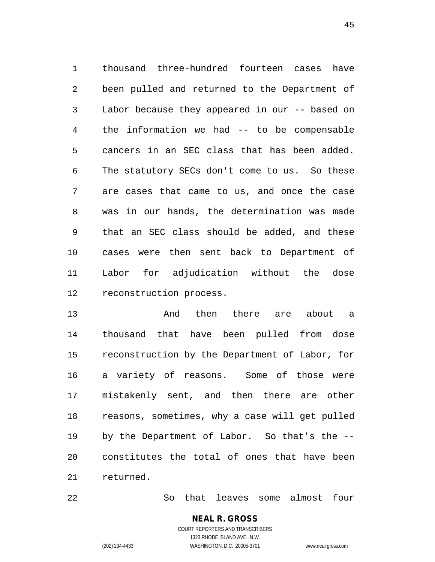thousand three-hundred fourteen cases have been pulled and returned to the Department of Labor because they appeared in our -- based on the information we had -- to be compensable cancers in an SEC class that has been added. The statutory SECs don't come to us. So these are cases that came to us, and once the case was in our hands, the determination was made that an SEC class should be added, and these cases were then sent back to Department of Labor for adjudication without the dose reconstruction process.

 And then there are about a thousand that have been pulled from dose reconstruction by the Department of Labor, for a variety of reasons. Some of those were mistakenly sent, and then there are other reasons, sometimes, why a case will get pulled by the Department of Labor. So that's the -- constitutes the total of ones that have been returned.

So that leaves some almost four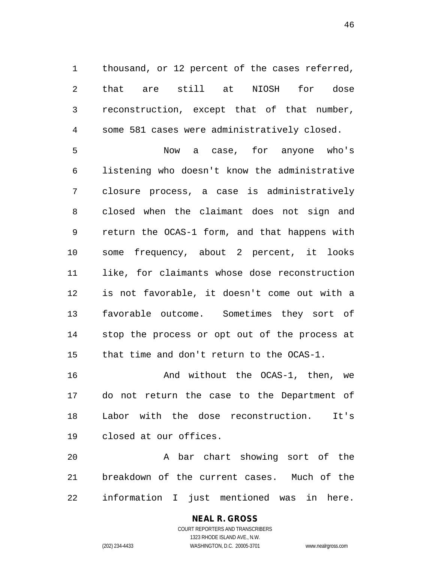thousand, or 12 percent of the cases referred, that are still at NIOSH for dose reconstruction, except that of that number, some 581 cases were administratively closed.

 Now a case, for anyone who's listening who doesn't know the administrative closure process, a case is administratively closed when the claimant does not sign and return the OCAS-1 form, and that happens with some frequency, about 2 percent, it looks like, for claimants whose dose reconstruction is not favorable, it doesn't come out with a favorable outcome. Sometimes they sort of stop the process or opt out of the process at that time and don't return to the OCAS-1.

**And without the OCAS-1, then, we**  do not return the case to the Department of Labor with the dose reconstruction. It's closed at our offices.

 A bar chart showing sort of the breakdown of the current cases. Much of the information I just mentioned was in here.

> **NEAL R. GROSS** COURT REPORTERS AND TRANSCRIBERS 1323 RHODE ISLAND AVE., N.W. (202) 234-4433 WASHINGTON, D.C. 20005-3701 www.nealrgross.com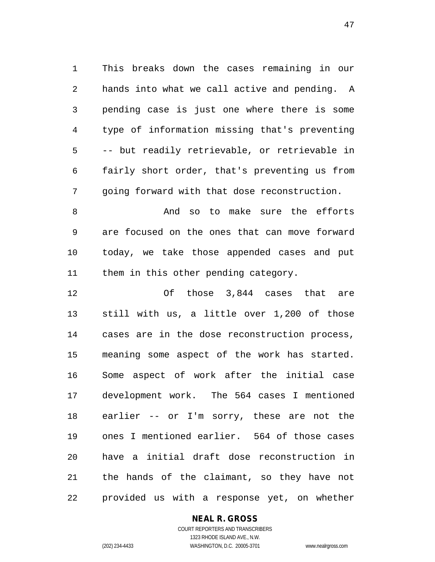This breaks down the cases remaining in our hands into what we call active and pending. A pending case is just one where there is some type of information missing that's preventing -- but readily retrievable, or retrievable in fairly short order, that's preventing us from going forward with that dose reconstruction.

8 And so to make sure the efforts are focused on the ones that can move forward today, we take those appended cases and put them in this other pending category.

 Of those 3,844 cases that are still with us, a little over 1,200 of those cases are in the dose reconstruction process, meaning some aspect of the work has started. Some aspect of work after the initial case development work. The 564 cases I mentioned earlier -- or I'm sorry, these are not the ones I mentioned earlier. 564 of those cases have a initial draft dose reconstruction in the hands of the claimant, so they have not provided us with a response yet, on whether

#### **NEAL R. GROSS**

COURT REPORTERS AND TRANSCRIBERS 1323 RHODE ISLAND AVE., N.W. (202) 234-4433 WASHINGTON, D.C. 20005-3701 www.nealrgross.com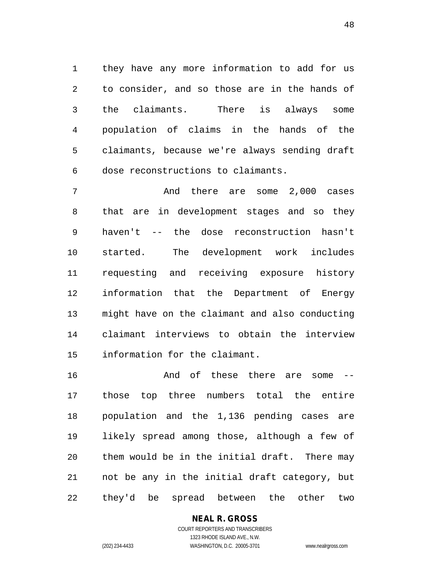they have any more information to add for us to consider, and so those are in the hands of the claimants. There is always some population of claims in the hands of the claimants, because we're always sending draft dose reconstructions to claimants.

 And there are some 2,000 cases that are in development stages and so they haven't -- the dose reconstruction hasn't started. The development work includes requesting and receiving exposure history information that the Department of Energy might have on the claimant and also conducting claimant interviews to obtain the interview information for the claimant.

 And of these there are some -- those top three numbers total the entire population and the 1,136 pending cases are likely spread among those, although a few of them would be in the initial draft. There may not be any in the initial draft category, but they'd be spread between the other two

**NEAL R. GROSS**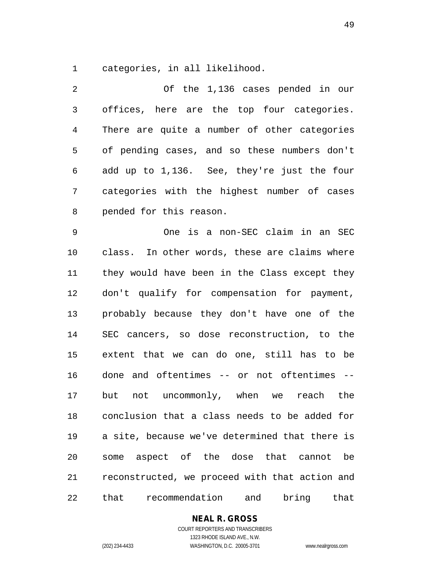categories, in all likelihood.

| 2              | Of the 1,136 cases pended in our               |
|----------------|------------------------------------------------|
| $\mathsf{3}$   | offices, here are the top four categories.     |
| $\overline{4}$ | There are quite a number of other categories   |
| 5              | of pending cases, and so these numbers don't   |
| 6              | add up to 1,136. See, they're just the four    |
| 7              | categories with the highest number of cases    |
| 8              | pended for this reason.                        |
| 9              | One is a non-SEC claim in an SEC               |
| 10             | class. In other words, these are claims where  |
| 11             | they would have been in the Class except they  |
| 12             | don't qualify for compensation for payment,    |
| 13             | probably because they don't have one of the    |
| 14             | SEC cancers, so dose reconstruction, to the    |
| 15             | extent that we can do one, still has to be     |
| 16             | done and oftentimes -- or not oftentimes --    |
| 17             | but not uncommonly, when we reach the          |
| 18             | conclusion that a class needs to be added for  |
| 19             | a site, because we've determined that there is |
| 20             | some aspect of the dose that cannot<br>be      |
| 21             | reconstructed, we proceed with that action and |
| 22             | recommendation<br>and<br>bring<br>that<br>that |

**NEAL R. GROSS**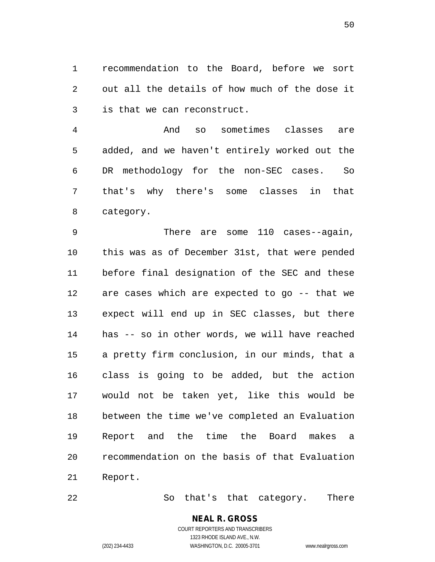recommendation to the Board, before we sort out all the details of how much of the dose it is that we can reconstruct.

 And so sometimes classes are added, and we haven't entirely worked out the DR methodology for the non-SEC cases. So that's why there's some classes in that category.

 There are some 110 cases--again, this was as of December 31st, that were pended before final designation of the SEC and these are cases which are expected to go -- that we expect will end up in SEC classes, but there has -- so in other words, we will have reached a pretty firm conclusion, in our minds, that a class is going to be added, but the action would not be taken yet, like this would be between the time we've completed an Evaluation Report and the time the Board makes a recommendation on the basis of that Evaluation Report.

So that's that category. There

# **NEAL R. GROSS**

COURT REPORTERS AND TRANSCRIBERS 1323 RHODE ISLAND AVE., N.W. (202) 234-4433 WASHINGTON, D.C. 20005-3701 www.nealrgross.com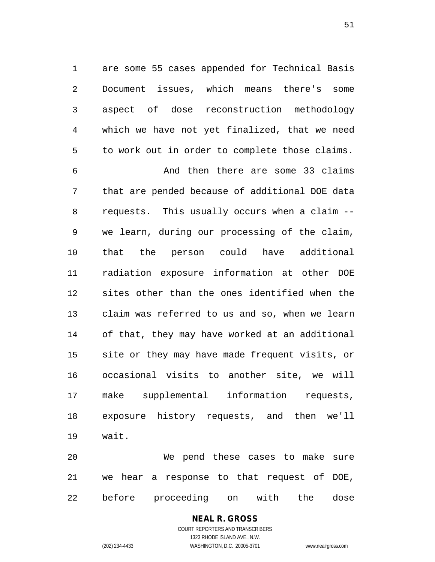are some 55 cases appended for Technical Basis Document issues, which means there's some aspect of dose reconstruction methodology which we have not yet finalized, that we need to work out in order to complete those claims.

 And then there are some 33 claims that are pended because of additional DOE data requests. This usually occurs when a claim -- we learn, during our processing of the claim, that the person could have additional radiation exposure information at other DOE sites other than the ones identified when the claim was referred to us and so, when we learn of that, they may have worked at an additional site or they may have made frequent visits, or occasional visits to another site, we will make supplemental information requests, exposure history requests, and then we'll wait.

 We pend these cases to make sure we hear a response to that request of DOE, before proceeding on with the dose

# **NEAL R. GROSS**

COURT REPORTERS AND TRANSCRIBERS 1323 RHODE ISLAND AVE., N.W. (202) 234-4433 WASHINGTON, D.C. 20005-3701 www.nealrgross.com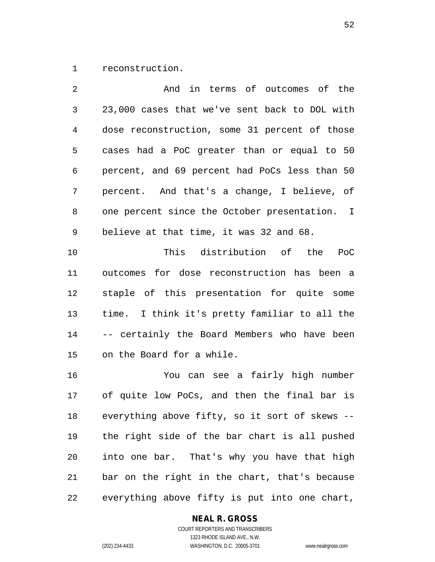reconstruction.

| $\overline{2}$ | And in terms of outcomes of the                |
|----------------|------------------------------------------------|
| 3              | 23,000 cases that we've sent back to DOL with  |
| 4              | dose reconstruction, some 31 percent of those  |
| 5              | cases had a PoC greater than or equal to 50    |
| 6              | percent, and 69 percent had PoCs less than 50  |
| 7              | percent. And that's a change, I believe, of    |
| 8              | one percent since the October presentation. I  |
| 9              | believe at that time, it was 32 and 68.        |
| 10             | This distribution of the<br>PoC                |
| 11             | outcomes for dose reconstruction has been a    |
| 12             | staple of this presentation for quite some     |
| 13             | time. I think it's pretty familiar to all the  |
| 14             | -- certainly the Board Members who have been   |
| 15             | on the Board for a while.                      |
| 16             | You can see a fairly high number               |
| 17             | of quite low PoCs, and then the final bar is   |
| 18             | everything above fifty, so it sort of skews -- |
| 19             | the right side of the bar chart is all pushed  |
| 20             | into one bar. That's why you have that high    |
| 21             | bar on the right in the chart, that's because  |
| 22             | everything above fifty is put into one chart,  |

# **NEAL R. GROSS**

COURT REPORTERS AND TRANSCRIBERS 1323 RHODE ISLAND AVE., N.W. (202) 234-4433 WASHINGTON, D.C. 20005-3701 www.nealrgross.com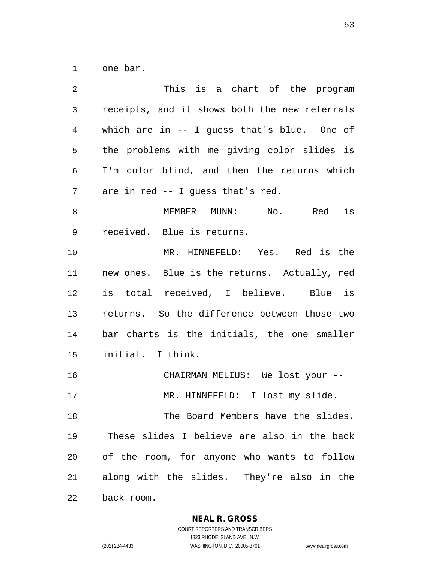one bar.

| 2              | This is a chart of the program                |
|----------------|-----------------------------------------------|
| 3              | receipts, and it shows both the new referrals |
| $\overline{4}$ | which are in $--$ I guess that's blue. One of |
| 5              | the problems with me giving color slides is   |
| 6              | I'm color blind, and then the returns which   |
| 7              | are in red -- I guess that's red.             |
| 8              | Red is<br>MEMBER MUNN: No.                    |
| 9              | received. Blue is returns.                    |
| 10             | MR. HINNEFELD: Yes. Red is the                |
| 11             | new ones. Blue is the returns. Actually, red  |
| 12             | is total received, I believe. Blue is         |
| 13             | returns. So the difference between those two  |
| 14             | bar charts is the initials, the one smaller   |
| 15             | initial. I think.                             |
| 16             | CHAIRMAN MELIUS: We lost your --              |
| 17             | MR. HINNEFELD: I lost my slide.               |
| 18             | The Board Members have the slides.            |
| 19             | These slides I believe are also in the back   |
| 20             | of the room, for anyone who wants to follow   |
| 21             | along with the slides. They're also in the    |
| 22             | back room.                                    |

**NEAL R. GROSS**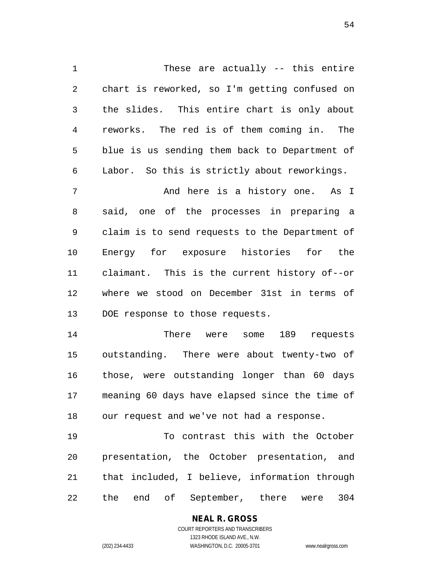These are actually -- this entire chart is reworked, so I'm getting confused on the slides. This entire chart is only about reworks. The red is of them coming in. The blue is us sending them back to Department of Labor. So this is strictly about reworkings.

7 And here is a history one. As I said, one of the processes in preparing a claim is to send requests to the Department of Energy for exposure histories for the claimant. This is the current history of--or where we stood on December 31st in terms of DOE response to those requests.

 There were some 189 requests outstanding. There were about twenty-two of those, were outstanding longer than 60 days meaning 60 days have elapsed since the time of our request and we've not had a response.

 To contrast this with the October presentation, the October presentation, and that included, I believe, information through the end of September, there were 304

# **NEAL R. GROSS**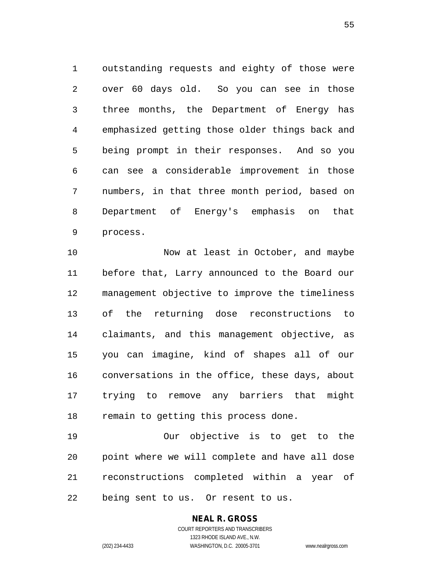outstanding requests and eighty of those were over 60 days old. So you can see in those three months, the Department of Energy has emphasized getting those older things back and being prompt in their responses. And so you can see a considerable improvement in those numbers, in that three month period, based on Department of Energy's emphasis on that process.

10 Now at least in October, and maybe before that, Larry announced to the Board our management objective to improve the timeliness of the returning dose reconstructions to claimants, and this management objective, as you can imagine, kind of shapes all of our conversations in the office, these days, about trying to remove any barriers that might remain to getting this process done.

 Our objective is to get to the point where we will complete and have all dose reconstructions completed within a year of being sent to us. Or resent to us.

#### **NEAL R. GROSS** COURT REPORTERS AND TRANSCRIBERS

1323 RHODE ISLAND AVE., N.W. (202) 234-4433 WASHINGTON, D.C. 20005-3701 www.nealrgross.com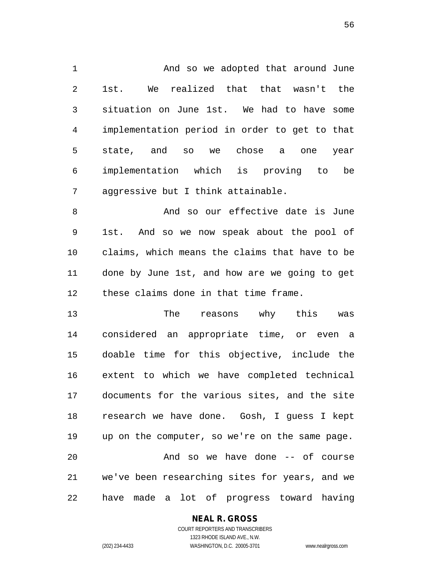1 And so we adopted that around June 1st. We realized that that wasn't the situation on June 1st. We had to have some implementation period in order to get to that state, and so we chose a one year implementation which is proving to be aggressive but I think attainable.

8 And so our effective date is June 1st. And so we now speak about the pool of claims, which means the claims that have to be done by June 1st, and how are we going to get these claims done in that time frame.

 The reasons why this was considered an appropriate time, or even a doable time for this objective, include the extent to which we have completed technical documents for the various sites, and the site research we have done. Gosh, I guess I kept up on the computer, so we're on the same page. And so we have done -- of course we've been researching sites for years, and we have made a lot of progress toward having

#### **NEAL R. GROSS**

COURT REPORTERS AND TRANSCRIBERS 1323 RHODE ISLAND AVE., N.W. (202) 234-4433 WASHINGTON, D.C. 20005-3701 www.nealrgross.com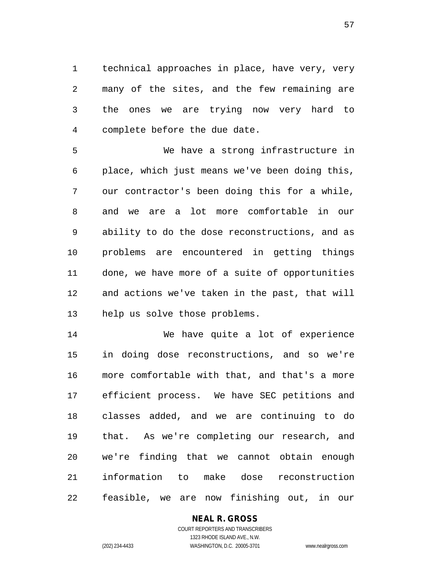technical approaches in place, have very, very many of the sites, and the few remaining are the ones we are trying now very hard to complete before the due date.

 We have a strong infrastructure in place, which just means we've been doing this, our contractor's been doing this for a while, and we are a lot more comfortable in our ability to do the dose reconstructions, and as problems are encountered in getting things done, we have more of a suite of opportunities and actions we've taken in the past, that will help us solve those problems.

 We have quite a lot of experience in doing dose reconstructions, and so we're more comfortable with that, and that's a more efficient process. We have SEC petitions and classes added, and we are continuing to do that. As we're completing our research, and we're finding that we cannot obtain enough information to make dose reconstruction feasible, we are now finishing out, in our

#### **NEAL R. GROSS**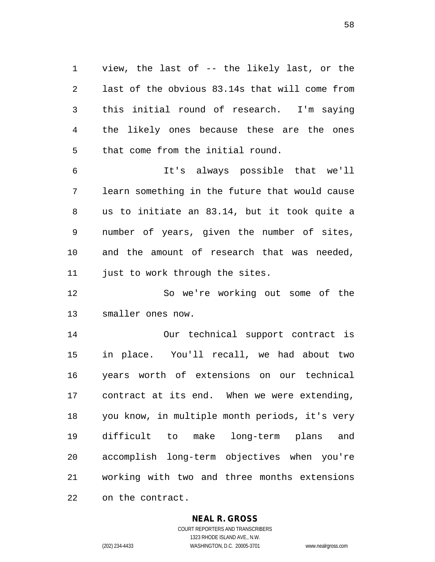view, the last of -- the likely last, or the last of the obvious 83.14s that will come from this initial round of research. I'm saying the likely ones because these are the ones that come from the initial round.

 It's always possible that we'll learn something in the future that would cause us to initiate an 83.14, but it took quite a number of years, given the number of sites, and the amount of research that was needed, 11 just to work through the sites.

 So we're working out some of the smaller ones now.

 Our technical support contract is in place. You'll recall, we had about two years worth of extensions on our technical contract at its end. When we were extending, you know, in multiple month periods, it's very difficult to make long-term plans and accomplish long-term objectives when you're working with two and three months extensions on the contract.

#### **NEAL R. GROSS**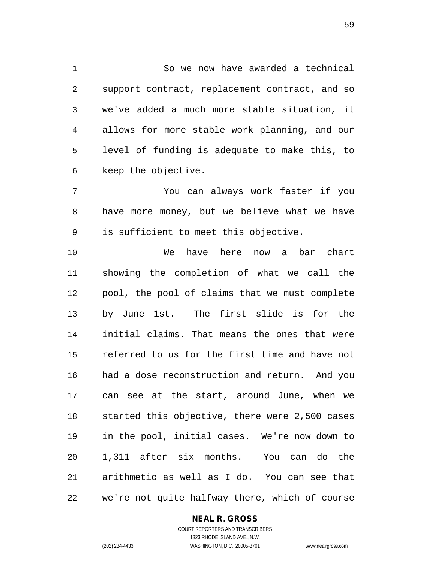So we now have awarded a technical support contract, replacement contract, and so we've added a much more stable situation, it allows for more stable work planning, and our level of funding is adequate to make this, to keep the objective.

 You can always work faster if you have more money, but we believe what we have is sufficient to meet this objective.

 We have here now a bar chart showing the completion of what we call the pool, the pool of claims that we must complete by June 1st. The first slide is for the initial claims. That means the ones that were referred to us for the first time and have not had a dose reconstruction and return. And you can see at the start, around June, when we started this objective, there were 2,500 cases in the pool, initial cases. We're now down to 1,311 after six months. You can do the arithmetic as well as I do. You can see that we're not quite halfway there, which of course

**NEAL R. GROSS**

COURT REPORTERS AND TRANSCRIBERS 1323 RHODE ISLAND AVE., N.W. (202) 234-4433 WASHINGTON, D.C. 20005-3701 www.nealrgross.com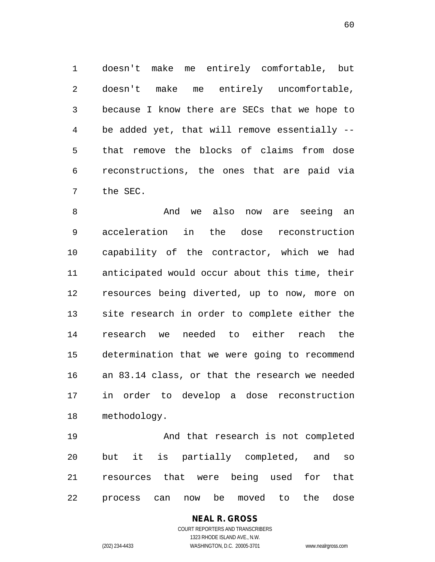doesn't make me entirely comfortable, but doesn't make me entirely uncomfortable, because I know there are SECs that we hope to be added yet, that will remove essentially -- that remove the blocks of claims from dose reconstructions, the ones that are paid via the SEC.

8 and we also now are seeing an acceleration in the dose reconstruction capability of the contractor, which we had anticipated would occur about this time, their resources being diverted, up to now, more on site research in order to complete either the research we needed to either reach the determination that we were going to recommend an 83.14 class, or that the research we needed in order to develop a dose reconstruction methodology.

 And that research is not completed but it is partially completed, and so resources that were being used for that process can now be moved to the dose

> COURT REPORTERS AND TRANSCRIBERS 1323 RHODE ISLAND AVE., N.W. (202) 234-4433 WASHINGTON, D.C. 20005-3701 www.nealrgross.com

**NEAL R. GROSS**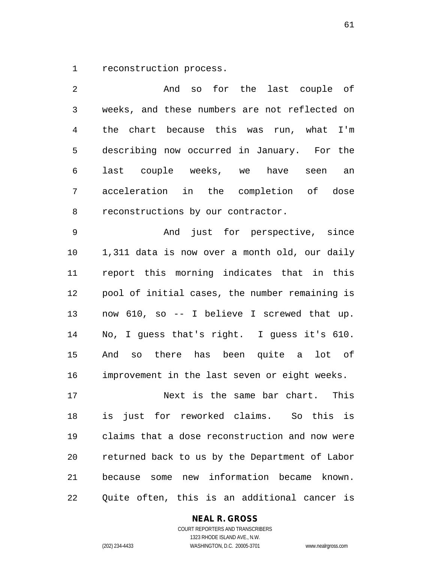reconstruction process.

| $\overline{2}$ | And so for the last couple of                  |
|----------------|------------------------------------------------|
| $\mathfrak{Z}$ | weeks, and these numbers are not reflected on  |
| $\overline{4}$ | the chart because this was run, what I'm       |
| 5              | describing now occurred in January. For the    |
| 6              | last couple weeks, we have seen<br>an          |
| 7              | acceleration in the completion of dose         |
| 8              | reconstructions by our contractor.             |
| 9              | And just for perspective, since                |
| 10             | 1,311 data is now over a month old, our daily  |
| 11             | report this morning indicates that in this     |
| 12             | pool of initial cases, the number remaining is |
| 13             | now 610, so -- I believe I screwed that up.    |
| 14             | No, I guess that's right. I guess it's 610.    |
| 15             | And so there has been quite a lot of           |
| 16             | improvement in the last seven or eight weeks.  |
| 17             | Next is the same bar chart.<br>This            |
| 18             | is just for reworked claims. So this is        |
| 19             | claims that a dose reconstruction and now were |
| 20             | returned back to us by the Department of Labor |
| 21             | because some new information became known.     |
| 22             | Quite often, this is an additional cancer is   |

**NEAL R. GROSS**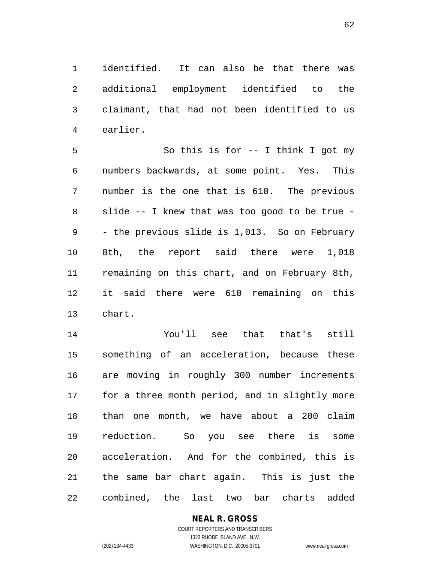identified. It can also be that there was additional employment identified to the claimant, that had not been identified to us earlier.

 So this is for -- I think I got my numbers backwards, at some point. Yes. This number is the one that is 610. The previous slide -- I knew that was too good to be true - - the previous slide is 1,013. So on February 8th, the report said there were 1,018 remaining on this chart, and on February 8th, it said there were 610 remaining on this chart.

 You'll see that that's still something of an acceleration, because these are moving in roughly 300 number increments for a three month period, and in slightly more than one month, we have about a 200 claim reduction. So you see there is some acceleration. And for the combined, this is the same bar chart again. This is just the combined, the last two bar charts added

# **NEAL R. GROSS**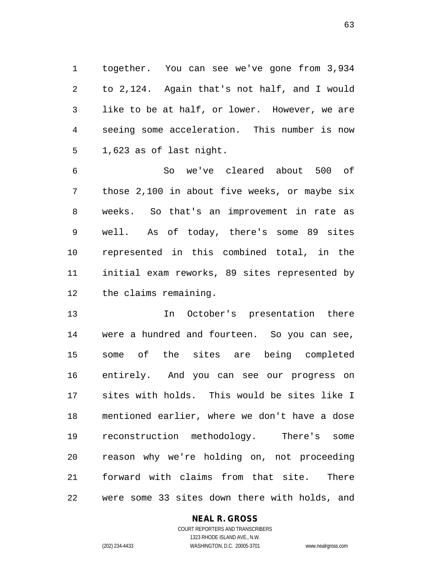together. You can see we've gone from 3,934 to 2,124. Again that's not half, and I would like to be at half, or lower. However, we are seeing some acceleration. This number is now 1,623 as of last night.

 So we've cleared about 500 of those 2,100 in about five weeks, or maybe six weeks. So that's an improvement in rate as well. As of today, there's some 89 sites represented in this combined total, in the initial exam reworks, 89 sites represented by the claims remaining.

 In October's presentation there were a hundred and fourteen. So you can see, some of the sites are being completed entirely. And you can see our progress on sites with holds. This would be sites like I mentioned earlier, where we don't have a dose reconstruction methodology. There's some reason why we're holding on, not proceeding forward with claims from that site. There were some 33 sites down there with holds, and

# **NEAL R. GROSS**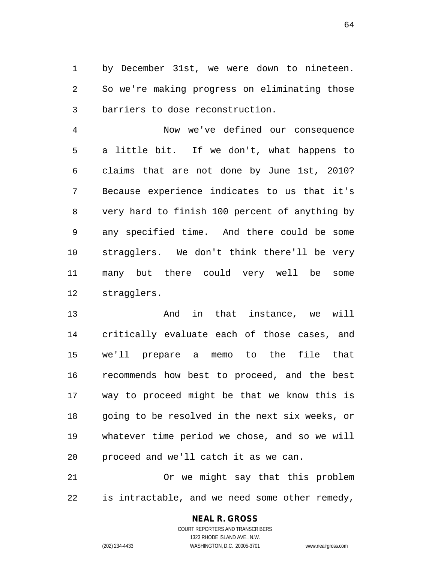by December 31st, we were down to nineteen. So we're making progress on eliminating those barriers to dose reconstruction.

 Now we've defined our consequence a little bit. If we don't, what happens to claims that are not done by June 1st, 2010? Because experience indicates to us that it's very hard to finish 100 percent of anything by any specified time. And there could be some stragglers. We don't think there'll be very many but there could very well be some stragglers.

 And in that instance, we will critically evaluate each of those cases, and we'll prepare a memo to the file that recommends how best to proceed, and the best way to proceed might be that we know this is going to be resolved in the next six weeks, or whatever time period we chose, and so we will proceed and we'll catch it as we can.

 Or we might say that this problem is intractable, and we need some other remedy,

#### **NEAL R. GROSS**

COURT REPORTERS AND TRANSCRIBERS 1323 RHODE ISLAND AVE., N.W. (202) 234-4433 WASHINGTON, D.C. 20005-3701 www.nealrgross.com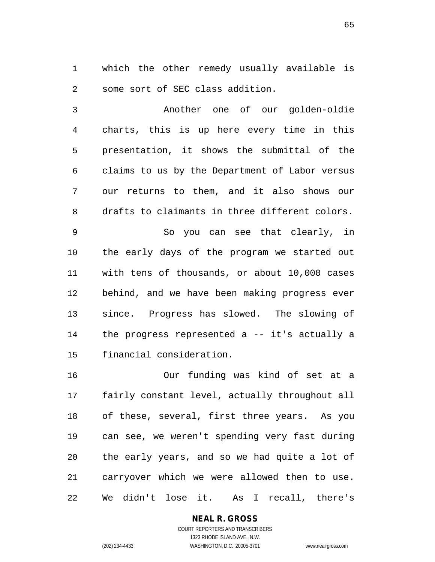which the other remedy usually available is some sort of SEC class addition.

 Another one of our golden-oldie charts, this is up here every time in this presentation, it shows the submittal of the claims to us by the Department of Labor versus our returns to them, and it also shows our drafts to claimants in three different colors.

 So you can see that clearly, in the early days of the program we started out with tens of thousands, or about 10,000 cases behind, and we have been making progress ever since. Progress has slowed. The slowing of the progress represented a -- it's actually a financial consideration.

 Our funding was kind of set at a fairly constant level, actually throughout all of these, several, first three years. As you can see, we weren't spending very fast during the early years, and so we had quite a lot of carryover which we were allowed then to use. We didn't lose it. As I recall, there's

#### **NEAL R. GROSS**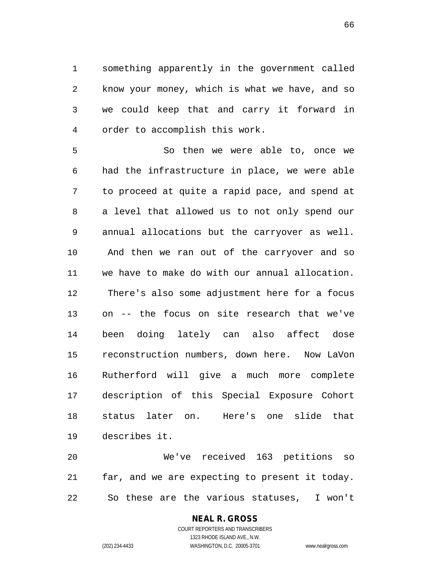something apparently in the government called know your money, which is what we have, and so we could keep that and carry it forward in order to accomplish this work.

 So then we were able to, once we had the infrastructure in place, we were able to proceed at quite a rapid pace, and spend at a level that allowed us to not only spend our annual allocations but the carryover as well. And then we ran out of the carryover and so we have to make do with our annual allocation. There's also some adjustment here for a focus on -- the focus on site research that we've been doing lately can also affect dose reconstruction numbers, down here. Now LaVon Rutherford will give a much more complete description of this Special Exposure Cohort status later on. Here's one slide that describes it.

 We've received 163 petitions so far, and we are expecting to present it today. So these are the various statuses, I won't

# **NEAL R. GROSS**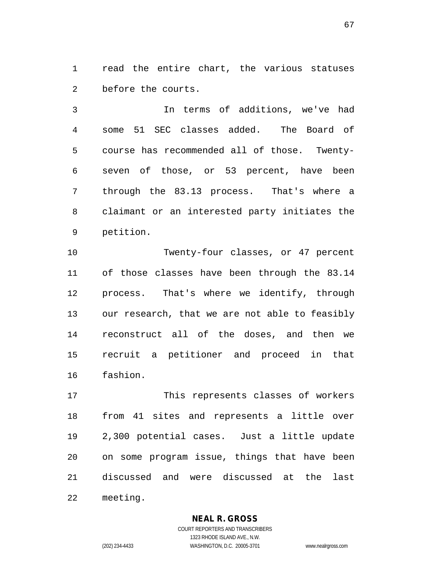read the entire chart, the various statuses before the courts.

 In terms of additions, we've had some 51 SEC classes added. The Board of course has recommended all of those. Twenty- seven of those, or 53 percent, have been through the 83.13 process. That's where a claimant or an interested party initiates the petition.

 Twenty-four classes, or 47 percent of those classes have been through the 83.14 process. That's where we identify, through our research, that we are not able to feasibly reconstruct all of the doses, and then we recruit a petitioner and proceed in that fashion.

 This represents classes of workers from 41 sites and represents a little over 2,300 potential cases. Just a little update on some program issue, things that have been discussed and were discussed at the last meeting.

#### **NEAL R. GROSS**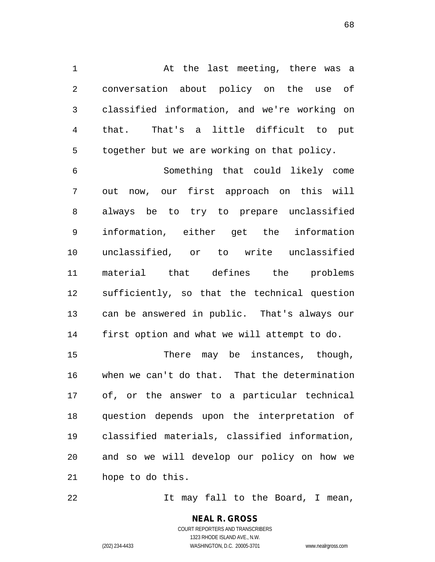1 at the last meeting, there was a conversation about policy on the use of classified information, and we're working on that. That's a little difficult to put together but we are working on that policy.

 Something that could likely come out now, our first approach on this will always be to try to prepare unclassified information, either get the information unclassified, or to write unclassified material that defines the problems sufficiently, so that the technical question can be answered in public. That's always our first option and what we will attempt to do.

 There may be instances, though, when we can't do that. That the determination of, or the answer to a particular technical question depends upon the interpretation of classified materials, classified information, and so we will develop our policy on how we hope to do this.

22 It may fall to the Board, I mean,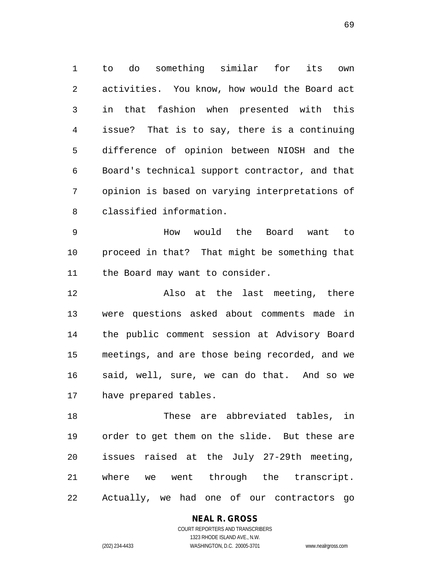to do something similar for its own activities. You know, how would the Board act in that fashion when presented with this issue? That is to say, there is a continuing difference of opinion between NIOSH and the Board's technical support contractor, and that opinion is based on varying interpretations of classified information.

 How would the Board want to proceed in that? That might be something that the Board may want to consider.

 Also at the last meeting, there were questions asked about comments made in the public comment session at Advisory Board meetings, and are those being recorded, and we said, well, sure, we can do that. And so we have prepared tables.

 These are abbreviated tables, in order to get them on the slide. But these are issues raised at the July 27-29th meeting, where we went through the transcript. Actually, we had one of our contractors go

#### **NEAL R. GROSS**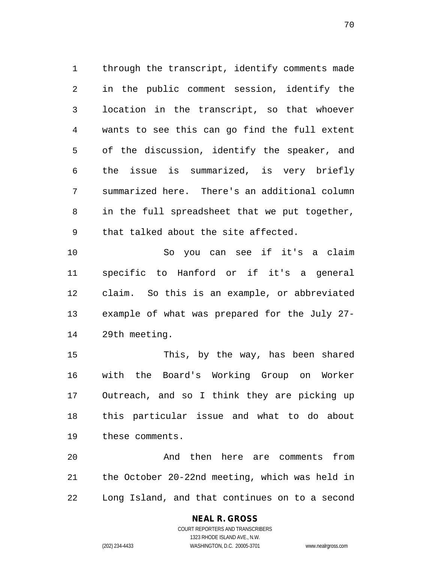through the transcript, identify comments made in the public comment session, identify the location in the transcript, so that whoever wants to see this can go find the full extent of the discussion, identify the speaker, and the issue is summarized, is very briefly summarized here. There's an additional column in the full spreadsheet that we put together, that talked about the site affected.

 So you can see if it's a claim specific to Hanford or if it's a general claim. So this is an example, or abbreviated example of what was prepared for the July 27- 29th meeting.

 This, by the way, has been shared with the Board's Working Group on Worker Outreach, and so I think they are picking up this particular issue and what to do about these comments.

 And then here are comments from the October 20-22nd meeting, which was held in Long Island, and that continues on to a second

#### **NEAL R. GROSS**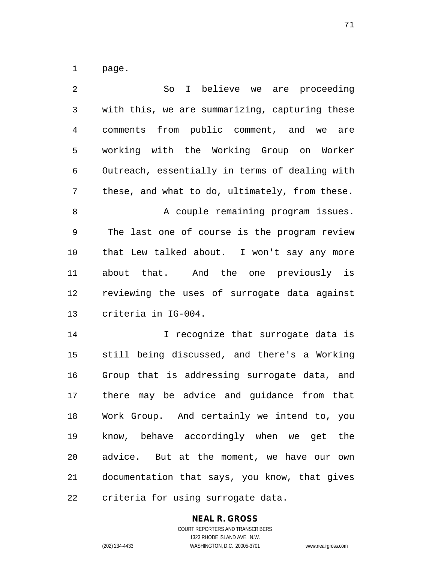page.

| 2              | So<br>I believe we are proceeding              |
|----------------|------------------------------------------------|
| $\mathsf{3}$   | with this, we are summarizing, capturing these |
| $\overline{4}$ | comments from public comment, and we are       |
| 5              | working with the Working Group on Worker       |
| 6              | Outreach, essentially in terms of dealing with |
| 7              | these, and what to do, ultimately, from these. |
| 8              | A couple remaining program issues.             |
| $\mathsf 9$    | The last one of course is the program review   |
| 10             | that Lew talked about. I won't say any more    |
| 11             | about that. And the one previously is          |
| 12             | reviewing the uses of surrogate data against   |
| 13             | criteria in IG-004.                            |
| 14             | I recognize that surrogate data is             |
| 15             | still being discussed, and there's a Working   |
| 16             | Group that is addressing surrogate data, and   |
| 17             | there may be advice and guidance from that     |
| 18             | Work Group. And certainly we intend to, you    |
| 19             | know, behave accordingly when we get the       |
| 20             | advice. But at the moment, we have our own     |
| 21             | documentation that says, you know, that gives  |
| 22             | criteria for using surrogate data.             |

# **NEAL R. GROSS** COURT REPORTERS AND TRANSCRIBERS

1323 RHODE ISLAND AVE., N.W. (202) 234-4433 WASHINGTON, D.C. 20005-3701 www.nealrgross.com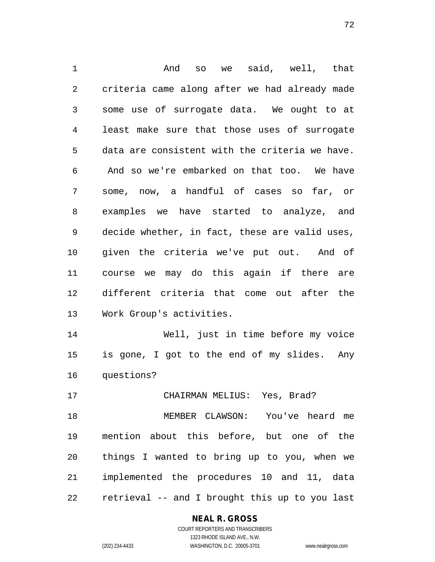And so we said, well, that criteria came along after we had already made some use of surrogate data. We ought to at least make sure that those uses of surrogate data are consistent with the criteria we have. And so we're embarked on that too. We have some, now, a handful of cases so far, or examples we have started to analyze, and decide whether, in fact, these are valid uses, given the criteria we've put out. And of course we may do this again if there are different criteria that come out after the Work Group's activities. Well, just in time before my voice

 is gone, I got to the end of my slides. Any questions?

CHAIRMAN MELIUS: Yes, Brad?

 MEMBER CLAWSON: You've heard me mention about this before, but one of the things I wanted to bring up to you, when we implemented the procedures 10 and 11, data retrieval -- and I brought this up to you last

**NEAL R. GROSS**

COURT REPORTERS AND TRANSCRIBERS 1323 RHODE ISLAND AVE., N.W. (202) 234-4433 WASHINGTON, D.C. 20005-3701 www.nealrgross.com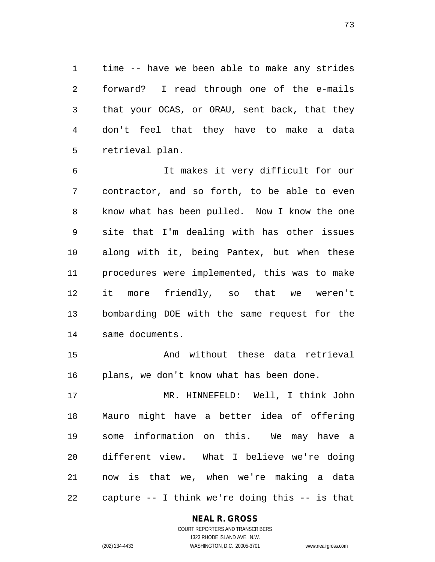time -- have we been able to make any strides forward? I read through one of the e-mails that your OCAS, or ORAU, sent back, that they don't feel that they have to make a data retrieval plan.

 It makes it very difficult for our contractor, and so forth, to be able to even know what has been pulled. Now I know the one site that I'm dealing with has other issues along with it, being Pantex, but when these procedures were implemented, this was to make it more friendly, so that we weren't bombarding DOE with the same request for the same documents.

 And without these data retrieval plans, we don't know what has been done.

 MR. HINNEFELD: Well, I think John Mauro might have a better idea of offering some information on this. We may have a different view. What I believe we're doing now is that we, when we're making a data capture -- I think we're doing this -- is that

> **NEAL R. GROSS** COURT REPORTERS AND TRANSCRIBERS 1323 RHODE ISLAND AVE., N.W.

(202) 234-4433 WASHINGTON, D.C. 20005-3701 www.nealrgross.com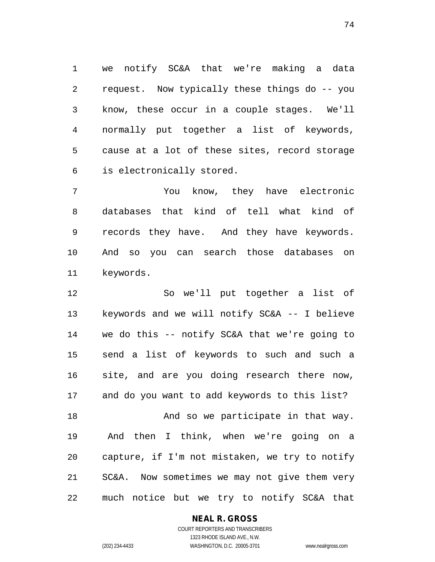we notify SC&A that we're making a data request. Now typically these things do -- you know, these occur in a couple stages. We'll normally put together a list of keywords, cause at a lot of these sites, record storage is electronically stored.

 You know, they have electronic databases that kind of tell what kind of records they have. And they have keywords. And so you can search those databases on keywords.

 So we'll put together a list of keywords and we will notify SC&A -- I believe we do this -- notify SC&A that we're going to send a list of keywords to such and such a site, and are you doing research there now, and do you want to add keywords to this list? 18 And so we participate in that way. And then I think, when we're going on a capture, if I'm not mistaken, we try to notify SC&A. Now sometimes we may not give them very much notice but we try to notify SC&A that

#### **NEAL R. GROSS**

COURT REPORTERS AND TRANSCRIBERS 1323 RHODE ISLAND AVE., N.W. (202) 234-4433 WASHINGTON, D.C. 20005-3701 www.nealrgross.com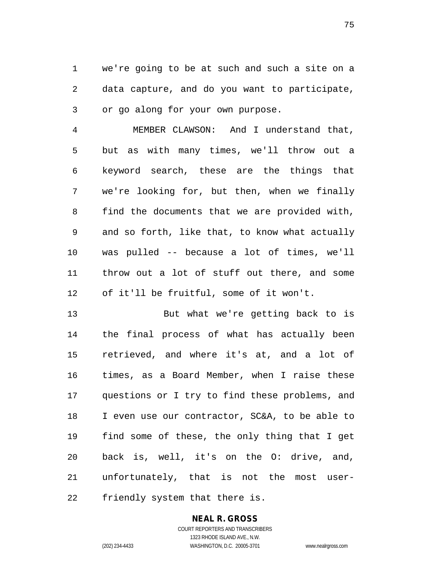we're going to be at such and such a site on a data capture, and do you want to participate, or go along for your own purpose.

 MEMBER CLAWSON: And I understand that, but as with many times, we'll throw out a keyword search, these are the things that we're looking for, but then, when we finally find the documents that we are provided with, and so forth, like that, to know what actually was pulled -- because a lot of times, we'll throw out a lot of stuff out there, and some of it'll be fruitful, some of it won't.

 But what we're getting back to is the final process of what has actually been retrieved, and where it's at, and a lot of times, as a Board Member, when I raise these questions or I try to find these problems, and I even use our contractor, SC&A, to be able to find some of these, the only thing that I get back is, well, it's on the O: drive, and, unfortunately, that is not the most user-friendly system that there is.

# **NEAL R. GROSS**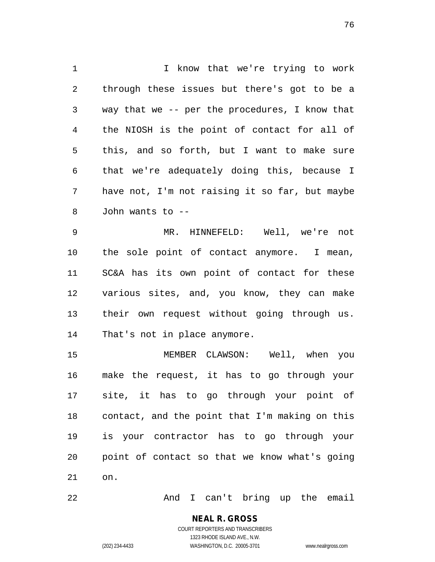I know that we're trying to work through these issues but there's got to be a way that we -- per the procedures, I know that the NIOSH is the point of contact for all of this, and so forth, but I want to make sure that we're adequately doing this, because I have not, I'm not raising it so far, but maybe John wants to --

 MR. HINNEFELD: Well, we're not the sole point of contact anymore. I mean, SC&A has its own point of contact for these various sites, and, you know, they can make their own request without going through us. That's not in place anymore.

 MEMBER CLAWSON: Well, when you make the request, it has to go through your site, it has to go through your point of contact, and the point that I'm making on this is your contractor has to go through your point of contact so that we know what's going on.

And I can't bring up the email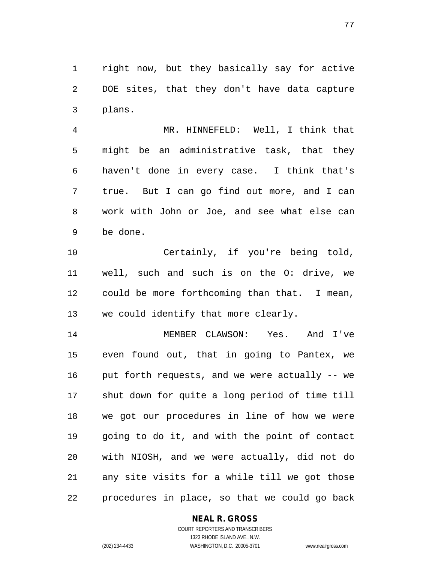right now, but they basically say for active DOE sites, that they don't have data capture plans.

 MR. HINNEFELD: Well, I think that might be an administrative task, that they haven't done in every case. I think that's true. But I can go find out more, and I can work with John or Joe, and see what else can be done.

 Certainly, if you're being told, well, such and such is on the O: drive, we could be more forthcoming than that. I mean, we could identify that more clearly.

 MEMBER CLAWSON: Yes. And I've even found out, that in going to Pantex, we put forth requests, and we were actually -- we shut down for quite a long period of time till we got our procedures in line of how we were going to do it, and with the point of contact with NIOSH, and we were actually, did not do any site visits for a while till we got those procedures in place, so that we could go back

#### **NEAL R. GROSS**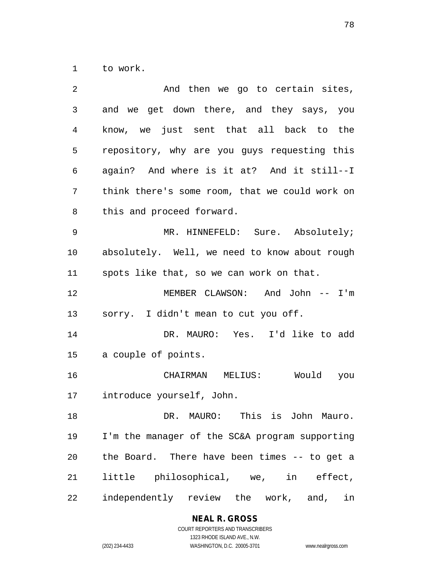to work.

| 2  | And then we go to certain sites,               |
|----|------------------------------------------------|
| 3  | and we get down there, and they says, you      |
| 4  | know, we just sent that all back to the        |
| 5  | repository, why are you guys requesting this   |
| 6  | again? And where is it at? And it still--I     |
| 7  | think there's some room, that we could work on |
| 8  | this and proceed forward.                      |
| 9  | MR. HINNEFELD: Sure. Absolutely;               |
| 10 | absolutely. Well, we need to know about rough  |
| 11 | spots like that, so we can work on that.       |
| 12 | MEMBER CLAWSON: And John -- I'm                |
| 13 | sorry. I didn't mean to cut you off.           |
| 14 | DR. MAURO: Yes. I'd like to add                |
| 15 | a couple of points.                            |
| 16 | CHAIRMAN MELIUS:<br>Would<br>you               |
| 17 | introduce yourself, John.                      |
| 18 | DR. MAURO: This is John Mauro.                 |
| 19 | I'm the manager of the SC&A program supporting |
| 20 | the Board. There have been times -- to get a   |
| 21 | little philosophical, we, in effect,           |
| 22 | independently review the work, and,<br>in      |

**NEAL R. GROSS**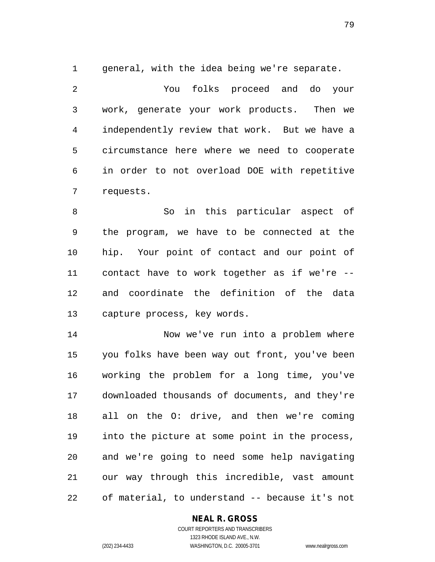general, with the idea being we're separate.

 You folks proceed and do your work, generate your work products. Then we independently review that work. But we have a circumstance here where we need to cooperate in order to not overload DOE with repetitive requests.

 So in this particular aspect of the program, we have to be connected at the hip. Your point of contact and our point of contact have to work together as if we're -- and coordinate the definition of the data capture process, key words.

 Now we've run into a problem where you folks have been way out front, you've been working the problem for a long time, you've downloaded thousands of documents, and they're all on the O: drive, and then we're coming into the picture at some point in the process, and we're going to need some help navigating our way through this incredible, vast amount of material, to understand -- because it's not

#### **NEAL R. GROSS**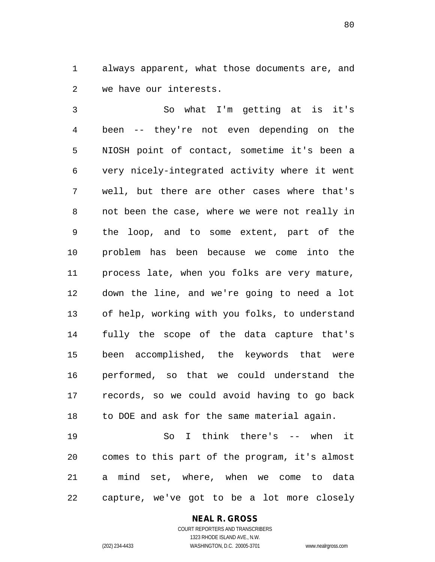always apparent, what those documents are, and we have our interests.

 So what I'm getting at is it's been -- they're not even depending on the NIOSH point of contact, sometime it's been a very nicely-integrated activity where it went well, but there are other cases where that's not been the case, where we were not really in the loop, and to some extent, part of the problem has been because we come into the process late, when you folks are very mature, down the line, and we're going to need a lot of help, working with you folks, to understand fully the scope of the data capture that's been accomplished, the keywords that were performed, so that we could understand the records, so we could avoid having to go back to DOE and ask for the same material again.

 So I think there's -- when it comes to this part of the program, it's almost a mind set, where, when we come to data capture, we've got to be a lot more closely

## **NEAL R. GROSS**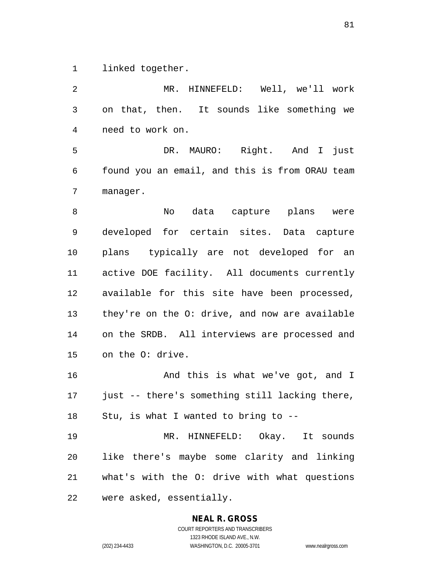linked together.

 MR. HINNEFELD: Well, we'll work on that, then. It sounds like something we need to work on. DR. MAURO: Right. And I just found you an email, and this is from ORAU team manager. No data capture plans were developed for certain sites. Data capture plans typically are not developed for an active DOE facility. All documents currently available for this site have been processed, they're on the O: drive, and now are available on the SRDB. All interviews are processed and on the O: drive. And this is what we've got, and I just -- there's something still lacking there, Stu, is what I wanted to bring to -- MR. HINNEFELD: Okay. It sounds like there's maybe some clarity and linking what's with the O: drive with what questions were asked, essentially.

**NEAL R. GROSS**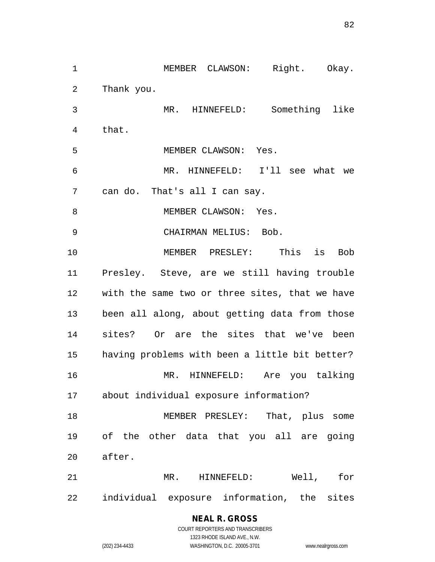1 MEMBER CLAWSON: Right. Okay. Thank you. MR. HINNEFELD: Something like that. MEMBER CLAWSON: Yes. MR. HINNEFELD: I'll see what we can do. That's all I can say. 8 MEMBER CLAWSON: Yes. CHAIRMAN MELIUS: Bob. MEMBER PRESLEY: This is Bob Presley. Steve, are we still having trouble with the same two or three sites, that we have been all along, about getting data from those sites? Or are the sites that we've been having problems with been a little bit better? MR. HINNEFELD: Are you talking about individual exposure information? 18 MEMBER PRESLEY: That, plus some of the other data that you all are going after. MR. HINNEFELD: Well, for individual exposure information, the sites

#### **NEAL R. GROSS** COURT REPORTERS AND TRANSCRIBERS

1323 RHODE ISLAND AVE., N.W. (202) 234-4433 WASHINGTON, D.C. 20005-3701 www.nealrgross.com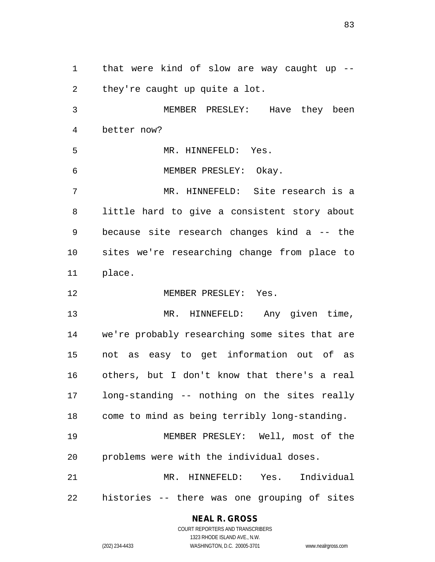that were kind of slow are way caught up -- they're caught up quite a lot. MEMBER PRESLEY: Have they been better now? MR. HINNEFELD: Yes. MEMBER PRESLEY: Okay. MR. HINNEFELD: Site research is a little hard to give a consistent story about because site research changes kind a -- the sites we're researching change from place to place. 12 MEMBER PRESLEY: Yes. 13 MR. HINNEFELD: Any given time, we're probably researching some sites that are not as easy to get information out of as others, but I don't know that there's a real long-standing -- nothing on the sites really come to mind as being terribly long-standing. MEMBER PRESLEY: Well, most of the problems were with the individual doses. MR. HINNEFELD: Yes. Individual histories -- there was one grouping of sites

**NEAL R. GROSS**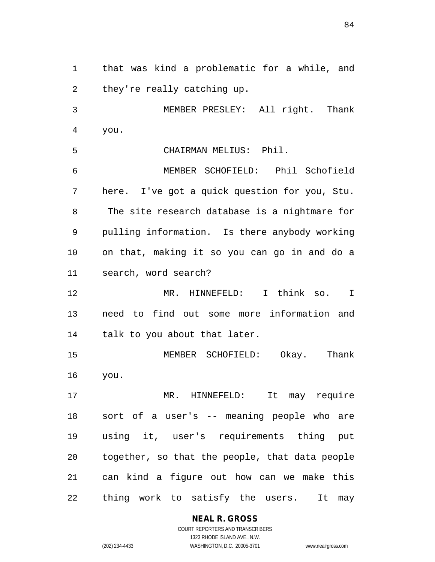that was kind a problematic for a while, and they're really catching up.

 MEMBER PRESLEY: All right. Thank you.

CHAIRMAN MELIUS: Phil.

 MEMBER SCHOFIELD: Phil Schofield here. I've got a quick question for you, Stu. The site research database is a nightmare for pulling information. Is there anybody working on that, making it so you can go in and do a search, word search?

 MR. HINNEFELD: I think so. I need to find out some more information and talk to you about that later.

 MEMBER SCHOFIELD: Okay. Thank you.

17 MR. HINNEFELD: It may require sort of a user's -- meaning people who are using it, user's requirements thing put together, so that the people, that data people can kind a figure out how can we make this thing work to satisfy the users. It may

**NEAL R. GROSS**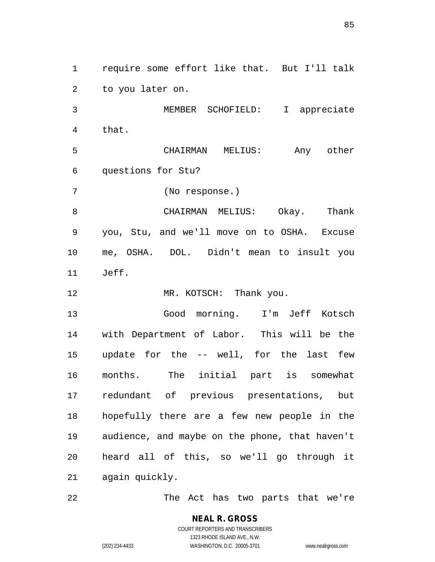require some effort like that. But I'll talk to you later on. MEMBER SCHOFIELD: I appreciate that. CHAIRMAN MELIUS: Any other questions for Stu? (No response.) CHAIRMAN MELIUS: Okay. Thank you, Stu, and we'll move on to OSHA. Excuse me, OSHA. DOL. Didn't mean to insult you Jeff. 12 MR. KOTSCH: Thank you. Good morning. I'm Jeff Kotsch with Department of Labor. This will be the update for the -- well, for the last few months. The initial part is somewhat redundant of previous presentations, but hopefully there are a few new people in the audience, and maybe on the phone, that haven't heard all of this, so we'll go through it again quickly.

The Act has two parts that we're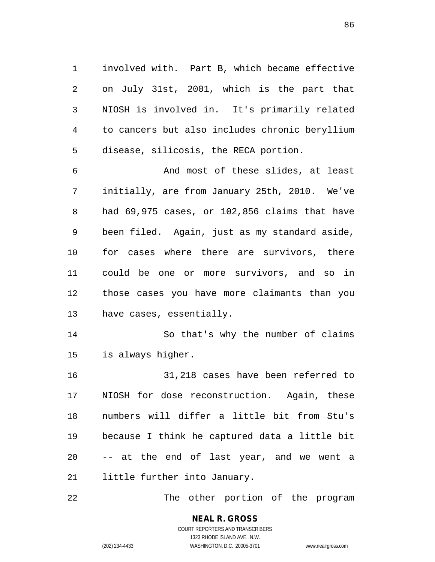involved with. Part B, which became effective on July 31st, 2001, which is the part that NIOSH is involved in. It's primarily related to cancers but also includes chronic beryllium disease, silicosis, the RECA portion.

 And most of these slides, at least initially, are from January 25th, 2010. We've had 69,975 cases, or 102,856 claims that have been filed. Again, just as my standard aside, for cases where there are survivors, there could be one or more survivors, and so in those cases you have more claimants than you have cases, essentially.

 So that's why the number of claims is always higher.

 31,218 cases have been referred to NIOSH for dose reconstruction. Again, these numbers will differ a little bit from Stu's because I think he captured data a little bit -- at the end of last year, and we went a little further into January.

22 The other portion of the program

# **NEAL R. GROSS**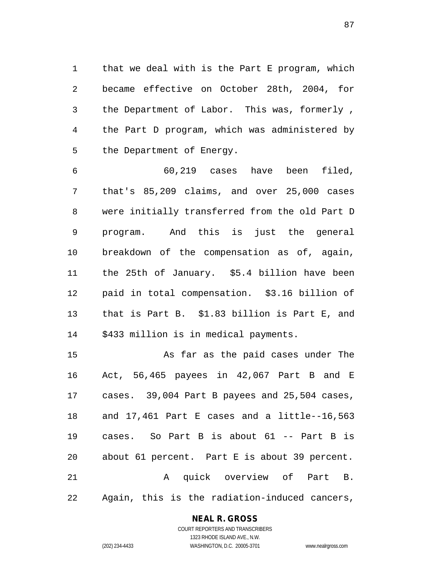that we deal with is the Part E program, which became effective on October 28th, 2004, for the Department of Labor. This was, formerly , the Part D program, which was administered by the Department of Energy.

 60,219 cases have been filed, that's 85,209 claims, and over 25,000 cases were initially transferred from the old Part D program. And this is just the general breakdown of the compensation as of, again, the 25th of January. \$5.4 billion have been paid in total compensation. \$3.16 billion of that is Part B. \$1.83 billion is Part E, and \$433 million is in medical payments.

 As far as the paid cases under The Act, 56,465 payees in 42,067 Part B and E cases. 39,004 Part B payees and 25,504 cases, and 17,461 Part E cases and a little--16,563 cases. So Part B is about 61 -- Part B is about 61 percent. Part E is about 39 percent. 21 A quick overview of Part B. Again, this is the radiation-induced cancers,

#### **NEAL R. GROSS**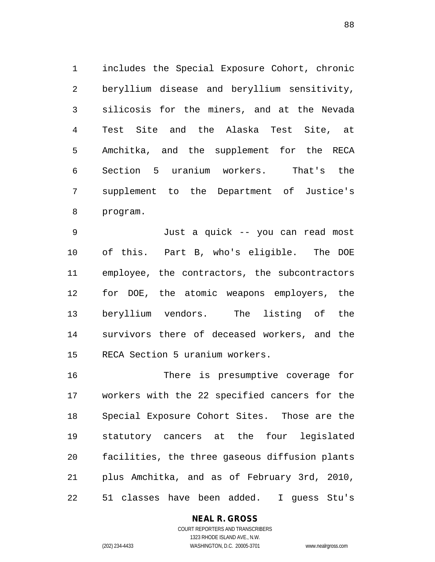includes the Special Exposure Cohort, chronic beryllium disease and beryllium sensitivity, silicosis for the miners, and at the Nevada Test Site and the Alaska Test Site, at Amchitka, and the supplement for the RECA Section 5 uranium workers. That's the supplement to the Department of Justice's program.

 Just a quick -- you can read most of this. Part B, who's eligible. The DOE employee, the contractors, the subcontractors for DOE, the atomic weapons employers, the beryllium vendors. The listing of the survivors there of deceased workers, and the RECA Section 5 uranium workers.

 There is presumptive coverage for workers with the 22 specified cancers for the Special Exposure Cohort Sites. Those are the statutory cancers at the four legislated facilities, the three gaseous diffusion plants plus Amchitka, and as of February 3rd, 2010, 51 classes have been added. I guess Stu's

## **NEAL R. GROSS**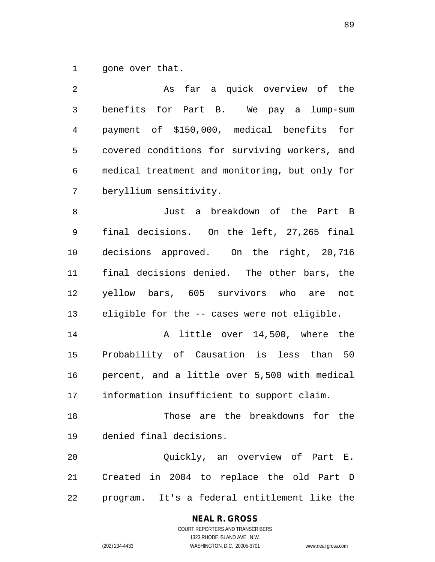gone over that.

| 2            | As far a quick overview of the                  |
|--------------|-------------------------------------------------|
| $\mathsf{3}$ | benefits for Part B. We pay a lump-sum          |
| 4            | payment of \$150,000, medical benefits for      |
| 5            | covered conditions for surviving workers, and   |
| 6            | medical treatment and monitoring, but only for  |
| 7            | beryllium sensitivity.                          |
| 8            | Just a breakdown of the Part B                  |
| 9            | final decisions. On the left, 27,265 final      |
| 10           | decisions approved. On the right, 20,716        |
| 11           | final decisions denied. The other bars, the     |
| 12           | yellow bars, 605 survivors who are<br>not       |
| 13           | eligible for the -- cases were not eligible.    |
| 14           | A little over 14,500, where the                 |
| 15           | Probability of Causation is less than 50        |
| 16           | percent, and a little over 5,500 with medical   |
| 17           | information insufficient to support claim.      |
| 18           | Those are the breakdowns for the                |
| 19           | denied final decisions.                         |
| 20           | Quickly, an overview of Part E.                 |
| 21           | Created in 2004 to replace the old Part D       |
| 22           | It's a federal entitlement like the<br>program. |

**NEAL R. GROSS**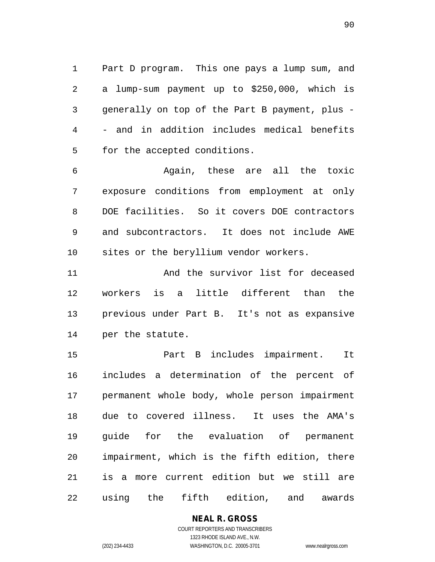Part D program. This one pays a lump sum, and a lump-sum payment up to \$250,000, which is generally on top of the Part B payment, plus - - and in addition includes medical benefits for the accepted conditions.

 Again, these are all the toxic exposure conditions from employment at only DOE facilities. So it covers DOE contractors and subcontractors. It does not include AWE sites or the beryllium vendor workers.

 And the survivor list for deceased workers is a little different than the previous under Part B. It's not as expansive per the statute.

 Part B includes impairment. It includes a determination of the percent of permanent whole body, whole person impairment due to covered illness. It uses the AMA's guide for the evaluation of permanent impairment, which is the fifth edition, there is a more current edition but we still are using the fifth edition, and awards

## **NEAL R. GROSS**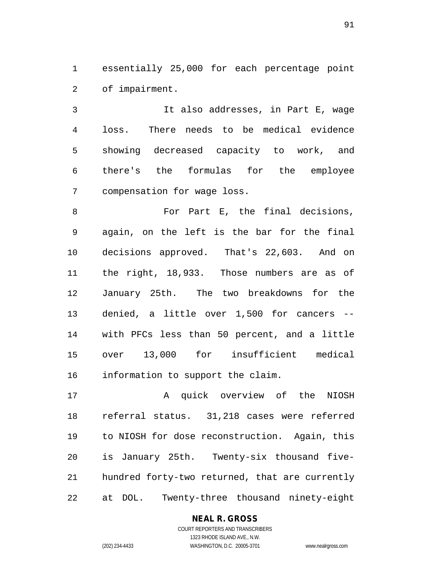essentially 25,000 for each percentage point of impairment.

 It also addresses, in Part E, wage loss. There needs to be medical evidence showing decreased capacity to work, and there's the formulas for the employee compensation for wage loss.

 For Part E, the final decisions, again, on the left is the bar for the final decisions approved. That's 22,603. And on the right, 18,933. Those numbers are as of January 25th. The two breakdowns for the denied, a little over 1,500 for cancers -- with PFCs less than 50 percent, and a little over 13,000 for insufficient medical information to support the claim.

17 A quick overview of the NIOSH referral status. 31,218 cases were referred to NIOSH for dose reconstruction. Again, this is January 25th. Twenty-six thousand five- hundred forty-two returned, that are currently at DOL. Twenty-three thousand ninety-eight

#### **NEAL R. GROSS**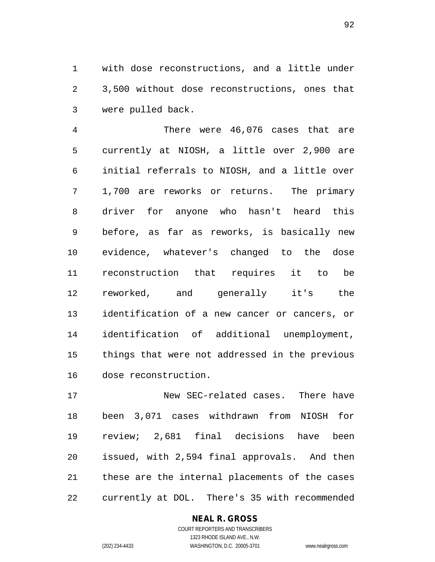with dose reconstructions, and a little under 3,500 without dose reconstructions, ones that were pulled back.

 There were 46,076 cases that are currently at NIOSH, a little over 2,900 are initial referrals to NIOSH, and a little over 1,700 are reworks or returns. The primary driver for anyone who hasn't heard this before, as far as reworks, is basically new evidence, whatever's changed to the dose reconstruction that requires it to be reworked, and generally it's the identification of a new cancer or cancers, or identification of additional unemployment, things that were not addressed in the previous dose reconstruction.

 New SEC-related cases. There have been 3,071 cases withdrawn from NIOSH for review; 2,681 final decisions have been issued, with 2,594 final approvals. And then these are the internal placements of the cases currently at DOL. There's 35 with recommended

#### **NEAL R. GROSS**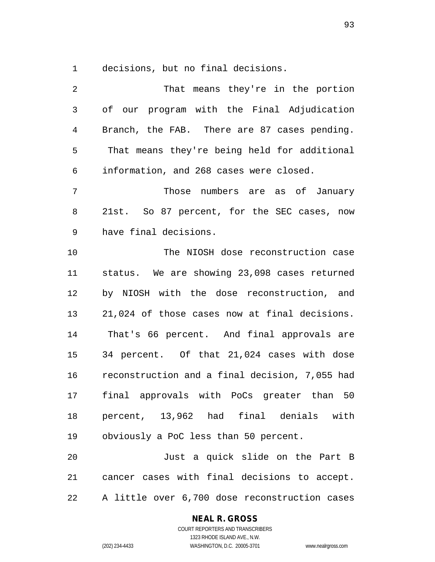decisions, but no final decisions.

| $\overline{2}$ | That means they're in the portion              |
|----------------|------------------------------------------------|
| 3              | of our program with the Final Adjudication     |
| 4              | Branch, the FAB. There are 87 cases pending.   |
| 5              | That means they're being held for additional   |
| 6              | information, and 268 cases were closed.        |
| 7              | Those numbers are as of January                |
| 8              | 21st. So 87 percent, for the SEC cases, now    |
| 9              | have final decisions.                          |
| 10             | The NIOSH dose reconstruction case             |
| 11             | status. We are showing 23,098 cases returned   |
| 12             | by NIOSH with the dose reconstruction, and     |
| 13             | 21,024 of those cases now at final decisions.  |
| 14             | That's 66 percent. And final approvals are     |
| 15             | 34 percent. Of that 21,024 cases with dose     |
| 16             | reconstruction and a final decision, 7,055 had |
| 17             | final approvals with PoCs greater than 50      |
| 18             | percent, 13,962 had final denials with         |
| 19             | obviously a PoC less than 50 percent.          |
| 20             | Just a quick slide on the Part B               |
| 21             | cancer cases with final decisions to accept.   |
| 22             | A little over 6,700 dose reconstruction cases  |

**NEAL R. GROSS**

COURT REPORTERS AND TRANSCRIBERS 1323 RHODE ISLAND AVE., N.W. (202) 234-4433 WASHINGTON, D.C. 20005-3701 www.nealrgross.com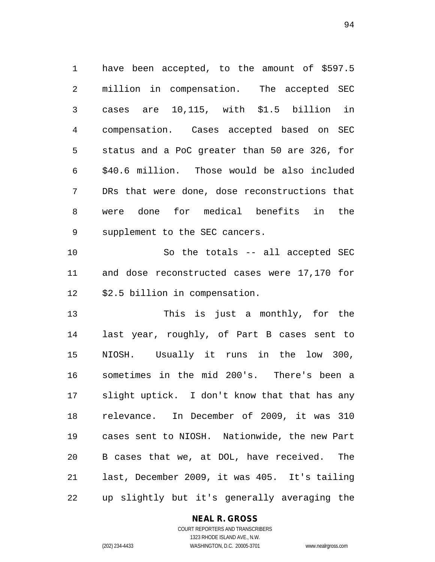1 have been accepted, to the amount of \$597.5 million in compensation. The accepted SEC cases are 10,115, with \$1.5 billion in compensation. Cases accepted based on SEC status and a PoC greater than 50 are 326, for \$40.6 million. Those would be also included DRs that were done, dose reconstructions that were done for medical benefits in the supplement to the SEC cancers.

 So the totals -- all accepted SEC and dose reconstructed cases were 17,170 for \$2.5 billion in compensation.

 This is just a monthly, for the last year, roughly, of Part B cases sent to NIOSH. Usually it runs in the low 300, sometimes in the mid 200's. There's been a slight uptick. I don't know that that has any relevance. In December of 2009, it was 310 cases sent to NIOSH. Nationwide, the new Part B cases that we, at DOL, have received. The last, December 2009, it was 405. It's tailing up slightly but it's generally averaging the

#### **NEAL R. GROSS** COURT REPORTERS AND TRANSCRIBERS

1323 RHODE ISLAND AVE., N.W. (202) 234-4433 WASHINGTON, D.C. 20005-3701 www.nealrgross.com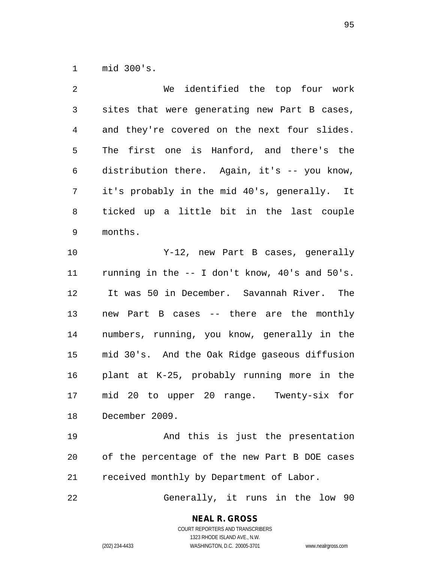mid 300's.

| 2              | We identified the top four work                |
|----------------|------------------------------------------------|
| $\mathfrak{Z}$ | sites that were generating new Part B cases,   |
| $\overline{4}$ | and they're covered on the next four slides.   |
| 5              | The first one is Hanford, and there's the      |
| 6              | distribution there. Again, it's -- you know,   |
| 7              | it's probably in the mid 40's, generally. It   |
| 8              | ticked up a little bit in the last couple      |
| $\mathsf 9$    | months.                                        |
| 10             | Y-12, new Part B cases, generally              |
| 11             | running in the -- I don't know, 40's and 50's. |
| 12             | It was 50 in December. Savannah River. The     |
| 13             | new Part B cases -- there are the monthly      |
| 14             | numbers, running, you know, generally in the   |
| 15             | mid 30's. And the Oak Ridge gaseous diffusion  |
| 16             | plant at K-25, probably running more in the    |
| 17             | mid 20 to upper 20 range. Twenty-six for       |
| 18             | December 2009.                                 |
| 19             | And this is just the presentation              |
| 20             | of the percentage of the new Part B DOE cases  |
| 21             | received monthly by Department of Labor.       |
| 22             | Generally, it runs in the low 90               |

**NEAL R. GROSS** COURT REPORTERS AND TRANSCRIBERS

1323 RHODE ISLAND AVE., N.W.

(202) 234-4433 WASHINGTON, D.C. 20005-3701 www.nealrgross.com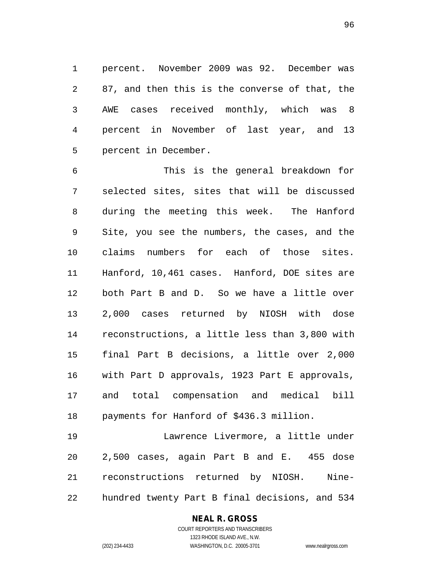percent. November 2009 was 92. December was 87, and then this is the converse of that, the AWE cases received monthly, which was 8 percent in November of last year, and 13 percent in December.

 This is the general breakdown for selected sites, sites that will be discussed during the meeting this week. The Hanford Site, you see the numbers, the cases, and the claims numbers for each of those sites. Hanford, 10,461 cases. Hanford, DOE sites are both Part B and D. So we have a little over 2,000 cases returned by NIOSH with dose reconstructions, a little less than 3,800 with final Part B decisions, a little over 2,000 with Part D approvals, 1923 Part E approvals, and total compensation and medical bill payments for Hanford of \$436.3 million.

 Lawrence Livermore, a little under 2,500 cases, again Part B and E. 455 dose reconstructions returned by NIOSH. Nine-hundred twenty Part B final decisions, and 534

#### **NEAL R. GROSS**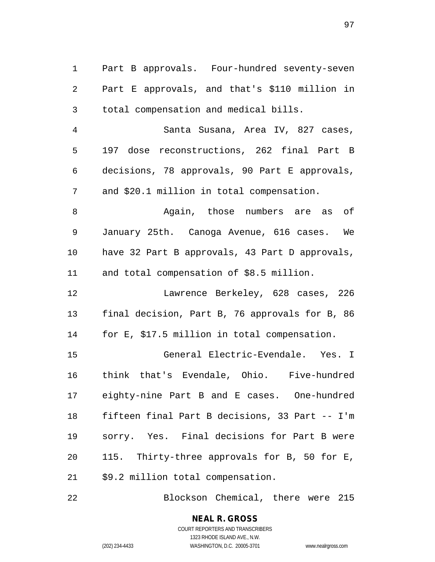Part B approvals. Four-hundred seventy-seven Part E approvals, and that's \$110 million in total compensation and medical bills. Santa Susana, Area IV, 827 cases, 197 dose reconstructions, 262 final Part B decisions, 78 approvals, 90 Part E approvals, and \$20.1 million in total compensation. Again, those numbers are as of January 25th. Canoga Avenue, 616 cases. We have 32 Part B approvals, 43 Part D approvals, and total compensation of \$8.5 million. Lawrence Berkeley, 628 cases, 226 final decision, Part B, 76 approvals for B, 86 for E, \$17.5 million in total compensation. General Electric-Evendale. Yes. I think that's Evendale, Ohio. Five-hundred eighty-nine Part B and E cases. One-hundred fifteen final Part B decisions, 33 Part -- I'm sorry. Yes. Final decisions for Part B were 115. Thirty-three approvals for B, 50 for E, \$9.2 million total compensation.

Blockson Chemical, there were 215

**NEAL R. GROSS** COURT REPORTERS AND TRANSCRIBERS

1323 RHODE ISLAND AVE., N.W. (202) 234-4433 WASHINGTON, D.C. 20005-3701 www.nealrgross.com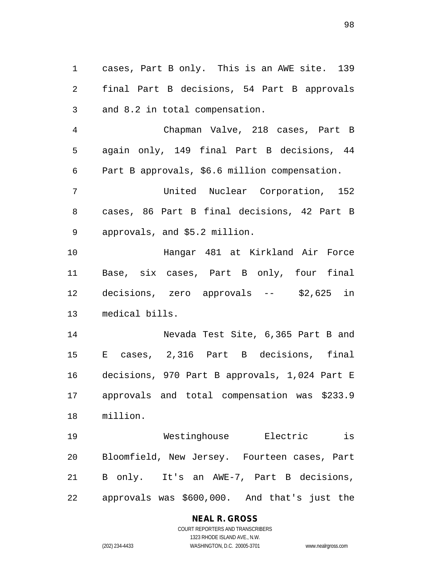cases, Part B only. This is an AWE site. 139 final Part B decisions, 54 Part B approvals and 8.2 in total compensation. Chapman Valve, 218 cases, Part B again only, 149 final Part B decisions, 44 Part B approvals, \$6.6 million compensation. United Nuclear Corporation, 152 cases, 86 Part B final decisions, 42 Part B approvals, and \$5.2 million. Hangar 481 at Kirkland Air Force Base, six cases, Part B only, four final decisions, zero approvals -- \$2,625 in medical bills. Nevada Test Site, 6,365 Part B and E cases, 2,316 Part B decisions, final decisions, 970 Part B approvals, 1,024 Part E approvals and total compensation was \$233.9 million. Westinghouse Electric is Bloomfield, New Jersey. Fourteen cases, Part B only. It's an AWE-7, Part B decisions, approvals was \$600,000. And that's just the

# **NEAL R. GROSS**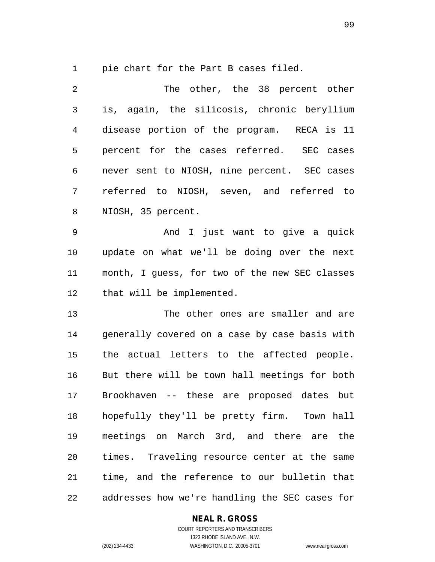pie chart for the Part B cases filed.

 The other, the 38 percent other is, again, the silicosis, chronic beryllium disease portion of the program. RECA is 11 percent for the cases referred. SEC cases never sent to NIOSH, nine percent. SEC cases referred to NIOSH, seven, and referred to NIOSH, 35 percent. And I just want to give a quick update on what we'll be doing over the next month, I guess, for two of the new SEC classes that will be implemented. The other ones are smaller and are generally covered on a case by case basis with the actual letters to the affected people. But there will be town hall meetings for both

 Brookhaven -- these are proposed dates but hopefully they'll be pretty firm. Town hall meetings on March 3rd, and there are the times. Traveling resource center at the same time, and the reference to our bulletin that addresses how we're handling the SEC cases for

#### **NEAL R. GROSS**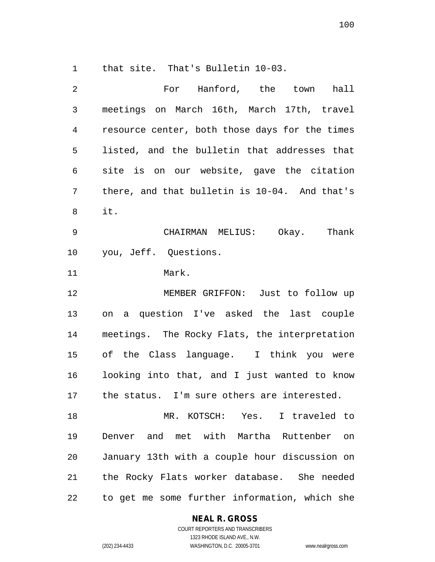that site. That's Bulletin 10-03.

| 2              | For Hanford, the town<br>hall                  |
|----------------|------------------------------------------------|
| $\mathfrak{Z}$ | meetings on March 16th, March 17th, travel     |
| 4              | resource center, both those days for the times |
| 5              | listed, and the bulletin that addresses that   |
| 6              | site is on our website, gave the citation      |
| 7              | there, and that bulletin is 10-04. And that's  |
| 8              | it.                                            |
| $\mathsf 9$    | CHAIRMAN MELIUS: Okay. Thank                   |
| 10             | you, Jeff. Questions.                          |
| 11             | Mark.                                          |
| 12             | MEMBER GRIFFON: Just to follow up              |
| 13             | on a question I've asked the last couple       |
| 14             | meetings. The Rocky Flats, the interpretation  |
| 15             | of the Class language. I think you were        |
| 16             | looking into that, and I just wanted to know   |
| 17             | the status. I'm sure others are interested.    |
| 18             | MR. KOTSCH: Yes. I traveled to                 |
| 19             | Denver and met with Martha Ruttenber on        |
| 20             | January 13th with a couple hour discussion on  |
| 21             | the Rocky Flats worker database. She needed    |
| 22             | to get me some further information, which she  |

## **NEAL R. GROSS**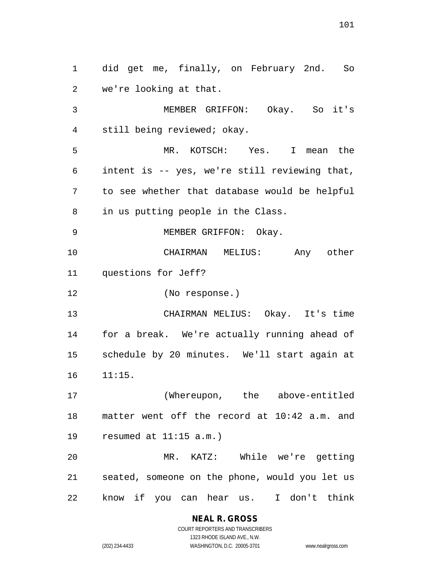did get me, finally, on February 2nd. So we're looking at that. MEMBER GRIFFON: Okay. So it's still being reviewed; okay. MR. KOTSCH: Yes. I mean the intent is -- yes, we're still reviewing that, to see whether that database would be helpful in us putting people in the Class. MEMBER GRIFFON: Okay. CHAIRMAN MELIUS: Any other questions for Jeff? (No response.) CHAIRMAN MELIUS: Okay. It's time for a break. We're actually running ahead of schedule by 20 minutes. We'll start again at 11:15. (Whereupon, the above-entitled matter went off the record at 10:42 a.m. and resumed at 11:15 a.m.) MR. KATZ: While we're getting

know if you can hear us. I don't think

seated, someone on the phone, would you let us

**NEAL R. GROSS** COURT REPORTERS AND TRANSCRIBERS

1323 RHODE ISLAND AVE., N.W.

(202) 234-4433 WASHINGTON, D.C. 20005-3701 www.nealrgross.com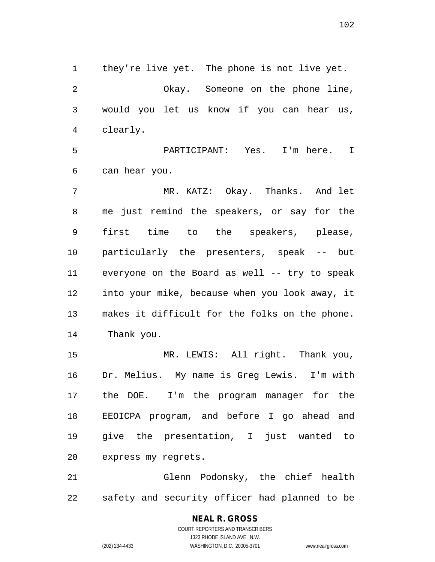they're live yet. The phone is not live yet. Okay. Someone on the phone line, would you let us know if you can hear us, clearly.

 PARTICIPANT: Yes. I'm here. I can hear you.

 MR. KATZ: Okay. Thanks. And let me just remind the speakers, or say for the first time to the speakers, please, particularly the presenters, speak -- but everyone on the Board as well -- try to speak into your mike, because when you look away, it makes it difficult for the folks on the phone. Thank you.

 MR. LEWIS: All right. Thank you, Dr. Melius. My name is Greg Lewis. I'm with the DOE. I'm the program manager for the EEOICPA program, and before I go ahead and give the presentation, I just wanted to express my regrets.

 Glenn Podonsky, the chief health safety and security officer had planned to be

# **NEAL R. GROSS**

COURT REPORTERS AND TRANSCRIBERS 1323 RHODE ISLAND AVE., N.W. (202) 234-4433 WASHINGTON, D.C. 20005-3701 www.nealrgross.com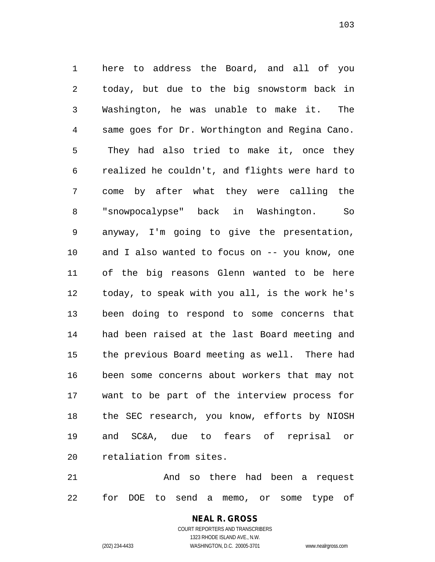here to address the Board, and all of you today, but due to the big snowstorm back in Washington, he was unable to make it. The same goes for Dr. Worthington and Regina Cano. They had also tried to make it, once they realized he couldn't, and flights were hard to come by after what they were calling the "snowpocalypse" back in Washington. So anyway, I'm going to give the presentation, and I also wanted to focus on -- you know, one of the big reasons Glenn wanted to be here today, to speak with you all, is the work he's been doing to respond to some concerns that had been raised at the last Board meeting and the previous Board meeting as well. There had been some concerns about workers that may not want to be part of the interview process for the SEC research, you know, efforts by NIOSH and SC&A, due to fears of reprisal or retaliation from sites.

 And so there had been a request for DOE to send a memo, or some type of

# **NEAL R. GROSS**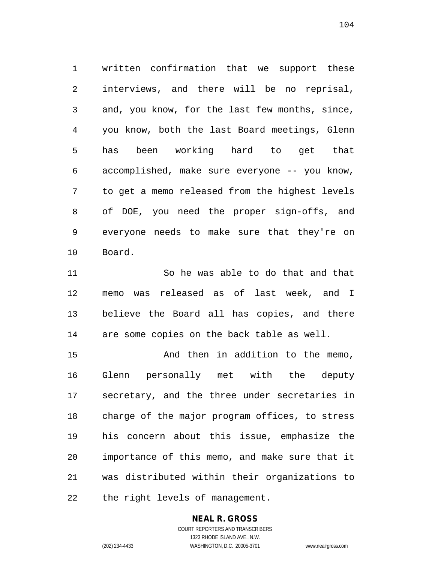written confirmation that we support these interviews, and there will be no reprisal, and, you know, for the last few months, since, you know, both the last Board meetings, Glenn has been working hard to get that accomplished, make sure everyone -- you know, to get a memo released from the highest levels of DOE, you need the proper sign-offs, and everyone needs to make sure that they're on Board.

 So he was able to do that and that memo was released as of last week, and I believe the Board all has copies, and there are some copies on the back table as well.

 And then in addition to the memo, Glenn personally met with the deputy secretary, and the three under secretaries in charge of the major program offices, to stress his concern about this issue, emphasize the importance of this memo, and make sure that it was distributed within their organizations to the right levels of management.

#### **NEAL R. GROSS**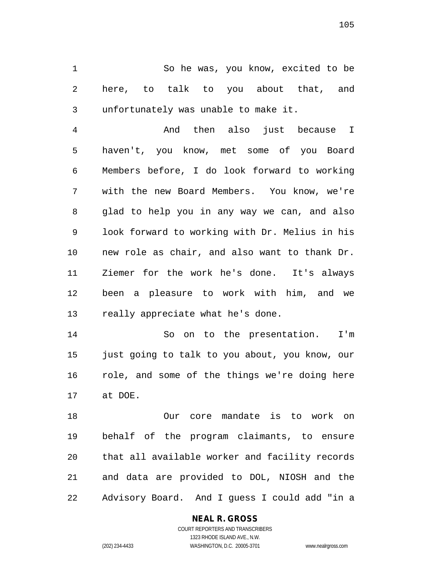So he was, you know, excited to be here, to talk to you about that, and unfortunately was unable to make it.

 And then also just because I haven't, you know, met some of you Board Members before, I do look forward to working with the new Board Members. You know, we're glad to help you in any way we can, and also look forward to working with Dr. Melius in his new role as chair, and also want to thank Dr. Ziemer for the work he's done. It's always been a pleasure to work with him, and we really appreciate what he's done.

 So on to the presentation. I'm just going to talk to you about, you know, our role, and some of the things we're doing here at DOE.

 Our core mandate is to work on behalf of the program claimants, to ensure that all available worker and facility records and data are provided to DOL, NIOSH and the Advisory Board. And I guess I could add "in a

#### **NEAL R. GROSS**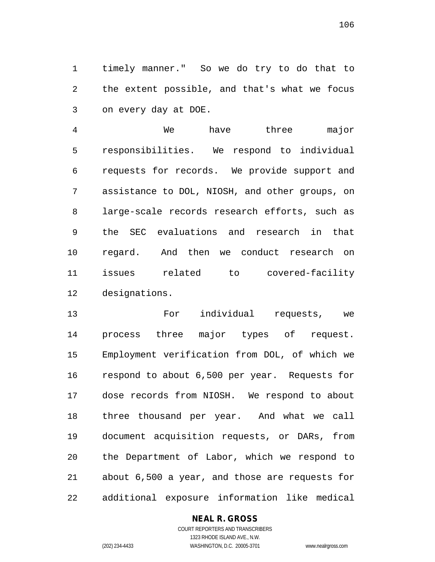timely manner." So we do try to do that to the extent possible, and that's what we focus on every day at DOE.

 We have three major responsibilities. We respond to individual requests for records. We provide support and assistance to DOL, NIOSH, and other groups, on large-scale records research efforts, such as the SEC evaluations and research in that regard. And then we conduct research on issues related to covered-facility designations.

 For individual requests, we process three major types of request. Employment verification from DOL, of which we respond to about 6,500 per year. Requests for dose records from NIOSH. We respond to about three thousand per year. And what we call document acquisition requests, or DARs, from the Department of Labor, which we respond to about 6,500 a year, and those are requests for additional exposure information like medical

#### **NEAL R. GROSS**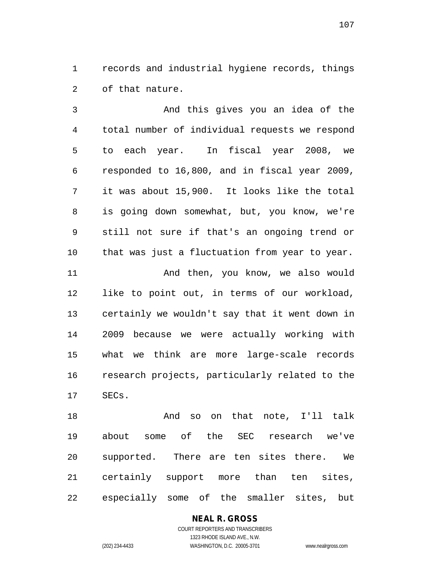records and industrial hygiene records, things of that nature.

 And this gives you an idea of the total number of individual requests we respond to each year. In fiscal year 2008, we responded to 16,800, and in fiscal year 2009, it was about 15,900. It looks like the total is going down somewhat, but, you know, we're still not sure if that's an ongoing trend or that was just a fluctuation from year to year. And then, you know, we also would like to point out, in terms of our workload, certainly we wouldn't say that it went down in 2009 because we were actually working with what we think are more large-scale records research projects, particularly related to the SECs.

 And so on that note, I'll talk about some of the SEC research we've supported. There are ten sites there. We certainly support more than ten sites, especially some of the smaller sites, but

## **NEAL R. GROSS**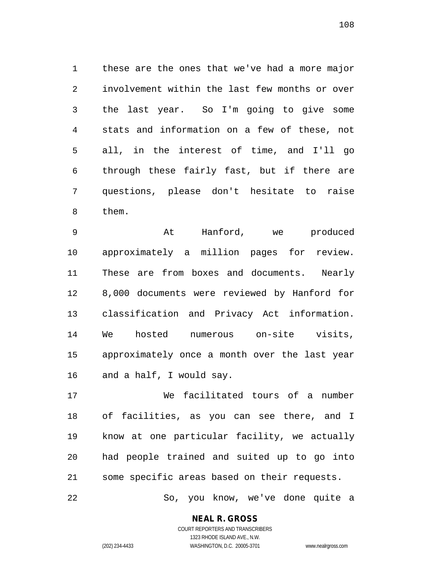these are the ones that we've had a more major involvement within the last few months or over the last year. So I'm going to give some stats and information on a few of these, not all, in the interest of time, and I'll go through these fairly fast, but if there are questions, please don't hesitate to raise them.

 At Hanford, we produced approximately a million pages for review. These are from boxes and documents. Nearly 8,000 documents were reviewed by Hanford for classification and Privacy Act information. We hosted numerous on-site visits, approximately once a month over the last year and a half, I would say.

 We facilitated tours of a number of facilities, as you can see there, and I know at one particular facility, we actually had people trained and suited up to go into some specific areas based on their requests.

So, you know, we've done quite a

**NEAL R. GROSS** COURT REPORTERS AND TRANSCRIBERS

1323 RHODE ISLAND AVE., N.W. (202) 234-4433 WASHINGTON, D.C. 20005-3701 www.nealrgross.com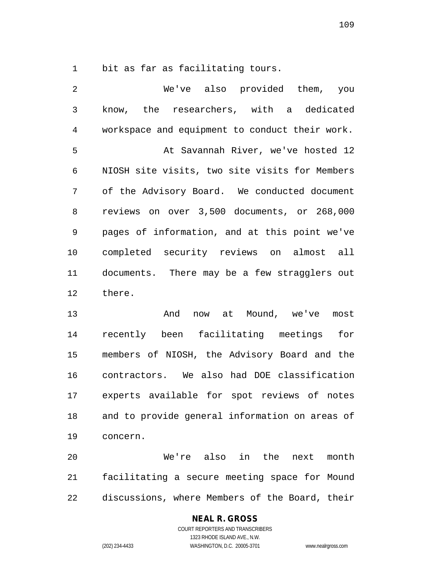bit as far as facilitating tours.

 We've also provided them, you know, the researchers, with a dedicated workspace and equipment to conduct their work. At Savannah River, we've hosted 12 NIOSH site visits, two site visits for Members of the Advisory Board. We conducted document reviews on over 3,500 documents, or 268,000 pages of information, and at this point we've completed security reviews on almost all documents. There may be a few stragglers out there. And now at Mound, we've most

 recently been facilitating meetings for members of NIOSH, the Advisory Board and the contractors. We also had DOE classification experts available for spot reviews of notes and to provide general information on areas of concern.

 We're also in the next month facilitating a secure meeting space for Mound discussions, where Members of the Board, their

### **NEAL R. GROSS**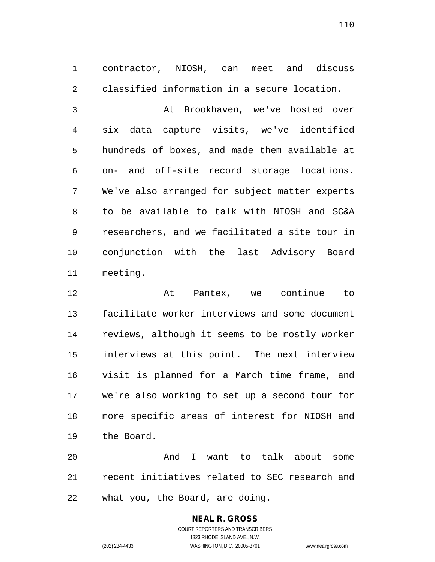contractor, NIOSH, can meet and discuss classified information in a secure location.

 At Brookhaven, we've hosted over six data capture visits, we've identified hundreds of boxes, and made them available at on- and off-site record storage locations. We've also arranged for subject matter experts to be available to talk with NIOSH and SC&A researchers, and we facilitated a site tour in conjunction with the last Advisory Board meeting.

 At Pantex, we continue to facilitate worker interviews and some document reviews, although it seems to be mostly worker interviews at this point. The next interview visit is planned for a March time frame, and we're also working to set up a second tour for more specific areas of interest for NIOSH and the Board.

 And I want to talk about some recent initiatives related to SEC research and what you, the Board, are doing.

# **NEAL R. GROSS**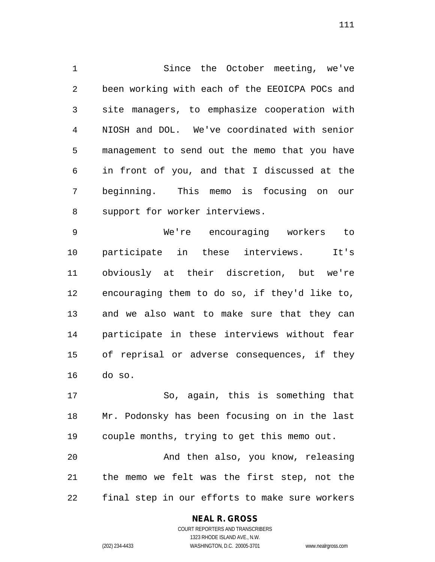Since the October meeting, we've been working with each of the EEOICPA POCs and site managers, to emphasize cooperation with NIOSH and DOL. We've coordinated with senior management to send out the memo that you have in front of you, and that I discussed at the beginning. This memo is focusing on our support for worker interviews.

 We're encouraging workers to participate in these interviews. It's obviously at their discretion, but we're encouraging them to do so, if they'd like to, and we also want to make sure that they can participate in these interviews without fear of reprisal or adverse consequences, if they do so.

 So, again, this is something that Mr. Podonsky has been focusing on in the last couple months, trying to get this memo out. And then also, you know, releasing

 the memo we felt was the first step, not the final step in our efforts to make sure workers

### **NEAL R. GROSS**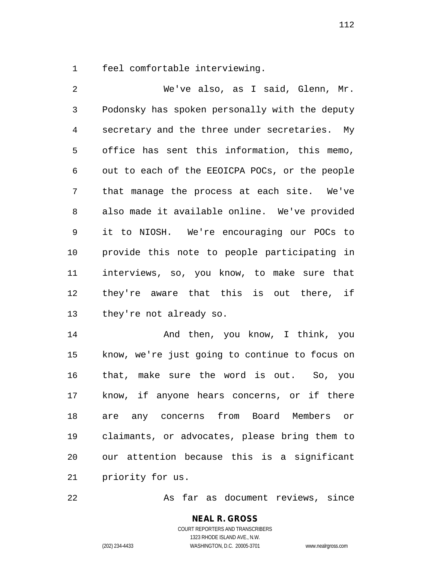feel comfortable interviewing.

 We've also, as I said, Glenn, Mr. Podonsky has spoken personally with the deputy secretary and the three under secretaries. My office has sent this information, this memo, out to each of the EEOICPA POCs, or the people that manage the process at each site. We've also made it available online. We've provided it to NIOSH. We're encouraging our POCs to provide this note to people participating in interviews, so, you know, to make sure that they're aware that this is out there, if they're not already so.

**And then, you know, I think, you**  know, we're just going to continue to focus on that, make sure the word is out. So, you know, if anyone hears concerns, or if there are any concerns from Board Members or claimants, or advocates, please bring them to our attention because this is a significant priority for us.

As far as document reviews, since

COURT REPORTERS AND TRANSCRIBERS 1323 RHODE ISLAND AVE., N.W. (202) 234-4433 WASHINGTON, D.C. 20005-3701 www.nealrgross.com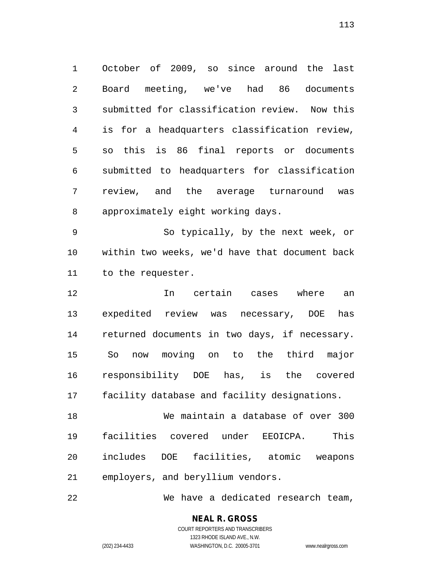October of 2009, so since around the last Board meeting, we've had 86 documents submitted for classification review. Now this is for a headquarters classification review, so this is 86 final reports or documents submitted to headquarters for classification review, and the average turnaround was approximately eight working days.

 So typically, by the next week, or within two weeks, we'd have that document back to the requester.

 In certain cases where an expedited review was necessary, DOE has returned documents in two days, if necessary. So now moving on to the third major responsibility DOE has, is the covered facility database and facility designations.

 We maintain a database of over 300 facilities covered under EEOICPA. This includes DOE facilities, atomic weapons employers, and beryllium vendors.

We have a dedicated research team,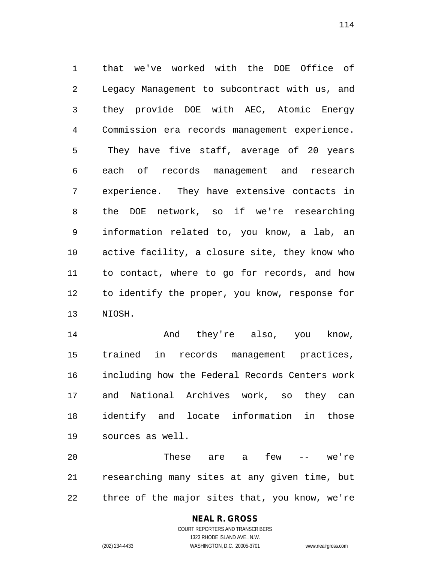that we've worked with the DOE Office of Legacy Management to subcontract with us, and they provide DOE with AEC, Atomic Energy Commission era records management experience. They have five staff, average of 20 years each of records management and research experience. They have extensive contacts in the DOE network, so if we're researching information related to, you know, a lab, an active facility, a closure site, they know who to contact, where to go for records, and how to identify the proper, you know, response for NIOSH.

 And they're also, you know, trained in records management practices, including how the Federal Records Centers work and National Archives work, so they can identify and locate information in those sources as well.

 These are a few -- we're researching many sites at any given time, but three of the major sites that, you know, we're

## **NEAL R. GROSS**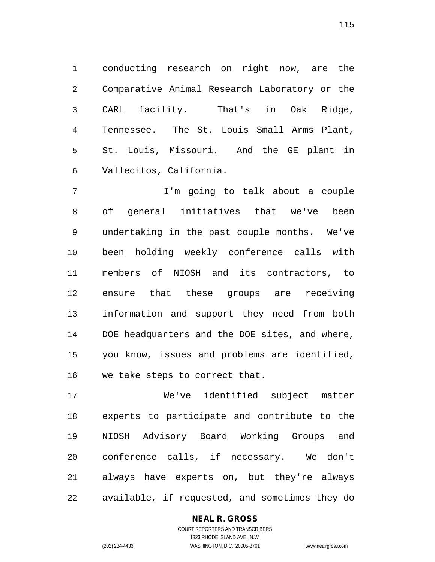conducting research on right now, are the Comparative Animal Research Laboratory or the CARL facility. That's in Oak Ridge, Tennessee. The St. Louis Small Arms Plant, St. Louis, Missouri. And the GE plant in Vallecitos, California.

 I'm going to talk about a couple of general initiatives that we've been undertaking in the past couple months. We've been holding weekly conference calls with members of NIOSH and its contractors, to ensure that these groups are receiving information and support they need from both DOE headquarters and the DOE sites, and where, you know, issues and problems are identified, we take steps to correct that.

 We've identified subject matter experts to participate and contribute to the NIOSH Advisory Board Working Groups and conference calls, if necessary. We don't always have experts on, but they're always available, if requested, and sometimes they do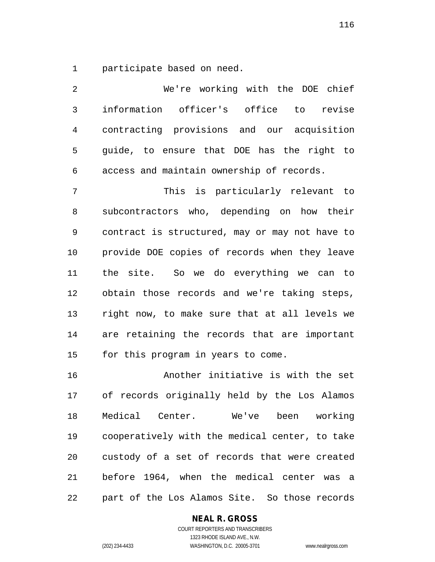participate based on need.

 We're working with the DOE chief information officer's office to revise contracting provisions and our acquisition guide, to ensure that DOE has the right to access and maintain ownership of records. This is particularly relevant to subcontractors who, depending on how their contract is structured, may or may not have to provide DOE copies of records when they leave the site. So we do everything we can to obtain those records and we're taking steps, right now, to make sure that at all levels we are retaining the records that are important for this program in years to come.

 Another initiative is with the set of records originally held by the Los Alamos Medical Center. We've been working cooperatively with the medical center, to take custody of a set of records that were created before 1964, when the medical center was a part of the Los Alamos Site. So those records

### **NEAL R. GROSS**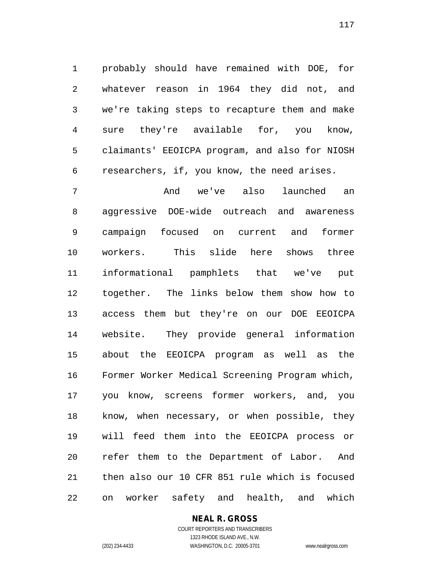probably should have remained with DOE, for whatever reason in 1964 they did not, and we're taking steps to recapture them and make sure they're available for, you know, claimants' EEOICPA program, and also for NIOSH researchers, if, you know, the need arises.

 And we've also launched an aggressive DOE-wide outreach and awareness campaign focused on current and former workers. This slide here shows three informational pamphlets that we've put together. The links below them show how to access them but they're on our DOE EEOICPA website. They provide general information about the EEOICPA program as well as the Former Worker Medical Screening Program which, you know, screens former workers, and, you know, when necessary, or when possible, they will feed them into the EEOICPA process or refer them to the Department of Labor. And then also our 10 CFR 851 rule which is focused on worker safety and health, and which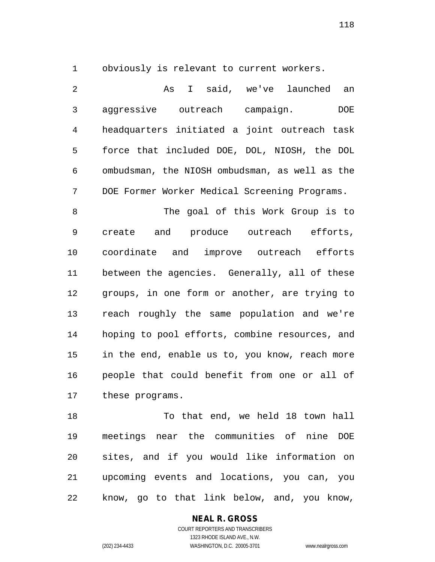obviously is relevant to current workers.

 As I said, we've launched an aggressive outreach campaign. DOE headquarters initiated a joint outreach task force that included DOE, DOL, NIOSH, the DOL ombudsman, the NIOSH ombudsman, as well as the DOE Former Worker Medical Screening Programs. The goal of this Work Group is to create and produce outreach efforts, coordinate and improve outreach efforts between the agencies. Generally, all of these groups, in one form or another, are trying to reach roughly the same population and we're

 hoping to pool efforts, combine resources, and in the end, enable us to, you know, reach more people that could benefit from one or all of these programs.

 To that end, we held 18 town hall meetings near the communities of nine DOE sites, and if you would like information on upcoming events and locations, you can, you know, go to that link below, and, you know,

**NEAL R. GROSS**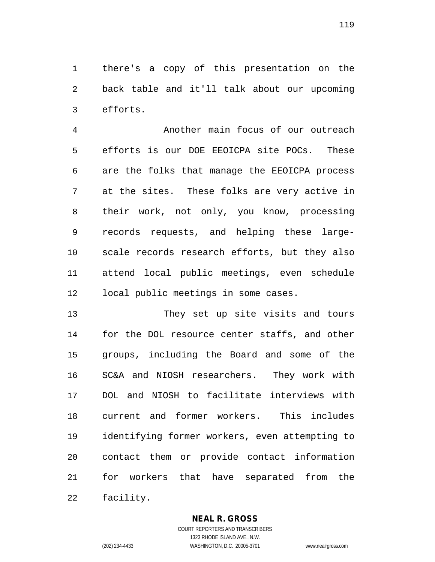there's a copy of this presentation on the back table and it'll talk about our upcoming efforts.

 Another main focus of our outreach efforts is our DOE EEOICPA site POCs. These are the folks that manage the EEOICPA process at the sites. These folks are very active in their work, not only, you know, processing records requests, and helping these large- scale records research efforts, but they also attend local public meetings, even schedule local public meetings in some cases.

 They set up site visits and tours for the DOL resource center staffs, and other groups, including the Board and some of the SC&A and NIOSH researchers. They work with DOL and NIOSH to facilitate interviews with current and former workers. This includes identifying former workers, even attempting to contact them or provide contact information for workers that have separated from the facility.

> **NEAL R. GROSS** COURT REPORTERS AND TRANSCRIBERS

1323 RHODE ISLAND AVE., N.W. (202) 234-4433 WASHINGTON, D.C. 20005-3701 www.nealrgross.com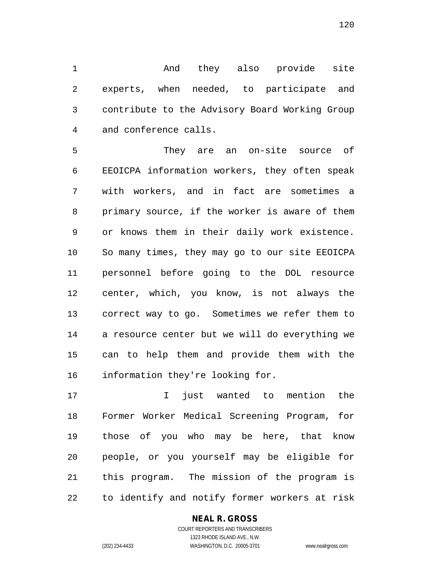And they also provide site experts, when needed, to participate and contribute to the Advisory Board Working Group and conference calls.

 They are an on-site source of EEOICPA information workers, they often speak with workers, and in fact are sometimes a primary source, if the worker is aware of them or knows them in their daily work existence. So many times, they may go to our site EEOICPA personnel before going to the DOL resource center, which, you know, is not always the correct way to go. Sometimes we refer them to a resource center but we will do everything we can to help them and provide them with the information they're looking for.

 I just wanted to mention the Former Worker Medical Screening Program, for those of you who may be here, that know people, or you yourself may be eligible for this program. The mission of the program is to identify and notify former workers at risk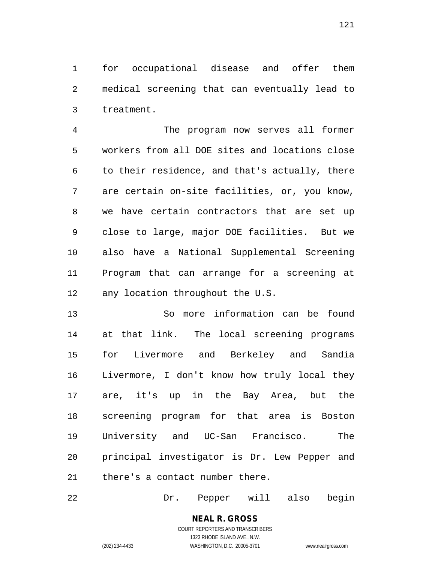for occupational disease and offer them medical screening that can eventually lead to treatment.

 The program now serves all former workers from all DOE sites and locations close to their residence, and that's actually, there are certain on-site facilities, or, you know, we have certain contractors that are set up close to large, major DOE facilities. But we also have a National Supplemental Screening Program that can arrange for a screening at any location throughout the U.S.

 So more information can be found at that link. The local screening programs for Livermore and Berkeley and Sandia Livermore, I don't know how truly local they are, it's up in the Bay Area, but the screening program for that area is Boston University and UC-San Francisco. The principal investigator is Dr. Lew Pepper and there's a contact number there.

Dr. Pepper will also begin

**NEAL R. GROSS** COURT REPORTERS AND TRANSCRIBERS 1323 RHODE ISLAND AVE., N.W.

(202) 234-4433 WASHINGTON, D.C. 20005-3701 www.nealrgross.com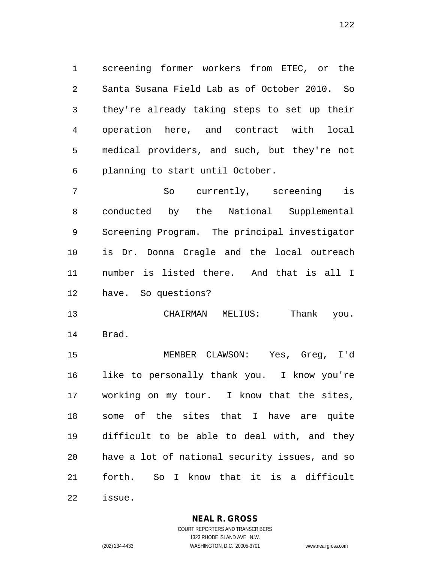screening former workers from ETEC, or the Santa Susana Field Lab as of October 2010. So they're already taking steps to set up their operation here, and contract with local medical providers, and such, but they're not planning to start until October.

 So currently, screening is conducted by the National Supplemental Screening Program. The principal investigator is Dr. Donna Cragle and the local outreach number is listed there. And that is all I have. So questions?

 CHAIRMAN MELIUS: Thank you. Brad.

 MEMBER CLAWSON: Yes, Greg, I'd like to personally thank you. I know you're working on my tour. I know that the sites, some of the sites that I have are quite difficult to be able to deal with, and they have a lot of national security issues, and so forth. So I know that it is a difficult

issue.

### **NEAL R. GROSS**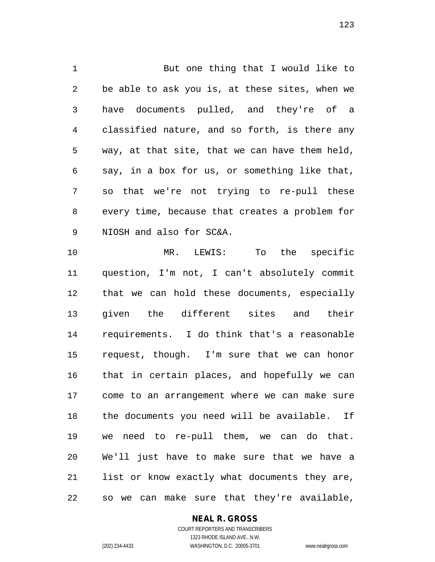But one thing that I would like to be able to ask you is, at these sites, when we have documents pulled, and they're of a classified nature, and so forth, is there any way, at that site, that we can have them held, say, in a box for us, or something like that, so that we're not trying to re-pull these every time, because that creates a problem for NIOSH and also for SC&A.

 MR. LEWIS: To the specific question, I'm not, I can't absolutely commit that we can hold these documents, especially given the different sites and their requirements. I do think that's a reasonable request, though. I'm sure that we can honor that in certain places, and hopefully we can come to an arrangement where we can make sure the documents you need will be available. If we need to re-pull them, we can do that. We'll just have to make sure that we have a list or know exactly what documents they are, so we can make sure that they're available,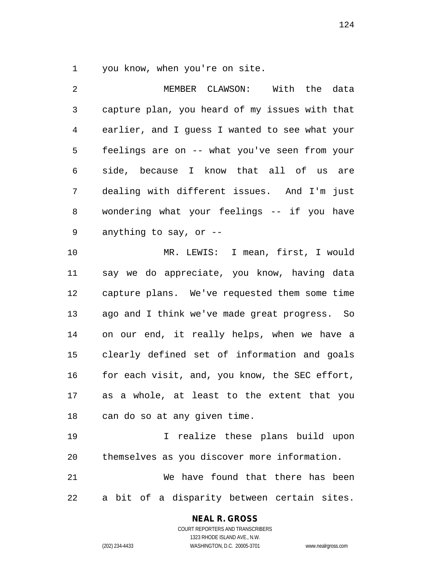you know, when you're on site.

 MEMBER CLAWSON: With the data capture plan, you heard of my issues with that earlier, and I guess I wanted to see what your feelings are on -- what you've seen from your side, because I know that all of us are dealing with different issues. And I'm just wondering what your feelings -- if you have anything to say, or -- MR. LEWIS: I mean, first, I would say we do appreciate, you know, having data capture plans. We've requested them some time ago and I think we've made great progress. So on our end, it really helps, when we have a clearly defined set of information and goals for each visit, and, you know, the SEC effort, as a whole, at least to the extent that you can do so at any given time. I realize these plans build upon themselves as you discover more information. We have found that there has been

a bit of a disparity between certain sites.

#### **NEAL R. GROSS**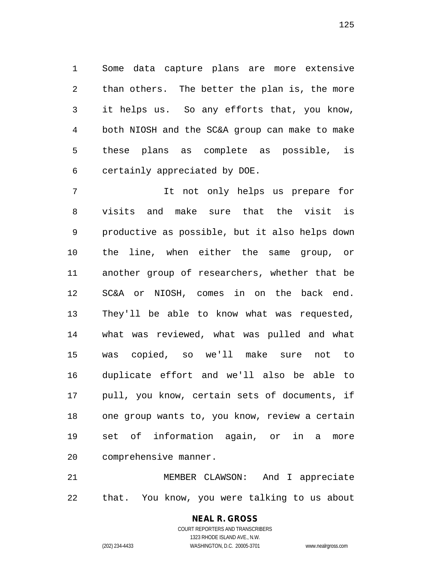Some data capture plans are more extensive than others. The better the plan is, the more it helps us. So any efforts that, you know, both NIOSH and the SC&A group can make to make these plans as complete as possible, is certainly appreciated by DOE.

 It not only helps us prepare for visits and make sure that the visit is productive as possible, but it also helps down the line, when either the same group, or another group of researchers, whether that be SC&A or NIOSH, comes in on the back end. They'll be able to know what was requested, what was reviewed, what was pulled and what was copied, so we'll make sure not to duplicate effort and we'll also be able to pull, you know, certain sets of documents, if one group wants to, you know, review a certain set of information again, or in a more comprehensive manner.

 MEMBER CLAWSON: And I appreciate that. You know, you were talking to us about

### **NEAL R. GROSS**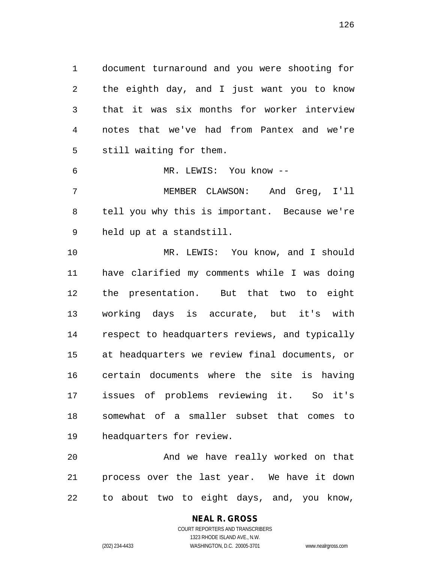document turnaround and you were shooting for the eighth day, and I just want you to know that it was six months for worker interview notes that we've had from Pantex and we're still waiting for them.

 MEMBER CLAWSON: And Greg, I'll tell you why this is important. Because we're held up at a standstill.

MR. LEWIS: You know --

 MR. LEWIS: You know, and I should have clarified my comments while I was doing the presentation. But that two to eight working days is accurate, but it's with respect to headquarters reviews, and typically at headquarters we review final documents, or certain documents where the site is having issues of problems reviewing it. So it's somewhat of a smaller subset that comes to headquarters for review.

 And we have really worked on that process over the last year. We have it down to about two to eight days, and, you know,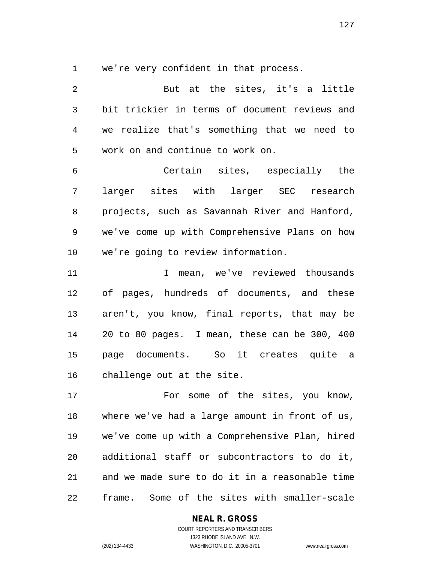we're very confident in that process.

| $\overline{2}$ | But at the sites, it's a little                |
|----------------|------------------------------------------------|
| $\mathfrak{Z}$ | bit trickier in terms of document reviews and  |
| 4              | we realize that's something that we need to    |
| 5              | work on and continue to work on.               |
| $\epsilon$     | Certain sites, especially the                  |
| 7              | larger sites with larger SEC research          |
| 8              | projects, such as Savannah River and Hanford,  |
| 9              | we've come up with Comprehensive Plans on how  |
| 10             | we're going to review information.             |
| 11             | I mean, we've reviewed thousands               |
| 12             | of pages, hundreds of documents, and these     |
| 13             | aren't, you know, final reports, that may be   |
| 14             | 20 to 80 pages. I mean, these can be 300, 400  |
| 15             | page documents. So it creates quite a          |
| 16             | challenge out at the site.                     |
| 17             | For some of the sites, you know,               |
| 18             | where we've had a large amount in front of us, |
| 19             | we've come up with a Comprehensive Plan, hired |
| 20             | additional staff or subcontractors to do it,   |
| 21             | and we made sure to do it in a reasonable time |
| 22             | Some of the sites with smaller-scale<br>frame. |

### **NEAL R. GROSS**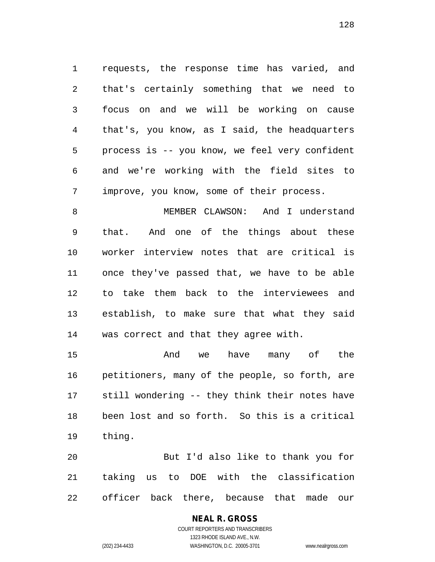requests, the response time has varied, and that's certainly something that we need to focus on and we will be working on cause that's, you know, as I said, the headquarters process is -- you know, we feel very confident and we're working with the field sites to improve, you know, some of their process.

 MEMBER CLAWSON: And I understand that. And one of the things about these worker interview notes that are critical is once they've passed that, we have to be able to take them back to the interviewees and establish, to make sure that what they said was correct and that they agree with.

 And we have many of the petitioners, many of the people, so forth, are still wondering -- they think their notes have been lost and so forth. So this is a critical thing.

 But I'd also like to thank you for taking us to DOE with the classification officer back there, because that made our

# **NEAL R. GROSS**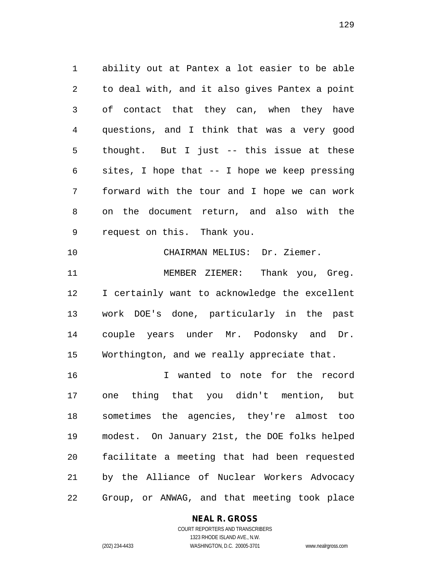ability out at Pantex a lot easier to be able to deal with, and it also gives Pantex a point of contact that they can, when they have questions, and I think that was a very good thought. But I just -- this issue at these sites, I hope that -- I hope we keep pressing forward with the tour and I hope we can work on the document return, and also with the request on this. Thank you.

CHAIRMAN MELIUS: Dr. Ziemer.

11 MEMBER ZIEMER: Thank you, Greg. I certainly want to acknowledge the excellent work DOE's done, particularly in the past couple years under Mr. Podonsky and Dr. Worthington, and we really appreciate that.

 I wanted to note for the record one thing that you didn't mention, but sometimes the agencies, they're almost too modest. On January 21st, the DOE folks helped facilitate a meeting that had been requested by the Alliance of Nuclear Workers Advocacy Group, or ANWAG, and that meeting took place

#### **NEAL R. GROSS**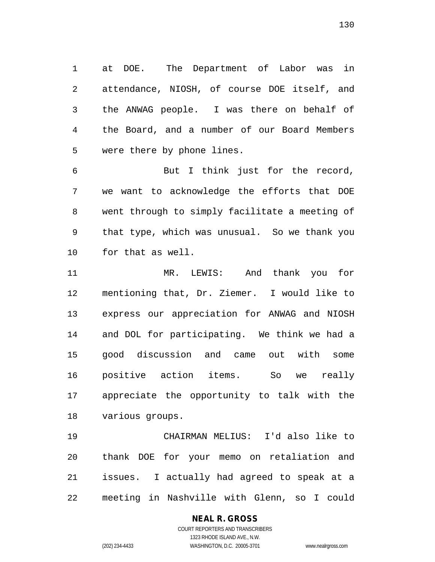at DOE. The Department of Labor was in attendance, NIOSH, of course DOE itself, and the ANWAG people. I was there on behalf of the Board, and a number of our Board Members were there by phone lines.

 But I think just for the record, we want to acknowledge the efforts that DOE went through to simply facilitate a meeting of that type, which was unusual. So we thank you for that as well.

 MR. LEWIS: And thank you for mentioning that, Dr. Ziemer. I would like to express our appreciation for ANWAG and NIOSH and DOL for participating. We think we had a good discussion and came out with some positive action items. So we really appreciate the opportunity to talk with the various groups.

 CHAIRMAN MELIUS: I'd also like to thank DOE for your memo on retaliation and issues. I actually had agreed to speak at a meeting in Nashville with Glenn, so I could

### **NEAL R. GROSS** COURT REPORTERS AND TRANSCRIBERS

(202) 234-4433 WASHINGTON, D.C. 20005-3701 www.nealrgross.com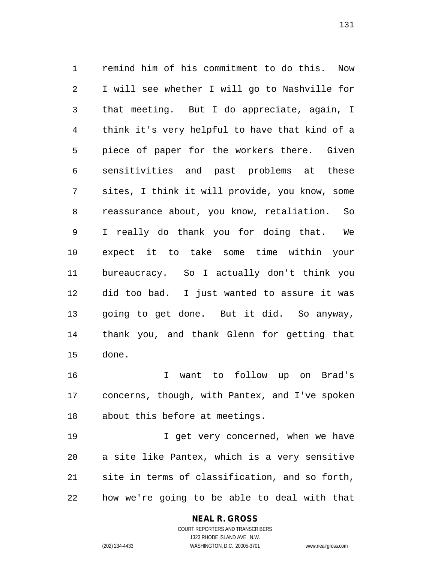remind him of his commitment to do this. Now I will see whether I will go to Nashville for that meeting. But I do appreciate, again, I think it's very helpful to have that kind of a piece of paper for the workers there. Given sensitivities and past problems at these sites, I think it will provide, you know, some reassurance about, you know, retaliation. So I really do thank you for doing that. We expect it to take some time within your bureaucracy. So I actually don't think you did too bad. I just wanted to assure it was going to get done. But it did. So anyway, thank you, and thank Glenn for getting that done.

 I want to follow up on Brad's concerns, though, with Pantex, and I've spoken about this before at meetings.

19 19 I get very concerned, when we have a site like Pantex, which is a very sensitive site in terms of classification, and so forth, how we're going to be able to deal with that

### **NEAL R. GROSS**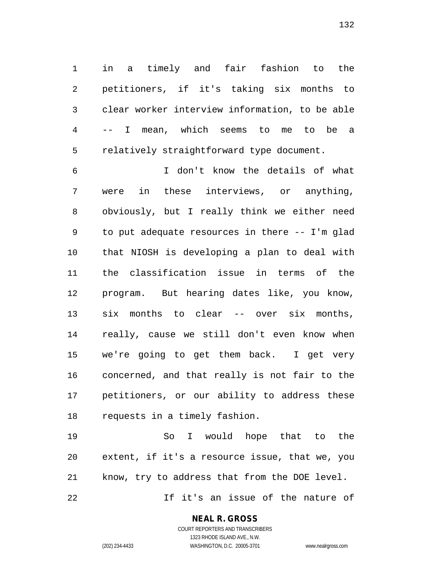in a timely and fair fashion to the petitioners, if it's taking six months to clear worker interview information, to be able -- I mean, which seems to me to be a relatively straightforward type document.

 I don't know the details of what were in these interviews, or anything, obviously, but I really think we either need to put adequate resources in there -- I'm glad that NIOSH is developing a plan to deal with the classification issue in terms of the program. But hearing dates like, you know, six months to clear -- over six months, really, cause we still don't even know when we're going to get them back. I get very concerned, and that really is not fair to the petitioners, or our ability to address these requests in a timely fashion.

 So I would hope that to the extent, if it's a resource issue, that we, you know, try to address that from the DOE level.

22 1f it's an issue of the nature of

**NEAL R. GROSS** COURT REPORTERS AND TRANSCRIBERS

1323 RHODE ISLAND AVE., N.W.

(202) 234-4433 WASHINGTON, D.C. 20005-3701 www.nealrgross.com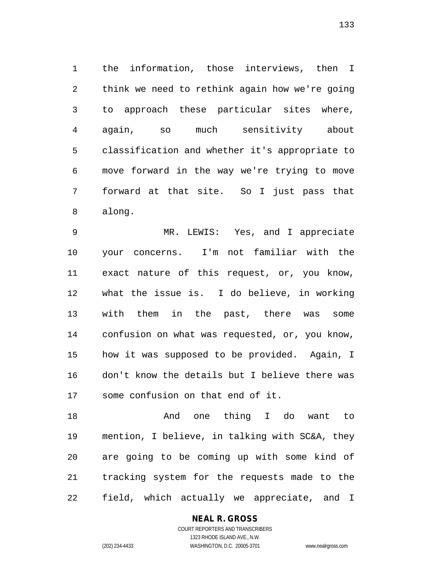the information, those interviews, then I think we need to rethink again how we're going to approach these particular sites where, again, so much sensitivity about classification and whether it's appropriate to move forward in the way we're trying to move forward at that site. So I just pass that along.

 MR. LEWIS: Yes, and I appreciate your concerns. I'm not familiar with the exact nature of this request, or, you know, what the issue is. I do believe, in working with them in the past, there was some confusion on what was requested, or, you know, how it was supposed to be provided. Again, I don't know the details but I believe there was some confusion on that end of it.

 And one thing I do want to mention, I believe, in talking with SC&A, they are going to be coming up with some kind of tracking system for the requests made to the field, which actually we appreciate, and I

### **NEAL R. GROSS**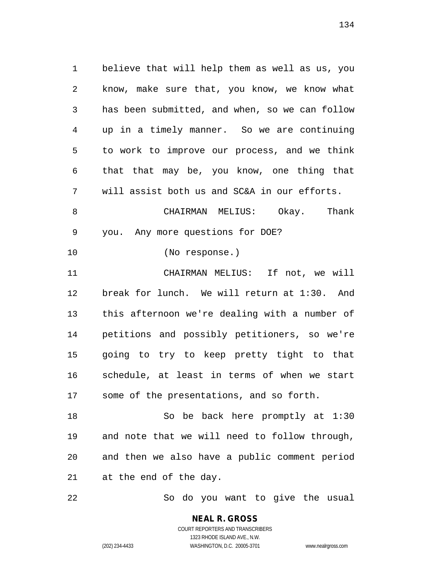believe that will help them as well as us, you know, make sure that, you know, we know what has been submitted, and when, so we can follow up in a timely manner. So we are continuing to work to improve our process, and we think that that may be, you know, one thing that will assist both us and SC&A in our efforts. CHAIRMAN MELIUS: Okay. Thank you. Any more questions for DOE? (No response.) CHAIRMAN MELIUS: If not, we will break for lunch. We will return at 1:30. And

 this afternoon we're dealing with a number of petitions and possibly petitioners, so we're going to try to keep pretty tight to that schedule, at least in terms of when we start some of the presentations, and so forth.

 So be back here promptly at 1:30 and note that we will need to follow through, and then we also have a public comment period at the end of the day.

So do you want to give the usual

**NEAL R. GROSS** COURT REPORTERS AND TRANSCRIBERS 1323 RHODE ISLAND AVE., N.W.

(202) 234-4433 WASHINGTON, D.C. 20005-3701 www.nealrgross.com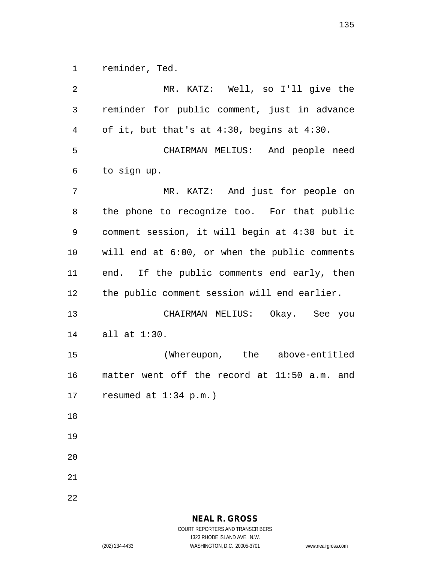reminder, Ted.

| 2            | MR. KATZ: Well, so I'll give the                 |
|--------------|--------------------------------------------------|
| $\mathsf{3}$ | reminder for public comment, just in advance     |
| 4            | of it, but that's at $4:30$ , begins at $4:30$ . |
| 5            | CHAIRMAN MELIUS: And people need                 |
| 6            | to sign up.                                      |
| 7            | MR. KATZ: And just for people on                 |
| 8            | the phone to recognize too. For that public      |
| 9            | comment session, it will begin at 4:30 but it    |
| 10           | will end at 6:00, or when the public comments    |
| 11           | end. If the public comments end early, then      |
| 12           | the public comment session will end earlier.     |
| 13           | CHAIRMAN MELIUS: Okay. See you                   |
| 14           | all at $1:30$ .                                  |
| 15           | (Whereupon, the above-entitled                   |
| 16           | matter went off the record at 11:50 a.m. and     |
| 17           | resumed at $1:34$ p.m.)                          |
| 18           |                                                  |
| 19           |                                                  |
| 20           |                                                  |
| 21           |                                                  |
| 22           |                                                  |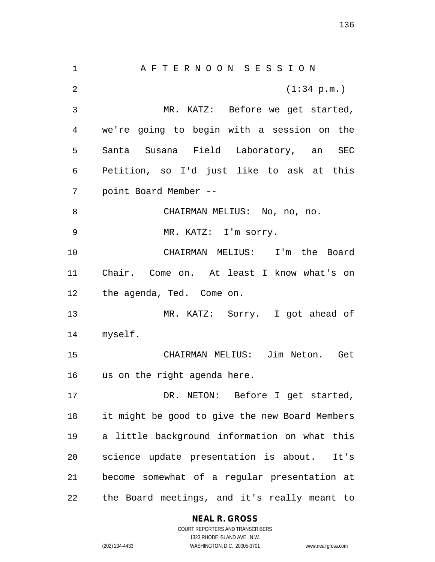A F T E R N O O N S E S S I O N  $(1:34 \text{ p.m.})$  MR. KATZ: Before we get started, we're going to begin with a session on the Santa Susana Field Laboratory, an SEC Petition, so I'd just like to ask at this point Board Member -- CHAIRMAN MELIUS: No, no, no. MR. KATZ: I'm sorry. CHAIRMAN MELIUS: I'm the Board Chair. Come on. At least I know what's on the agenda, Ted. Come on. MR. KATZ: Sorry. I got ahead of myself. CHAIRMAN MELIUS: Jim Neton. Get us on the right agenda here. 17 DR. NETON: Before I get started, it might be good to give the new Board Members a little background information on what this science update presentation is about. It's become somewhat of a regular presentation at the Board meetings, and it's really meant to

### **NEAL R. GROSS**

COURT REPORTERS AND TRANSCRIBERS 1323 RHODE ISLAND AVE., N.W. (202) 234-4433 WASHINGTON, D.C. 20005-3701 www.nealrgross.com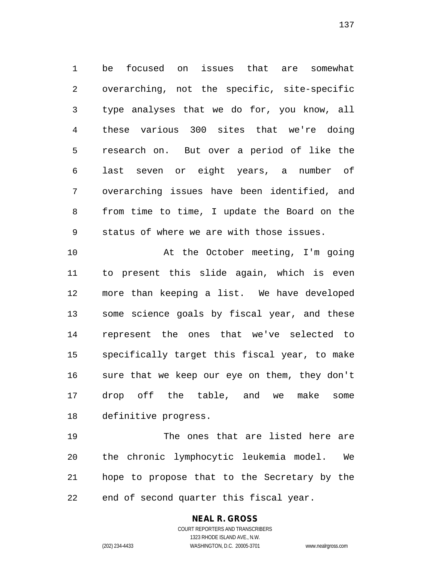be focused on issues that are somewhat overarching, not the specific, site-specific type analyses that we do for, you know, all these various 300 sites that we're doing research on. But over a period of like the last seven or eight years, a number of overarching issues have been identified, and from time to time, I update the Board on the status of where we are with those issues.

 At the October meeting, I'm going to present this slide again, which is even more than keeping a list. We have developed some science goals by fiscal year, and these represent the ones that we've selected to specifically target this fiscal year, to make sure that we keep our eye on them, they don't drop off the table, and we make some definitive progress.

 The ones that are listed here are the chronic lymphocytic leukemia model. We hope to propose that to the Secretary by the end of second quarter this fiscal year.

### **NEAL R. GROSS**

COURT REPORTERS AND TRANSCRIBERS 1323 RHODE ISLAND AVE., N.W. (202) 234-4433 WASHINGTON, D.C. 20005-3701 www.nealrgross.com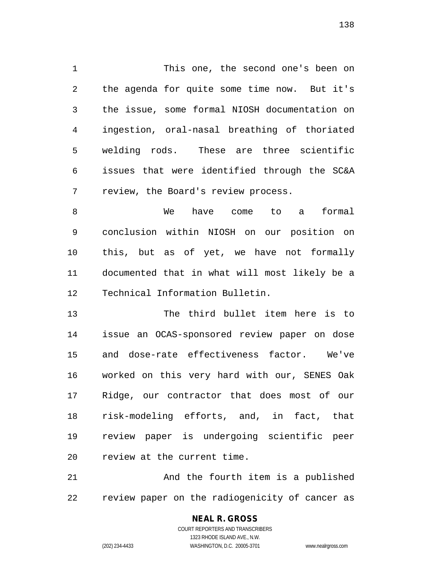This one, the second one's been on the agenda for quite some time now. But it's the issue, some formal NIOSH documentation on ingestion, oral-nasal breathing of thoriated welding rods. These are three scientific issues that were identified through the SC&A review, the Board's review process.

 We have come to a formal conclusion within NIOSH on our position on this, but as of yet, we have not formally documented that in what will most likely be a Technical Information Bulletin.

 The third bullet item here is to issue an OCAS-sponsored review paper on dose and dose-rate effectiveness factor. We've worked on this very hard with our, SENES Oak Ridge, our contractor that does most of our risk-modeling efforts, and, in fact, that review paper is undergoing scientific peer review at the current time.

21 And the fourth item is a published review paper on the radiogenicity of cancer as

### **NEAL R. GROSS**

COURT REPORTERS AND TRANSCRIBERS 1323 RHODE ISLAND AVE., N.W. (202) 234-4433 WASHINGTON, D.C. 20005-3701 www.nealrgross.com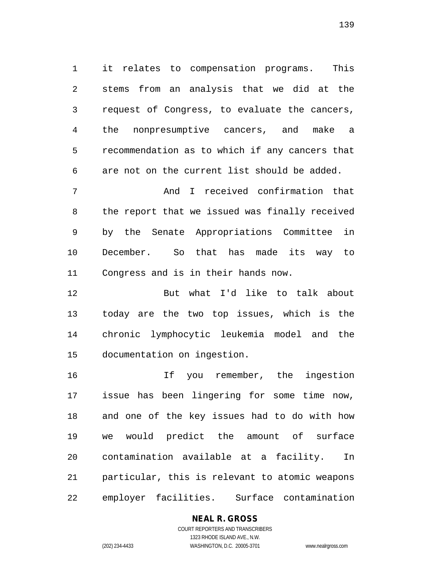it relates to compensation programs. This stems from an analysis that we did at the request of Congress, to evaluate the cancers, the nonpresumptive cancers, and make a recommendation as to which if any cancers that are not on the current list should be added.

 And I received confirmation that the report that we issued was finally received by the Senate Appropriations Committee in December. So that has made its way to Congress and is in their hands now.

 But what I'd like to talk about today are the two top issues, which is the chronic lymphocytic leukemia model and the documentation on ingestion.

 If you remember, the ingestion issue has been lingering for some time now, and one of the key issues had to do with how we would predict the amount of surface contamination available at a facility. In particular, this is relevant to atomic weapons employer facilities. Surface contamination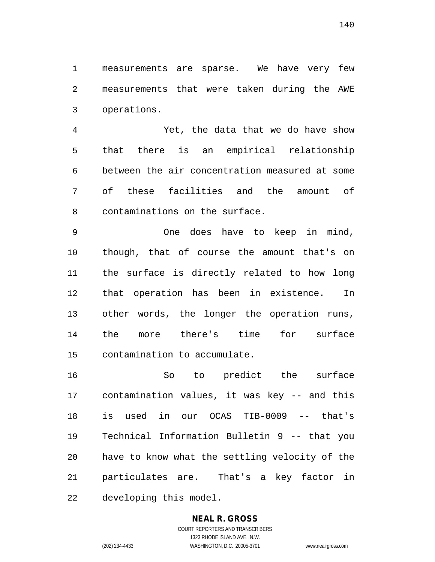measurements are sparse. We have very few measurements that were taken during the AWE operations.

 Yet, the data that we do have show that there is an empirical relationship between the air concentration measured at some of these facilities and the amount of contaminations on the surface.

 One does have to keep in mind, though, that of course the amount that's on the surface is directly related to how long that operation has been in existence. In other words, the longer the operation runs, the more there's time for surface contamination to accumulate.

 So to predict the surface contamination values, it was key -- and this is used in our OCAS TIB-0009 -- that's Technical Information Bulletin 9 -- that you have to know what the settling velocity of the particulates are. That's a key factor in developing this model.

### **NEAL R. GROSS**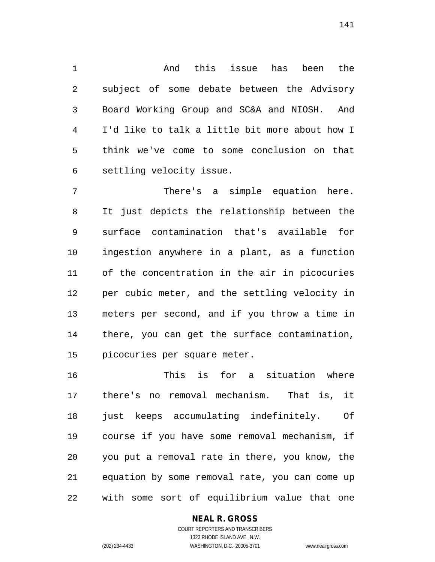And this issue has been the subject of some debate between the Advisory Board Working Group and SC&A and NIOSH. And I'd like to talk a little bit more about how I think we've come to some conclusion on that settling velocity issue.

 There's a simple equation here. It just depicts the relationship between the surface contamination that's available for ingestion anywhere in a plant, as a function of the concentration in the air in picocuries per cubic meter, and the settling velocity in meters per second, and if you throw a time in there, you can get the surface contamination, picocuries per square meter.

 This is for a situation where there's no removal mechanism. That is, it just keeps accumulating indefinitely. Of course if you have some removal mechanism, if you put a removal rate in there, you know, the equation by some removal rate, you can come up with some sort of equilibrium value that one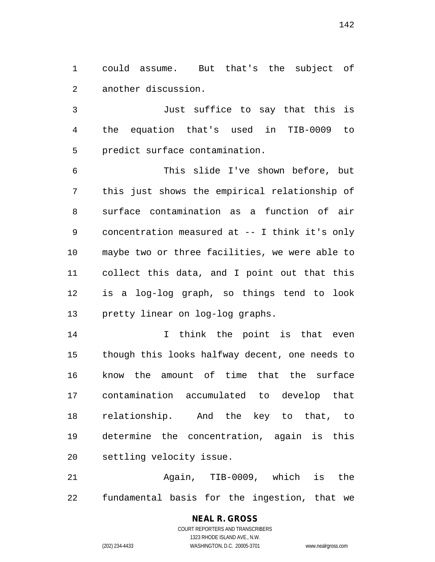could assume. But that's the subject of another discussion.

 Just suffice to say that this is the equation that's used in TIB-0009 to predict surface contamination.

 This slide I've shown before, but this just shows the empirical relationship of surface contamination as a function of air concentration measured at -- I think it's only maybe two or three facilities, we were able to collect this data, and I point out that this is a log-log graph, so things tend to look pretty linear on log-log graphs.

 I think the point is that even though this looks halfway decent, one needs to know the amount of time that the surface contamination accumulated to develop that relationship. And the key to that, to determine the concentration, again is this settling velocity issue.

 Again, TIB-0009, which is the fundamental basis for the ingestion, that we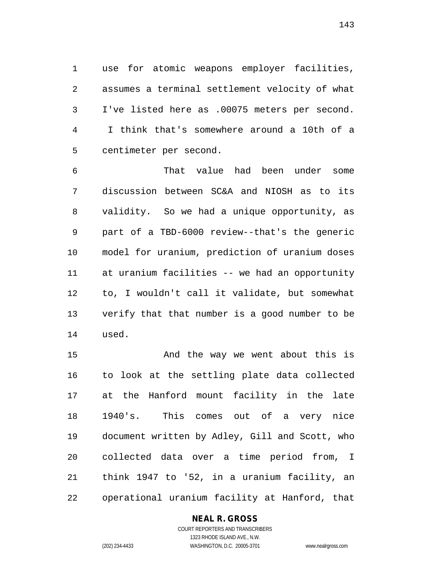use for atomic weapons employer facilities, assumes a terminal settlement velocity of what I've listed here as .00075 meters per second. I think that's somewhere around a 10th of a centimeter per second.

 That value had been under some discussion between SC&A and NIOSH as to its validity. So we had a unique opportunity, as part of a TBD-6000 review--that's the generic model for uranium, prediction of uranium doses at uranium facilities -- we had an opportunity to, I wouldn't call it validate, but somewhat verify that that number is a good number to be used.

 And the way we went about this is to look at the settling plate data collected at the Hanford mount facility in the late 1940's. This comes out of a very nice document written by Adley, Gill and Scott, who collected data over a time period from, I think 1947 to '52, in a uranium facility, an operational uranium facility at Hanford, that

### **NEAL R. GROSS**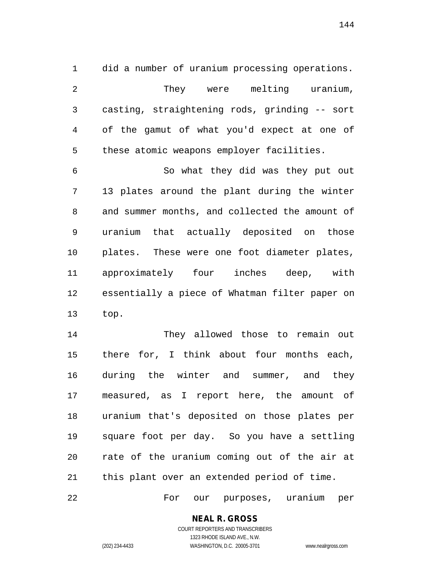did a number of uranium processing operations. They were melting uranium, casting, straightening rods, grinding -- sort of the gamut of what you'd expect at one of these atomic weapons employer facilities.

 So what they did was they put out 13 plates around the plant during the winter and summer months, and collected the amount of uranium that actually deposited on those plates. These were one foot diameter plates, approximately four inches deep, with essentially a piece of Whatman filter paper on top.

 They allowed those to remain out there for, I think about four months each, during the winter and summer, and they measured, as I report here, the amount of uranium that's deposited on those plates per square foot per day. So you have a settling rate of the uranium coming out of the air at this plant over an extended period of time.

For our purposes, uranium per

**NEAL R. GROSS** COURT REPORTERS AND TRANSCRIBERS

1323 RHODE ISLAND AVE., N.W.

(202) 234-4433 WASHINGTON, D.C. 20005-3701 www.nealrgross.com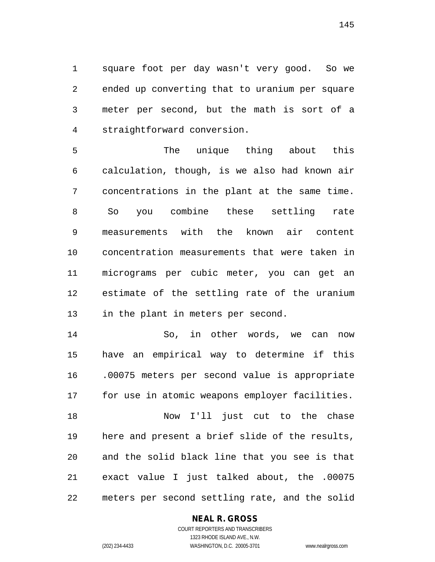square foot per day wasn't very good. So we ended up converting that to uranium per square meter per second, but the math is sort of a straightforward conversion.

 The unique thing about this calculation, though, is we also had known air concentrations in the plant at the same time. So you combine these settling rate measurements with the known air content concentration measurements that were taken in micrograms per cubic meter, you can get an estimate of the settling rate of the uranium in the plant in meters per second.

 So, in other words, we can now have an empirical way to determine if this .00075 meters per second value is appropriate for use in atomic weapons employer facilities. Now I'll just cut to the chase here and present a brief slide of the results, and the solid black line that you see is that exact value I just talked about, the .00075 meters per second settling rate, and the solid

#### **NEAL R. GROSS**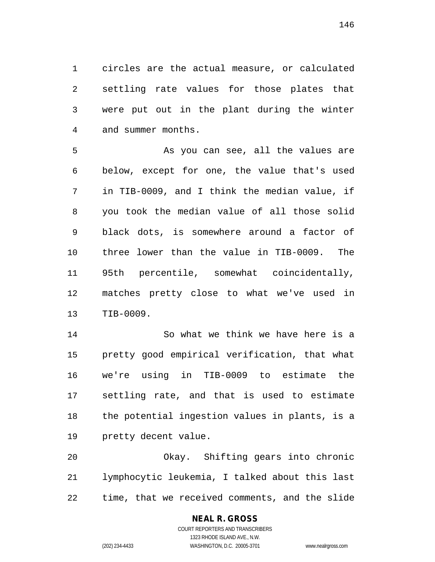circles are the actual measure, or calculated settling rate values for those plates that were put out in the plant during the winter and summer months.

 As you can see, all the values are below, except for one, the value that's used in TIB-0009, and I think the median value, if you took the median value of all those solid black dots, is somewhere around a factor of three lower than the value in TIB-0009. The 95th percentile, somewhat coincidentally, matches pretty close to what we've used in TIB-0009.

 So what we think we have here is a pretty good empirical verification, that what we're using in TIB-0009 to estimate the settling rate, and that is used to estimate the potential ingestion values in plants, is a pretty decent value.

 Okay. Shifting gears into chronic lymphocytic leukemia, I talked about this last time, that we received comments, and the slide

# **NEAL R. GROSS**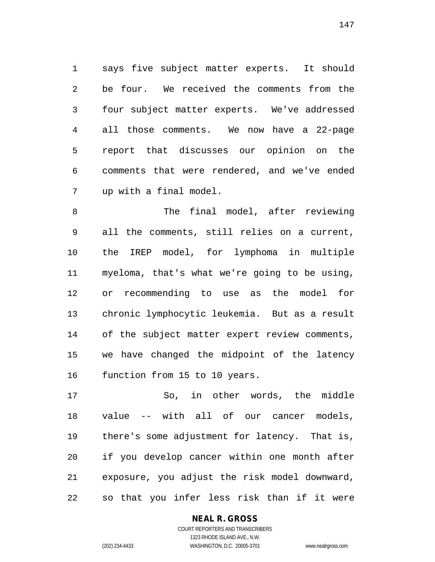says five subject matter experts. It should be four. We received the comments from the four subject matter experts. We've addressed all those comments. We now have a 22-page report that discusses our opinion on the comments that were rendered, and we've ended up with a final model.

8 The final model, after reviewing all the comments, still relies on a current, the IREP model, for lymphoma in multiple myeloma, that's what we're going to be using, or recommending to use as the model for chronic lymphocytic leukemia. But as a result of the subject matter expert review comments, we have changed the midpoint of the latency function from 15 to 10 years.

 So, in other words, the middle value -- with all of our cancer models, there's some adjustment for latency. That is, if you develop cancer within one month after exposure, you adjust the risk model downward, so that you infer less risk than if it were

#### **NEAL R. GROSS**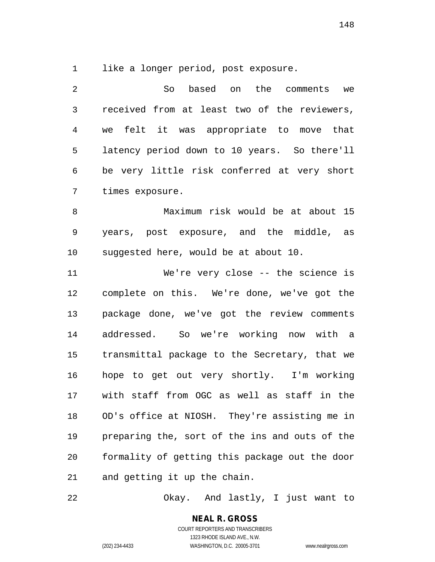like a longer period, post exposure.

| 2  | based on the comments we<br>So                 |
|----|------------------------------------------------|
| 3  | received from at least two of the reviewers,   |
| 4  | we felt it was appropriate to move that        |
| 5  | latency period down to 10 years. So there'll   |
| 6  | be very little risk conferred at very short    |
| 7  | times exposure.                                |
| 8  | Maximum risk would be at about 15              |
| 9  | years, post exposure, and the middle, as       |
| 10 | suggested here, would be at about 10.          |
| 11 | We're very close -- the science is             |
| 12 | complete on this. We're done, we've got the    |
| 13 | package done, we've got the review comments    |
| 14 | addressed. So we're working now with a         |
| 15 | transmittal package to the Secretary, that we  |
| 16 | hope to get out very shortly. I'm working      |
| 17 | with staff from OGC as well as staff in the    |
| 18 | OD's office at NIOSH. They're assisting me in  |
| 19 | preparing the, sort of the ins and outs of the |
| 20 | formality of getting this package out the door |
| 21 | and getting it up the chain.                   |

Okay. And lastly, I just want to

**NEAL R. GROSS** COURT REPORTERS AND TRANSCRIBERS 1323 RHODE ISLAND AVE., N.W.

(202) 234-4433 WASHINGTON, D.C. 20005-3701 www.nealrgross.com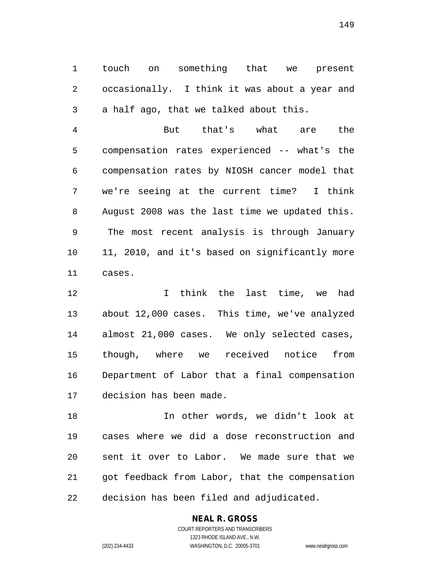touch on something that we present occasionally. I think it was about a year and a half ago, that we talked about this.

 But that's what are the compensation rates experienced -- what's the compensation rates by NIOSH cancer model that we're seeing at the current time? I think August 2008 was the last time we updated this. The most recent analysis is through January 11, 2010, and it's based on significantly more cases.

 I think the last time, we had about 12,000 cases. This time, we've analyzed almost 21,000 cases. We only selected cases, though, where we received notice from Department of Labor that a final compensation decision has been made.

**In other words, we didn't look at**  cases where we did a dose reconstruction and sent it over to Labor. We made sure that we got feedback from Labor, that the compensation decision has been filed and adjudicated.

> **NEAL R. GROSS** COURT REPORTERS AND TRANSCRIBERS

> > 1323 RHODE ISLAND AVE., N.W.

(202) 234-4433 WASHINGTON, D.C. 20005-3701 www.nealrgross.com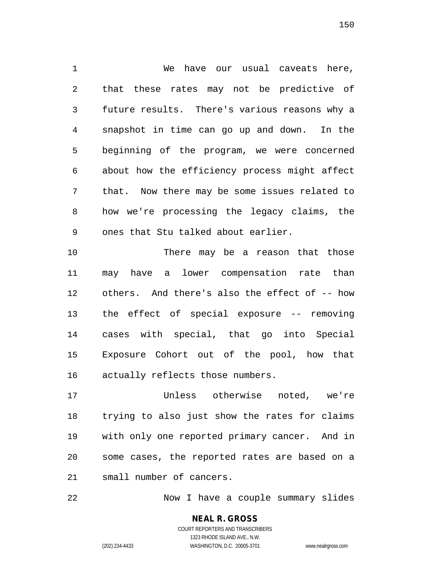We have our usual caveats here, that these rates may not be predictive of future results. There's various reasons why a snapshot in time can go up and down. In the beginning of the program, we were concerned about how the efficiency process might affect that. Now there may be some issues related to how we're processing the legacy claims, the ones that Stu talked about earlier.

 There may be a reason that those may have a lower compensation rate than others. And there's also the effect of -- how the effect of special exposure -- removing cases with special, that go into Special Exposure Cohort out of the pool, how that actually reflects those numbers.

 Unless otherwise noted, we're trying to also just show the rates for claims with only one reported primary cancer. And in some cases, the reported rates are based on a small number of cancers.

Now I have a couple summary slides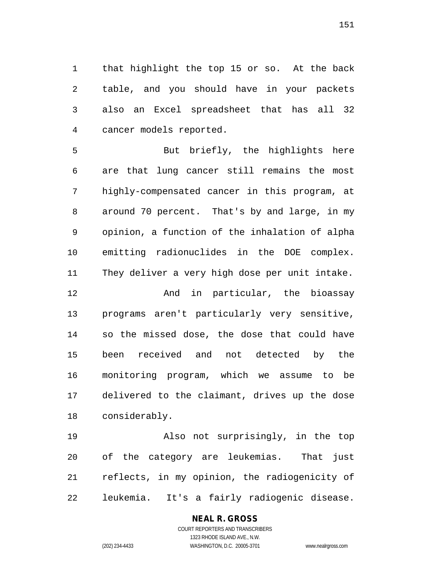that highlight the top 15 or so. At the back table, and you should have in your packets also an Excel spreadsheet that has all 32 cancer models reported.

 But briefly, the highlights here are that lung cancer still remains the most highly-compensated cancer in this program, at around 70 percent. That's by and large, in my opinion, a function of the inhalation of alpha emitting radionuclides in the DOE complex. They deliver a very high dose per unit intake.

 And in particular, the bioassay programs aren't particularly very sensitive, so the missed dose, the dose that could have been received and not detected by the monitoring program, which we assume to be delivered to the claimant, drives up the dose considerably.

 Also not surprisingly, in the top of the category are leukemias. That just reflects, in my opinion, the radiogenicity of leukemia. It's a fairly radiogenic disease.

# **NEAL R. GROSS**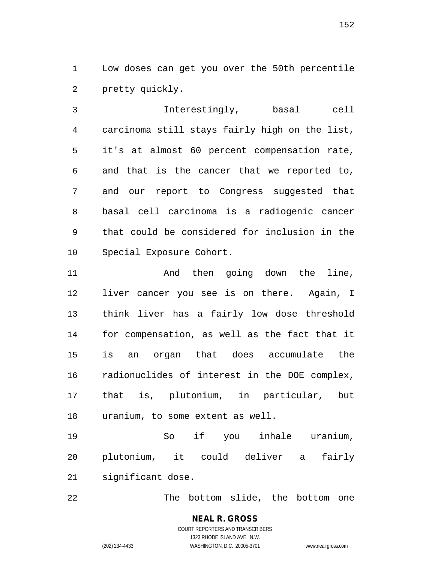Low doses can get you over the 50th percentile pretty quickly.

 Interestingly, basal cell carcinoma still stays fairly high on the list, it's at almost 60 percent compensation rate, and that is the cancer that we reported to, and our report to Congress suggested that basal cell carcinoma is a radiogenic cancer that could be considered for inclusion in the Special Exposure Cohort.

 And then going down the line, liver cancer you see is on there. Again, I think liver has a fairly low dose threshold for compensation, as well as the fact that it is an organ that does accumulate the radionuclides of interest in the DOE complex, that is, plutonium, in particular, but uranium, to some extent as well.

 So if you inhale uranium, plutonium, it could deliver a fairly significant dose.

The bottom slide, the bottom one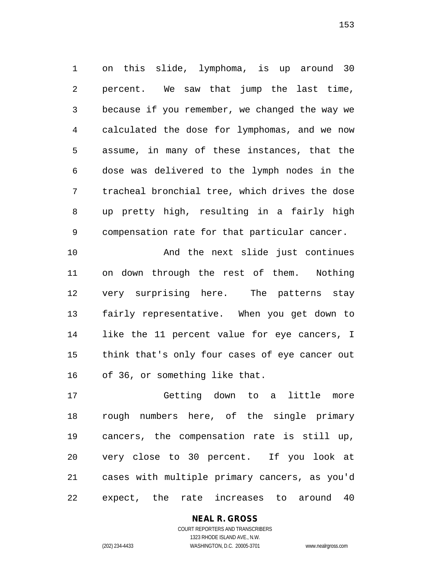on this slide, lymphoma, is up around 30 percent. We saw that jump the last time, because if you remember, we changed the way we calculated the dose for lymphomas, and we now assume, in many of these instances, that the dose was delivered to the lymph nodes in the tracheal bronchial tree, which drives the dose up pretty high, resulting in a fairly high compensation rate for that particular cancer.

 And the next slide just continues on down through the rest of them. Nothing very surprising here. The patterns stay fairly representative. When you get down to like the 11 percent value for eye cancers, I think that's only four cases of eye cancer out of 36, or something like that.

 Getting down to a little more rough numbers here, of the single primary cancers, the compensation rate is still up, very close to 30 percent. If you look at cases with multiple primary cancers, as you'd expect, the rate increases to around 40

**NEAL R. GROSS**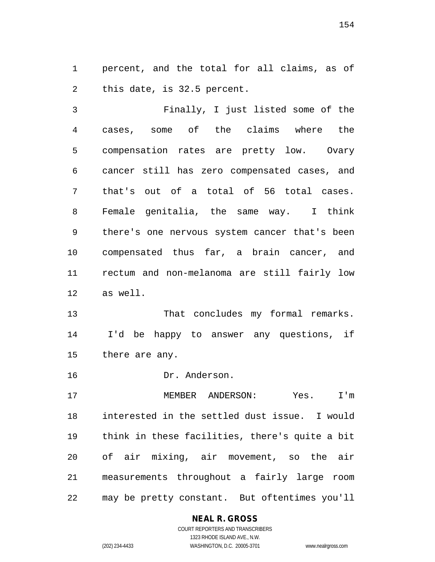percent, and the total for all claims, as of this date, is 32.5 percent.

 Finally, I just listed some of the cases, some of the claims where the compensation rates are pretty low. Ovary cancer still has zero compensated cases, and that's out of a total of 56 total cases. Female genitalia, the same way. I think there's one nervous system cancer that's been compensated thus far, a brain cancer, and rectum and non-melanoma are still fairly low as well.

13 That concludes my formal remarks. I'd be happy to answer any questions, if there are any.

Dr. Anderson.

 MEMBER ANDERSON: Yes. I'm interested in the settled dust issue. I would think in these facilities, there's quite a bit of air mixing, air movement, so the air measurements throughout a fairly large room may be pretty constant. But oftentimes you'll

# **NEAL R. GROSS**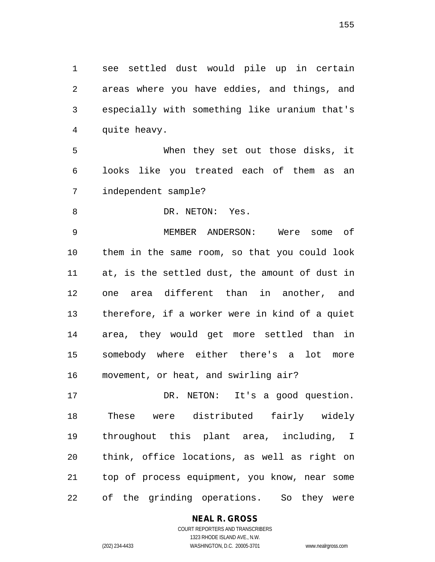see settled dust would pile up in certain areas where you have eddies, and things, and especially with something like uranium that's quite heavy.

 When they set out those disks, it looks like you treated each of them as an independent sample?

8 DR. NETON: Yes.

 MEMBER ANDERSON: Were some of them in the same room, so that you could look at, is the settled dust, the amount of dust in one area different than in another, and therefore, if a worker were in kind of a quiet area, they would get more settled than in somebody where either there's a lot more movement, or heat, and swirling air?

 DR. NETON: It's a good question. These were distributed fairly widely throughout this plant area, including, I think, office locations, as well as right on top of process equipment, you know, near some of the grinding operations. So they were

**NEAL R. GROSS**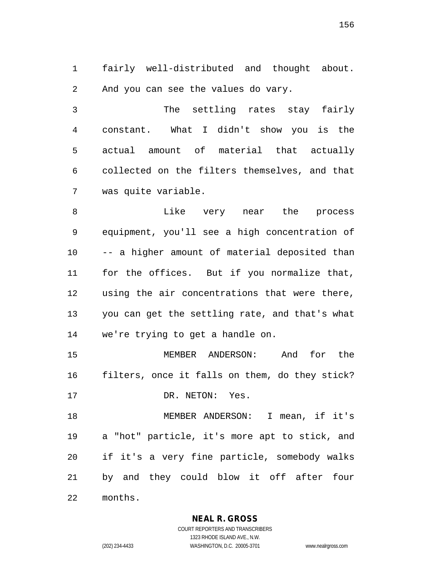fairly well-distributed and thought about. And you can see the values do vary.

 The settling rates stay fairly constant. What I didn't show you is the actual amount of material that actually collected on the filters themselves, and that was quite variable.

 Like very near the process equipment, you'll see a high concentration of -- a higher amount of material deposited than for the offices. But if you normalize that, using the air concentrations that were there, you can get the settling rate, and that's what we're trying to get a handle on.

 MEMBER ANDERSON: And for the filters, once it falls on them, do they stick?

17 DR. NETON: Yes.

 MEMBER ANDERSON: I mean, if it's a "hot" particle, it's more apt to stick, and if it's a very fine particle, somebody walks by and they could blow it off after four months.

**NEAL R. GROSS**

COURT REPORTERS AND TRANSCRIBERS 1323 RHODE ISLAND AVE., N.W. (202) 234-4433 WASHINGTON, D.C. 20005-3701 www.nealrgross.com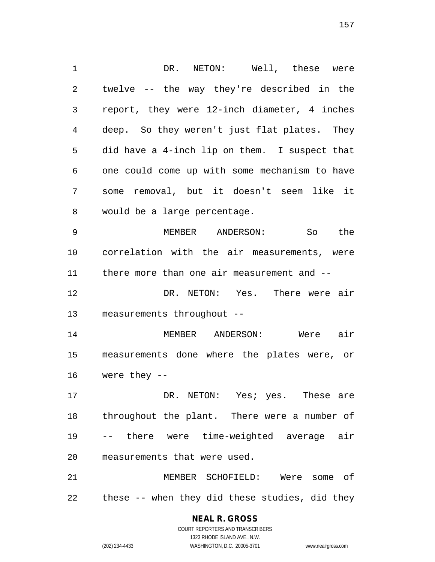1 DR. NETON: Well, these were twelve -- the way they're described in the report, they were 12-inch diameter, 4 inches deep. So they weren't just flat plates. They did have a 4-inch lip on them. I suspect that one could come up with some mechanism to have some removal, but it doesn't seem like it would be a large percentage. MEMBER ANDERSON: So the correlation with the air measurements, were there more than one air measurement and -- DR. NETON: Yes. There were air measurements throughout -- MEMBER ANDERSON: Were air measurements done where the plates were, or were they -- 17 DR. NETON: Yes; yes. These are throughout the plant. There were a number of -- there were time-weighted average air measurements that were used.

 MEMBER SCHOFIELD: Were some of these -- when they did these studies, did they

#### **NEAL R. GROSS**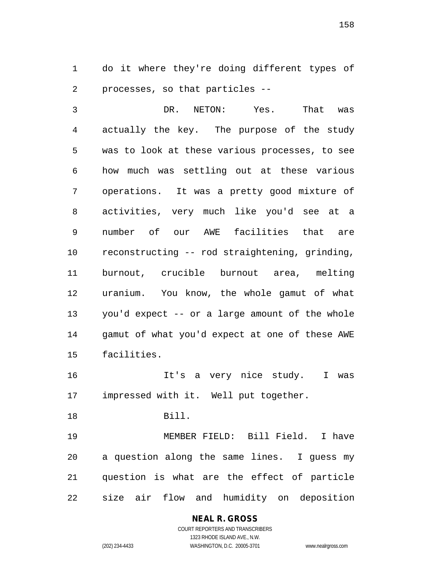do it where they're doing different types of processes, so that particles --

 DR. NETON: Yes. That was actually the key. The purpose of the study was to look at these various processes, to see how much was settling out at these various operations. It was a pretty good mixture of activities, very much like you'd see at a number of our AWE facilities that are reconstructing -- rod straightening, grinding, burnout, crucible burnout area, melting uranium. You know, the whole gamut of what you'd expect -- or a large amount of the whole gamut of what you'd expect at one of these AWE facilities.

 It's a very nice study. I was impressed with it. Well put together.

Bill.

 MEMBER FIELD: Bill Field. I have a question along the same lines. I guess my question is what are the effect of particle size air flow and humidity on deposition

**NEAL R. GROSS**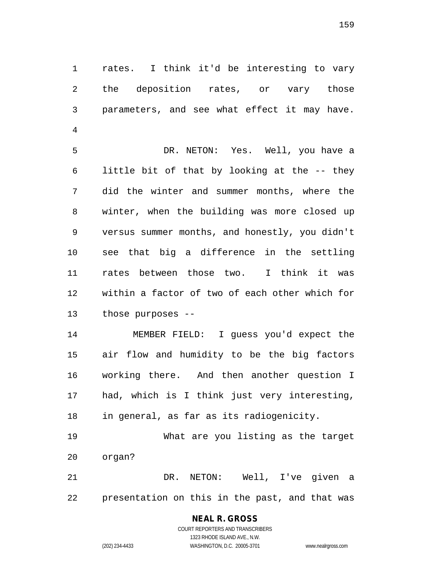rates. I think it'd be interesting to vary the deposition rates, or vary those parameters, and see what effect it may have. 

 DR. NETON: Yes. Well, you have a little bit of that by looking at the -- they did the winter and summer months, where the winter, when the building was more closed up versus summer months, and honestly, you didn't see that big a difference in the settling rates between those two. I think it was within a factor of two of each other which for those purposes --

 MEMBER FIELD: I guess you'd expect the air flow and humidity to be the big factors working there. And then another question I had, which is I think just very interesting, in general, as far as its radiogenicity.

 What are you listing as the target organ? DR. NETON: Well, I've given a

presentation on this in the past, and that was

# **NEAL R. GROSS**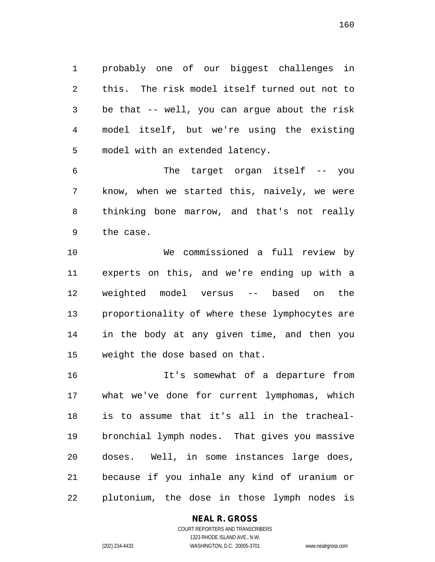probably one of our biggest challenges in this. The risk model itself turned out not to be that -- well, you can argue about the risk model itself, but we're using the existing model with an extended latency.

 The target organ itself -- you know, when we started this, naively, we were thinking bone marrow, and that's not really the case.

 We commissioned a full review by experts on this, and we're ending up with a weighted model versus -- based on the proportionality of where these lymphocytes are in the body at any given time, and then you weight the dose based on that.

 It's somewhat of a departure from what we've done for current lymphomas, which is to assume that it's all in the tracheal- bronchial lymph nodes. That gives you massive doses. Well, in some instances large does, because if you inhale any kind of uranium or plutonium, the dose in those lymph nodes is

#### **NEAL R. GROSS**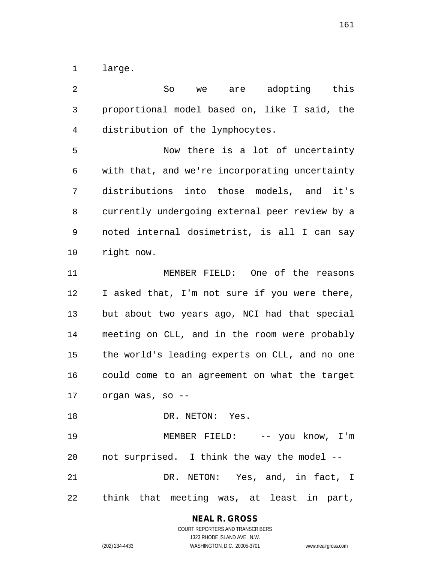large.

| 2              | are adopting this<br>So<br>we                  |
|----------------|------------------------------------------------|
| 3              | proportional model based on, like I said, the  |
| $\overline{4}$ | distribution of the lymphocytes.               |
| 5              | Now there is a lot of uncertainty              |
| 6              | with that, and we're incorporating uncertainty |
| 7              | distributions into those models, and it's      |
| 8              | currently undergoing external peer review by a |
| 9              | noted internal dosimetrist, is all I can say   |
| 10             | right now.                                     |
| 11             | MEMBER FIELD: One of the reasons               |
| 12             | I asked that, I'm not sure if you were there,  |
| 13             | but about two years ago, NCI had that special  |
| 14             | meeting on CLL, and in the room were probably  |
| 15             | the world's leading experts on CLL, and no one |
| 16             | could come to an agreement on what the target  |
| 17             | organ was, so --                               |
| 18             | DR. NETON: Yes.                                |
| 19             | MEMBER FIELD: -- you know, I'm                 |
| 20             | not surprised. I think the way the model --    |
| 21             | DR. NETON: Yes, and, in fact, I                |
| 22             | think that meeting was, at least in part,      |
|                |                                                |

**NEAL R. GROSS**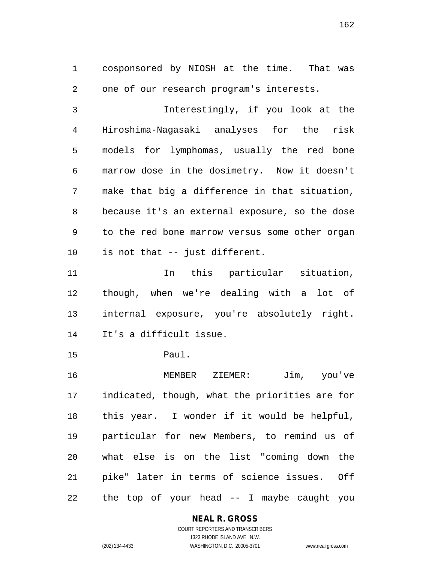cosponsored by NIOSH at the time. That was one of our research program's interests.

 Interestingly, if you look at the Hiroshima-Nagasaki analyses for the risk models for lymphomas, usually the red bone marrow dose in the dosimetry. Now it doesn't make that big a difference in that situation, because it's an external exposure, so the dose to the red bone marrow versus some other organ is not that -- just different.

 In this particular situation, though, when we're dealing with a lot of internal exposure, you're absolutely right. It's a difficult issue.

Paul.

 MEMBER ZIEMER: Jim, you've indicated, though, what the priorities are for this year. I wonder if it would be helpful, particular for new Members, to remind us of what else is on the list "coming down the pike" later in terms of science issues. Off the top of your head -- I maybe caught you

#### **NEAL R. GROSS**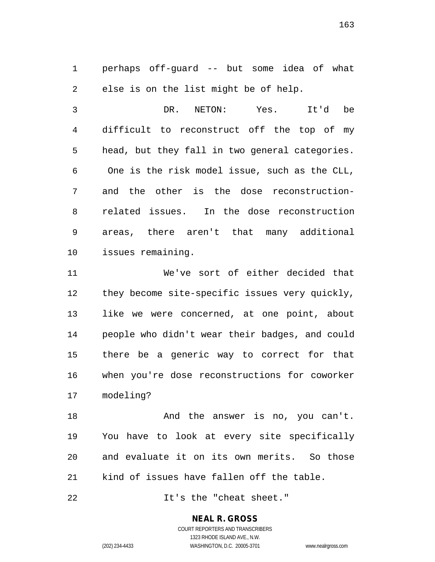perhaps off-guard -- but some idea of what else is on the list might be of help.

 DR. NETON: Yes. It'd be difficult to reconstruct off the top of my head, but they fall in two general categories. One is the risk model issue, such as the CLL, and the other is the dose reconstruction- related issues. In the dose reconstruction areas, there aren't that many additional issues remaining.

 We've sort of either decided that they become site-specific issues very quickly, like we were concerned, at one point, about people who didn't wear their badges, and could there be a generic way to correct for that when you're dose reconstructions for coworker modeling?

18 And the answer is no, you can't. You have to look at every site specifically and evaluate it on its own merits. So those kind of issues have fallen off the table.

It's the "cheat sheet."

## **NEAL R. GROSS**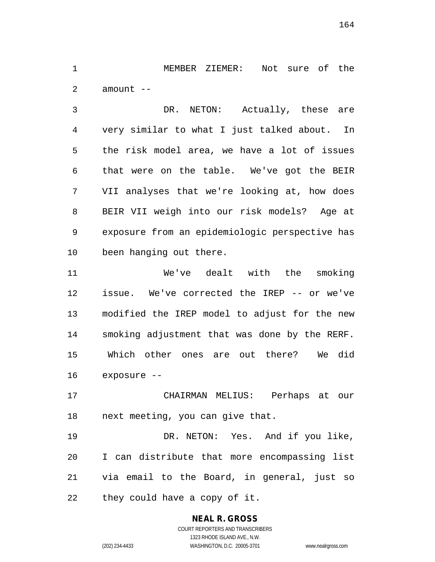MEMBER ZIEMER: Not sure of the amount --

 DR. NETON: Actually, these are very similar to what I just talked about. In the risk model area, we have a lot of issues that were on the table. We've got the BEIR VII analyses that we're looking at, how does BEIR VII weigh into our risk models? Age at exposure from an epidemiologic perspective has been hanging out there.

 We've dealt with the smoking issue. We've corrected the IREP -- or we've modified the IREP model to adjust for the new smoking adjustment that was done by the RERF. Which other ones are out there? We did exposure --

 CHAIRMAN MELIUS: Perhaps at our next meeting, you can give that.

 DR. NETON: Yes. And if you like, I can distribute that more encompassing list via email to the Board, in general, just so they could have a copy of it.

#### **NEAL R. GROSS** COURT REPORTERS AND TRANSCRIBERS 1323 RHODE ISLAND AVE., N.W.

(202) 234-4433 WASHINGTON, D.C. 20005-3701 www.nealrgross.com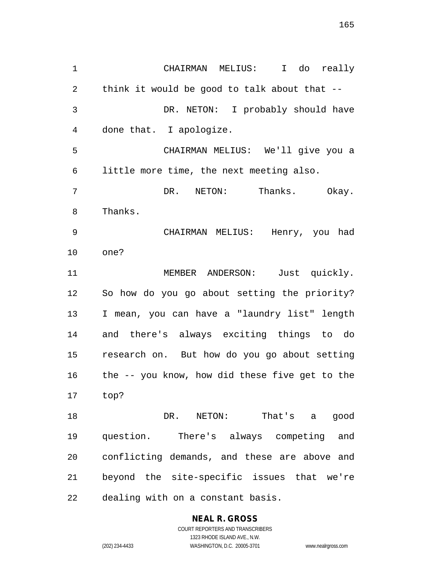CHAIRMAN MELIUS: I do really think it would be good to talk about that -- DR. NETON: I probably should have done that. I apologize. CHAIRMAN MELIUS: We'll give you a little more time, the next meeting also. DR. NETON: Thanks. Okay. Thanks. CHAIRMAN MELIUS: Henry, you had one? MEMBER ANDERSON: Just quickly. So how do you go about setting the priority? I mean, you can have a "laundry list" length and there's always exciting things to do research on. But how do you go about setting the -- you know, how did these five get to the top? DR. NETON: That's a good question. There's always competing and conflicting demands, and these are above and beyond the site-specific issues that we're dealing with on a constant basis.

> **NEAL R. GROSS** COURT REPORTERS AND TRANSCRIBERS 1323 RHODE ISLAND AVE., N.W.

(202) 234-4433 WASHINGTON, D.C. 20005-3701 www.nealrgross.com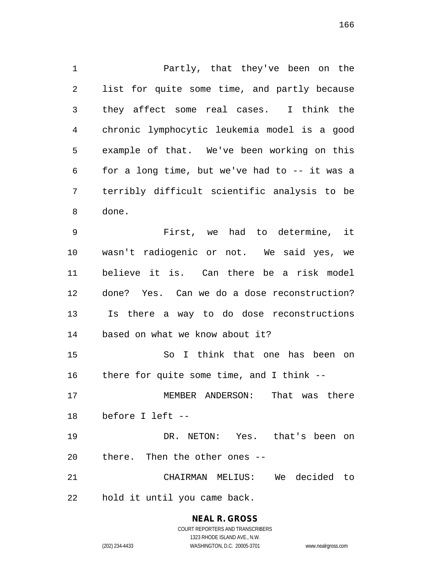Partly, that they've been on the list for quite some time, and partly because they affect some real cases. I think the chronic lymphocytic leukemia model is a good example of that. We've been working on this for a long time, but we've had to -- it was a terribly difficult scientific analysis to be done. First, we had to determine, it wasn't radiogenic or not. We said yes, we believe it is. Can there be a risk model done? Yes. Can we do a dose reconstruction? Is there a way to do dose reconstructions based on what we know about it? So I think that one has been on

there for quite some time, and I think --

 MEMBER ANDERSON: That was there before I left --

 DR. NETON: Yes. that's been on there. Then the other ones --

 CHAIRMAN MELIUS: We decided to hold it until you came back.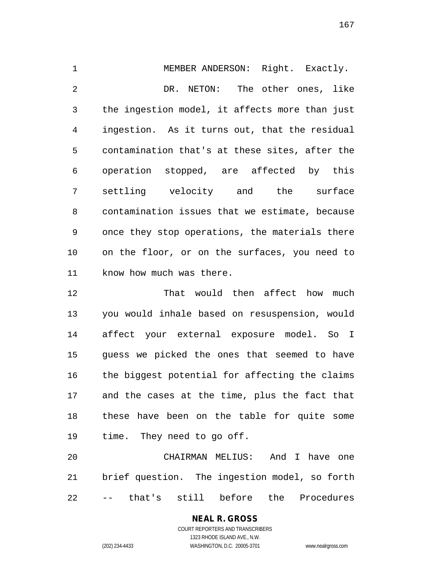MEMBER ANDERSON: Right. Exactly. DR. NETON: The other ones, like the ingestion model, it affects more than just ingestion. As it turns out, that the residual contamination that's at these sites, after the operation stopped, are affected by this settling velocity and the surface contamination issues that we estimate, because once they stop operations, the materials there on the floor, or on the surfaces, you need to know how much was there.

 That would then affect how much you would inhale based on resuspension, would affect your external exposure model. So I guess we picked the ones that seemed to have the biggest potential for affecting the claims and the cases at the time, plus the fact that these have been on the table for quite some time. They need to go off.

 CHAIRMAN MELIUS: And I have one brief question. The ingestion model, so forth -- that's still before the Procedures

> **NEAL R. GROSS** COURT REPORTERS AND TRANSCRIBERS 1323 RHODE ISLAND AVE., N.W.

(202) 234-4433 WASHINGTON, D.C. 20005-3701 www.nealrgross.com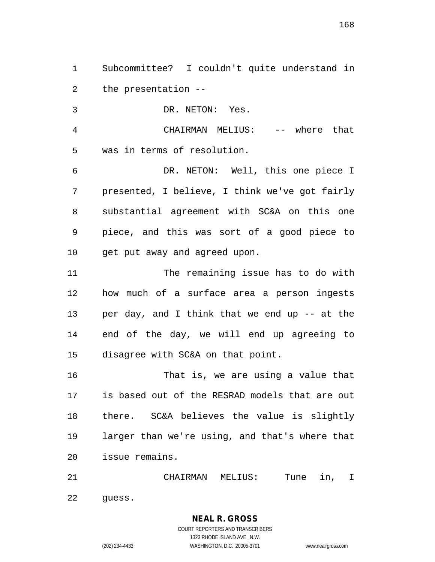Subcommittee? I couldn't quite understand in the presentation --

DR. NETON: Yes.

 CHAIRMAN MELIUS: -- where that was in terms of resolution.

 DR. NETON: Well, this one piece I presented, I believe, I think we've got fairly substantial agreement with SC&A on this one piece, and this was sort of a good piece to get put away and agreed upon.

 The remaining issue has to do with how much of a surface area a person ingests per day, and I think that we end up -- at the end of the day, we will end up agreeing to disagree with SC&A on that point.

 That is, we are using a value that is based out of the RESRAD models that are out there. SC&A believes the value is slightly larger than we're using, and that's where that issue remains.

 CHAIRMAN MELIUS: Tune in, I guess.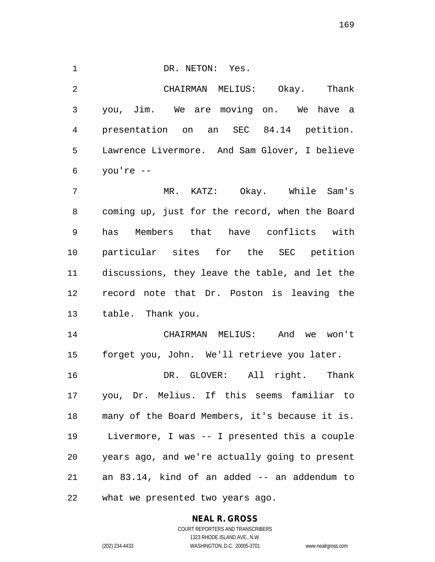1 DR. NETON: Yes.

 CHAIRMAN MELIUS: Okay. Thank you, Jim. We are moving on. We have a presentation on an SEC 84.14 petition. Lawrence Livermore. And Sam Glover, I believe you're --

 MR. KATZ: Okay. While Sam's coming up, just for the record, when the Board has Members that have conflicts with particular sites for the SEC petition discussions, they leave the table, and let the record note that Dr. Poston is leaving the table. Thank you.

 CHAIRMAN MELIUS: And we won't forget you, John. We'll retrieve you later.

 DR. GLOVER: All right. Thank you, Dr. Melius. If this seems familiar to many of the Board Members, it's because it is. Livermore, I was -- I presented this a couple years ago, and we're actually going to present an 83.14, kind of an added -- an addendum to what we presented two years ago.

#### **NEAL R. GROSS**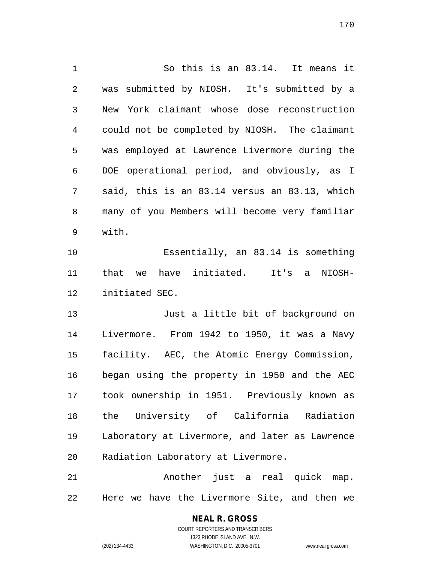So this is an 83.14. It means it was submitted by NIOSH. It's submitted by a New York claimant whose dose reconstruction could not be completed by NIOSH. The claimant was employed at Lawrence Livermore during the DOE operational period, and obviously, as I said, this is an 83.14 versus an 83.13, which many of you Members will become very familiar with. Essentially, an 83.14 is something that we have initiated. It's a NIOSH- initiated SEC. Just a little bit of background on Livermore. From 1942 to 1950, it was a Navy facility. AEC, the Atomic Energy Commission, began using the property in 1950 and the AEC took ownership in 1951. Previously known as the University of California Radiation Laboratory at Livermore, and later as Lawrence Radiation Laboratory at Livermore.

 Another just a real quick map. Here we have the Livermore Site, and then we

# **NEAL R. GROSS**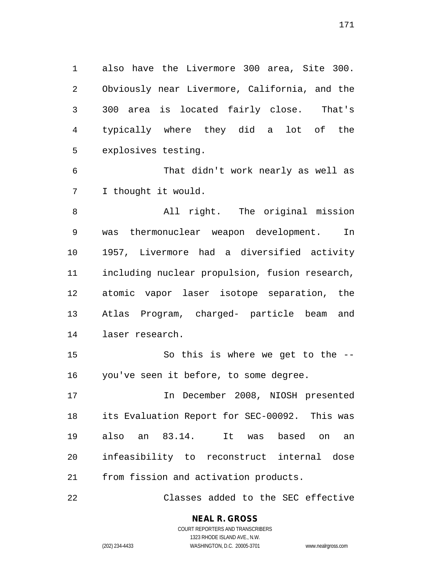also have the Livermore 300 area, Site 300. Obviously near Livermore, California, and the 300 area is located fairly close. That's typically where they did a lot of the explosives testing.

 That didn't work nearly as well as I thought it would.

 All right. The original mission was thermonuclear weapon development. In 1957, Livermore had a diversified activity including nuclear propulsion, fusion research, atomic vapor laser isotope separation, the Atlas Program, charged- particle beam and laser research.

 So this is where we get to the -- you've seen it before, to some degree.

 In December 2008, NIOSH presented its Evaluation Report for SEC-00092. This was also an 83.14. It was based on an infeasibility to reconstruct internal dose from fission and activation products.

Classes added to the SEC effective

**NEAL R. GROSS**

COURT REPORTERS AND TRANSCRIBERS 1323 RHODE ISLAND AVE., N.W. (202) 234-4433 WASHINGTON, D.C. 20005-3701 www.nealrgross.com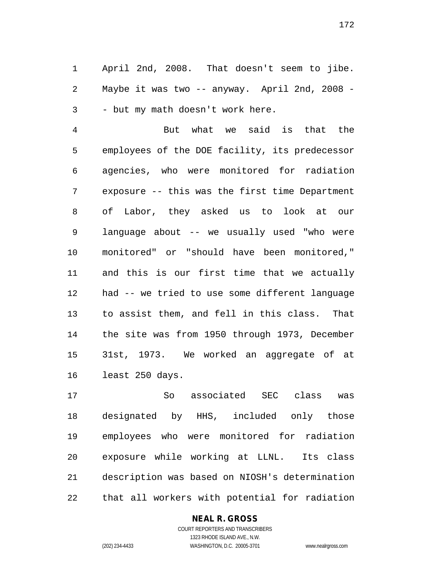April 2nd, 2008. That doesn't seem to jibe. Maybe it was two -- anyway. April 2nd, 2008 - - but my math doesn't work here.

 But what we said is that the employees of the DOE facility, its predecessor agencies, who were monitored for radiation exposure -- this was the first time Department of Labor, they asked us to look at our language about -- we usually used "who were monitored" or "should have been monitored," and this is our first time that we actually had -- we tried to use some different language to assist them, and fell in this class. That the site was from 1950 through 1973, December 31st, 1973. We worked an aggregate of at least 250 days.

 So associated SEC class was designated by HHS, included only those employees who were monitored for radiation exposure while working at LLNL. Its class description was based on NIOSH's determination that all workers with potential for radiation

#### **NEAL R. GROSS**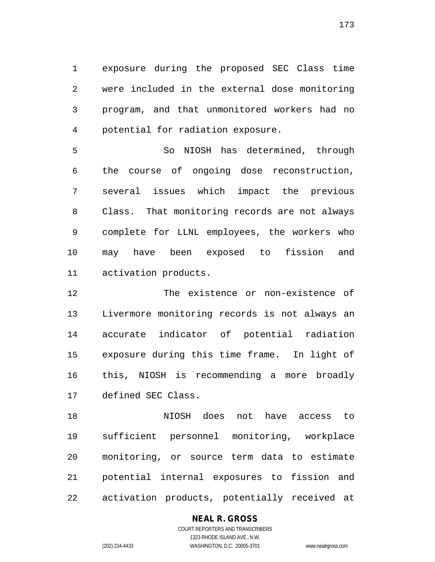exposure during the proposed SEC Class time were included in the external dose monitoring program, and that unmonitored workers had no potential for radiation exposure.

 So NIOSH has determined, through the course of ongoing dose reconstruction, several issues which impact the previous Class. That monitoring records are not always complete for LLNL employees, the workers who may have been exposed to fission and activation products.

 The existence or non-existence of Livermore monitoring records is not always an accurate indicator of potential radiation exposure during this time frame. In light of this, NIOSH is recommending a more broadly defined SEC Class.

 NIOSH does not have access to sufficient personnel monitoring, workplace monitoring, or source term data to estimate potential internal exposures to fission and activation products, potentially received at

#### **NEAL R. GROSS**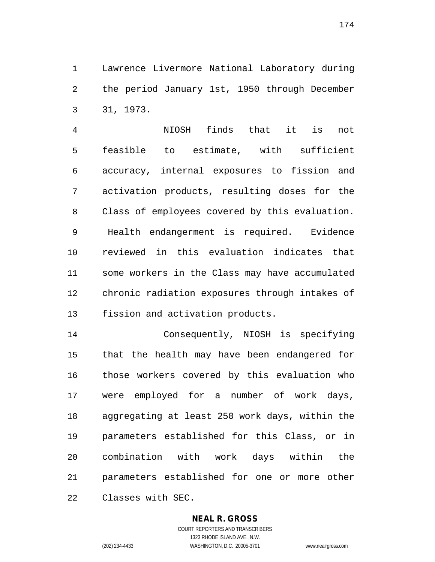Lawrence Livermore National Laboratory during the period January 1st, 1950 through December 31, 1973.

 NIOSH finds that it is not feasible to estimate, with sufficient accuracy, internal exposures to fission and activation products, resulting doses for the Class of employees covered by this evaluation. Health endangerment is required. Evidence reviewed in this evaluation indicates that some workers in the Class may have accumulated chronic radiation exposures through intakes of fission and activation products.

 Consequently, NIOSH is specifying that the health may have been endangered for those workers covered by this evaluation who were employed for a number of work days, aggregating at least 250 work days, within the parameters established for this Class, or in combination with work days within the parameters established for one or more other Classes with SEC.

#### **NEAL R. GROSS**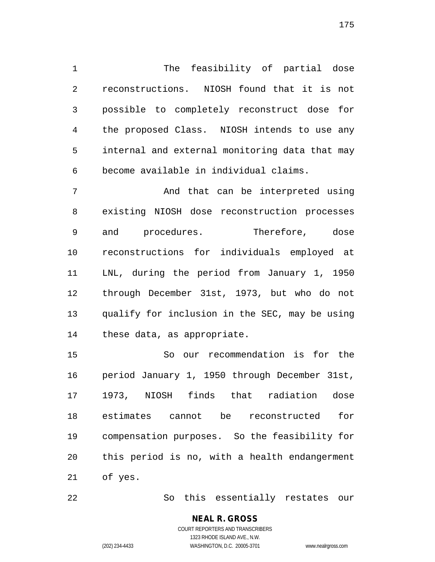The feasibility of partial dose reconstructions. NIOSH found that it is not possible to completely reconstruct dose for the proposed Class. NIOSH intends to use any internal and external monitoring data that may become available in individual claims.

 And that can be interpreted using existing NIOSH dose reconstruction processes and procedures. Therefore, dose reconstructions for individuals employed at LNL, during the period from January 1, 1950 through December 31st, 1973, but who do not qualify for inclusion in the SEC, may be using these data, as appropriate.

 So our recommendation is for the period January 1, 1950 through December 31st, 1973, NIOSH finds that radiation dose estimates cannot be reconstructed for compensation purposes. So the feasibility for this period is no, with a health endangerment of yes.

So this essentially restates our

## **NEAL R. GROSS**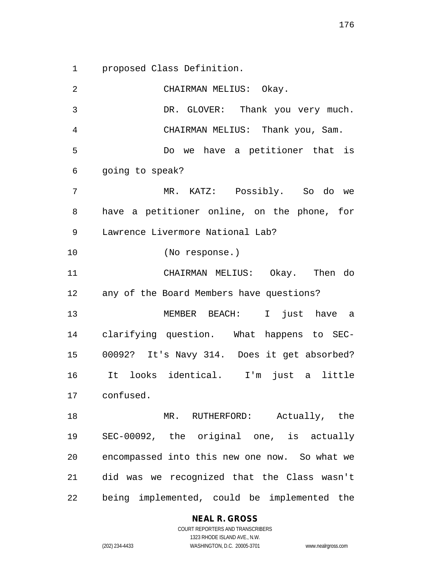proposed Class Definition.

 CHAIRMAN MELIUS: Okay. DR. GLOVER: Thank you very much. CHAIRMAN MELIUS: Thank you, Sam. Do we have a petitioner that is going to speak? MR. KATZ: Possibly. So do we have a petitioner online, on the phone, for Lawrence Livermore National Lab? (No response.) CHAIRMAN MELIUS: Okay. Then do any of the Board Members have questions? MEMBER BEACH: I just have a clarifying question. What happens to SEC- 00092? It's Navy 314. Does it get absorbed? It looks identical. I'm just a little confused. MR. RUTHERFORD: Actually, the SEC-00092, the original one, is actually encompassed into this new one now. So what we did was we recognized that the Class wasn't being implemented, could be implemented the

#### **NEAL R. GROSS**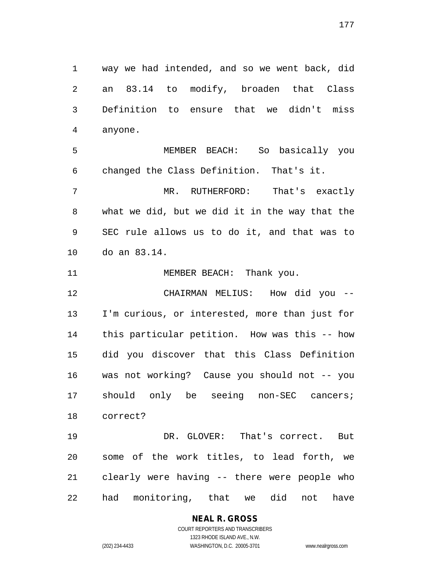way we had intended, and so we went back, did an 83.14 to modify, broaden that Class Definition to ensure that we didn't miss anyone.

 MEMBER BEACH: So basically you changed the Class Definition. That's it.

 MR. RUTHERFORD: That's exactly what we did, but we did it in the way that the SEC rule allows us to do it, and that was to do an 83.14.

11 MEMBER BEACH: Thank you.

 CHAIRMAN MELIUS: How did you -- I'm curious, or interested, more than just for this particular petition. How was this -- how did you discover that this Class Definition was not working? Cause you should not -- you should only be seeing non-SEC cancers; correct?

 DR. GLOVER: That's correct. But some of the work titles, to lead forth, we clearly were having -- there were people who had monitoring, that we did not have

> **NEAL R. GROSS** COURT REPORTERS AND TRANSCRIBERS

1323 RHODE ISLAND AVE., N.W. (202) 234-4433 WASHINGTON, D.C. 20005-3701 www.nealrgross.com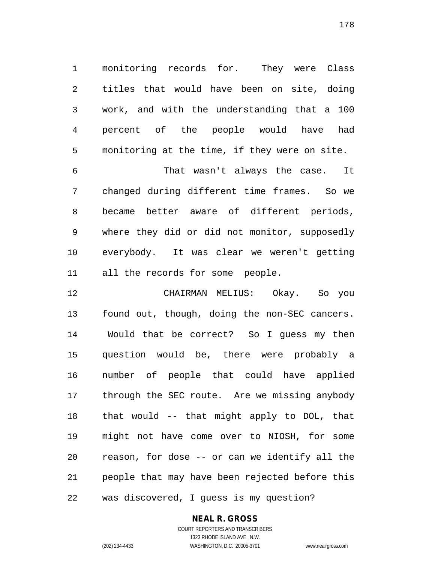monitoring records for. They were Class titles that would have been on site, doing work, and with the understanding that a 100 percent of the people would have had monitoring at the time, if they were on site.

 That wasn't always the case. It changed during different time frames. So we became better aware of different periods, where they did or did not monitor, supposedly everybody. It was clear we weren't getting all the records for some people.

 CHAIRMAN MELIUS: Okay. So you found out, though, doing the non-SEC cancers. Would that be correct? So I guess my then question would be, there were probably a number of people that could have applied through the SEC route. Are we missing anybody that would -- that might apply to DOL, that might not have come over to NIOSH, for some reason, for dose -- or can we identify all the people that may have been rejected before this was discovered, I guess is my question?

## **NEAL R. GROSS**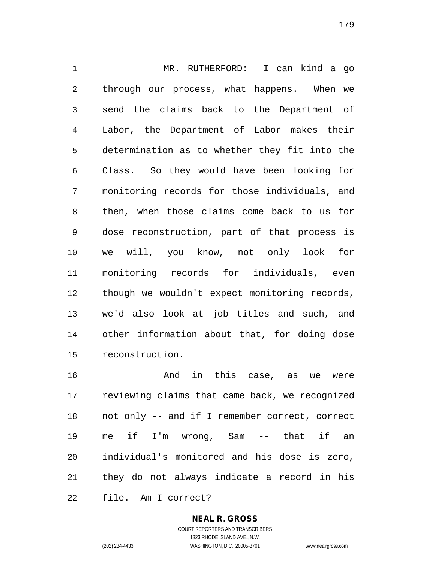MR. RUTHERFORD: I can kind a go through our process, what happens. When we send the claims back to the Department of Labor, the Department of Labor makes their determination as to whether they fit into the Class. So they would have been looking for monitoring records for those individuals, and then, when those claims come back to us for dose reconstruction, part of that process is we will, you know, not only look for monitoring records for individuals, even though we wouldn't expect monitoring records, we'd also look at job titles and such, and other information about that, for doing dose reconstruction.

 And in this case, as we were reviewing claims that came back, we recognized not only -- and if I remember correct, correct me if I'm wrong, Sam -- that if an individual's monitored and his dose is zero, they do not always indicate a record in his file. Am I correct?

> **NEAL R. GROSS** COURT REPORTERS AND TRANSCRIBERS

> > 1323 RHODE ISLAND AVE., N.W.

(202) 234-4433 WASHINGTON, D.C. 20005-3701 www.nealrgross.com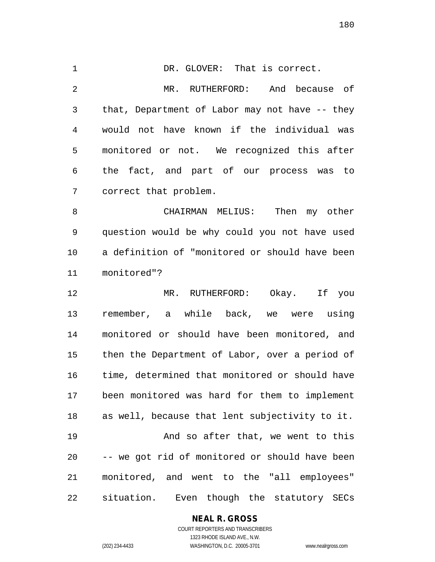1 DR. GLOVER: That is correct. MR. RUTHERFORD: And because of that, Department of Labor may not have -- they would not have known if the individual was monitored or not. We recognized this after the fact, and part of our process was to correct that problem.

 CHAIRMAN MELIUS: Then my other question would be why could you not have used a definition of "monitored or should have been monitored"?

 MR. RUTHERFORD: Okay. If you remember, a while back, we were using monitored or should have been monitored, and then the Department of Labor, over a period of time, determined that monitored or should have been monitored was hard for them to implement as well, because that lent subjectivity to it. And so after that, we went to this -- we got rid of monitored or should have been monitored, and went to the "all employees" situation. Even though the statutory SECs

## **NEAL R. GROSS**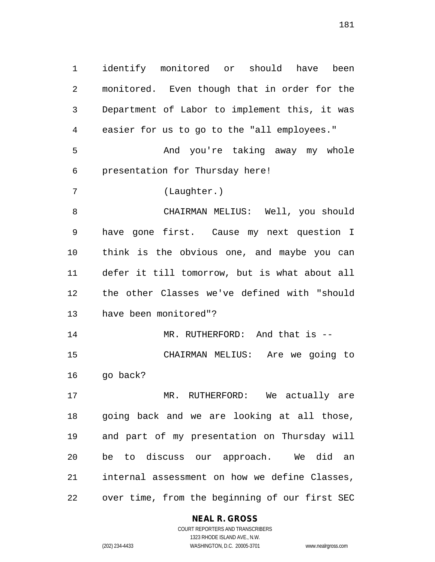identify monitored or should have been monitored. Even though that in order for the Department of Labor to implement this, it was easier for us to go to the "all employees."

 And you're taking away my whole presentation for Thursday here!

(Laughter.)

 CHAIRMAN MELIUS: Well, you should have gone first. Cause my next question I think is the obvious one, and maybe you can defer it till tomorrow, but is what about all the other Classes we've defined with "should have been monitored"?

14 MR. RUTHERFORD: And that is -- CHAIRMAN MELIUS: Are we going to 16 qo back?

 MR. RUTHERFORD: We actually are going back and we are looking at all those, and part of my presentation on Thursday will be to discuss our approach. We did an internal assessment on how we define Classes, over time, from the beginning of our first SEC

### **NEAL R. GROSS**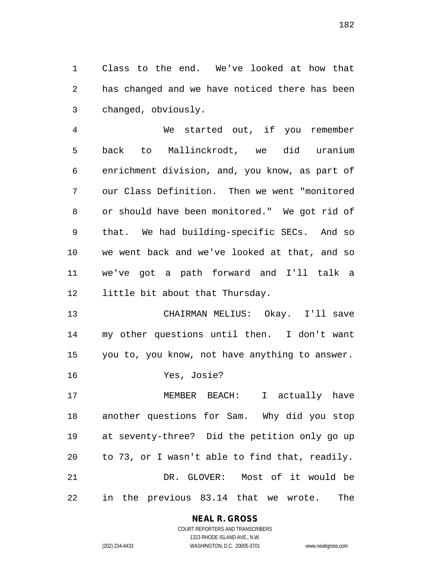Class to the end. We've looked at how that has changed and we have noticed there has been changed, obviously.

 We started out, if you remember back to Mallinckrodt, we did uranium enrichment division, and, you know, as part of our Class Definition. Then we went "monitored or should have been monitored." We got rid of that. We had building-specific SECs. And so we went back and we've looked at that, and so we've got a path forward and I'll talk a little bit about that Thursday.

 CHAIRMAN MELIUS: Okay. I'll save my other questions until then. I don't want you to, you know, not have anything to answer.

Yes, Josie?

 MEMBER BEACH: I actually have another questions for Sam. Why did you stop at seventy-three? Did the petition only go up to 73, or I wasn't able to find that, readily. DR. GLOVER: Most of it would be in the previous 83.14 that we wrote. The

> **NEAL R. GROSS** COURT REPORTERS AND TRANSCRIBERS

1323 RHODE ISLAND AVE., N.W. (202) 234-4433 WASHINGTON, D.C. 20005-3701 www.nealrgross.com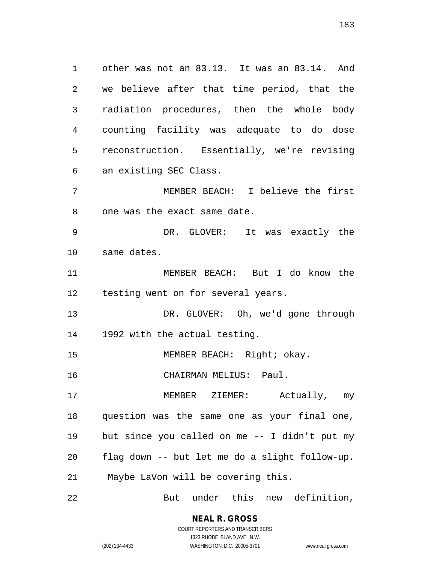other was not an 83.13. It was an 83.14. And we believe after that time period, that the radiation procedures, then the whole body counting facility was adequate to do dose reconstruction. Essentially, we're revising an existing SEC Class.

 MEMBER BEACH: I believe the first one was the exact same date.

 DR. GLOVER: It was exactly the same dates.

 MEMBER BEACH: But I do know the testing went on for several years.

 DR. GLOVER: Oh, we'd gone through 1992 with the actual testing.

15 MEMBER BEACH: Right; okay.

CHAIRMAN MELIUS: Paul.

 MEMBER ZIEMER: Actually, my question was the same one as your final one, but since you called on me -- I didn't put my flag down -- but let me do a slight follow-up. Maybe LaVon will be covering this.

But under this new definition,

**NEAL R. GROSS** COURT REPORTERS AND TRANSCRIBERS

1323 RHODE ISLAND AVE., N.W.

(202) 234-4433 WASHINGTON, D.C. 20005-3701 www.nealrgross.com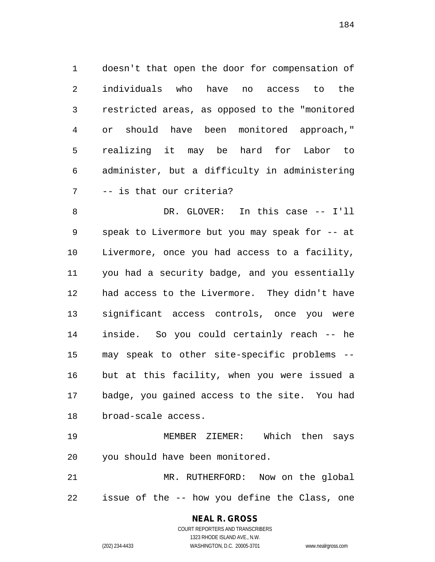doesn't that open the door for compensation of individuals who have no access to the restricted areas, as opposed to the "monitored or should have been monitored approach," realizing it may be hard for Labor to administer, but a difficulty in administering -- is that our criteria?

 DR. GLOVER: In this case -- I'll speak to Livermore but you may speak for -- at Livermore, once you had access to a facility, you had a security badge, and you essentially had access to the Livermore. They didn't have significant access controls, once you were inside. So you could certainly reach -- he may speak to other site-specific problems -- but at this facility, when you were issued a badge, you gained access to the site. You had broad-scale access.

 MEMBER ZIEMER: Which then says you should have been monitored.

 MR. RUTHERFORD: Now on the global issue of the -- how you define the Class, one

# **NEAL R. GROSS**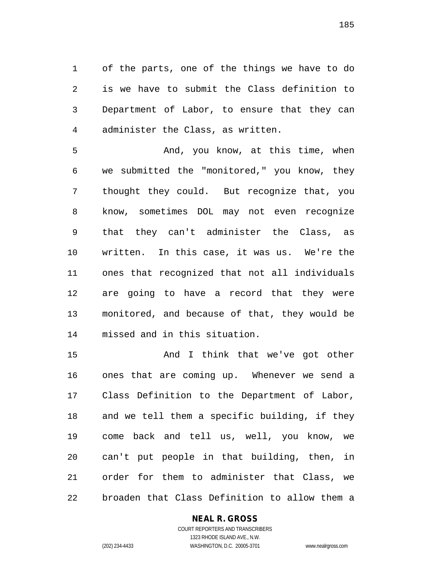of the parts, one of the things we have to do is we have to submit the Class definition to Department of Labor, to ensure that they can administer the Class, as written.

5 And, you know, at this time, when we submitted the "monitored," you know, they thought they could. But recognize that, you know, sometimes DOL may not even recognize that they can't administer the Class, as written. In this case, it was us. We're the ones that recognized that not all individuals are going to have a record that they were monitored, and because of that, they would be missed and in this situation.

 And I think that we've got other ones that are coming up. Whenever we send a Class Definition to the Department of Labor, and we tell them a specific building, if they come back and tell us, well, you know, we can't put people in that building, then, in order for them to administer that Class, we broaden that Class Definition to allow them a

### **NEAL R. GROSS**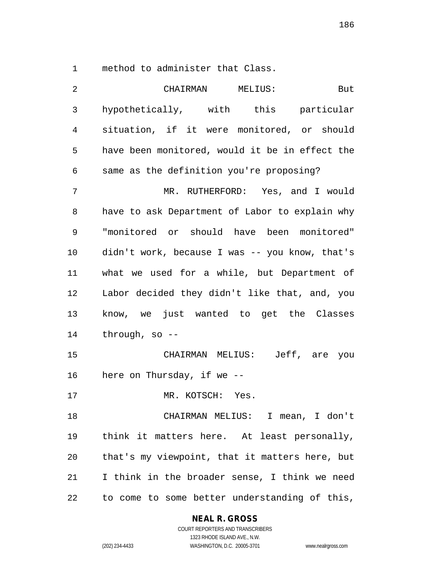method to administer that Class.

| 2  | CHAIRMAN<br>MELIUS:<br>But                     |
|----|------------------------------------------------|
| 3  | hypothetically, with this particular           |
| 4  | situation, if it were monitored, or should     |
| 5  | have been monitored, would it be in effect the |
| 6  | same as the definition you're proposing?       |
| 7  | MR. RUTHERFORD: Yes, and I would               |
| 8  | have to ask Department of Labor to explain why |
| 9  | "monitored or should have been monitored"      |
| 10 | didn't work, because I was -- you know, that's |
| 11 | what we used for a while, but Department of    |
| 12 | Labor decided they didn't like that, and, you  |
| 13 | know, we just wanted to get the Classes        |
| 14 | through, so $-$ -                              |
| 15 | CHAIRMAN MELIUS: Jeff, are you                 |
| 16 | here on Thursday, if we --                     |
| 17 | MR. KOTSCH: Yes.                               |
| 18 | CHAIRMAN MELIUS: I mean, I don't               |
| 19 | think it matters here. At least personally,    |
| 20 | that's my viewpoint, that it matters here, but |
| 21 | I think in the broader sense, I think we need  |
| 22 | to come to some better understanding of this,  |

**NEAL R. GROSS**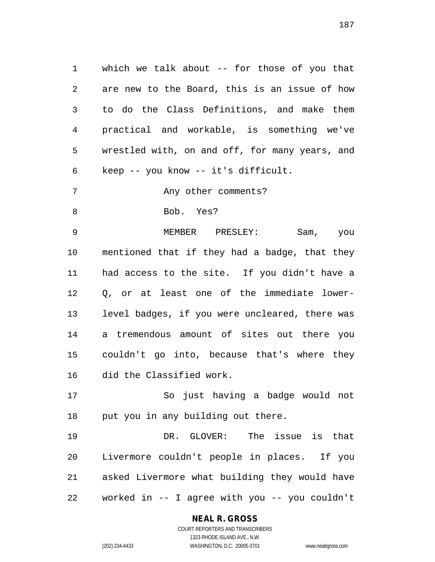which we talk about -- for those of you that are new to the Board, this is an issue of how to do the Class Definitions, and make them practical and workable, is something we've wrestled with, on and off, for many years, and keep -- you know -- it's difficult.

7 Any other comments?

8 Bob. Yes?

 MEMBER PRESLEY: Sam, you mentioned that if they had a badge, that they had access to the site. If you didn't have a Q, or at least one of the immediate lower- level badges, if you were uncleared, there was a tremendous amount of sites out there you couldn't go into, because that's where they did the Classified work.

 So just having a badge would not 18 put you in any building out there.

 DR. GLOVER: The issue is that Livermore couldn't people in places. If you asked Livermore what building they would have worked in -- I agree with you -- you couldn't

### **NEAL R. GROSS**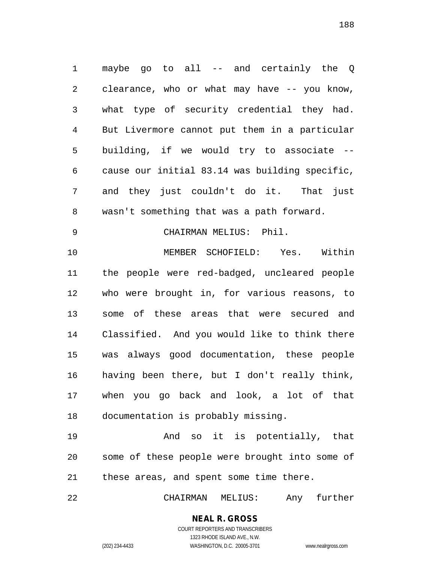maybe go to all -- and certainly the Q clearance, who or what may have -- you know, what type of security credential they had. But Livermore cannot put them in a particular building, if we would try to associate -- cause our initial 83.14 was building specific, and they just couldn't do it. That just wasn't something that was a path forward.

CHAIRMAN MELIUS: Phil.

 MEMBER SCHOFIELD: Yes. Within the people were red-badged, uncleared people who were brought in, for various reasons, to some of these areas that were secured and Classified. And you would like to think there was always good documentation, these people having been there, but I don't really think, when you go back and look, a lot of that documentation is probably missing.

 And so it is potentially, that some of these people were brought into some of these areas, and spent some time there.

CHAIRMAN MELIUS: Any further

**NEAL R. GROSS** COURT REPORTERS AND TRANSCRIBERS

1323 RHODE ISLAND AVE., N.W.

(202) 234-4433 WASHINGTON, D.C. 20005-3701 www.nealrgross.com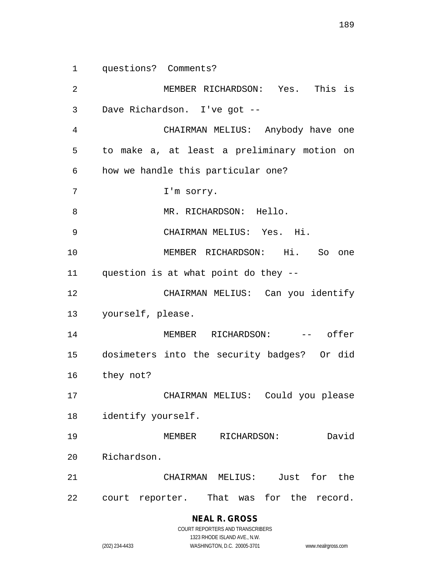questions? Comments?

 MEMBER RICHARDSON: Yes. This is Dave Richardson. I've got -- CHAIRMAN MELIUS: Anybody have one to make a, at least a preliminary motion on how we handle this particular one? I'm sorry. 8 MR. RICHARDSON: Hello. CHAIRMAN MELIUS: Yes. Hi. MEMBER RICHARDSON: Hi. So one question is at what point do they -- CHAIRMAN MELIUS: Can you identify yourself, please. 14 MEMBER RICHARDSON: -- offer dosimeters into the security badges? Or did they not? CHAIRMAN MELIUS: Could you please identify yourself. MEMBER RICHARDSON: David Richardson. CHAIRMAN MELIUS: Just for the court reporter. That was for the record.

# **NEAL R. GROSS**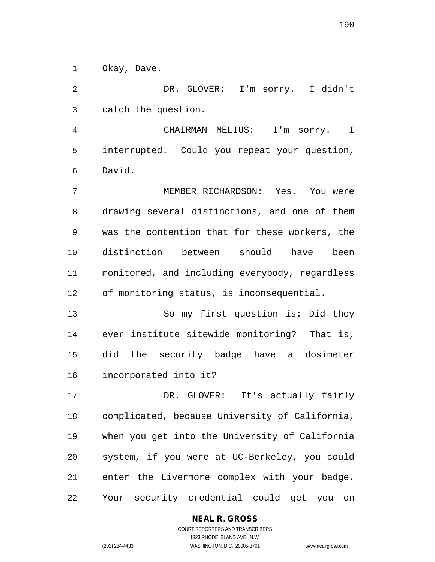Okay, Dave.

 DR. GLOVER: I'm sorry. I didn't catch the question.

 CHAIRMAN MELIUS: I'm sorry. I interrupted. Could you repeat your question, David.

 MEMBER RICHARDSON: Yes. You were drawing several distinctions, and one of them was the contention that for these workers, the distinction between should have been monitored, and including everybody, regardless of monitoring status, is inconsequential.

 So my first question is: Did they ever institute sitewide monitoring? That is, did the security badge have a dosimeter incorporated into it?

 DR. GLOVER: It's actually fairly complicated, because University of California, when you get into the University of California system, if you were at UC-Berkeley, you could enter the Livermore complex with your badge. Your security credential could get you on

## **NEAL R. GROSS**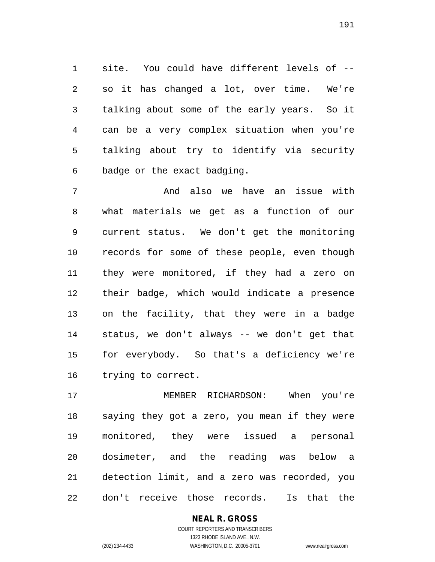site. You could have different levels of -- so it has changed a lot, over time. We're talking about some of the early years. So it can be a very complex situation when you're talking about try to identify via security badge or the exact badging.

 And also we have an issue with what materials we get as a function of our current status. We don't get the monitoring records for some of these people, even though they were monitored, if they had a zero on their badge, which would indicate a presence on the facility, that they were in a badge status, we don't always -- we don't get that for everybody. So that's a deficiency we're trying to correct.

 MEMBER RICHARDSON: When you're saying they got a zero, you mean if they were monitored, they were issued a personal dosimeter, and the reading was below a detection limit, and a zero was recorded, you don't receive those records. Is that the

## **NEAL R. GROSS**

COURT REPORTERS AND TRANSCRIBERS 1323 RHODE ISLAND AVE., N.W. (202) 234-4433 WASHINGTON, D.C. 20005-3701 www.nealrgross.com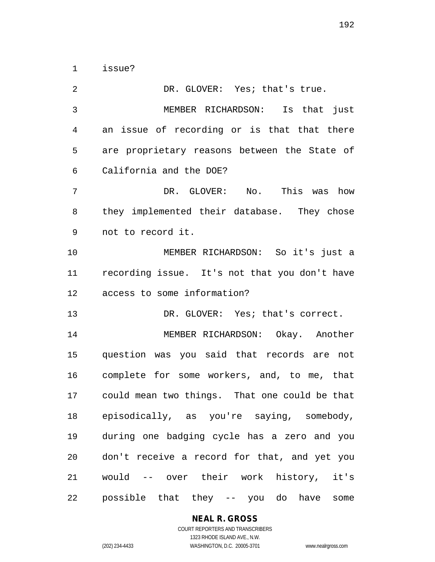issue?

2 DR. GLOVER: Yes; that's true. MEMBER RICHARDSON: Is that just an issue of recording or is that that there are proprietary reasons between the State of California and the DOE? DR. GLOVER: No. This was how they implemented their database. They chose not to record it. MEMBER RICHARDSON: So it's just a recording issue. It's not that you don't have access to some information? 13 DR. GLOVER: Yes; that's correct. MEMBER RICHARDSON: Okay. Another question was you said that records are not complete for some workers, and, to me, that could mean two things. That one could be that episodically, as you're saying, somebody, during one badging cycle has a zero and you don't receive a record for that, and yet you would -- over their work history, it's possible that they -- you do have some

#### **NEAL R. GROSS**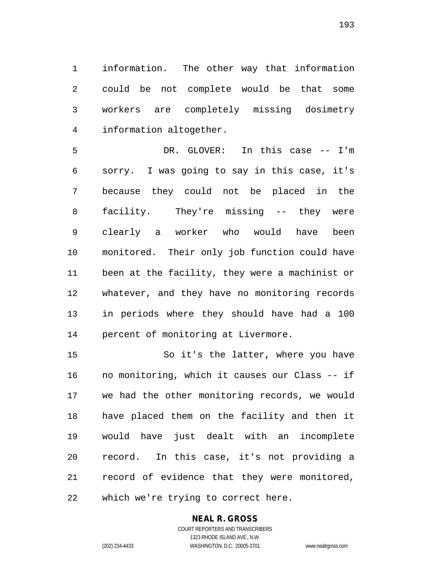information. The other way that information could be not complete would be that some workers are completely missing dosimetry information altogether.

 DR. GLOVER: In this case -- I'm sorry. I was going to say in this case, it's because they could not be placed in the facility. They're missing -- they were clearly a worker who would have been monitored. Their only job function could have been at the facility, they were a machinist or whatever, and they have no monitoring records in periods where they should have had a 100 percent of monitoring at Livermore.

 So it's the latter, where you have no monitoring, which it causes our Class -- if we had the other monitoring records, we would have placed them on the facility and then it would have just dealt with an incomplete record. In this case, it's not providing a record of evidence that they were monitored, which we're trying to correct here.

## **NEAL R. GROSS**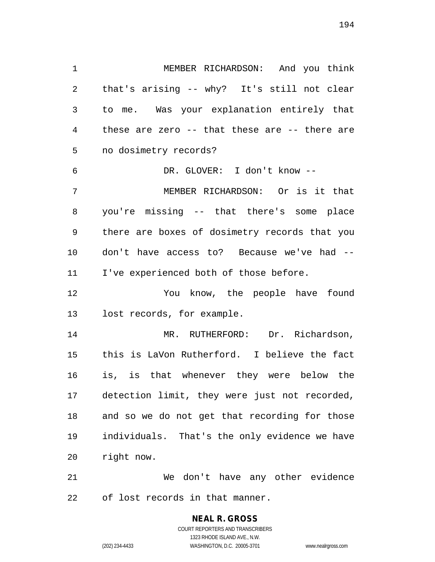MEMBER RICHARDSON: And you think that's arising -- why? It's still not clear to me. Was your explanation entirely that these are zero -- that these are -- there are no dosimetry records? DR. GLOVER: I don't know -- MEMBER RICHARDSON: Or is it that you're missing -- that there's some place there are boxes of dosimetry records that you don't have access to? Because we've had -- I've experienced both of those before. You know, the people have found lost records, for example. MR. RUTHERFORD: Dr. Richardson, this is LaVon Rutherford. I believe the fact

 is, is that whenever they were below the detection limit, they were just not recorded, and so we do not get that recording for those individuals. That's the only evidence we have right now.

 We don't have any other evidence of lost records in that manner.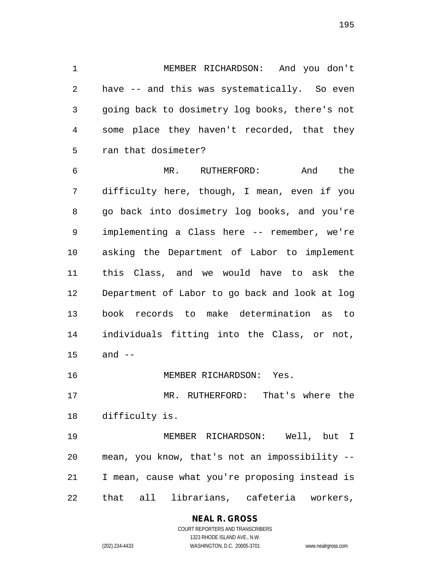MEMBER RICHARDSON: And you don't have -- and this was systematically. So even going back to dosimetry log books, there's not some place they haven't recorded, that they ran that dosimeter?

 MR. RUTHERFORD: And the difficulty here, though, I mean, even if you go back into dosimetry log books, and you're implementing a Class here -- remember, we're asking the Department of Labor to implement this Class, and we would have to ask the Department of Labor to go back and look at log book records to make determination as to individuals fitting into the Class, or not, and --

MEMBER RICHARDSON: Yes.

 MR. RUTHERFORD: That's where the difficulty is.

 MEMBER RICHARDSON: Well, but I mean, you know, that's not an impossibility -- I mean, cause what you're proposing instead is that all librarians, cafeteria workers,

## **NEAL R. GROSS**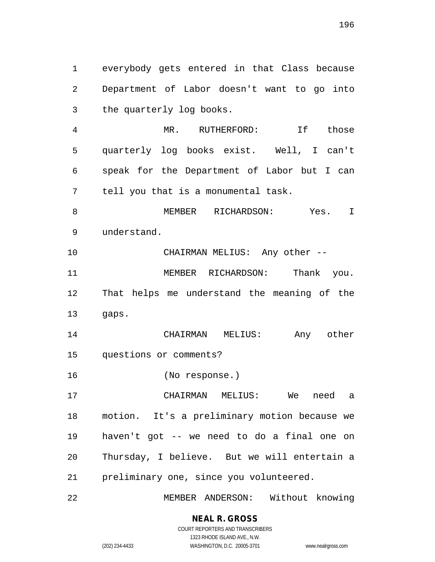everybody gets entered in that Class because Department of Labor doesn't want to go into the quarterly log books. MR. RUTHERFORD: If those quarterly log books exist. Well, I can't speak for the Department of Labor but I can tell you that is a monumental task. 8 MEMBER RICHARDSON: Yes. I understand. CHAIRMAN MELIUS: Any other -- 11 MEMBER RICHARDSON: Thank you. That helps me understand the meaning of the gaps. CHAIRMAN MELIUS: Any other questions or comments? (No response.) CHAIRMAN MELIUS: We need a motion. It's a preliminary motion because we haven't got -- we need to do a final one on Thursday, I believe. But we will entertain a preliminary one, since you volunteered.

MEMBER ANDERSON: Without knowing

### **NEAL R. GROSS**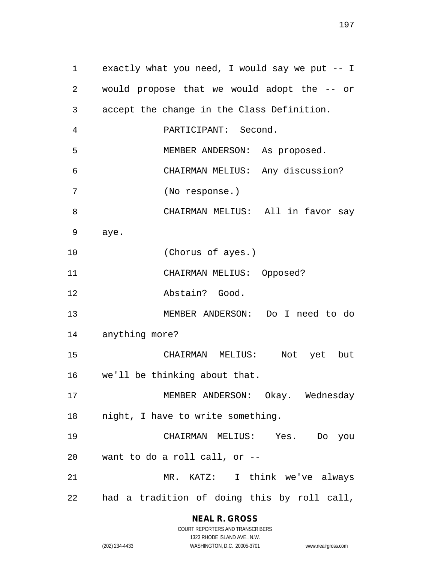exactly what you need, I would say we put -- I would propose that we would adopt the -- or accept the change in the Class Definition. PARTICIPANT: Second. MEMBER ANDERSON: As proposed. CHAIRMAN MELIUS: Any discussion? (No response.) CHAIRMAN MELIUS: All in favor say aye. (Chorus of ayes.) CHAIRMAN MELIUS: Opposed? Abstain? Good. MEMBER ANDERSON: Do I need to do anything more? CHAIRMAN MELIUS: Not yet but we'll be thinking about that. MEMBER ANDERSON: Okay. Wednesday night, I have to write something. CHAIRMAN MELIUS: Yes. Do you want to do a roll call, or -- MR. KATZ: I think we've always had a tradition of doing this by roll call,

#### **NEAL R. GROSS** COURT REPORTERS AND TRANSCRIBERS

1323 RHODE ISLAND AVE., N.W. (202) 234-4433 WASHINGTON, D.C. 20005-3701 www.nealrgross.com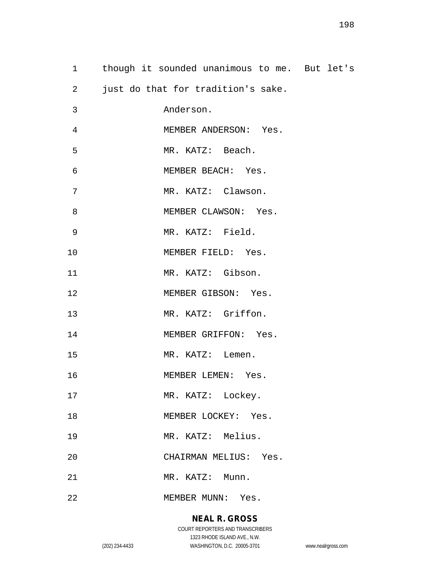|                | 1 though it sounded unanimous to me. But let's |  |
|----------------|------------------------------------------------|--|
| $\overline{2}$ | just do that for tradition's sake.             |  |
| 3              | Anderson.                                      |  |
| $\overline{4}$ | MEMBER ANDERSON: Yes.                          |  |
| 5              | MR. KATZ: Beach.                               |  |
| 6              | MEMBER BEACH: Yes.                             |  |
| 7              | MR. KATZ: Clawson.                             |  |
| 8              | MEMBER CLAWSON: Yes.                           |  |
| 9              | MR. KATZ: Field.                               |  |
| 10             | MEMBER FIELD: Yes.                             |  |
| 11             | MR. KATZ: Gibson.                              |  |
| 12             | MEMBER GIBSON: Yes.                            |  |
| 13             | MR. KATZ: Griffon.                             |  |
| 14             | MEMBER GRIFFON: Yes.                           |  |
| 15             | MR. KATZ: Lemen.                               |  |
| 16             | MEMBER LEMEN: Yes.                             |  |
| 17             | MR. KATZ: Lockey.                              |  |
| 18             | MEMBER LOCKEY: Yes.                            |  |
| 19             | MR. KATZ: Melius.                              |  |
| 20             | CHAIRMAN MELIUS: Yes.                          |  |
| 21             | MR. KATZ: Munn.                                |  |
| 22             | MEMBER MUNN: Yes.                              |  |

**NEAL R. GROSS** COURT REPORTERS AND TRANSCRIBERS

1323 RHODE ISLAND AVE., N.W.

(202) 234-4433 WASHINGTON, D.C. 20005-3701 www.nealrgross.com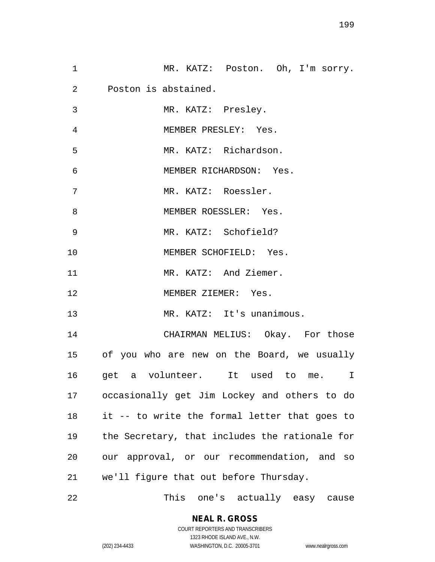| 1  | MR. KATZ: Poston. Oh, I'm sorry.               |
|----|------------------------------------------------|
| 2  | Poston is abstained.                           |
| 3  | MR. KATZ: Presley.                             |
| 4  | MEMBER PRESLEY: Yes.                           |
| 5  | MR. KATZ: Richardson.                          |
| 6  | MEMBER RICHARDSON: Yes.                        |
| 7  | MR. KATZ: Roessler.                            |
| 8  | MEMBER ROESSLER: Yes.                          |
| 9  | MR. KATZ: Schofield?                           |
| 10 | MEMBER SCHOFIELD: Yes.                         |
| 11 | MR. KATZ: And Ziemer.                          |
| 12 | MEMBER ZIEMER: Yes.                            |
| 13 | MR. KATZ: It's unanimous.                      |
| 14 | CHAIRMAN MELIUS: Okay. For those               |
|    | 15 of you who are new on the Board, we usually |
| 16 | get a volunteer. It used to me. I              |
| 17 | occasionally get Jim Lockey and others to do   |
| 18 | it -- to write the formal letter that goes to  |
| 19 | the Secretary, that includes the rationale for |
| 20 | our approval, or our recommendation, and so    |
| 21 | we'll figure that out before Thursday.         |
|    |                                                |

This one's actually easy cause

**NEAL R. GROSS** COURT REPORTERS AND TRANSCRIBERS 1323 RHODE ISLAND AVE., N.W.

(202) 234-4433 WASHINGTON, D.C. 20005-3701 www.nealrgross.com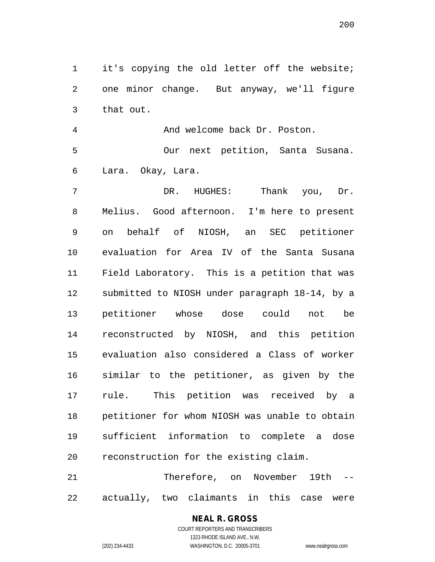it's copying the old letter off the website; one minor change. But anyway, we'll figure that out.

 And welcome back Dr. Poston. Our next petition, Santa Susana. Lara. Okay, Lara.

 DR. HUGHES: Thank you, Dr. Melius. Good afternoon. I'm here to present on behalf of NIOSH, an SEC petitioner evaluation for Area IV of the Santa Susana Field Laboratory. This is a petition that was submitted to NIOSH under paragraph 18-14, by a petitioner whose dose could not be reconstructed by NIOSH, and this petition evaluation also considered a Class of worker similar to the petitioner, as given by the rule. This petition was received by a petitioner for whom NIOSH was unable to obtain sufficient information to complete a dose reconstruction for the existing claim.

 Therefore, on November 19th -- actually, two claimants in this case were

### **NEAL R. GROSS**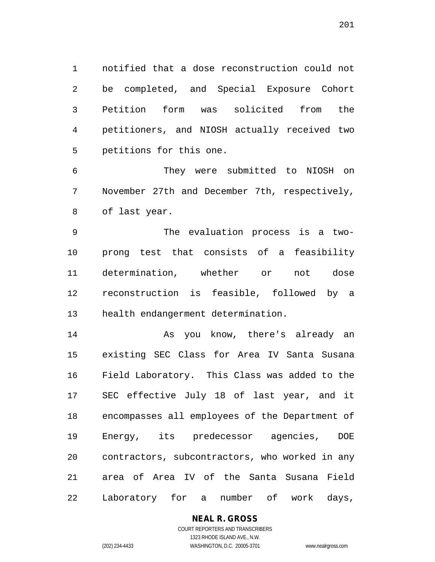notified that a dose reconstruction could not be completed, and Special Exposure Cohort Petition form was solicited from the petitioners, and NIOSH actually received two petitions for this one.

 They were submitted to NIOSH on November 27th and December 7th, respectively, of last year.

 The evaluation process is a two- prong test that consists of a feasibility determination, whether or not dose reconstruction is feasible, followed by a health endangerment determination.

14 As you know, there's already an existing SEC Class for Area IV Santa Susana Field Laboratory. This Class was added to the SEC effective July 18 of last year, and it encompasses all employees of the Department of Energy, its predecessor agencies, DOE contractors, subcontractors, who worked in any area of Area IV of the Santa Susana Field Laboratory for a number of work days,

#### **NEAL R. GROSS** COURT REPORTERS AND TRANSCRIBERS

1323 RHODE ISLAND AVE., N.W.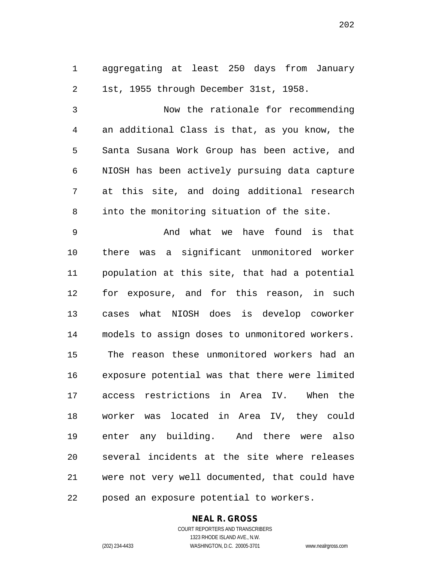aggregating at least 250 days from January 1st, 1955 through December 31st, 1958.

 Now the rationale for recommending an additional Class is that, as you know, the Santa Susana Work Group has been active, and NIOSH has been actively pursuing data capture at this site, and doing additional research into the monitoring situation of the site.

 And what we have found is that there was a significant unmonitored worker population at this site, that had a potential for exposure, and for this reason, in such cases what NIOSH does is develop coworker models to assign doses to unmonitored workers. The reason these unmonitored workers had an exposure potential was that there were limited access restrictions in Area IV. When the worker was located in Area IV, they could enter any building. And there were also several incidents at the site where releases were not very well documented, that could have posed an exposure potential to workers.

### **NEAL R. GROSS**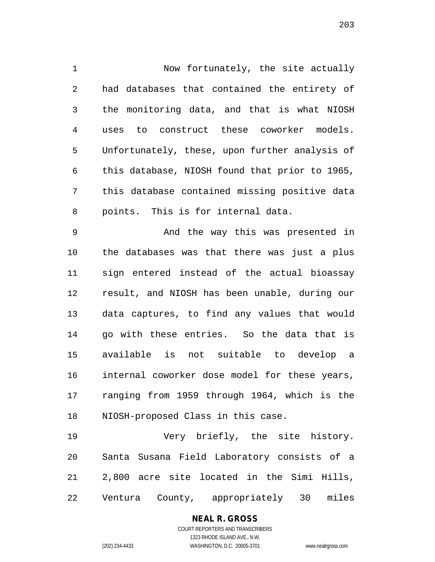Now fortunately, the site actually had databases that contained the entirety of the monitoring data, and that is what NIOSH uses to construct these coworker models. Unfortunately, these, upon further analysis of this database, NIOSH found that prior to 1965, this database contained missing positive data points. This is for internal data.

 And the way this was presented in the databases was that there was just a plus sign entered instead of the actual bioassay result, and NIOSH has been unable, during our data captures, to find any values that would go with these entries. So the data that is available is not suitable to develop a internal coworker dose model for these years, ranging from 1959 through 1964, which is the NIOSH-proposed Class in this case.

 Very briefly, the site history. Santa Susana Field Laboratory consists of a 2,800 acre site located in the Simi Hills, Ventura County, appropriately 30 miles

## **NEAL R. GROSS**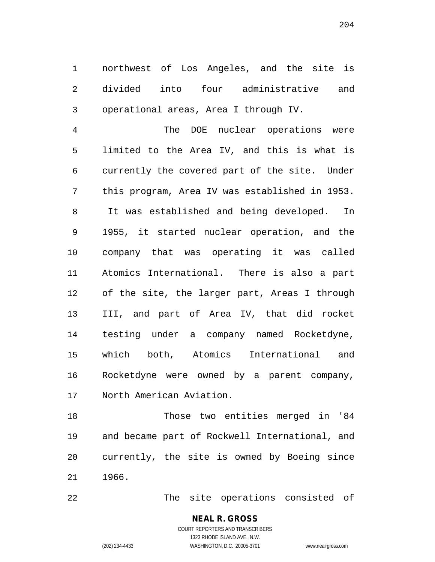northwest of Los Angeles, and the site is divided into four administrative and operational areas, Area I through IV.

 The DOE nuclear operations were limited to the Area IV, and this is what is currently the covered part of the site. Under this program, Area IV was established in 1953. It was established and being developed. In 1955, it started nuclear operation, and the company that was operating it was called Atomics International. There is also a part of the site, the larger part, Areas I through III, and part of Area IV, that did rocket testing under a company named Rocketdyne, which both, Atomics International and Rocketdyne were owned by a parent company, North American Aviation.

 Those two entities merged in '84 and became part of Rockwell International, and currently, the site is owned by Boeing since 1966.

The site operations consisted of

**NEAL R. GROSS** COURT REPORTERS AND TRANSCRIBERS

1323 RHODE ISLAND AVE., N.W.

(202) 234-4433 WASHINGTON, D.C. 20005-3701 www.nealrgross.com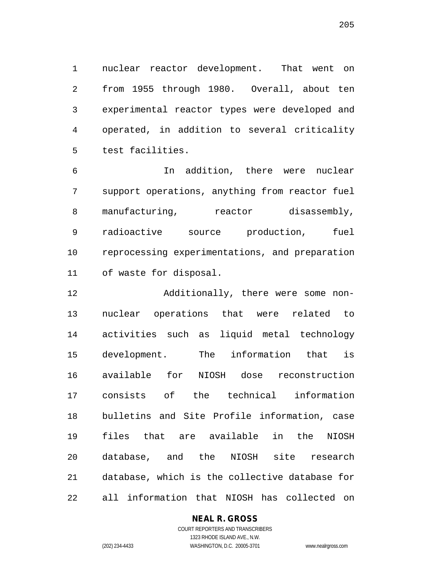nuclear reactor development. That went on from 1955 through 1980. Overall, about ten experimental reactor types were developed and operated, in addition to several criticality test facilities.

 In addition, there were nuclear support operations, anything from reactor fuel 8 manufacturing, reactor disassembly, radioactive source production, fuel reprocessing experimentations, and preparation of waste for disposal.

 Additionally, there were some non- nuclear operations that were related to activities such as liquid metal technology development. The information that is available for NIOSH dose reconstruction consists of the technical information bulletins and Site Profile information, case files that are available in the NIOSH database, and the NIOSH site research database, which is the collective database for all information that NIOSH has collected on

### **NEAL R. GROSS**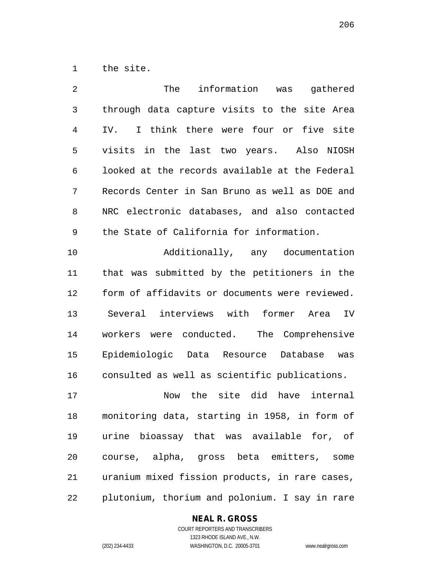the site.

| 2  | The<br>information<br>was gathered              |
|----|-------------------------------------------------|
| 3  | through data capture visits to the site Area    |
| 4  | I think there were four or five site<br>IV.     |
| 5  | visits in the last two years. Also NIOSH        |
| 6  | looked at the records available at the Federal  |
| 7  | Records Center in San Bruno as well as DOE and  |
| 8  | NRC electronic databases, and also contacted    |
| 9  | the State of California for information.        |
| 10 | Additionally, any documentation                 |
| 11 | was submitted by the petitioners in the<br>that |
| 12 | form of affidavits or documents were reviewed.  |
| 13 | interviews with former<br>Several<br>IV<br>Area |
| 14 | workers were conducted. The Comprehensive       |
| 15 | Epidemiologic Data Resource Database was        |
| 16 | consulted as well as scientific publications.   |
| 17 | the site did<br>have internal<br>Now            |
| 18 | monitoring data, starting in 1958, in form of   |
| 19 | urine bioassay that was available for, of       |
| 20 | course, alpha, gross beta emitters, some        |
| 21 | uranium mixed fission products, in rare cases,  |
| 22 | plutonium, thorium and polonium. I say in rare  |

## **NEAL R. GROSS**

COURT REPORTERS AND TRANSCRIBERS 1323 RHODE ISLAND AVE., N.W. (202) 234-4433 WASHINGTON, D.C. 20005-3701 www.nealrgross.com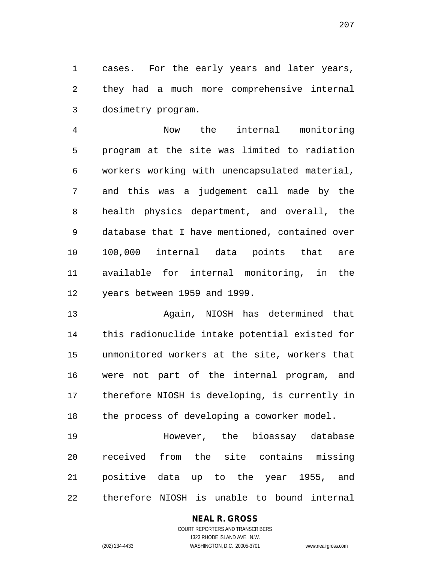cases. For the early years and later years, they had a much more comprehensive internal dosimetry program.

 Now the internal monitoring program at the site was limited to radiation workers working with unencapsulated material, and this was a judgement call made by the health physics department, and overall, the database that I have mentioned, contained over 100,000 internal data points that are available for internal monitoring, in the years between 1959 and 1999.

 Again, NIOSH has determined that this radionuclide intake potential existed for unmonitored workers at the site, workers that were not part of the internal program, and therefore NIOSH is developing, is currently in the process of developing a coworker model.

 However, the bioassay database received from the site contains missing positive data up to the year 1955, and therefore NIOSH is unable to bound internal

### **NEAL R. GROSS**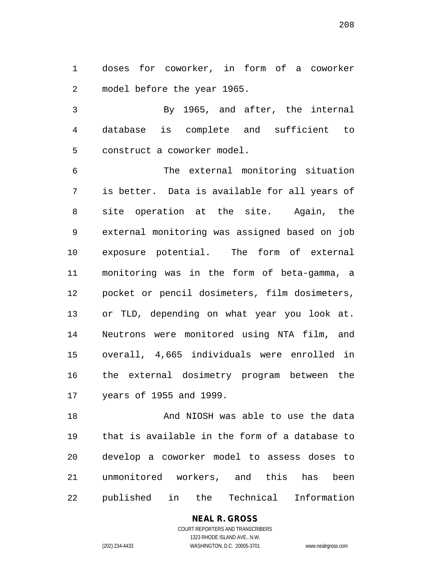doses for coworker, in form of a coworker model before the year 1965.

 By 1965, and after, the internal database is complete and sufficient to construct a coworker model.

 The external monitoring situation is better. Data is available for all years of site operation at the site. Again, the external monitoring was assigned based on job exposure potential. The form of external monitoring was in the form of beta-gamma, a pocket or pencil dosimeters, film dosimeters, or TLD, depending on what year you look at. Neutrons were monitored using NTA film, and overall, 4,665 individuals were enrolled in the external dosimetry program between the years of 1955 and 1999.

 And NIOSH was able to use the data that is available in the form of a database to develop a coworker model to assess doses to unmonitored workers, and this has been published in the Technical Information

> **NEAL R. GROSS** COURT REPORTERS AND TRANSCRIBERS

1323 RHODE ISLAND AVE., N.W. (202) 234-4433 WASHINGTON, D.C. 20005-3701 www.nealrgross.com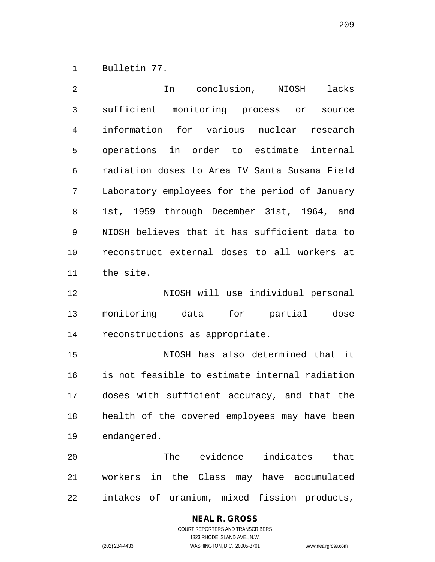Bulletin 77.

 In conclusion, NIOSH lacks sufficient monitoring process or source information for various nuclear research operations in order to estimate internal radiation doses to Area IV Santa Susana Field Laboratory employees for the period of January 1st, 1959 through December 31st, 1964, and NIOSH believes that it has sufficient data to reconstruct external doses to all workers at the site.

 NIOSH will use individual personal monitoring data for partial dose reconstructions as appropriate.

 NIOSH has also determined that it is not feasible to estimate internal radiation doses with sufficient accuracy, and that the health of the covered employees may have been endangered.

 The evidence indicates that workers in the Class may have accumulated intakes of uranium, mixed fission products,

### **NEAL R. GROSS** COURT REPORTERS AND TRANSCRIBERS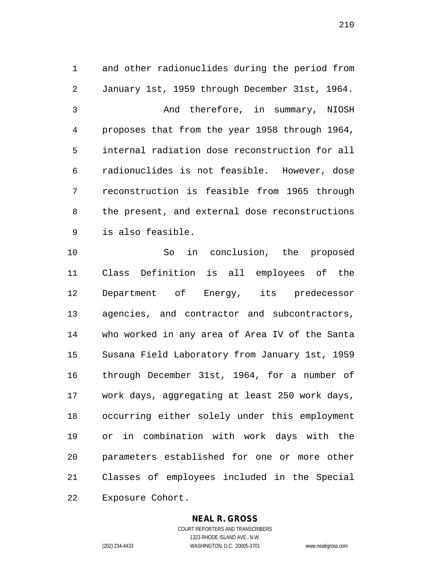and other radionuclides during the period from January 1st, 1959 through December 31st, 1964.

 And therefore, in summary, NIOSH proposes that from the year 1958 through 1964, internal radiation dose reconstruction for all radionuclides is not feasible. However, dose reconstruction is feasible from 1965 through the present, and external dose reconstructions is also feasible.

 So in conclusion, the proposed Class Definition is all employees of the Department of Energy, its predecessor agencies, and contractor and subcontractors, who worked in any area of Area IV of the Santa Susana Field Laboratory from January 1st, 1959 through December 31st, 1964, for a number of work days, aggregating at least 250 work days, occurring either solely under this employment or in combination with work days with the parameters established for one or more other Classes of employees included in the Special Exposure Cohort.

#### **NEAL R. GROSS** COURT REPORTERS AND TRANSCRIBERS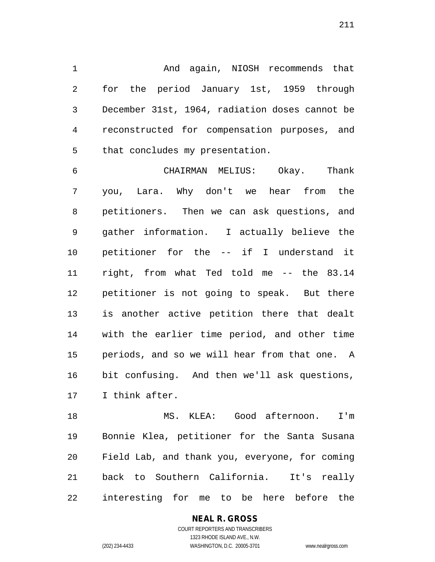And again, NIOSH recommends that for the period January 1st, 1959 through December 31st, 1964, radiation doses cannot be reconstructed for compensation purposes, and that concludes my presentation.

 CHAIRMAN MELIUS: Okay. Thank you, Lara. Why don't we hear from the petitioners. Then we can ask questions, and gather information. I actually believe the petitioner for the -- if I understand it right, from what Ted told me -- the 83.14 petitioner is not going to speak. But there is another active petition there that dealt with the earlier time period, and other time periods, and so we will hear from that one. A bit confusing. And then we'll ask questions, I think after.

 MS. KLEA: Good afternoon. I'm Bonnie Klea, petitioner for the Santa Susana Field Lab, and thank you, everyone, for coming back to Southern California. It's really interesting for me to be here before the

## **NEAL R. GROSS**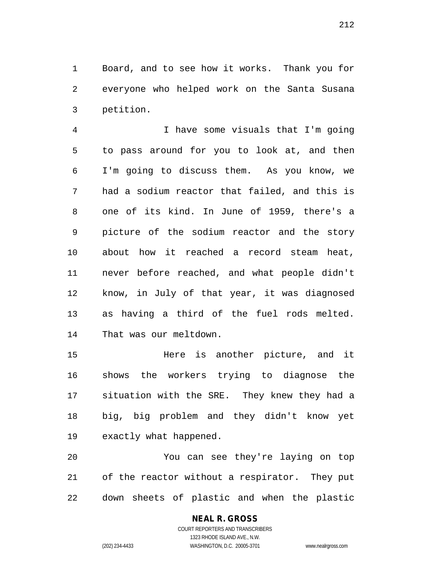Board, and to see how it works. Thank you for everyone who helped work on the Santa Susana petition.

 I have some visuals that I'm going to pass around for you to look at, and then I'm going to discuss them. As you know, we had a sodium reactor that failed, and this is one of its kind. In June of 1959, there's a picture of the sodium reactor and the story about how it reached a record steam heat, never before reached, and what people didn't know, in July of that year, it was diagnosed as having a third of the fuel rods melted. That was our meltdown.

 Here is another picture, and it shows the workers trying to diagnose the situation with the SRE. They knew they had a big, big problem and they didn't know yet exactly what happened.

 You can see they're laying on top of the reactor without a respirator. They put down sheets of plastic and when the plastic

# **NEAL R. GROSS**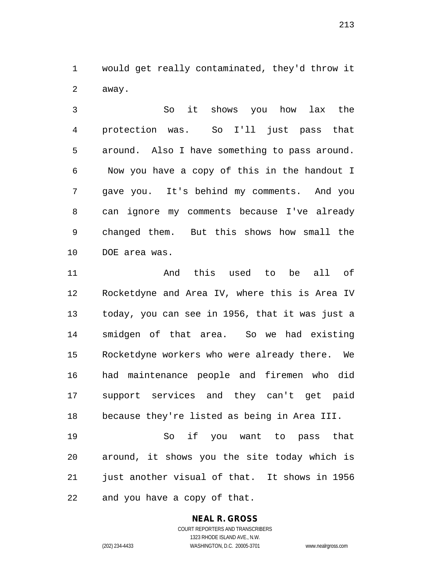would get really contaminated, they'd throw it away.

 So it shows you how lax the protection was. So I'll just pass that around. Also I have something to pass around. Now you have a copy of this in the handout I gave you. It's behind my comments. And you can ignore my comments because I've already changed them. But this shows how small the DOE area was.

 And this used to be all of Rocketdyne and Area IV, where this is Area IV today, you can see in 1956, that it was just a smidgen of that area. So we had existing Rocketdyne workers who were already there. We had maintenance people and firemen who did support services and they can't get paid because they're listed as being in Area III.

 So if you want to pass that around, it shows you the site today which is just another visual of that. It shows in 1956 and you have a copy of that.

# **NEAL R. GROSS**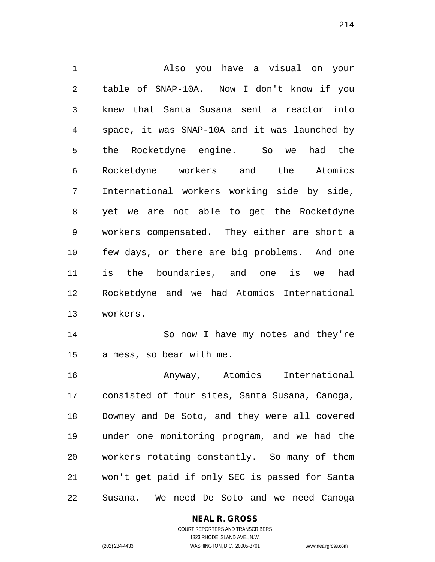Also you have a visual on your table of SNAP-10A. Now I don't know if you knew that Santa Susana sent a reactor into space, it was SNAP-10A and it was launched by the Rocketdyne engine. So we had the Rocketdyne workers and the Atomics International workers working side by side, yet we are not able to get the Rocketdyne workers compensated. They either are short a few days, or there are big problems. And one is the boundaries, and one is we had Rocketdyne and we had Atomics International workers. So now I have my notes and they're a mess, so bear with me. Anyway, Atomics International consisted of four sites, Santa Susana, Canoga, Downey and De Soto, and they were all covered under one monitoring program, and we had the workers rotating constantly. So many of them won't get paid if only SEC is passed for Santa

Susana. We need De Soto and we need Canoga

#### **NEAL R. GROSS**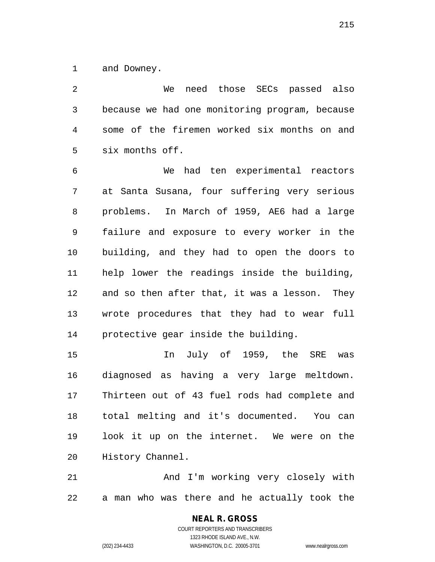and Downey.

 We need those SECs passed also because we had one monitoring program, because some of the firemen worked six months on and six months off. We had ten experimental reactors at Santa Susana, four suffering very serious problems. In March of 1959, AE6 had a large

 failure and exposure to every worker in the building, and they had to open the doors to help lower the readings inside the building, and so then after that, it was a lesson. They wrote procedures that they had to wear full protective gear inside the building.

 In July of 1959, the SRE was diagnosed as having a very large meltdown. Thirteen out of 43 fuel rods had complete and total melting and it's documented. You can look it up on the internet. We were on the History Channel.

21 And I'm working very closely with a man who was there and he actually took the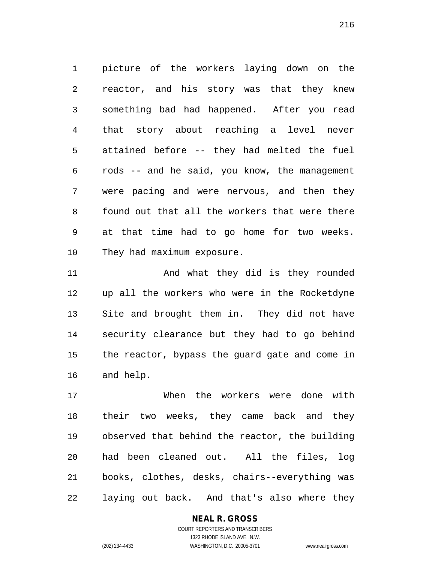picture of the workers laying down on the reactor, and his story was that they knew something bad had happened. After you read that story about reaching a level never attained before -- they had melted the fuel rods -- and he said, you know, the management were pacing and were nervous, and then they found out that all the workers that were there at that time had to go home for two weeks. They had maximum exposure.

11 And what they did is they rounded up all the workers who were in the Rocketdyne Site and brought them in. They did not have security clearance but they had to go behind the reactor, bypass the guard gate and come in and help.

 When the workers were done with their two weeks, they came back and they observed that behind the reactor, the building had been cleaned out. All the files, log books, clothes, desks, chairs--everything was laying out back. And that's also where they

**NEAL R. GROSS**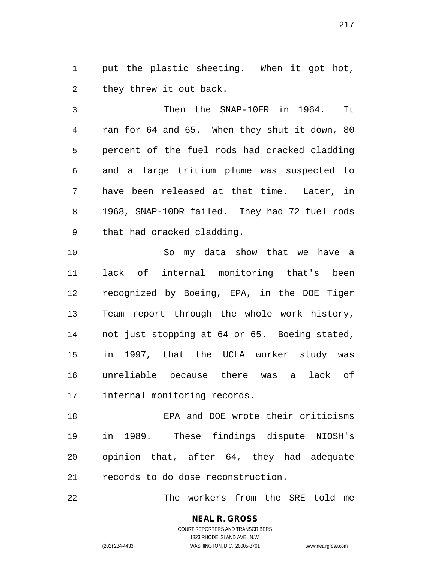put the plastic sheeting. When it got hot, they threw it out back.

 Then the SNAP-10ER in 1964. It ran for 64 and 65. When they shut it down, 80 percent of the fuel rods had cracked cladding and a large tritium plume was suspected to have been released at that time. Later, in 1968, SNAP-10DR failed. They had 72 fuel rods that had cracked cladding.

 So my data show that we have a lack of internal monitoring that's been recognized by Boeing, EPA, in the DOE Tiger Team report through the whole work history, not just stopping at 64 or 65. Boeing stated, in 1997, that the UCLA worker study was unreliable because there was a lack of internal monitoring records.

 EPA and DOE wrote their criticisms in 1989. These findings dispute NIOSH's opinion that, after 64, they had adequate records to do dose reconstruction.

The workers from the SRE told me

**NEAL R. GROSS** COURT REPORTERS AND TRANSCRIBERS

1323 RHODE ISLAND AVE., N.W.

(202) 234-4433 WASHINGTON, D.C. 20005-3701 www.nealrgross.com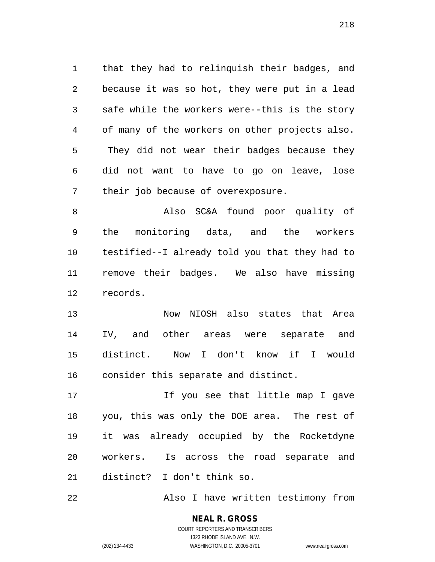that they had to relinquish their badges, and because it was so hot, they were put in a lead safe while the workers were--this is the story of many of the workers on other projects also. They did not wear their badges because they did not want to have to go on leave, lose their job because of overexposure.

 Also SC&A found poor quality of the monitoring data, and the workers testified--I already told you that they had to remove their badges. We also have missing records.

 Now NIOSH also states that Area IV, and other areas were separate and distinct. Now I don't know if I would consider this separate and distinct.

17 17 If you see that little map I gave you, this was only the DOE area. The rest of it was already occupied by the Rocketdyne workers. Is across the road separate and distinct? I don't think so.

Also I have written testimony from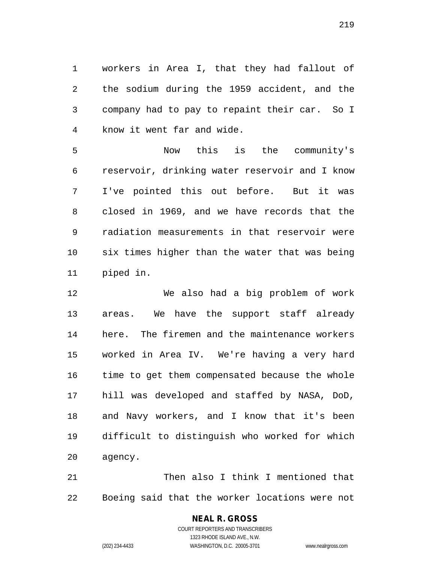workers in Area I, that they had fallout of the sodium during the 1959 accident, and the company had to pay to repaint their car. So I know it went far and wide.

 Now this is the community's reservoir, drinking water reservoir and I know I've pointed this out before. But it was closed in 1969, and we have records that the radiation measurements in that reservoir were six times higher than the water that was being piped in.

 We also had a big problem of work areas. We have the support staff already here. The firemen and the maintenance workers worked in Area IV. We're having a very hard time to get them compensated because the whole hill was developed and staffed by NASA, DoD, and Navy workers, and I know that it's been difficult to distinguish who worked for which agency.

 Then also I think I mentioned that Boeing said that the worker locations were not

## **NEAL R. GROSS**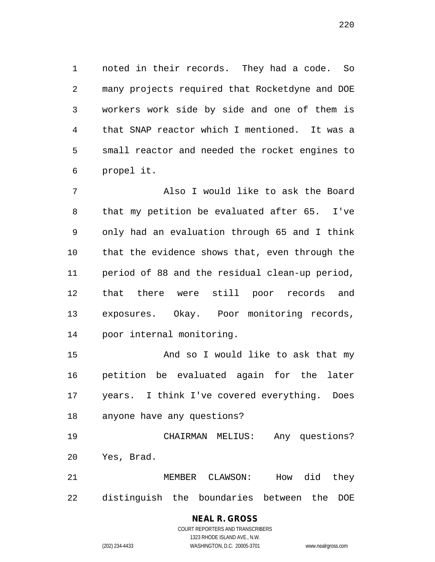noted in their records. They had a code. So many projects required that Rocketdyne and DOE workers work side by side and one of them is that SNAP reactor which I mentioned. It was a small reactor and needed the rocket engines to propel it.

 Also I would like to ask the Board that my petition be evaluated after 65. I've only had an evaluation through 65 and I think that the evidence shows that, even through the period of 88 and the residual clean-up period, that there were still poor records and exposures. Okay. Poor monitoring records, poor internal monitoring.

 And so I would like to ask that my petition be evaluated again for the later years. I think I've covered everything. Does anyone have any questions?

 CHAIRMAN MELIUS: Any questions? Yes, Brad.

 MEMBER CLAWSON: How did they distinguish the boundaries between the DOE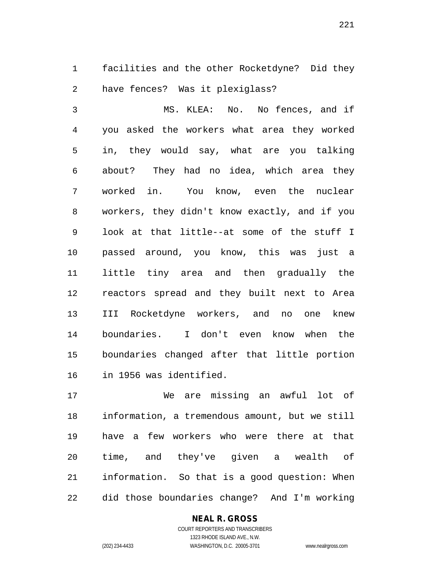# facilities and the other Rocketdyne? Did they have fences? Was it plexiglass?

 MS. KLEA: No. No fences, and if you asked the workers what area they worked in, they would say, what are you talking about? They had no idea, which area they worked in. You know, even the nuclear workers, they didn't know exactly, and if you look at that little--at some of the stuff I passed around, you know, this was just a little tiny area and then gradually the reactors spread and they built next to Area III Rocketdyne workers, and no one knew boundaries. I don't even know when the boundaries changed after that little portion in 1956 was identified.

 We are missing an awful lot of information, a tremendous amount, but we still have a few workers who were there at that time, and they've given a wealth of information. So that is a good question: When did those boundaries change? And I'm working

## **NEAL R. GROSS**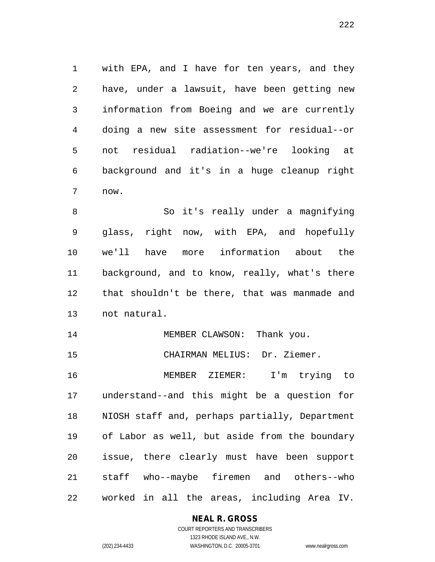with EPA, and I have for ten years, and they have, under a lawsuit, have been getting new information from Boeing and we are currently doing a new site assessment for residual--or not residual radiation--we're looking at background and it's in a huge cleanup right now.

 So it's really under a magnifying glass, right now, with EPA, and hopefully we'll have more information about the background, and to know, really, what's there that shouldn't be there, that was manmade and not natural.

14 MEMBER CLAWSON: Thank you.

CHAIRMAN MELIUS: Dr. Ziemer.

 MEMBER ZIEMER: I'm trying to understand--and this might be a question for NIOSH staff and, perhaps partially, Department of Labor as well, but aside from the boundary issue, there clearly must have been support staff who--maybe firemen and others--who worked in all the areas, including Area IV.

## **NEAL R. GROSS**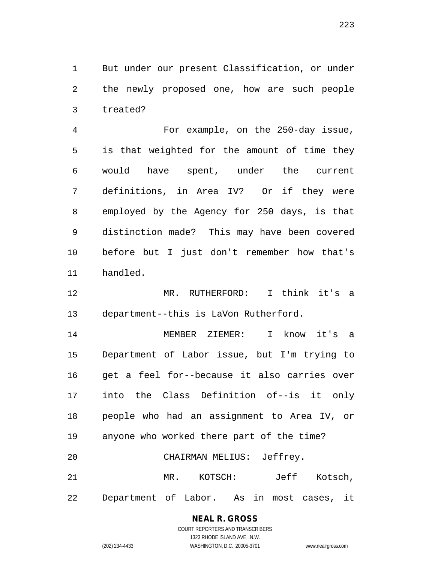But under our present Classification, or under the newly proposed one, how are such people treated?

 For example, on the 250-day issue, is that weighted for the amount of time they would have spent, under the current definitions, in Area IV? Or if they were employed by the Agency for 250 days, is that distinction made? This may have been covered before but I just don't remember how that's handled.

 MR. RUTHERFORD: I think it's a department--this is LaVon Rutherford.

 MEMBER ZIEMER: I know it's a Department of Labor issue, but I'm trying to get a feel for--because it also carries over into the Class Definition of--is it only people who had an assignment to Area IV, or anyone who worked there part of the time? CHAIRMAN MELIUS: Jeffrey. MR. KOTSCH: Jeff Kotsch, Department of Labor. As in most cases, it

## **NEAL R. GROSS**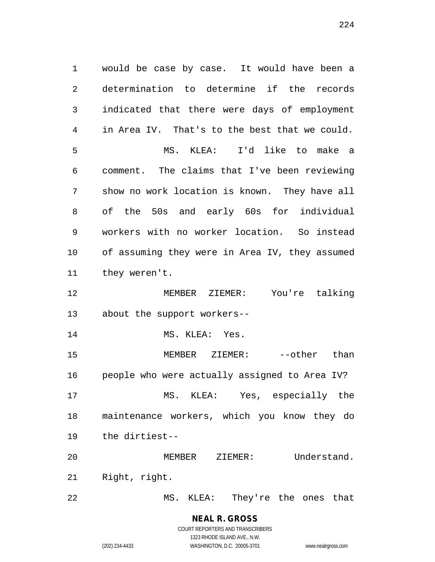would be case by case. It would have been a determination to determine if the records indicated that there were days of employment in Area IV. That's to the best that we could. MS. KLEA: I'd like to make a comment. The claims that I've been reviewing show no work location is known. They have all of the 50s and early 60s for individual workers with no worker location. So instead of assuming they were in Area IV, they assumed they weren't. MEMBER ZIEMER: You're talking about the support workers-- 14 MS. KLEA: Yes. MEMBER ZIEMER: --other than people who were actually assigned to Area IV? MS. KLEA: Yes, especially the maintenance workers, which you know they do the dirtiest--

 MEMBER ZIEMER: Understand. Right, right.

MS. KLEA: They're the ones that

## **NEAL R. GROSS**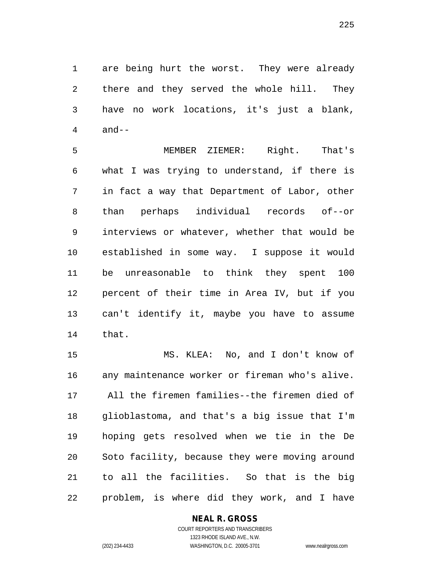are being hurt the worst. They were already there and they served the whole hill. They have no work locations, it's just a blank, and--

 MEMBER ZIEMER: Right. That's what I was trying to understand, if there is in fact a way that Department of Labor, other than perhaps individual records of--or interviews or whatever, whether that would be established in some way. I suppose it would be unreasonable to think they spent 100 percent of their time in Area IV, but if you can't identify it, maybe you have to assume that.

 MS. KLEA: No, and I don't know of any maintenance worker or fireman who's alive. All the firemen families--the firemen died of glioblastoma, and that's a big issue that I'm hoping gets resolved when we tie in the De Soto facility, because they were moving around to all the facilities. So that is the big problem, is where did they work, and I have

## **NEAL R. GROSS**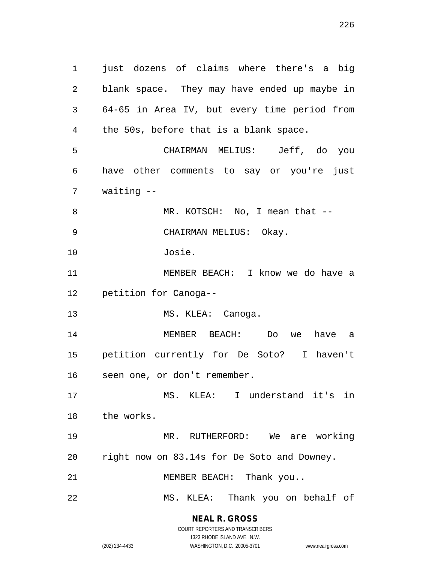just dozens of claims where there's a big blank space. They may have ended up maybe in 64-65 in Area IV, but every time period from the 50s, before that is a blank space. CHAIRMAN MELIUS: Jeff, do you have other comments to say or you're just waiting -- 8 MR. KOTSCH: No, I mean that -- CHAIRMAN MELIUS: Okay. Josie. MEMBER BEACH: I know we do have a petition for Canoga-- 13 MS. KLEA: Canoga. MEMBER BEACH: Do we have a petition currently for De Soto? I haven't seen one, or don't remember. MS. KLEA: I understand it's in the works. MR. RUTHERFORD: We are working right now on 83.14s for De Soto and Downey. 21 MEMBER BEACH: Thank you.. MS. KLEA: Thank you on behalf of

#### **NEAL R. GROSS** COURT REPORTERS AND TRANSCRIBERS

1323 RHODE ISLAND AVE., N.W. (202) 234-4433 WASHINGTON, D.C. 20005-3701 www.nealrgross.com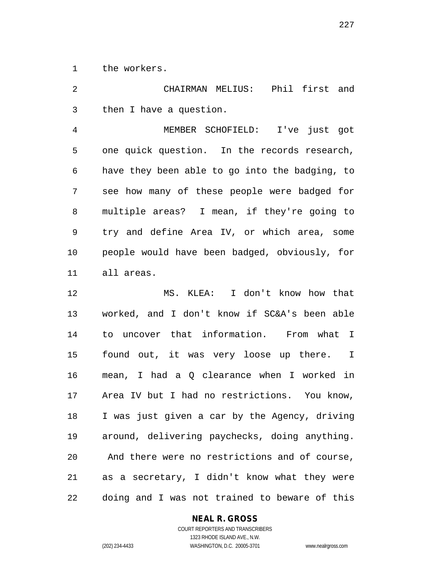the workers.

 CHAIRMAN MELIUS: Phil first and then I have a question.

 MEMBER SCHOFIELD: I've just got one quick question. In the records research, have they been able to go into the badging, to see how many of these people were badged for multiple areas? I mean, if they're going to try and define Area IV, or which area, some people would have been badged, obviously, for all areas.

 MS. KLEA: I don't know how that worked, and I don't know if SC&A's been able to uncover that information. From what I found out, it was very loose up there. I mean, I had a Q clearance when I worked in Area IV but I had no restrictions. You know, I was just given a car by the Agency, driving around, delivering paychecks, doing anything. And there were no restrictions and of course, as a secretary, I didn't know what they were doing and I was not trained to beware of this

#### **NEAL R. GROSS**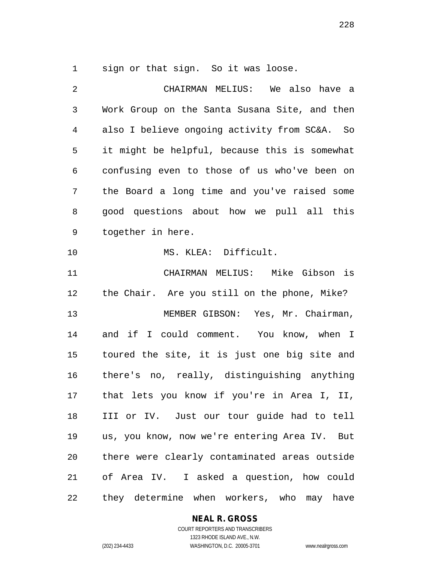sign or that sign. So it was loose.

 CHAIRMAN MELIUS: We also have a Work Group on the Santa Susana Site, and then also I believe ongoing activity from SC&A. So it might be helpful, because this is somewhat confusing even to those of us who've been on the Board a long time and you've raised some good questions about how we pull all this together in here. MS. KLEA: Difficult. CHAIRMAN MELIUS: Mike Gibson is the Chair. Are you still on the phone, Mike? MEMBER GIBSON: Yes, Mr. Chairman, and if I could comment. You know, when I toured the site, it is just one big site and there's no, really, distinguishing anything that lets you know if you're in Area I, II, III or IV. Just our tour guide had to tell us, you know, now we're entering Area IV. But there were clearly contaminated areas outside of Area IV. I asked a question, how could they determine when workers, who may have

## **NEAL R. GROSS**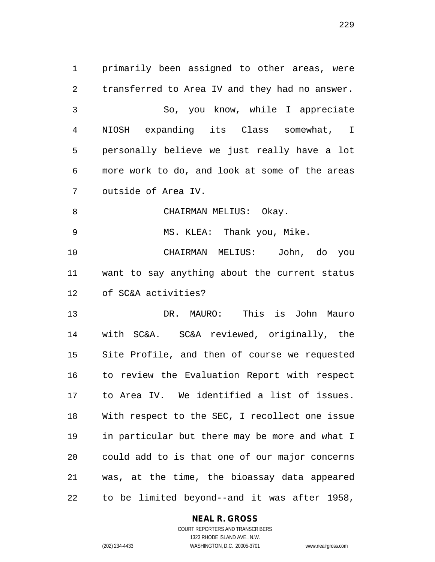primarily been assigned to other areas, were transferred to Area IV and they had no answer. So, you know, while I appreciate NIOSH expanding its Class somewhat, I personally believe we just really have a lot more work to do, and look at some of the areas outside of Area IV. 8 CHAIRMAN MELIUS: Okay. MS. KLEA: Thank you, Mike. CHAIRMAN MELIUS: John, do you want to say anything about the current status of SC&A activities? DR. MAURO: This is John Mauro with SC&A. SC&A reviewed, originally, the Site Profile, and then of course we requested to review the Evaluation Report with respect to Area IV. We identified a list of issues.

 With respect to the SEC, I recollect one issue in particular but there may be more and what I could add to is that one of our major concerns was, at the time, the bioassay data appeared to be limited beyond--and it was after 1958,

#### **NEAL R. GROSS**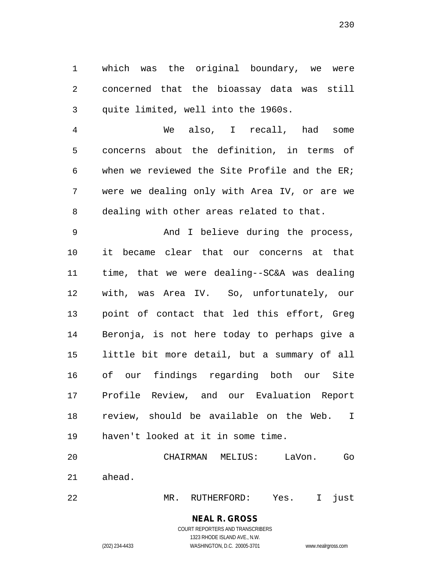which was the original boundary, we were concerned that the bioassay data was still quite limited, well into the 1960s.

 We also, I recall, had some concerns about the definition, in terms of when we reviewed the Site Profile and the ER; were we dealing only with Area IV, or are we dealing with other areas related to that.

 And I believe during the process, it became clear that our concerns at that time, that we were dealing--SC&A was dealing with, was Area IV. So, unfortunately, our point of contact that led this effort, Greg Beronja, is not here today to perhaps give a little bit more detail, but a summary of all of our findings regarding both our Site Profile Review, and our Evaluation Report review, should be available on the Web. I haven't looked at it in some time.

 CHAIRMAN MELIUS: LaVon. Go ahead.

MR. RUTHERFORD: Yes. I just

## **NEAL R. GROSS**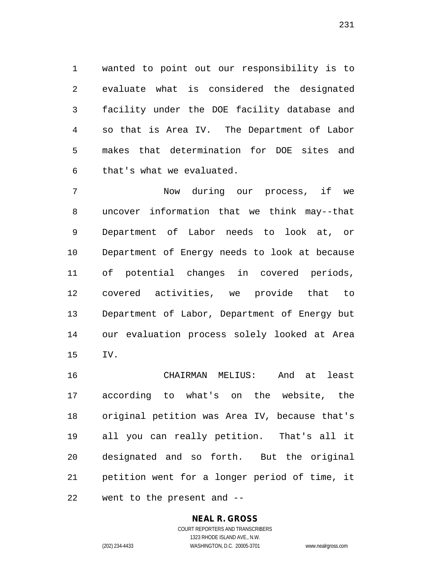wanted to point out our responsibility is to evaluate what is considered the designated facility under the DOE facility database and so that is Area IV. The Department of Labor makes that determination for DOE sites and that's what we evaluated.

 Now during our process, if we uncover information that we think may--that Department of Labor needs to look at, or Department of Energy needs to look at because of potential changes in covered periods, covered activities, we provide that to Department of Labor, Department of Energy but our evaluation process solely looked at Area IV.

 CHAIRMAN MELIUS: And at least according to what's on the website, the original petition was Area IV, because that's all you can really petition. That's all it designated and so forth. But the original petition went for a longer period of time, it went to the present and --

## **NEAL R. GROSS** COURT REPORTERS AND TRANSCRIBERS

1323 RHODE ISLAND AVE., N.W. (202) 234-4433 WASHINGTON, D.C. 20005-3701 www.nealrgross.com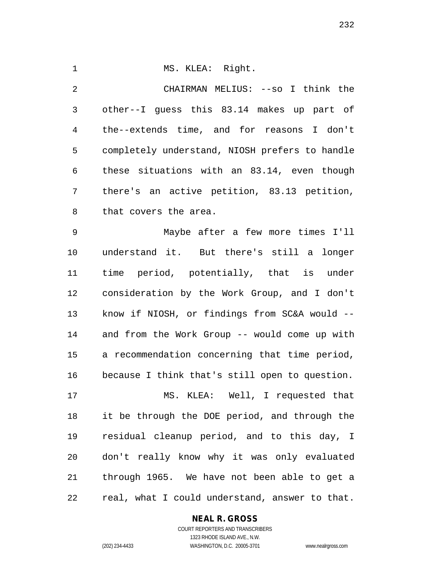CHAIRMAN MELIUS: --so I think the other--I guess this 83.14 makes up part of the--extends time, and for reasons I don't completely understand, NIOSH prefers to handle these situations with an 83.14, even though there's an active petition, 83.13 petition, that covers the area. Maybe after a few more times I'll understand it. But there's still a longer time period, potentially, that is under consideration by the Work Group, and I don't know if NIOSH, or findings from SC&A would -- and from the Work Group -- would come up with a recommendation concerning that time period, because I think that's still open to question. MS. KLEA: Well, I requested that it be through the DOE period, and through the residual cleanup period, and to this day, I don't really know why it was only evaluated through 1965. We have not been able to get a real, what I could understand, answer to that.

1 MS. KLEA: Right.

#### **NEAL R. GROSS**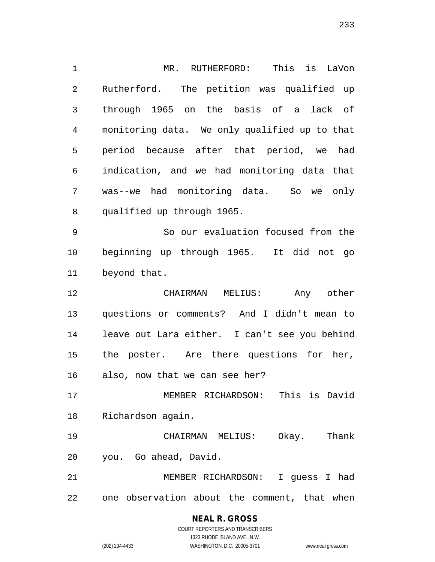MR. RUTHERFORD: This is LaVon Rutherford. The petition was qualified up through 1965 on the basis of a lack of monitoring data. We only qualified up to that period because after that period, we had indication, and we had monitoring data that was--we had monitoring data. So we only qualified up through 1965. So our evaluation focused from the beginning up through 1965. It did not go beyond that. CHAIRMAN MELIUS: Any other questions or comments? And I didn't mean to leave out Lara either. I can't see you behind the poster. Are there questions for her, also, now that we can see her? MEMBER RICHARDSON: This is David Richardson again. CHAIRMAN MELIUS: Okay. Thank you. Go ahead, David. MEMBER RICHARDSON: I guess I had

one observation about the comment, that when

## **NEAL R. GROSS**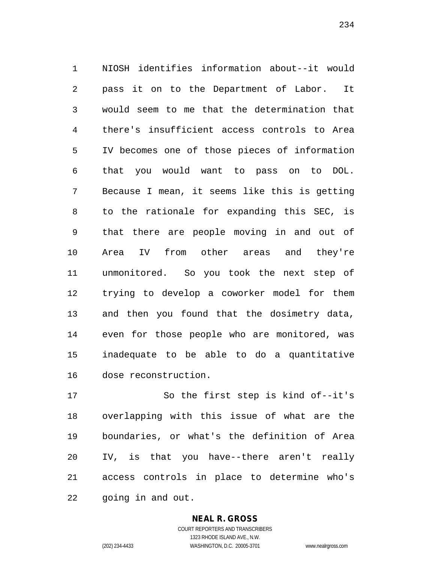NIOSH identifies information about--it would pass it on to the Department of Labor. It would seem to me that the determination that there's insufficient access controls to Area IV becomes one of those pieces of information that you would want to pass on to DOL. Because I mean, it seems like this is getting to the rationale for expanding this SEC, is that there are people moving in and out of Area IV from other areas and they're unmonitored. So you took the next step of trying to develop a coworker model for them and then you found that the dosimetry data, even for those people who are monitored, was inadequate to be able to do a quantitative dose reconstruction.

 So the first step is kind of--it's overlapping with this issue of what are the boundaries, or what's the definition of Area IV, is that you have--there aren't really access controls in place to determine who's going in and out.

> **NEAL R. GROSS** COURT REPORTERS AND TRANSCRIBERS

> > 1323 RHODE ISLAND AVE., N.W.

(202) 234-4433 WASHINGTON, D.C. 20005-3701 www.nealrgross.com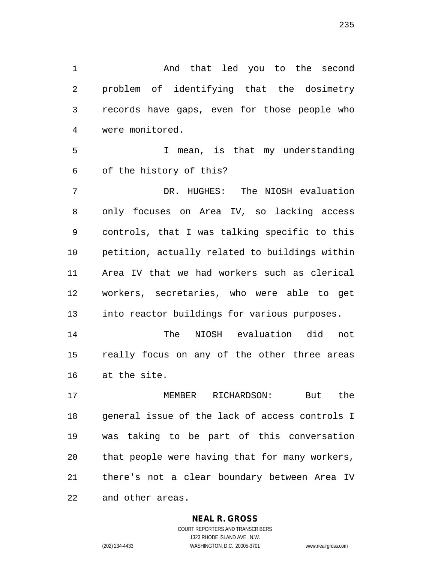And that led you to the second problem of identifying that the dosimetry records have gaps, even for those people who were monitored.

 I mean, is that my understanding of the history of this?

 DR. HUGHES: The NIOSH evaluation only focuses on Area IV, so lacking access controls, that I was talking specific to this petition, actually related to buildings within Area IV that we had workers such as clerical workers, secretaries, who were able to get into reactor buildings for various purposes.

 The NIOSH evaluation did not really focus on any of the other three areas at the site.

 MEMBER RICHARDSON: But the general issue of the lack of access controls I was taking to be part of this conversation that people were having that for many workers, there's not a clear boundary between Area IV and other areas.

## **NEAL R. GROSS**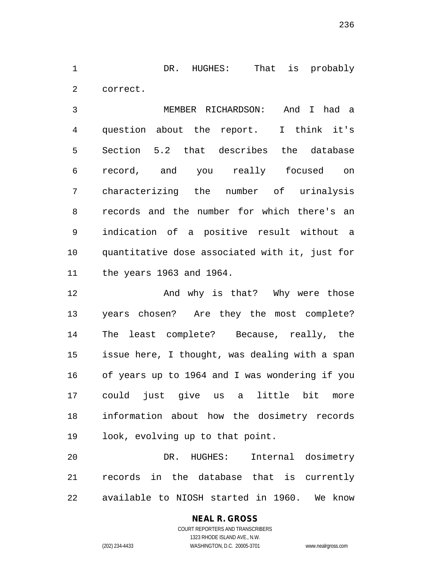DR. HUGHES: That is probably correct.

 MEMBER RICHARDSON: And I had a question about the report. I think it's Section 5.2 that describes the database record, and you really focused on characterizing the number of urinalysis records and the number for which there's an indication of a positive result without a quantitative dose associated with it, just for the years 1963 and 1964.

12 And why is that? Why were those years chosen? Are they the most complete? The least complete? Because, really, the issue here, I thought, was dealing with a span of years up to 1964 and I was wondering if you could just give us a little bit more information about how the dosimetry records look, evolving up to that point.

 DR. HUGHES: Internal dosimetry records in the database that is currently available to NIOSH started in 1960. We know

## **NEAL R. GROSS** COURT REPORTERS AND TRANSCRIBERS

1323 RHODE ISLAND AVE., N.W. (202) 234-4433 WASHINGTON, D.C. 20005-3701 www.nealrgross.com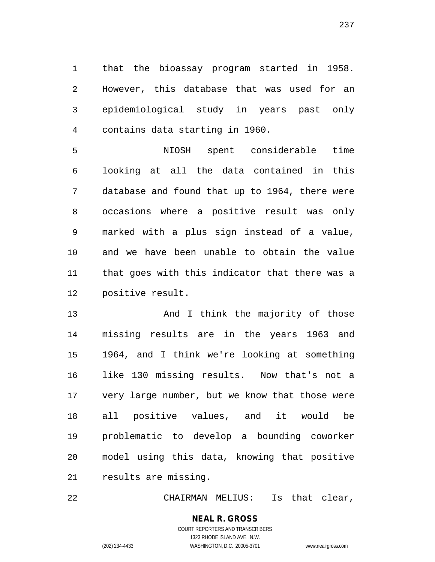that the bioassay program started in 1958. However, this database that was used for an epidemiological study in years past only contains data starting in 1960.

 NIOSH spent considerable time looking at all the data contained in this database and found that up to 1964, there were occasions where a positive result was only marked with a plus sign instead of a value, and we have been unable to obtain the value that goes with this indicator that there was a positive result.

13 And I think the majority of those missing results are in the years 1963 and 1964, and I think we're looking at something like 130 missing results. Now that's not a very large number, but we know that those were all positive values, and it would be problematic to develop a bounding coworker model using this data, knowing that positive results are missing.

CHAIRMAN MELIUS: Is that clear,

#### **NEAL R. GROSS** COURT REPORTERS AND TRANSCRIBERS 1323 RHODE ISLAND AVE., N.W.

(202) 234-4433 WASHINGTON, D.C. 20005-3701 www.nealrgross.com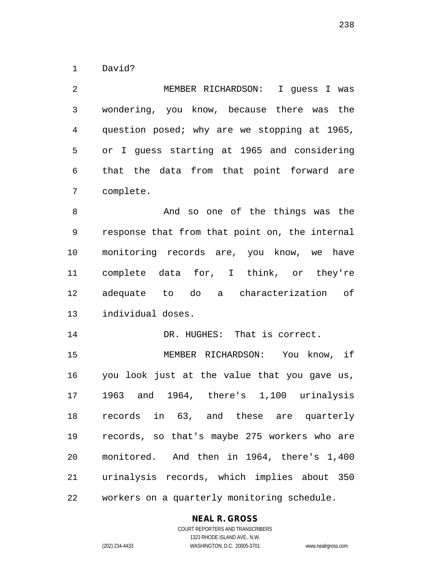David?

 MEMBER RICHARDSON: I guess I was wondering, you know, because there was the question posed; why are we stopping at 1965, or I guess starting at 1965 and considering that the data from that point forward are complete. And so one of the things was the response that from that point on, the internal monitoring records are, you know, we have complete data for, I think, or they're adequate to do a characterization of individual doses. 14 DR. HUGHES: That is correct. MEMBER RICHARDSON: You know, if you look just at the value that you gave us, 1963 and 1964, there's 1,100 urinalysis records in 63, and these are quarterly records, so that's maybe 275 workers who are monitored. And then in 1964, there's 1,400 urinalysis records, which implies about 350 workers on a quarterly monitoring schedule.

#### **NEAL R. GROSS**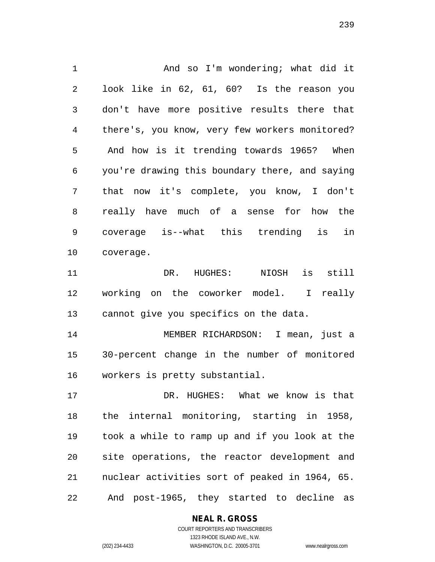And so I'm wondering; what did it look like in 62, 61, 60? Is the reason you don't have more positive results there that there's, you know, very few workers monitored? And how is it trending towards 1965? When you're drawing this boundary there, and saying that now it's complete, you know, I don't really have much of a sense for how the coverage is--what this trending is in coverage. DR. HUGHES: NIOSH is still working on the coworker model. I really cannot give you specifics on the data. MEMBER RICHARDSON: I mean, just a

 30-percent change in the number of monitored workers is pretty substantial.

 DR. HUGHES: What we know is that the internal monitoring, starting in 1958, took a while to ramp up and if you look at the site operations, the reactor development and nuclear activities sort of peaked in 1964, 65. And post-1965, they started to decline as

#### **NEAL R. GROSS**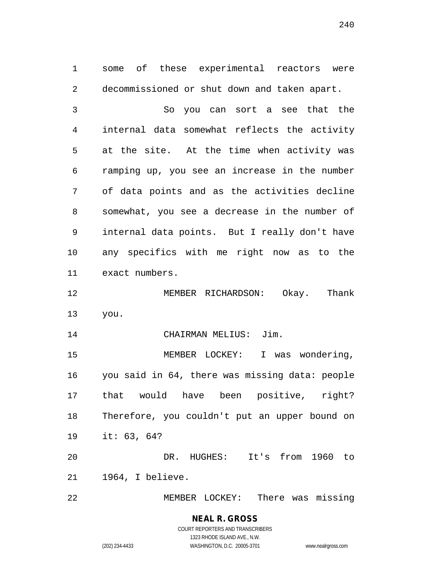some of these experimental reactors were decommissioned or shut down and taken apart.

 So you can sort a see that the internal data somewhat reflects the activity at the site. At the time when activity was ramping up, you see an increase in the number of data points and as the activities decline somewhat, you see a decrease in the number of internal data points. But I really don't have any specifics with me right now as to the exact numbers.

 MEMBER RICHARDSON: Okay. Thank you.

14 CHAIRMAN MELIUS: Jim.

 MEMBER LOCKEY: I was wondering, you said in 64, there was missing data: people that would have been positive, right? Therefore, you couldn't put an upper bound on it: 63, 64? DR. HUGHES: It's from 1960 to

1964, I believe.

MEMBER LOCKEY: There was missing

## **NEAL R. GROSS** COURT REPORTERS AND TRANSCRIBERS

1323 RHODE ISLAND AVE., N.W. (202) 234-4433 WASHINGTON, D.C. 20005-3701 www.nealrgross.com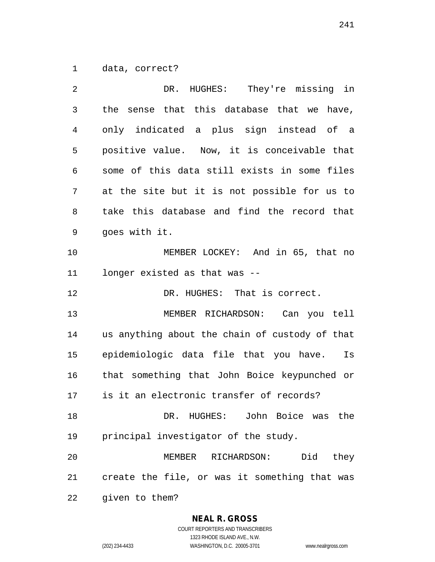data, correct?

| 2  | DR. HUGHES: They're missing in                 |
|----|------------------------------------------------|
| 3  | the sense that this database that we have,     |
| 4  | only indicated a plus sign instead of a        |
| 5  | positive value. Now, it is conceivable that    |
| 6  | some of this data still exists in some files   |
| 7  | at the site but it is not possible for us to   |
| 8  | take this database and find the record that    |
| 9  | goes with it.                                  |
| 10 | MEMBER LOCKEY: And in 65, that no              |
| 11 | longer existed as that was --                  |
| 12 | DR. HUGHES: That is correct.                   |
| 13 | MEMBER RICHARDSON: Can you tell                |
| 14 | us anything about the chain of custody of that |
| 15 | epidemiologic data file that you have. Is      |
| 16 | that something that John Boice keypunched or   |
| 17 | is it an electronic transfer of records?       |
| 18 | DR. HUGHES: John Boice was the                 |
| 19 | principal investigator of the study.           |
| 20 | Did<br>MEMBER RICHARDSON:<br>they              |
| 21 | create the file, or was it something that was  |
| 22 | given to them?                                 |

**NEAL R. GROSS**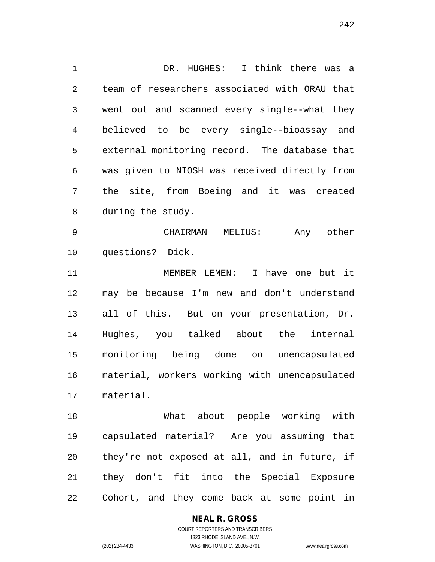DR. HUGHES: I think there was a team of researchers associated with ORAU that went out and scanned every single--what they believed to be every single--bioassay and external monitoring record. The database that was given to NIOSH was received directly from the site, from Boeing and it was created during the study.

 CHAIRMAN MELIUS: Any other questions? Dick.

 MEMBER LEMEN: I have one but it may be because I'm new and don't understand all of this. But on your presentation, Dr. Hughes, you talked about the internal monitoring being done on unencapsulated material, workers working with unencapsulated material.

 What about people working with capsulated material? Are you assuming that they're not exposed at all, and in future, if they don't fit into the Special Exposure Cohort, and they come back at some point in

**NEAL R. GROSS**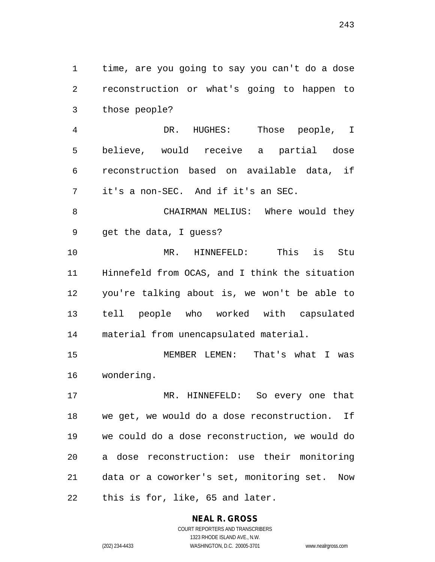time, are you going to say you can't do a dose reconstruction or what's going to happen to those people?

 DR. HUGHES: Those people, I believe, would receive a partial dose reconstruction based on available data, if it's a non-SEC. And if it's an SEC.

 CHAIRMAN MELIUS: Where would they get the data, I guess?

 MR. HINNEFELD: This is Stu Hinnefeld from OCAS, and I think the situation you're talking about is, we won't be able to tell people who worked with capsulated material from unencapsulated material.

 MEMBER LEMEN: That's what I was wondering.

 MR. HINNEFELD: So every one that we get, we would do a dose reconstruction. If we could do a dose reconstruction, we would do a dose reconstruction: use their monitoring data or a coworker's set, monitoring set. Now this is for, like, 65 and later.

## **NEAL R. GROSS**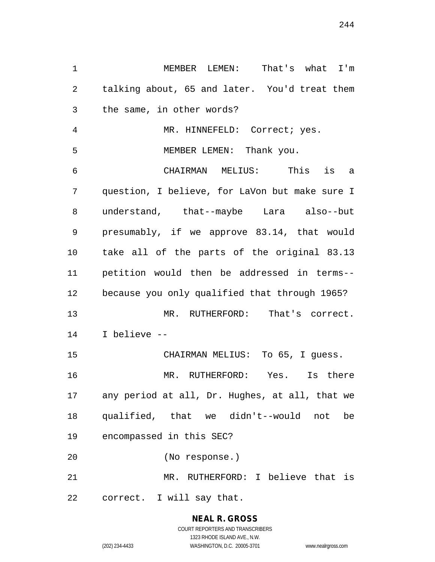MEMBER LEMEN: That's what I'm talking about, 65 and later. You'd treat them the same, in other words? MR. HINNEFELD: Correct; yes. MEMBER LEMEN: Thank you. CHAIRMAN MELIUS: This is a question, I believe, for LaVon but make sure I understand, that--maybe Lara also--but presumably, if we approve 83.14, that would take all of the parts of the original 83.13 petition would then be addressed in terms-- because you only qualified that through 1965? MR. RUTHERFORD: That's correct. I believe -- CHAIRMAN MELIUS: To 65, I guess. MR. RUTHERFORD: Yes. Is there any period at all, Dr. Hughes, at all, that we qualified, that we didn't--would not be encompassed in this SEC? (No response.) MR. RUTHERFORD: I believe that is correct. I will say that.

> **NEAL R. GROSS** COURT REPORTERS AND TRANSCRIBERS

> > 1323 RHODE ISLAND AVE., N.W.

(202) 234-4433 WASHINGTON, D.C. 20005-3701 www.nealrgross.com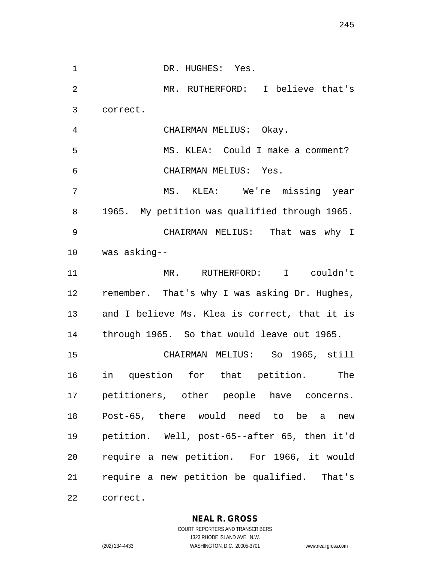1 DR. HUGHES: Yes. MR. RUTHERFORD: I believe that's correct. CHAIRMAN MELIUS: Okay. MS. KLEA: Could I make a comment? CHAIRMAN MELIUS: Yes. MS. KLEA: We're missing year 1965. My petition was qualified through 1965. CHAIRMAN MELIUS: That was why I was asking-- MR. RUTHERFORD: I couldn't remember. That's why I was asking Dr. Hughes, and I believe Ms. Klea is correct, that it is through 1965. So that would leave out 1965. CHAIRMAN MELIUS: So 1965, still in question for that petition. The petitioners, other people have concerns. Post-65, there would need to be a new petition. Well, post-65--after 65, then it'd require a new petition. For 1966, it would require a new petition be qualified. That's correct.

**NEAL R. GROSS**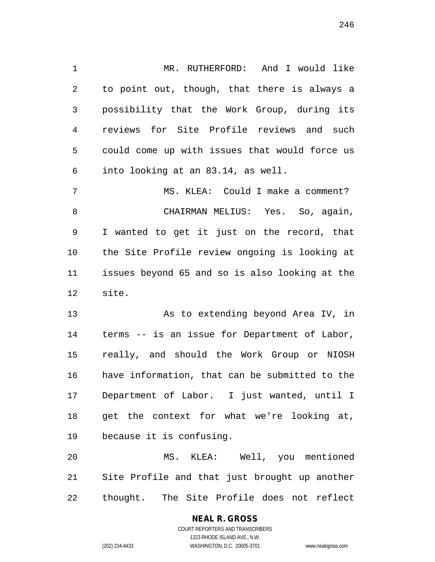MR. RUTHERFORD: And I would like to point out, though, that there is always a possibility that the Work Group, during its reviews for Site Profile reviews and such could come up with issues that would force us into looking at an 83.14, as well.

 MS. KLEA: Could I make a comment? CHAIRMAN MELIUS: Yes. So, again, I wanted to get it just on the record, that the Site Profile review ongoing is looking at issues beyond 65 and so is also looking at the site.

13 As to extending beyond Area IV, in terms -- is an issue for Department of Labor, really, and should the Work Group or NIOSH have information, that can be submitted to the Department of Labor. I just wanted, until I get the context for what we're looking at, because it is confusing.

 MS. KLEA: Well, you mentioned Site Profile and that just brought up another thought. The Site Profile does not reflect

## **NEAL R. GROSS**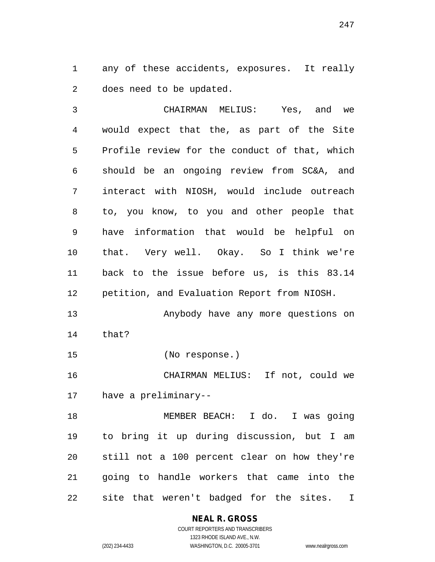any of these accidents, exposures. It really does need to be updated.

 CHAIRMAN MELIUS: Yes, and we would expect that the, as part of the Site Profile review for the conduct of that, which should be an ongoing review from SC&A, and interact with NIOSH, would include outreach to, you know, to you and other people that have information that would be helpful on that. Very well. Okay. So I think we're back to the issue before us, is this 83.14 petition, and Evaluation Report from NIOSH.

 Anybody have any more questions on that?

(No response.)

 CHAIRMAN MELIUS: If not, could we have a preliminary--

 MEMBER BEACH: I do. I was going to bring it up during discussion, but I am still not a 100 percent clear on how they're going to handle workers that came into the site that weren't badged for the sites. I

## **NEAL R. GROSS**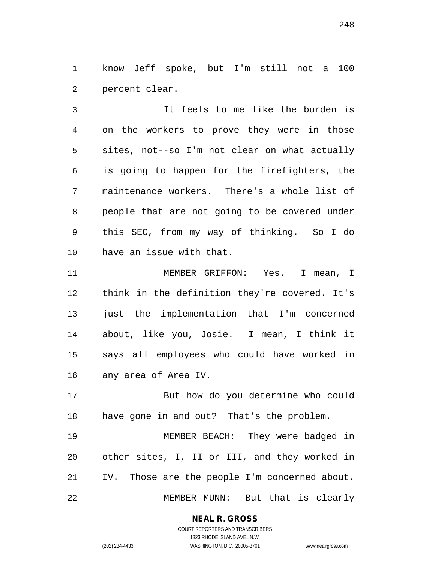know Jeff spoke, but I'm still not a 100 percent clear.

 It feels to me like the burden is on the workers to prove they were in those sites, not--so I'm not clear on what actually is going to happen for the firefighters, the maintenance workers. There's a whole list of people that are not going to be covered under this SEC, from my way of thinking. So I do have an issue with that.

 MEMBER GRIFFON: Yes. I mean, I think in the definition they're covered. It's just the implementation that I'm concerned about, like you, Josie. I mean, I think it says all employees who could have worked in any area of Area IV.

 But how do you determine who could have gone in and out? That's the problem.

 MEMBER BEACH: They were badged in other sites, I, II or III, and they worked in IV. Those are the people I'm concerned about. MEMBER MUNN: But that is clearly

**NEAL R. GROSS**

COURT REPORTERS AND TRANSCRIBERS 1323 RHODE ISLAND AVE., N.W. (202) 234-4433 WASHINGTON, D.C. 20005-3701 www.nealrgross.com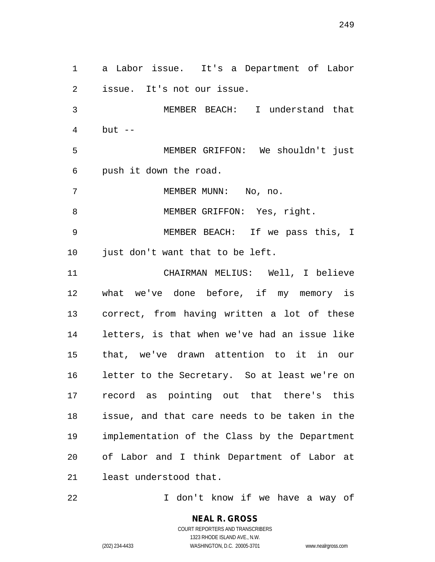a Labor issue. It's a Department of Labor issue. It's not our issue. MEMBER BEACH: I understand that but -- MEMBER GRIFFON: We shouldn't just push it down the road. MEMBER MUNN: No, no. 8 MEMBER GRIFFON: Yes, right. MEMBER BEACH: If we pass this, I just don't want that to be left. CHAIRMAN MELIUS: Well, I believe what we've done before, if my memory is correct, from having written a lot of these letters, is that when we've had an issue like that, we've drawn attention to it in our letter to the Secretary. So at least we're on record as pointing out that there's this issue, and that care needs to be taken in the implementation of the Class by the Department of Labor and I think Department of Labor at least understood that.

I don't know if we have a way of

**NEAL R. GROSS** COURT REPORTERS AND TRANSCRIBERS 1323 RHODE ISLAND AVE., N.W. (202) 234-4433 WASHINGTON, D.C. 20005-3701 www.nealrgross.com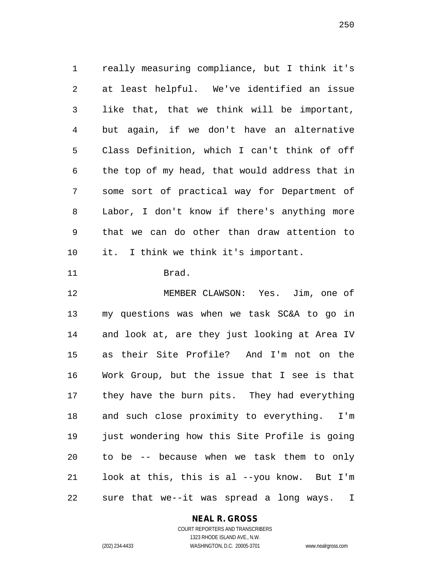really measuring compliance, but I think it's at least helpful. We've identified an issue like that, that we think will be important, but again, if we don't have an alternative Class Definition, which I can't think of off the top of my head, that would address that in some sort of practical way for Department of Labor, I don't know if there's anything more that we can do other than draw attention to it. I think we think it's important.

Brad.

 MEMBER CLAWSON: Yes. Jim, one of my questions was when we task SC&A to go in and look at, are they just looking at Area IV as their Site Profile? And I'm not on the Work Group, but the issue that I see is that they have the burn pits. They had everything and such close proximity to everything. I'm just wondering how this Site Profile is going to be -- because when we task them to only look at this, this is al --you know. But I'm sure that we--it was spread a long ways. I

## **NEAL R. GROSS**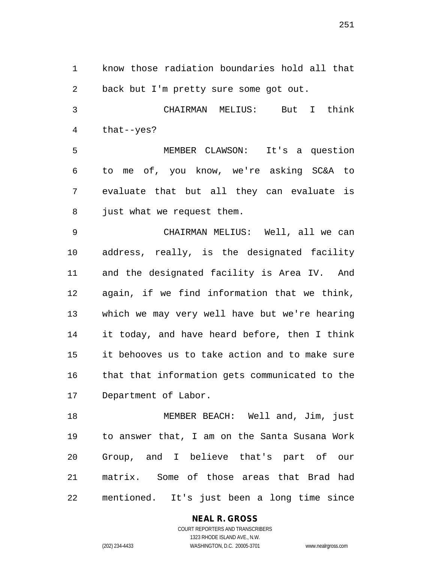know those radiation boundaries hold all that back but I'm pretty sure some got out. CHAIRMAN MELIUS: But I think that--yes? MEMBER CLAWSON: It's a question to me of, you know, we're asking SC&A to evaluate that but all they can evaluate is 8 just what we request them. CHAIRMAN MELIUS: Well, all we can address, really, is the designated facility and the designated facility is Area IV. And again, if we find information that we think, which we may very well have but we're hearing it today, and have heard before, then I think it behooves us to take action and to make sure that that information gets communicated to the Department of Labor. MEMBER BEACH: Well and, Jim, just to answer that, I am on the Santa Susana Work Group, and I believe that's part of our matrix. Some of those areas that Brad had mentioned. It's just been a long time since

**NEAL R. GROSS**

COURT REPORTERS AND TRANSCRIBERS 1323 RHODE ISLAND AVE., N.W. (202) 234-4433 WASHINGTON, D.C. 20005-3701 www.nealrgross.com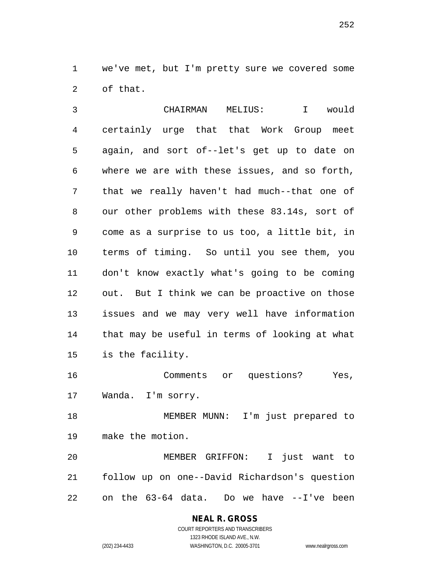we've met, but I'm pretty sure we covered some of that.

 CHAIRMAN MELIUS: I would certainly urge that that Work Group meet again, and sort of--let's get up to date on where we are with these issues, and so forth, that we really haven't had much--that one of our other problems with these 83.14s, sort of come as a surprise to us too, a little bit, in terms of timing. So until you see them, you don't know exactly what's going to be coming out. But I think we can be proactive on those issues and we may very well have information that may be useful in terms of looking at what is the facility.

 Comments or questions? Yes, Wanda. I'm sorry.

 MEMBER MUNN: I'm just prepared to make the motion.

 MEMBER GRIFFON: I just want to follow up on one--David Richardson's question on the 63-64 data. Do we have --I've been

## **NEAL R. GROSS**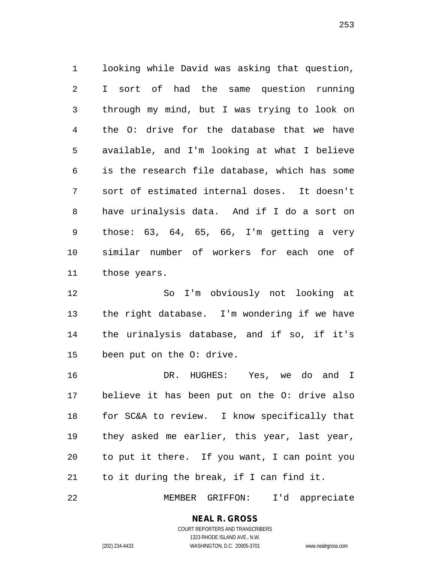looking while David was asking that question, I sort of had the same question running through my mind, but I was trying to look on the O: drive for the database that we have available, and I'm looking at what I believe is the research file database, which has some sort of estimated internal doses. It doesn't have urinalysis data. And if I do a sort on those: 63, 64, 65, 66, I'm getting a very similar number of workers for each one of those years.

 So I'm obviously not looking at the right database. I'm wondering if we have the urinalysis database, and if so, if it's been put on the O: drive.

 DR. HUGHES: Yes, we do and I believe it has been put on the O: drive also for SC&A to review. I know specifically that they asked me earlier, this year, last year, to put it there. If you want, I can point you to it during the break, if I can find it.

MEMBER GRIFFON: I'd appreciate

# **NEAL R. GROSS**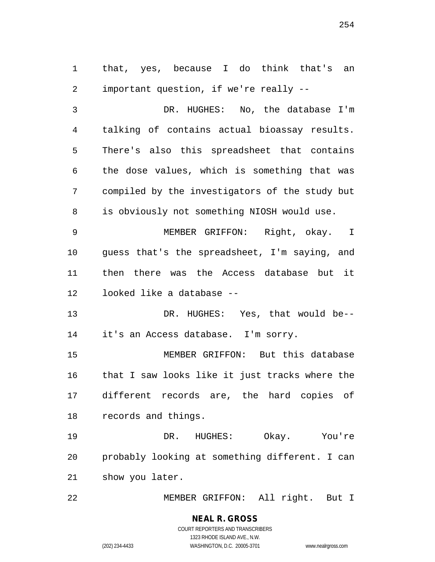that, yes, because I do think that's an important question, if we're really --

 DR. HUGHES: No, the database I'm talking of contains actual bioassay results. There's also this spreadsheet that contains the dose values, which is something that was compiled by the investigators of the study but is obviously not something NIOSH would use.

 MEMBER GRIFFON: Right, okay. I guess that's the spreadsheet, I'm saying, and then there was the Access database but it looked like a database --

 DR. HUGHES: Yes, that would be-- it's an Access database. I'm sorry.

 MEMBER GRIFFON: But this database that I saw looks like it just tracks where the different records are, the hard copies of records and things.

 DR. HUGHES: Okay. You're probably looking at something different. I can show you later.

MEMBER GRIFFON: All right. But I

# **NEAL R. GROSS** COURT REPORTERS AND TRANSCRIBERS

1323 RHODE ISLAND AVE., N.W. (202) 234-4433 WASHINGTON, D.C. 20005-3701 www.nealrgross.com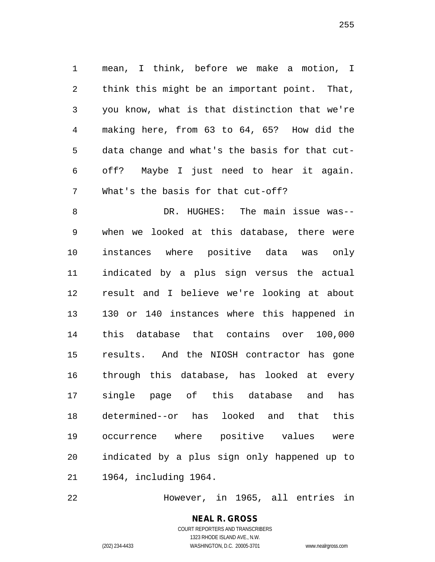mean, I think, before we make a motion, I think this might be an important point. That, you know, what is that distinction that we're making here, from 63 to 64, 65? How did the data change and what's the basis for that cut- off? Maybe I just need to hear it again. What's the basis for that cut-off?

 DR. HUGHES: The main issue was-- when we looked at this database, there were instances where positive data was only indicated by a plus sign versus the actual result and I believe we're looking at about 130 or 140 instances where this happened in this database that contains over 100,000 results. And the NIOSH contractor has gone through this database, has looked at every single page of this database and has determined--or has looked and that this occurrence where positive values were indicated by a plus sign only happened up to 1964, including 1964.

However, in 1965, all entries in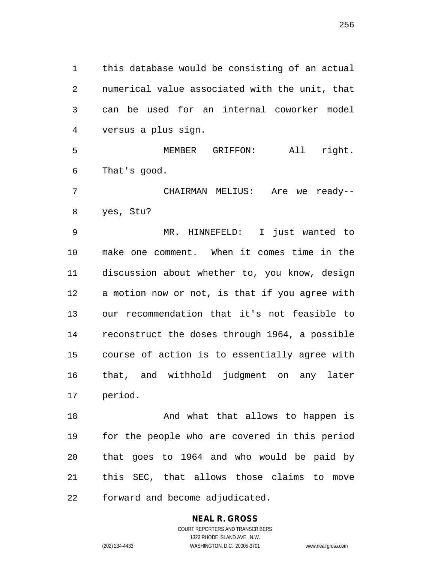this database would be consisting of an actual numerical value associated with the unit, that can be used for an internal coworker model versus a plus sign.

 MEMBER GRIFFON: All right. That's good.

 CHAIRMAN MELIUS: Are we ready-- yes, Stu?

 MR. HINNEFELD: I just wanted to make one comment. When it comes time in the discussion about whether to, you know, design a motion now or not, is that if you agree with our recommendation that it's not feasible to reconstruct the doses through 1964, a possible course of action is to essentially agree with that, and withhold judgment on any later period.

18 And what that allows to happen is for the people who are covered in this period that goes to 1964 and who would be paid by this SEC, that allows those claims to move forward and become adjudicated.

# **NEAL R. GROSS**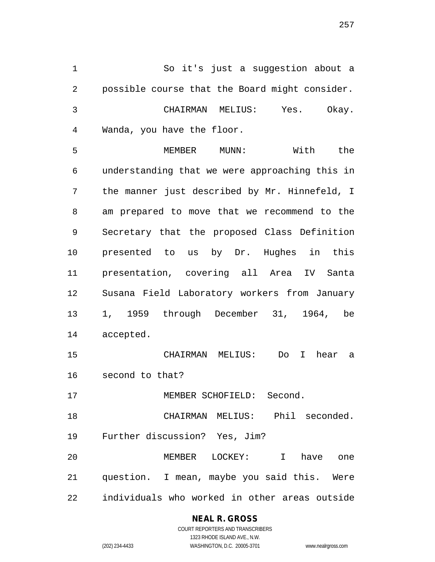So it's just a suggestion about a possible course that the Board might consider. CHAIRMAN MELIUS: Yes. Okay. Wanda, you have the floor. MEMBER MUNN: With the understanding that we were approaching this in the manner just described by Mr. Hinnefeld, I am prepared to move that we recommend to the Secretary that the proposed Class Definition presented to us by Dr. Hughes in this presentation, covering all Area IV Santa Susana Field Laboratory workers from January 1, 1959 through December 31, 1964, be accepted. CHAIRMAN MELIUS: Do I hear a second to that? MEMBER SCHOFIELD: Second. CHAIRMAN MELIUS: Phil seconded. Further discussion? Yes, Jim?

 MEMBER LOCKEY: I have one question. I mean, maybe you said this. Were individuals who worked in other areas outside

# **NEAL R. GROSS**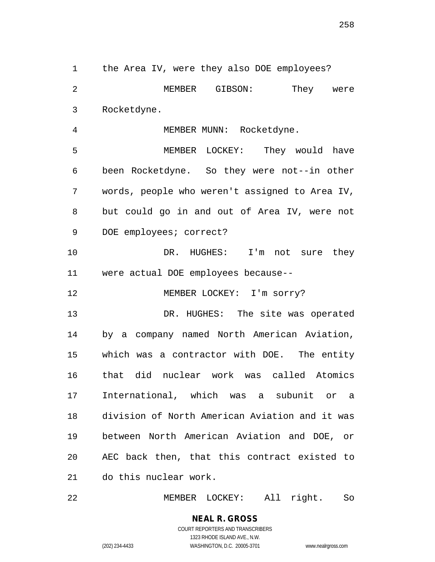the Area IV, were they also DOE employees? MEMBER GIBSON: They were Rocketdyne. MEMBER MUNN: Rocketdyne. MEMBER LOCKEY: They would have been Rocketdyne. So they were not--in other words, people who weren't assigned to Area IV, but could go in and out of Area IV, were not 9 DOE employees; correct? 10 DR. HUGHES: I'm not sure they were actual DOE employees because-- 12 MEMBER LOCKEY: I'm sorry?

13 DR. HUGHES: The site was operated by a company named North American Aviation, which was a contractor with DOE. The entity that did nuclear work was called Atomics International, which was a subunit or a division of North American Aviation and it was between North American Aviation and DOE, or AEC back then, that this contract existed to do this nuclear work.

MEMBER LOCKEY: All right. So

**NEAL R. GROSS** COURT REPORTERS AND TRANSCRIBERS

1323 RHODE ISLAND AVE., N.W.

(202) 234-4433 WASHINGTON, D.C. 20005-3701 www.nealrgross.com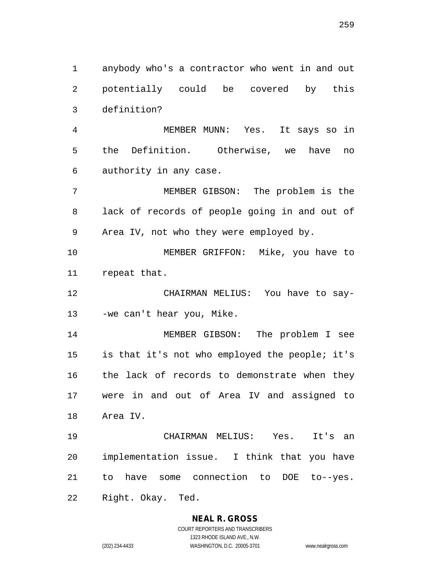anybody who's a contractor who went in and out potentially could be covered by this definition?

 MEMBER MUNN: Yes. It says so in the Definition. Otherwise, we have no authority in any case.

 MEMBER GIBSON: The problem is the lack of records of people going in and out of Area IV, not who they were employed by.

10 MEMBER GRIFFON: Mike, you have to repeat that.

 CHAIRMAN MELIUS: You have to say-13 -we can't hear you, Mike.

 MEMBER GIBSON: The problem I see is that it's not who employed the people; it's the lack of records to demonstrate when they were in and out of Area IV and assigned to Area IV.

 CHAIRMAN MELIUS: Yes. It's an implementation issue. I think that you have to have some connection to DOE to--yes. Right. Okay. Ted.

> **NEAL R. GROSS** COURT REPORTERS AND TRANSCRIBERS

1323 RHODE ISLAND AVE., N.W. (202) 234-4433 WASHINGTON, D.C. 20005-3701 www.nealrgross.com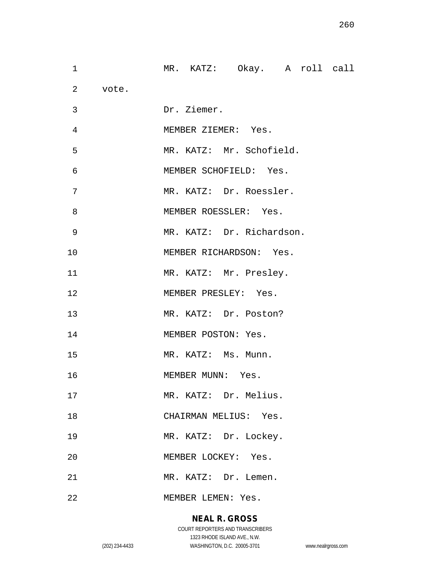| 1  |         |                     | MR. KATZ: Okay. A roll call |  |  |
|----|---------|---------------------|-----------------------------|--|--|
|    | 2 vote. |                     |                             |  |  |
| 3  |         | Dr. Ziemer.         |                             |  |  |
| 4  |         | MEMBER ZIEMER: Yes. |                             |  |  |
| 5  |         |                     | MR. KATZ: Mr. Schofield.    |  |  |
| 6  |         |                     | MEMBER SCHOFIELD: Yes.      |  |  |
| 7  |         |                     | MR. KATZ: Dr. Roessler.     |  |  |
| 8  |         |                     | MEMBER ROESSLER: Yes.       |  |  |
| 9  |         |                     | MR. KATZ: Dr. Richardson.   |  |  |
| 10 |         |                     | MEMBER RICHARDSON: Yes.     |  |  |
| 11 |         |                     | MR. KATZ: Mr. Presley.      |  |  |
| 12 |         |                     | MEMBER PRESLEY: Yes.        |  |  |
| 13 |         |                     | MR. KATZ: Dr. Poston?       |  |  |
| 14 |         | MEMBER POSTON: Yes. |                             |  |  |
| 15 |         | MR. KATZ: Ms. Munn. |                             |  |  |
| 16 |         | MEMBER MUNN: Yes.   |                             |  |  |
| 17 |         |                     | MR. KATZ: Dr. Melius.       |  |  |
| 18 |         |                     | CHAIRMAN MELIUS: Yes.       |  |  |
| 19 |         |                     | MR. KATZ: Dr. Lockey.       |  |  |
| 20 |         | MEMBER LOCKEY: Yes. |                             |  |  |
| 21 |         |                     | MR. KATZ: Dr. Lemen.        |  |  |
| 22 |         | MEMBER LEMEN: Yes.  |                             |  |  |

# **NEAL R. GROSS**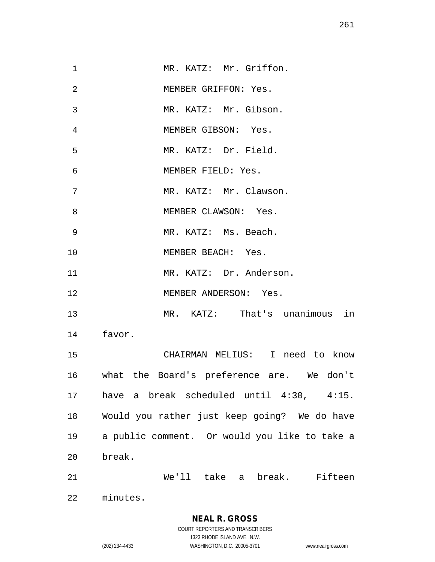| $\mathbf 1$ | MR. KATZ: Mr. Griffon.                        |
|-------------|-----------------------------------------------|
| 2           | MEMBER GRIFFON: Yes.                          |
| 3           | MR. KATZ: Mr. Gibson.                         |
| 4           | MEMBER GIBSON: Yes.                           |
| 5           | MR. KATZ: Dr. Field.                          |
| 6           | MEMBER FIELD: Yes.                            |
| 7           | MR. KATZ: Mr. Clawson.                        |
| 8           | MEMBER CLAWSON: Yes.                          |
| 9           | MR. KATZ: Ms. Beach.                          |
| 10          | MEMBER BEACH: Yes.                            |
| 11          | MR. KATZ: Dr. Anderson.                       |
| 12          | MEMBER ANDERSON: Yes.                         |
| 13          | MR. KATZ: That's unanimous in                 |
|             | 14 favor.                                     |
| 15          | CHAIRMAN MELIUS: I need to know               |
|             | 16 what the Board's preference are. We don't  |
| 17          | have a break scheduled until 4:30, 4:15.      |
| 18          | Would you rather just keep going? We do have  |
| 19          | a public comment. Or would you like to take a |
| 20          | break.                                        |
| 21          | We'll take a break. Fifteen                   |
| 22          | minutes.                                      |

**NEAL R. GROSS** COURT REPORTERS AND TRANSCRIBERS 1323 RHODE ISLAND AVE., N.W.

(202) 234-4433 WASHINGTON, D.C. 20005-3701 www.nealrgross.com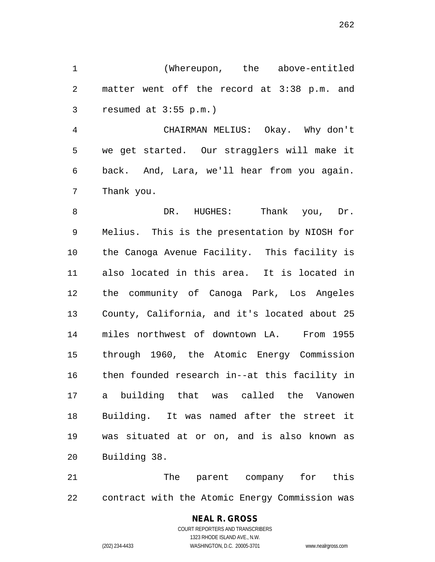(Whereupon, the above-entitled matter went off the record at 3:38 p.m. and resumed at 3:55 p.m.)

 CHAIRMAN MELIUS: Okay. Why don't we get started. Our stragglers will make it back. And, Lara, we'll hear from you again. Thank you.

8 DR. HUGHES: Thank you, Dr. Melius. This is the presentation by NIOSH for the Canoga Avenue Facility. This facility is also located in this area. It is located in the community of Canoga Park, Los Angeles County, California, and it's located about 25 miles northwest of downtown LA. From 1955 through 1960, the Atomic Energy Commission then founded research in--at this facility in a building that was called the Vanowen Building. It was named after the street it was situated at or on, and is also known as Building 38.

 The parent company for this contract with the Atomic Energy Commission was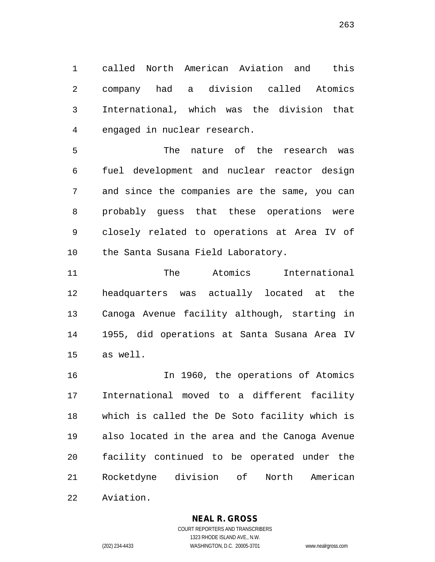called North American Aviation and this company had a division called Atomics International, which was the division that engaged in nuclear research.

 The nature of the research was fuel development and nuclear reactor design and since the companies are the same, you can probably guess that these operations were closely related to operations at Area IV of the Santa Susana Field Laboratory.

 The Atomics International headquarters was actually located at the Canoga Avenue facility although, starting in 1955, did operations at Santa Susana Area IV as well.

**In 1960**, the operations of Atomics International moved to a different facility which is called the De Soto facility which is also located in the area and the Canoga Avenue facility continued to be operated under the Rocketdyne division of North American

Aviation.

# **NEAL R. GROSS**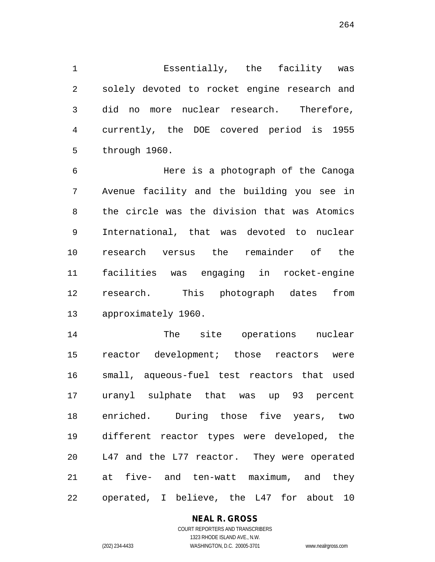Essentially, the facility was solely devoted to rocket engine research and did no more nuclear research. Therefore, currently, the DOE covered period is 1955 through 1960.

 Here is a photograph of the Canoga Avenue facility and the building you see in the circle was the division that was Atomics International, that was devoted to nuclear research versus the remainder of the facilities was engaging in rocket-engine research. This photograph dates from approximately 1960.

 The site operations nuclear reactor development; those reactors were small, aqueous-fuel test reactors that used uranyl sulphate that was up 93 percent enriched. During those five years, two different reactor types were developed, the L47 and the L77 reactor. They were operated at five- and ten-watt maximum, and they operated, I believe, the L47 for about 10

# **NEAL R. GROSS** COURT REPORTERS AND TRANSCRIBERS

1323 RHODE ISLAND AVE., N.W. (202) 234-4433 WASHINGTON, D.C. 20005-3701 www.nealrgross.com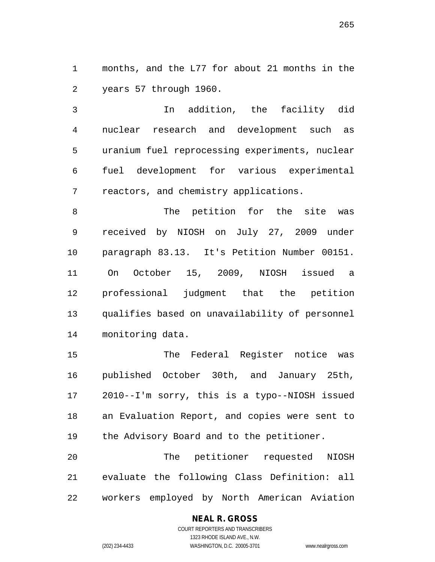months, and the L77 for about 21 months in the years 57 through 1960.

 In addition, the facility did nuclear research and development such as uranium fuel reprocessing experiments, nuclear fuel development for various experimental reactors, and chemistry applications.

 The petition for the site was received by NIOSH on July 27, 2009 under paragraph 83.13. It's Petition Number 00151. On October 15, 2009, NIOSH issued a professional judgment that the petition qualifies based on unavailability of personnel monitoring data.

 The Federal Register notice was published October 30th, and January 25th, 2010--I'm sorry, this is a typo--NIOSH issued an Evaluation Report, and copies were sent to the Advisory Board and to the petitioner.

 The petitioner requested NIOSH evaluate the following Class Definition: all workers employed by North American Aviation

# **NEAL R. GROSS**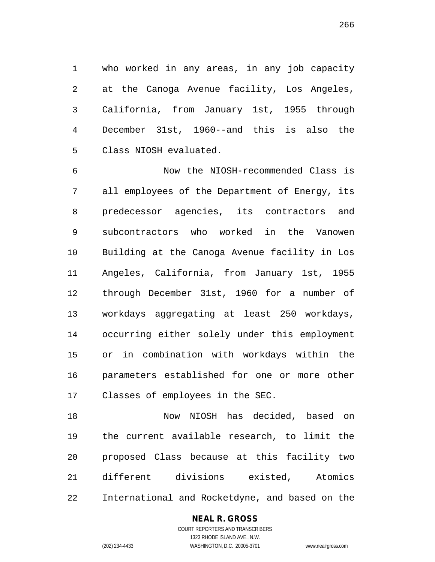who worked in any areas, in any job capacity at the Canoga Avenue facility, Los Angeles, California, from January 1st, 1955 through December 31st, 1960--and this is also the Class NIOSH evaluated.

 Now the NIOSH-recommended Class is all employees of the Department of Energy, its predecessor agencies, its contractors and subcontractors who worked in the Vanowen Building at the Canoga Avenue facility in Los Angeles, California, from January 1st, 1955 through December 31st, 1960 for a number of workdays aggregating at least 250 workdays, occurring either solely under this employment or in combination with workdays within the parameters established for one or more other Classes of employees in the SEC.

 Now NIOSH has decided, based on the current available research, to limit the proposed Class because at this facility two different divisions existed, Atomics International and Rocketdyne, and based on the

#### **NEAL R. GROSS** COURT REPORTERS AND TRANSCRIBERS

1323 RHODE ISLAND AVE., N.W. (202) 234-4433 WASHINGTON, D.C. 20005-3701 www.nealrgross.com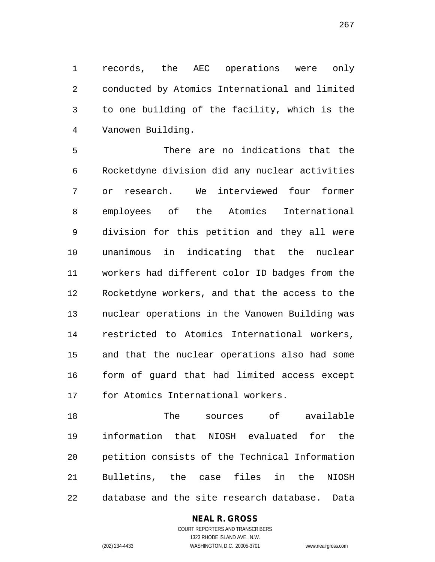records, the AEC operations were only conducted by Atomics International and limited to one building of the facility, which is the Vanowen Building.

 There are no indications that the Rocketdyne division did any nuclear activities or research. We interviewed four former employees of the Atomics International division for this petition and they all were unanimous in indicating that the nuclear workers had different color ID badges from the Rocketdyne workers, and that the access to the nuclear operations in the Vanowen Building was restricted to Atomics International workers, and that the nuclear operations also had some form of guard that had limited access except for Atomics International workers.

 The sources of available information that NIOSH evaluated for the petition consists of the Technical Information Bulletins, the case files in the NIOSH database and the site research database. Data

# **NEAL R. GROSS**

COURT REPORTERS AND TRANSCRIBERS 1323 RHODE ISLAND AVE., N.W. (202) 234-4433 WASHINGTON, D.C. 20005-3701 www.nealrgross.com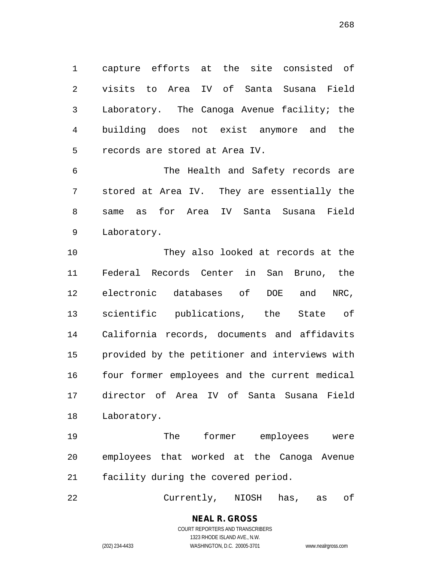capture efforts at the site consisted of visits to Area IV of Santa Susana Field Laboratory. The Canoga Avenue facility; the building does not exist anymore and the records are stored at Area IV.

 The Health and Safety records are stored at Area IV. They are essentially the same as for Area IV Santa Susana Field Laboratory.

 They also looked at records at the Federal Records Center in San Bruno, the electronic databases of DOE and NRC, scientific publications, the State of California records, documents and affidavits provided by the petitioner and interviews with four former employees and the current medical director of Area IV of Santa Susana Field Laboratory.

 The former employees were employees that worked at the Canoga Avenue facility during the covered period.

Currently, NIOSH has, as of

### **NEAL R. GROSS** COURT REPORTERS AND TRANSCRIBERS

1323 RHODE ISLAND AVE., N.W. (202) 234-4433 WASHINGTON, D.C. 20005-3701 www.nealrgross.com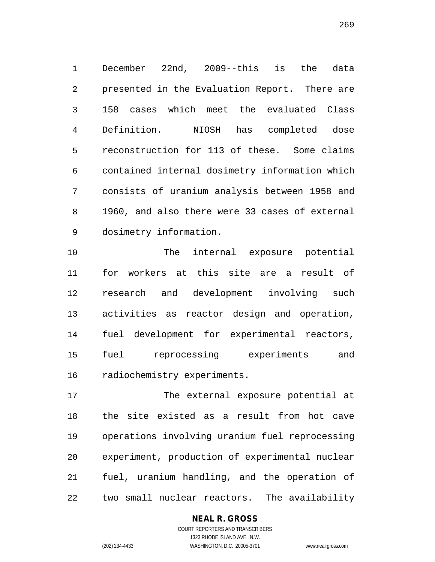December 22nd, 2009--this is the data presented in the Evaluation Report. There are 158 cases which meet the evaluated Class Definition. NIOSH has completed dose reconstruction for 113 of these. Some claims contained internal dosimetry information which consists of uranium analysis between 1958 and 1960, and also there were 33 cases of external dosimetry information.

 The internal exposure potential for workers at this site are a result of research and development involving such activities as reactor design and operation, fuel development for experimental reactors, fuel reprocessing experiments and radiochemistry experiments.

 The external exposure potential at the site existed as a result from hot cave operations involving uranium fuel reprocessing experiment, production of experimental nuclear fuel, uranium handling, and the operation of two small nuclear reactors. The availability

# **NEAL R. GROSS**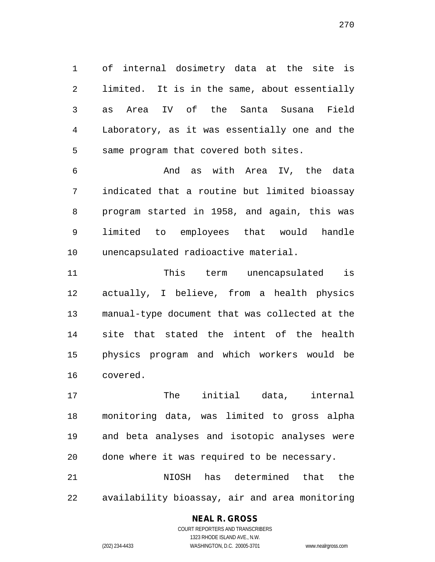of internal dosimetry data at the site is limited. It is in the same, about essentially as Area IV of the Santa Susana Field Laboratory, as it was essentially one and the same program that covered both sites.

 And as with Area IV, the data indicated that a routine but limited bioassay program started in 1958, and again, this was limited to employees that would handle unencapsulated radioactive material.

 This term unencapsulated is actually, I believe, from a health physics manual-type document that was collected at the site that stated the intent of the health physics program and which workers would be covered.

 The initial data, internal monitoring data, was limited to gross alpha and beta analyses and isotopic analyses were done where it was required to be necessary. NIOSH has determined that the availability bioassay, air and area monitoring

#### **NEAL R. GROSS**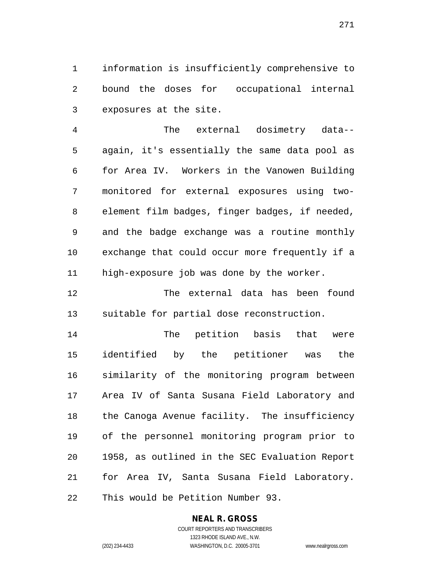information is insufficiently comprehensive to bound the doses for occupational internal exposures at the site.

 The external dosimetry data-- again, it's essentially the same data pool as for Area IV. Workers in the Vanowen Building monitored for external exposures using two- element film badges, finger badges, if needed, and the badge exchange was a routine monthly exchange that could occur more frequently if a high-exposure job was done by the worker.

 The external data has been found suitable for partial dose reconstruction.

 The petition basis that were identified by the petitioner was the similarity of the monitoring program between Area IV of Santa Susana Field Laboratory and the Canoga Avenue facility. The insufficiency of the personnel monitoring program prior to 1958, as outlined in the SEC Evaluation Report for Area IV, Santa Susana Field Laboratory. This would be Petition Number 93.

> **NEAL R. GROSS** COURT REPORTERS AND TRANSCRIBERS

1323 RHODE ISLAND AVE., N.W. (202) 234-4433 WASHINGTON, D.C. 20005-3701 www.nealrgross.com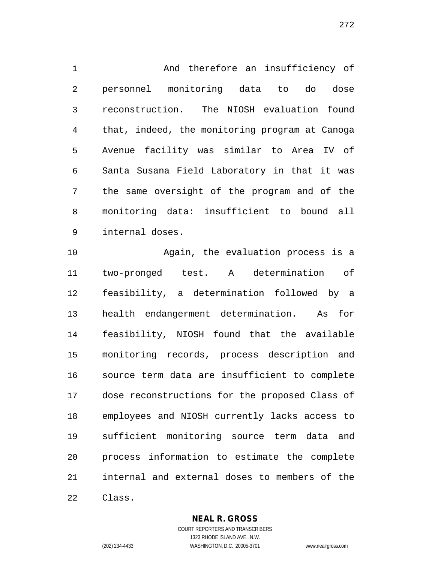And therefore an insufficiency of personnel monitoring data to do dose reconstruction. The NIOSH evaluation found that, indeed, the monitoring program at Canoga Avenue facility was similar to Area IV of Santa Susana Field Laboratory in that it was the same oversight of the program and of the monitoring data: insufficient to bound all internal doses.

10 Again, the evaluation process is a two-pronged test. A determination of feasibility, a determination followed by a health endangerment determination. As for feasibility, NIOSH found that the available monitoring records, process description and source term data are insufficient to complete dose reconstructions for the proposed Class of employees and NIOSH currently lacks access to sufficient monitoring source term data and process information to estimate the complete internal and external doses to members of the Class.

**NEAL R. GROSS**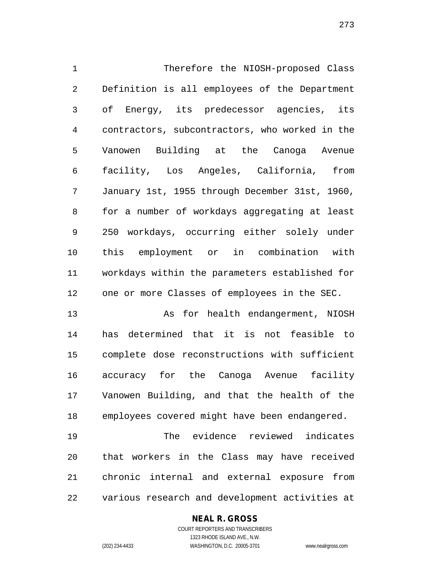Therefore the NIOSH-proposed Class Definition is all employees of the Department of Energy, its predecessor agencies, its contractors, subcontractors, who worked in the Vanowen Building at the Canoga Avenue facility, Los Angeles, California, from January 1st, 1955 through December 31st, 1960, for a number of workdays aggregating at least 250 workdays, occurring either solely under this employment or in combination with workdays within the parameters established for one or more Classes of employees in the SEC.

 As for health endangerment, NIOSH has determined that it is not feasible to complete dose reconstructions with sufficient accuracy for the Canoga Avenue facility Vanowen Building, and that the health of the employees covered might have been endangered.

 The evidence reviewed indicates that workers in the Class may have received chronic internal and external exposure from various research and development activities at

# **NEAL R. GROSS**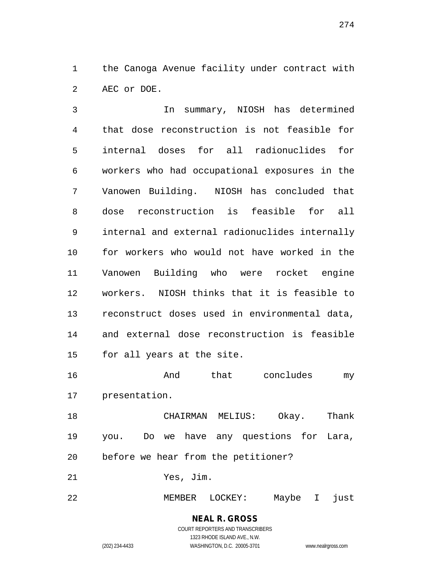the Canoga Avenue facility under contract with AEC or DOE.

 In summary, NIOSH has determined that dose reconstruction is not feasible for internal doses for all radionuclides for workers who had occupational exposures in the Vanowen Building. NIOSH has concluded that dose reconstruction is feasible for all internal and external radionuclides internally for workers who would not have worked in the Vanowen Building who were rocket engine workers. NIOSH thinks that it is feasible to reconstruct doses used in environmental data, and external dose reconstruction is feasible for all years at the site.

 And that concludes my presentation.

 CHAIRMAN MELIUS: Okay. Thank you. Do we have any questions for Lara, before we hear from the petitioner?

Yes, Jim.

MEMBER LOCKEY: Maybe I just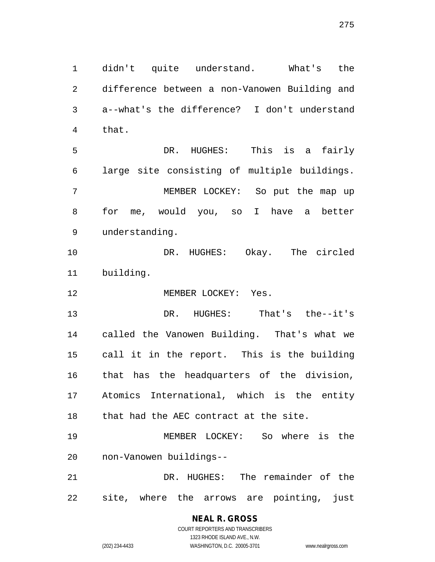didn't quite understand. What's the difference between a non-Vanowen Building and a--what's the difference? I don't understand that. DR. HUGHES: This is a fairly large site consisting of multiple buildings. MEMBER LOCKEY: So put the map up for me, would you, so I have a better understanding. DR. HUGHES: Okay. The circled building. 12 MEMBER LOCKEY: Yes. DR. HUGHES: That's the--it's called the Vanowen Building. That's what we call it in the report. This is the building that has the headquarters of the division, Atomics International, which is the entity that had the AEC contract at the site. MEMBER LOCKEY: So where is the non-Vanowen buildings-- DR. HUGHES: The remainder of the

site, where the arrows are pointing, just

# **NEAL R. GROSS** COURT REPORTERS AND TRANSCRIBERS

1323 RHODE ISLAND AVE., N.W.

(202) 234-4433 WASHINGTON, D.C. 20005-3701 www.nealrgross.com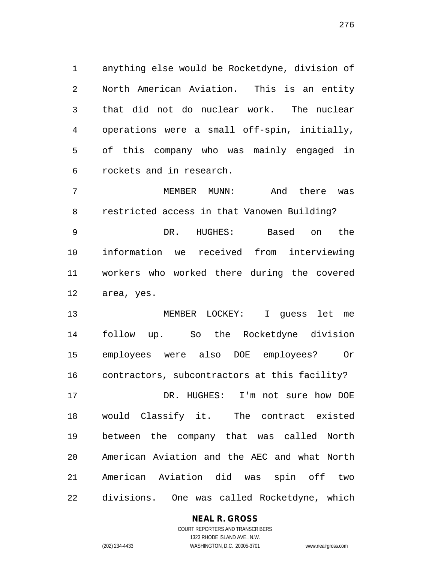anything else would be Rocketdyne, division of North American Aviation. This is an entity that did not do nuclear work. The nuclear operations were a small off-spin, initially, of this company who was mainly engaged in rockets and in research.

 MEMBER MUNN: And there was restricted access in that Vanowen Building? DR. HUGHES: Based on the information we received from interviewing workers who worked there during the covered area, yes.

 MEMBER LOCKEY: I guess let me follow up. So the Rocketdyne division employees were also DOE employees? Or contractors, subcontractors at this facility? DR. HUGHES: I'm not sure how DOE would Classify it. The contract existed between the company that was called North American Aviation and the AEC and what North American Aviation did was spin off two divisions. One was called Rocketdyne, which

# **NEAL R. GROSS**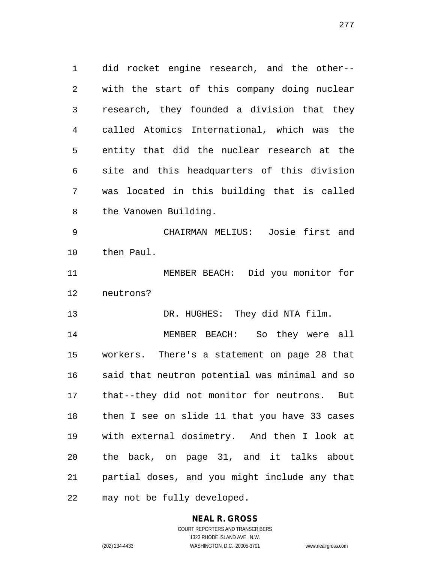did rocket engine research, and the other-- with the start of this company doing nuclear research, they founded a division that they called Atomics International, which was the entity that did the nuclear research at the site and this headquarters of this division was located in this building that is called the Vanowen Building.

 CHAIRMAN MELIUS: Josie first and then Paul.

 MEMBER BEACH: Did you monitor for neutrons?

13 DR. HUGHES: They did NTA film.

 MEMBER BEACH: So they were all workers. There's a statement on page 28 that said that neutron potential was minimal and so that--they did not monitor for neutrons. But then I see on slide 11 that you have 33 cases with external dosimetry. And then I look at the back, on page 31, and it talks about partial doses, and you might include any that may not be fully developed.

# **NEAL R. GROSS**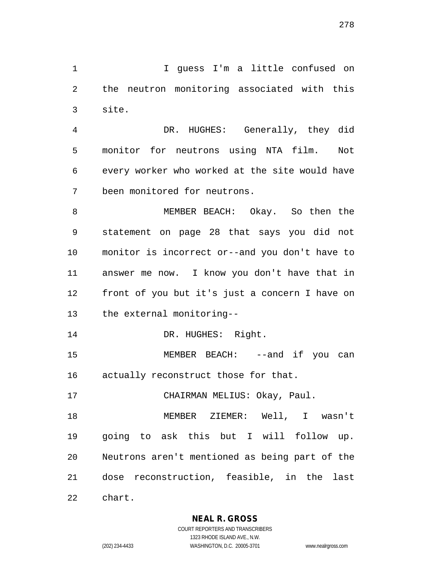I guess I'm a little confused on the neutron monitoring associated with this site.

 DR. HUGHES: Generally, they did monitor for neutrons using NTA film. Not every worker who worked at the site would have been monitored for neutrons.

 MEMBER BEACH: Okay. So then the statement on page 28 that says you did not monitor is incorrect or--and you don't have to answer me now. I know you don't have that in front of you but it's just a concern I have on the external monitoring--

14 DR. HUGHES: Right.

15 MEMBER BEACH: --and if you can actually reconstruct those for that.

CHAIRMAN MELIUS: Okay, Paul.

 MEMBER ZIEMER: Well, I wasn't going to ask this but I will follow up. Neutrons aren't mentioned as being part of the dose reconstruction, feasible, in the last

chart.

**NEAL R. GROSS**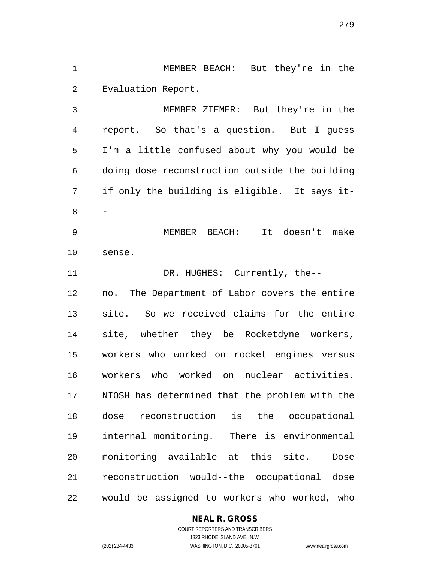MEMBER BEACH: But they're in the Evaluation Report.

 MEMBER ZIEMER: But they're in the report. So that's a question. But I guess I'm a little confused about why you would be doing dose reconstruction outside the building if only the building is eligible. It says it--

 MEMBER BEACH: It doesn't make sense.

11 DR. HUGHES: Currently, the-- no. The Department of Labor covers the entire site. So we received claims for the entire site, whether they be Rocketdyne workers, workers who worked on rocket engines versus workers who worked on nuclear activities. NIOSH has determined that the problem with the dose reconstruction is the occupational internal monitoring. There is environmental monitoring available at this site. Dose reconstruction would--the occupational dose would be assigned to workers who worked, who

**NEAL R. GROSS**

COURT REPORTERS AND TRANSCRIBERS 1323 RHODE ISLAND AVE., N.W. (202) 234-4433 WASHINGTON, D.C. 20005-3701 www.nealrgross.com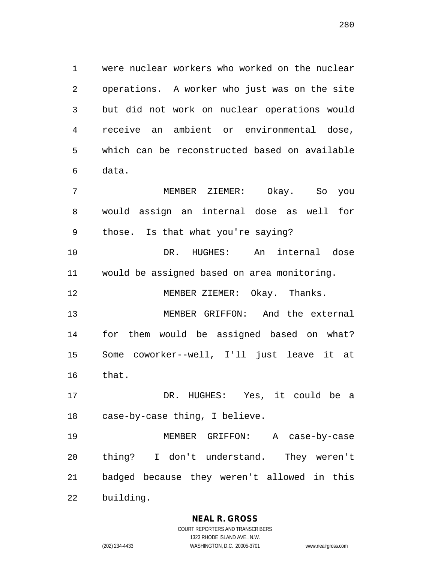were nuclear workers who worked on the nuclear operations. A worker who just was on the site but did not work on nuclear operations would receive an ambient or environmental dose, which can be reconstructed based on available data.

 MEMBER ZIEMER: Okay. So you would assign an internal dose as well for those. Is that what you're saying?

 DR. HUGHES: An internal dose would be assigned based on area monitoring.

12 MEMBER ZIEMER: Okay. Thanks.

 MEMBER GRIFFON: And the external for them would be assigned based on what? Some coworker--well, I'll just leave it at that.

 DR. HUGHES: Yes, it could be a case-by-case thing, I believe.

 MEMBER GRIFFON: A case-by-case thing? I don't understand. They weren't badged because they weren't allowed in this building.

**NEAL R. GROSS**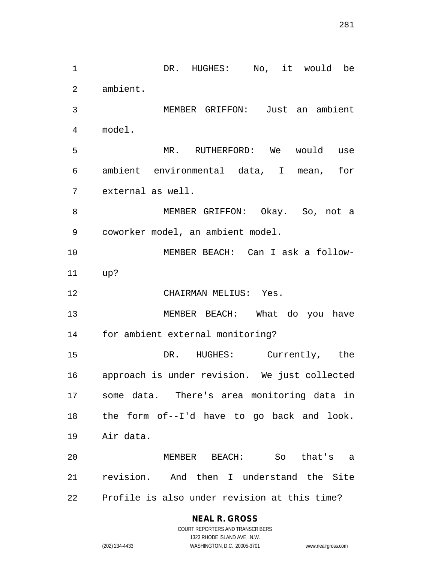1 DR. HUGHES: No, it would be ambient. MEMBER GRIFFON: Just an ambient model. MR. RUTHERFORD: We would use ambient environmental data, I mean, for external as well. MEMBER GRIFFON: Okay. So, not a coworker model, an ambient model. MEMBER BEACH: Can I ask a follow- up? CHAIRMAN MELIUS: Yes. MEMBER BEACH: What do you have for ambient external monitoring? DR. HUGHES: Currently, the approach is under revision. We just collected some data. There's area monitoring data in the form of--I'd have to go back and look. Air data. MEMBER BEACH: So that's a revision. And then I understand the Site Profile is also under revision at this time?

#### **NEAL R. GROSS**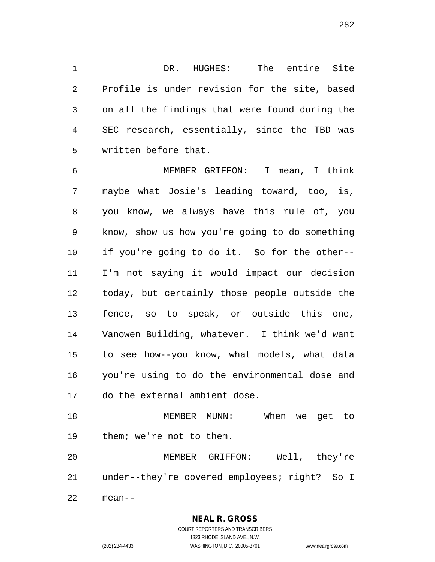DR. HUGHES: The entire Site Profile is under revision for the site, based on all the findings that were found during the SEC research, essentially, since the TBD was written before that.

 MEMBER GRIFFON: I mean, I think maybe what Josie's leading toward, too, is, you know, we always have this rule of, you know, show us how you're going to do something if you're going to do it. So for the other-- I'm not saying it would impact our decision today, but certainly those people outside the fence, so to speak, or outside this one, Vanowen Building, whatever. I think we'd want to see how--you know, what models, what data you're using to do the environmental dose and do the external ambient dose.

 MEMBER MUNN: When we get to them; we're not to them.

 MEMBER GRIFFON: Well, they're under--they're covered employees; right? So I mean--

**NEAL R. GROSS**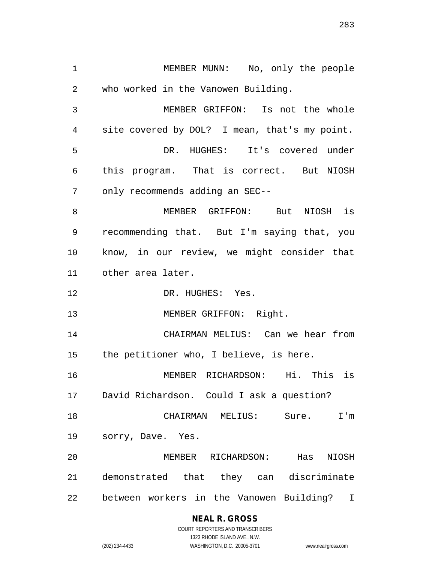MEMBER MUNN: No, only the people who worked in the Vanowen Building. MEMBER GRIFFON: Is not the whole site covered by DOL? I mean, that's my point. DR. HUGHES: It's covered under this program. That is correct. But NIOSH only recommends adding an SEC-- MEMBER GRIFFON: But NIOSH is recommending that. But I'm saying that, you know, in our review, we might consider that other area later. 12 DR. HUGHES: Yes. 13 MEMBER GRIFFON: Right. CHAIRMAN MELIUS: Can we hear from the petitioner who, I believe, is here. MEMBER RICHARDSON: Hi. This is David Richardson. Could I ask a question? CHAIRMAN MELIUS: Sure. I'm sorry, Dave. Yes. MEMBER RICHARDSON: Has NIOSH demonstrated that they can discriminate between workers in the Vanowen Building? I

# **NEAL R. GROSS**

COURT REPORTERS AND TRANSCRIBERS 1323 RHODE ISLAND AVE., N.W. (202) 234-4433 WASHINGTON, D.C. 20005-3701 www.nealrgross.com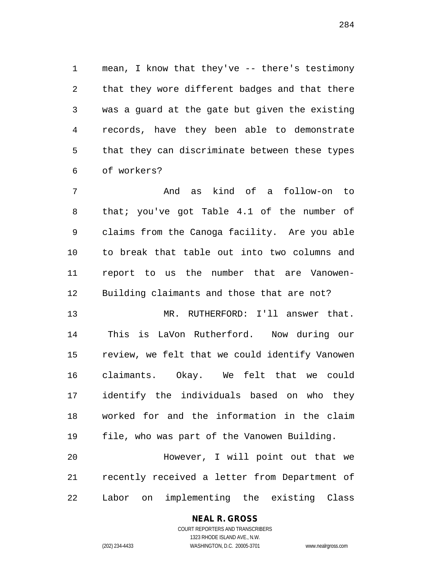mean, I know that they've -- there's testimony that they wore different badges and that there was a guard at the gate but given the existing records, have they been able to demonstrate that they can discriminate between these types of workers?

 And as kind of a follow-on to that; you've got Table 4.1 of the number of claims from the Canoga facility. Are you able to break that table out into two columns and report to us the number that are Vanowen-Building claimants and those that are not?

 MR. RUTHERFORD: I'll answer that. This is LaVon Rutherford. Now during our review, we felt that we could identify Vanowen claimants. Okay. We felt that we could identify the individuals based on who they worked for and the information in the claim file, who was part of the Vanowen Building. However, I will point out that we

 recently received a letter from Department of Labor on implementing the existing Class

# **NEAL R. GROSS**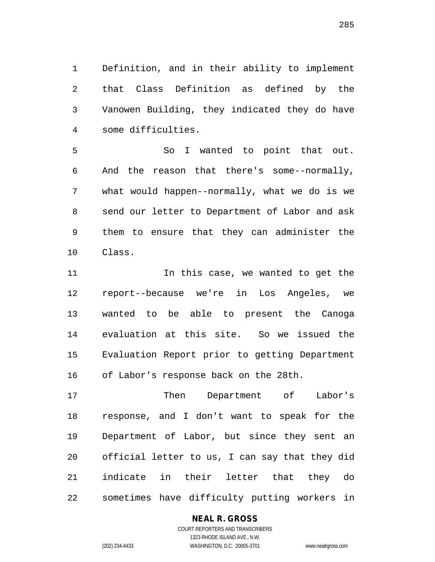Definition, and in their ability to implement that Class Definition as defined by the Vanowen Building, they indicated they do have some difficulties.

 So I wanted to point that out. And the reason that there's some--normally, what would happen--normally, what we do is we send our letter to Department of Labor and ask them to ensure that they can administer the Class.

**In this case, we wanted to get the**  report--because we're in Los Angeles, we wanted to be able to present the Canoga evaluation at this site. So we issued the Evaluation Report prior to getting Department of Labor's response back on the 28th.

 Then Department of Labor's response, and I don't want to speak for the Department of Labor, but since they sent an official letter to us, I can say that they did indicate in their letter that they do sometimes have difficulty putting workers in

#### **NEAL R. GROSS**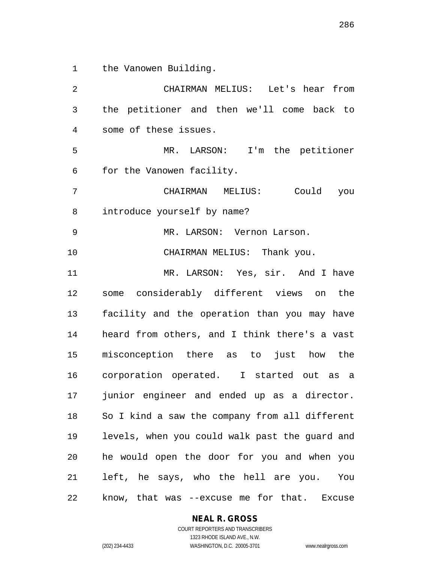the Vanowen Building.

 CHAIRMAN MELIUS: Let's hear from the petitioner and then we'll come back to some of these issues. MR. LARSON: I'm the petitioner for the Vanowen facility. CHAIRMAN MELIUS: Could you introduce yourself by name? MR. LARSON: Vernon Larson. CHAIRMAN MELIUS: Thank you. MR. LARSON: Yes, sir. And I have some considerably different views on the facility and the operation than you may have heard from others, and I think there's a vast misconception there as to just how the corporation operated. I started out as a junior engineer and ended up as a director. So I kind a saw the company from all different levels, when you could walk past the guard and he would open the door for you and when you left, he says, who the hell are you. You know, that was --excuse me for that. Excuse

# **NEAL R. GROSS**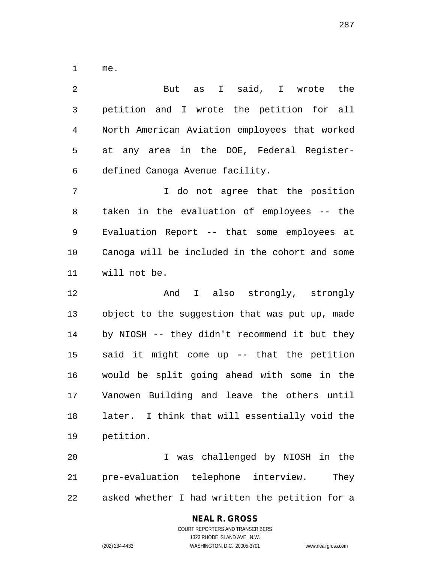me.

| $\overline{2}$ | I said, I wrote the<br>But as                  |
|----------------|------------------------------------------------|
| $\mathfrak{Z}$ | petition and I wrote the petition for all      |
| $\overline{4}$ | North American Aviation employees that worked  |
| 5              | at any area in the DOE, Federal Register-      |
| 6              | defined Canoga Avenue facility.                |
| 7              | I do not agree that the position               |
| 8              | taken in the evaluation of employees -- the    |
| 9              | Evaluation Report -- that some employees at    |
| 10             | Canoga will be included in the cohort and some |
| 11             | will not be.                                   |
| 12             | And I also strongly, strongly                  |
| 13             | object to the suggestion that was put up, made |
| 14             | by NIOSH -- they didn't recommend it but they  |
| 15             | said it might come up -- that the petition     |
| 16             | would be split going ahead with some in the    |
| 17             | Vanowen Building and leave the others until    |
| 18             | later. I think that will essentially void the  |
| 19             | petition.                                      |
| 20             | I was challenged by NIOSH in the               |
| 21             | pre-evaluation telephone interview.<br>They    |
| 22             | asked whether I had written the petition for a |

# **NEAL R. GROSS**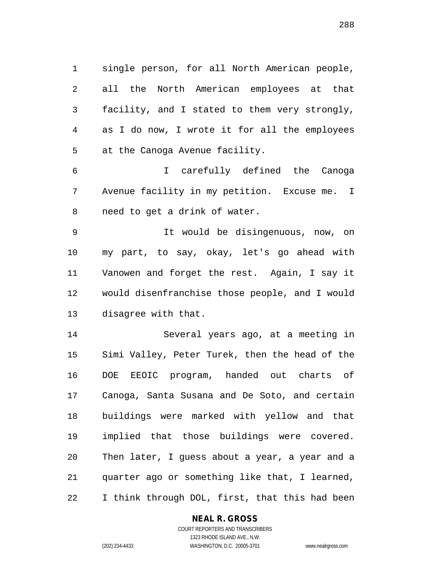single person, for all North American people, all the North American employees at that facility, and I stated to them very strongly, as I do now, I wrote it for all the employees at the Canoga Avenue facility.

 I carefully defined the Canoga Avenue facility in my petition. Excuse me. I need to get a drink of water.

 It would be disingenuous, now, on my part, to say, okay, let's go ahead with Vanowen and forget the rest. Again, I say it would disenfranchise those people, and I would disagree with that.

 Several years ago, at a meeting in Simi Valley, Peter Turek, then the head of the DOE EEOIC program, handed out charts of Canoga, Santa Susana and De Soto, and certain buildings were marked with yellow and that implied that those buildings were covered. Then later, I guess about a year, a year and a quarter ago or something like that, I learned, I think through DOL, first, that this had been

# **NEAL R. GROSS**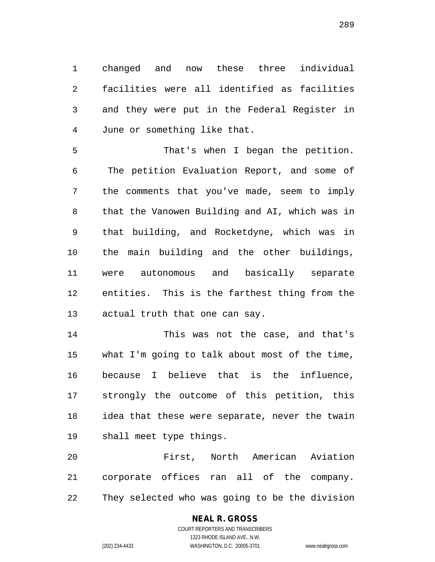changed and now these three individual facilities were all identified as facilities and they were put in the Federal Register in June or something like that.

 That's when I began the petition. The petition Evaluation Report, and some of the comments that you've made, seem to imply that the Vanowen Building and AI, which was in that building, and Rocketdyne, which was in the main building and the other buildings, were autonomous and basically separate entities. This is the farthest thing from the actual truth that one can say.

 This was not the case, and that's what I'm going to talk about most of the time, because I believe that is the influence, strongly the outcome of this petition, this idea that these were separate, never the twain shall meet type things.

 First, North American Aviation corporate offices ran all of the company. They selected who was going to be the division

# **NEAL R. GROSS**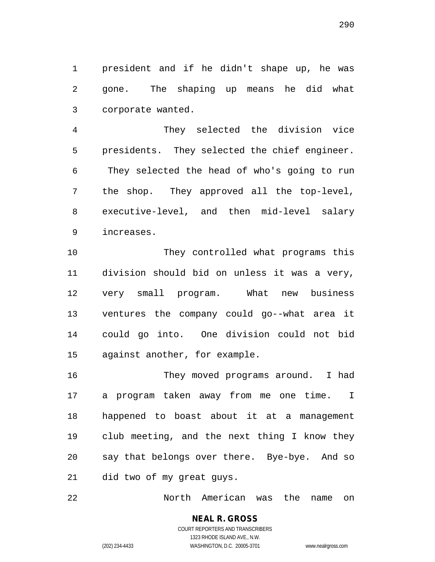president and if he didn't shape up, he was gone. The shaping up means he did what corporate wanted.

 They selected the division vice presidents. They selected the chief engineer. They selected the head of who's going to run the shop. They approved all the top-level, executive-level, and then mid-level salary increases.

 They controlled what programs this division should bid on unless it was a very, very small program. What new business ventures the company could go--what area it could go into. One division could not bid against another, for example.

 They moved programs around. I had a program taken away from me one time. I happened to boast about it at a management club meeting, and the next thing I know they say that belongs over there. Bye-bye. And so did two of my great guys.

North American was the name on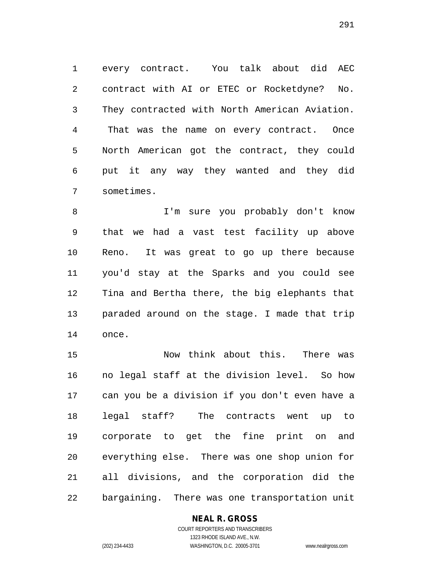every contract. You talk about did AEC contract with AI or ETEC or Rocketdyne? No. They contracted with North American Aviation. That was the name on every contract. Once North American got the contract, they could put it any way they wanted and they did sometimes.

 I'm sure you probably don't know that we had a vast test facility up above Reno. It was great to go up there because you'd stay at the Sparks and you could see Tina and Bertha there, the big elephants that paraded around on the stage. I made that trip once.

 Now think about this. There was no legal staff at the division level. So how can you be a division if you don't even have a legal staff? The contracts went up to corporate to get the fine print on and everything else. There was one shop union for all divisions, and the corporation did the bargaining. There was one transportation unit

#### **NEAL R. GROSS**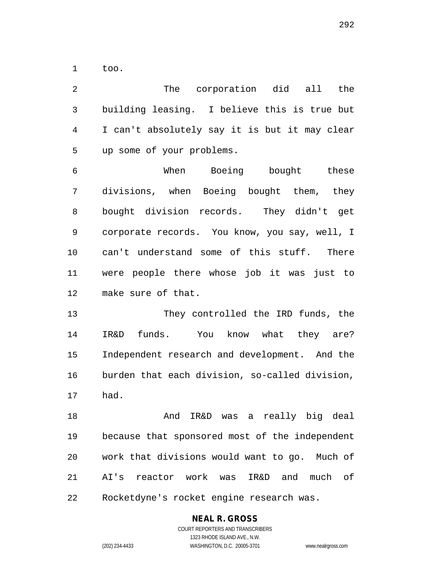too.

| $\overline{2}$ | The corporation did all the                    |
|----------------|------------------------------------------------|
| 3              | building leasing. I believe this is true but   |
| $\overline{4}$ | I can't absolutely say it is but it may clear  |
| 5              | up some of your problems.                      |
| 6              | When Boeing bought these                       |
| 7              | divisions, when Boeing bought them, they       |
| 8              | bought division records. They didn't get       |
| 9              | corporate records. You know, you say, well, I  |
| 10             | can't understand some of this stuff. There     |
| 11             | were people there whose job it was just to     |
| 12             | make sure of that.                             |
| 13             | They controlled the IRD funds, the             |
| 14             | IR&D funds. You know what they are?            |
| 15             | Independent research and development. And the  |
| 16             | burden that each division, so-called division, |
| 17             | had.                                           |
| 18             | And IR&D was a really big deal                 |
| 19             | because that sponsored most of the independent |
| 20             | work that divisions would want to go. Much of  |
| 21             | AI's reactor work was IR&D and<br>much of      |
| 22             | Rocketdyne's rocket engine research was.       |

**NEAL R. GROSS**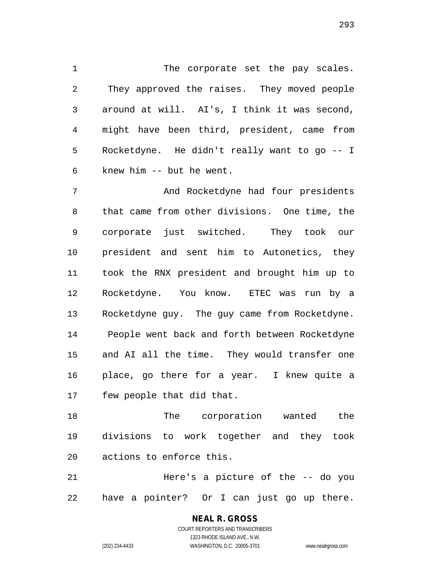1 The corporate set the pay scales. They approved the raises. They moved people around at will. AI's, I think it was second, might have been third, president, came from Rocketdyne. He didn't really want to go -- I knew him -- but he went.

 And Rocketdyne had four presidents that came from other divisions. One time, the corporate just switched. They took our president and sent him to Autonetics, they took the RNX president and brought him up to Rocketdyne. You know. ETEC was run by a Rocketdyne guy. The guy came from Rocketdyne. People went back and forth between Rocketdyne and AI all the time. They would transfer one place, go there for a year. I knew quite a few people that did that.

 The corporation wanted the divisions to work together and they took actions to enforce this.

 Here's a picture of the -- do you have a pointer? Or I can just go up there.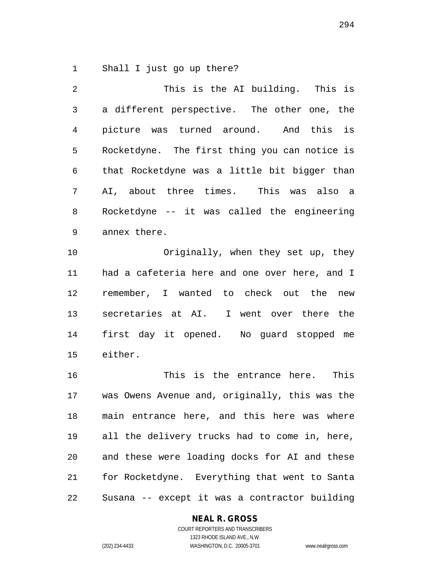Shall I just go up there?

 This is the AI building. This is a different perspective. The other one, the picture was turned around. And this is Rocketdyne. The first thing you can notice is that Rocketdyne was a little bit bigger than AI, about three times. This was also a Rocketdyne -- it was called the engineering annex there. 10 Originally, when they set up, they

 had a cafeteria here and one over here, and I remember, I wanted to check out the new secretaries at AI. I went over there the first day it opened. No guard stopped me either.

 This is the entrance here. This was Owens Avenue and, originally, this was the main entrance here, and this here was where all the delivery trucks had to come in, here, and these were loading docks for AI and these for Rocketdyne. Everything that went to Santa Susana -- except it was a contractor building

### **NEAL R. GROSS**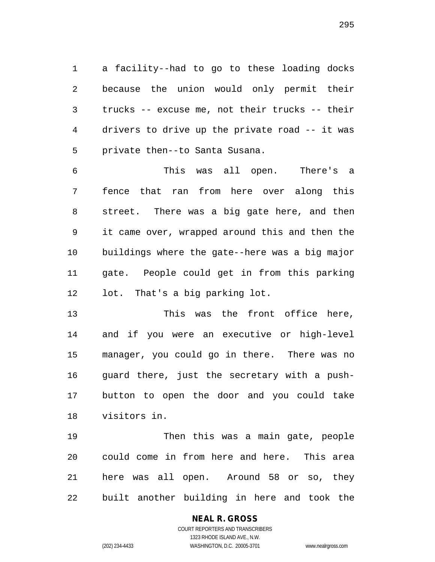a facility--had to go to these loading docks because the union would only permit their trucks -- excuse me, not their trucks -- their drivers to drive up the private road -- it was private then--to Santa Susana.

 This was all open. There's a fence that ran from here over along this street. There was a big gate here, and then it came over, wrapped around this and then the buildings where the gate--here was a big major gate. People could get in from this parking lot. That's a big parking lot.

13 This was the front office here, and if you were an executive or high-level manager, you could go in there. There was no guard there, just the secretary with a push- button to open the door and you could take visitors in.

 Then this was a main gate, people could come in from here and here. This area here was all open. Around 58 or so, they built another building in here and took the

### **NEAL R. GROSS**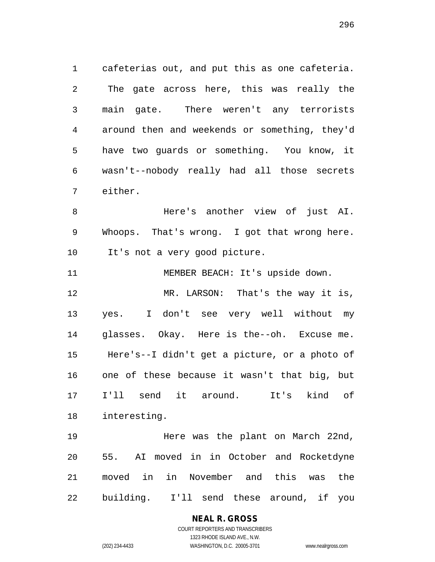cafeterias out, and put this as one cafeteria. The gate across here, this was really the main gate. There weren't any terrorists around then and weekends or something, they'd have two guards or something. You know, it wasn't--nobody really had all those secrets either.

 Here's another view of just AI. Whoops. That's wrong. I got that wrong here. It's not a very good picture.

 MEMBER BEACH: It's upside down. MR. LARSON: That's the way it is, yes. I don't see very well without my glasses. Okay. Here is the--oh. Excuse me. Here's--I didn't get a picture, or a photo of one of these because it wasn't that big, but I'll send it around. It's kind of interesting.

 Here was the plant on March 22nd, 55. AI moved in in October and Rocketdyne moved in in November and this was the building. I'll send these around, if you

### **NEAL R. GROSS** COURT REPORTERS AND TRANSCRIBERS 1323 RHODE ISLAND AVE., N.W.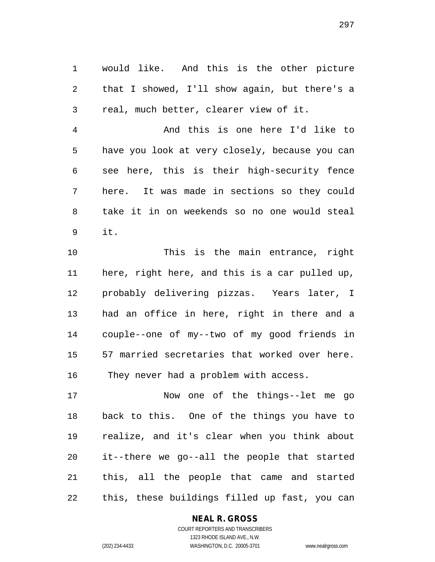would like. And this is the other picture that I showed, I'll show again, but there's a real, much better, clearer view of it.

 And this is one here I'd like to have you look at very closely, because you can see here, this is their high-security fence here. It was made in sections so they could take it in on weekends so no one would steal it.

 This is the main entrance, right here, right here, and this is a car pulled up, probably delivering pizzas. Years later, I had an office in here, right in there and a couple--one of my--two of my good friends in 57 married secretaries that worked over here. They never had a problem with access.

 Now one of the things--let me go back to this. One of the things you have to realize, and it's clear when you think about it--there we go--all the people that started this, all the people that came and started this, these buildings filled up fast, you can

#### **NEAL R. GROSS** COURT REPORTERS AND TRANSCRIBERS

1323 RHODE ISLAND AVE., N.W.

(202) 234-4433 WASHINGTON, D.C. 20005-3701 www.nealrgross.com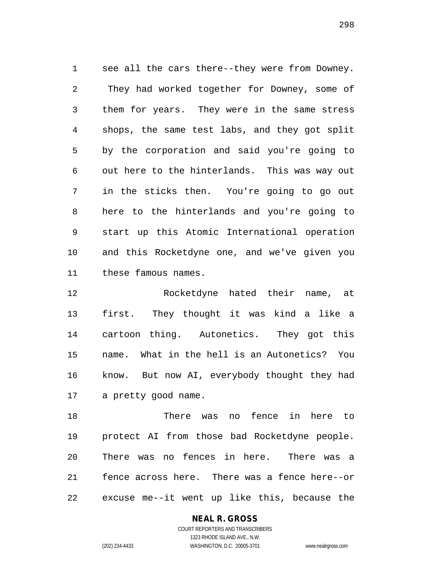see all the cars there--they were from Downey. They had worked together for Downey, some of them for years. They were in the same stress shops, the same test labs, and they got split by the corporation and said you're going to out here to the hinterlands. This was way out in the sticks then. You're going to go out here to the hinterlands and you're going to start up this Atomic International operation and this Rocketdyne one, and we've given you these famous names.

 Rocketdyne hated their name, at first. They thought it was kind a like a cartoon thing. Autonetics. They got this name. What in the hell is an Autonetics? You know. But now AI, everybody thought they had a pretty good name.

 There was no fence in here to protect AI from those bad Rocketdyne people. There was no fences in here. There was a fence across here. There was a fence here--or excuse me--it went up like this, because the

**NEAL R. GROSS**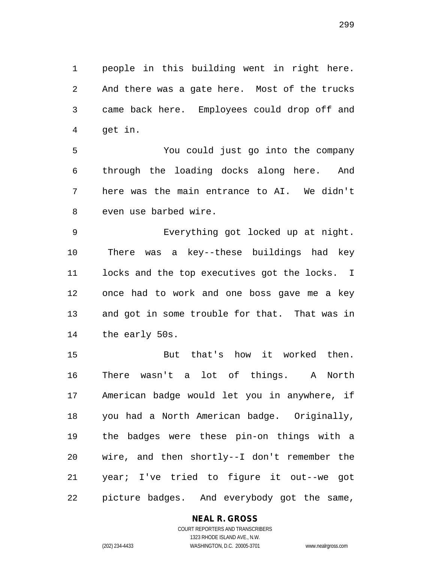people in this building went in right here. And there was a gate here. Most of the trucks came back here. Employees could drop off and get in.

 You could just go into the company through the loading docks along here. And here was the main entrance to AI. We didn't even use barbed wire.

 Everything got locked up at night. There was a key--these buildings had key locks and the top executives got the locks. I once had to work and one boss gave me a key and got in some trouble for that. That was in the early 50s.

 But that's how it worked then. There wasn't a lot of things. A North American badge would let you in anywhere, if you had a North American badge. Originally, the badges were these pin-on things with a wire, and then shortly--I don't remember the year; I've tried to figure it out--we got picture badges. And everybody got the same,

### **NEAL R. GROSS** COURT REPORTERS AND TRANSCRIBERS

1323 RHODE ISLAND AVE., N.W. (202) 234-4433 WASHINGTON, D.C. 20005-3701 www.nealrgross.com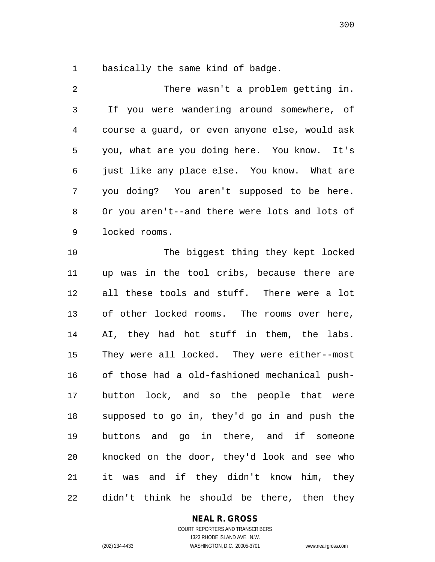basically the same kind of badge.

 There wasn't a problem getting in. If you were wandering around somewhere, of course a guard, or even anyone else, would ask you, what are you doing here. You know. It's just like any place else. You know. What are you doing? You aren't supposed to be here. Or you aren't--and there were lots and lots of locked rooms. The biggest thing they kept locked up was in the tool cribs, because there are

 all these tools and stuff. There were a lot of other locked rooms. The rooms over here, AI, they had hot stuff in them, the labs. They were all locked. They were either--most of those had a old-fashioned mechanical push- button lock, and so the people that were supposed to go in, they'd go in and push the buttons and go in there, and if someone knocked on the door, they'd look and see who it was and if they didn't know him, they didn't think he should be there, then they

### **NEAL R. GROSS**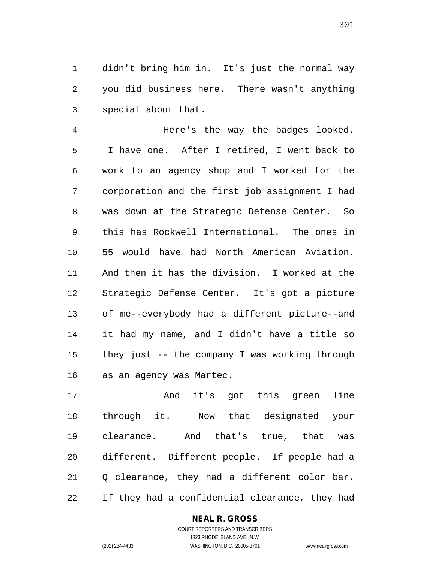didn't bring him in. It's just the normal way you did business here. There wasn't anything special about that.

 Here's the way the badges looked. I have one. After I retired, I went back to work to an agency shop and I worked for the corporation and the first job assignment I had was down at the Strategic Defense Center. So this has Rockwell International. The ones in 55 would have had North American Aviation. And then it has the division. I worked at the Strategic Defense Center. It's got a picture of me--everybody had a different picture--and it had my name, and I didn't have a title so they just -- the company I was working through as an agency was Martec.

 And it's got this green line through it. Now that designated your clearance. And that's true, that was different. Different people. If people had a 21 O clearance, they had a different color bar. If they had a confidential clearance, they had

### **NEAL R. GROSS**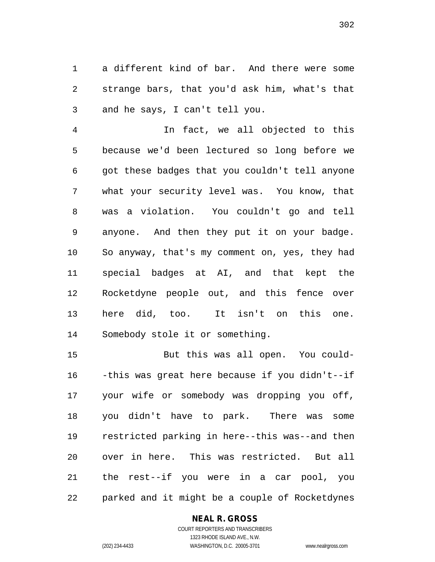a different kind of bar. And there were some strange bars, that you'd ask him, what's that and he says, I can't tell you.

 In fact, we all objected to this because we'd been lectured so long before we got these badges that you couldn't tell anyone what your security level was. You know, that was a violation. You couldn't go and tell anyone. And then they put it on your badge. So anyway, that's my comment on, yes, they had special badges at AI, and that kept the Rocketdyne people out, and this fence over here did, too. It isn't on this one. Somebody stole it or something.

 But this was all open. You could- -this was great here because if you didn't--if your wife or somebody was dropping you off, you didn't have to park. There was some restricted parking in here--this was--and then over in here. This was restricted. But all the rest--if you were in a car pool, you parked and it might be a couple of Rocketdynes

### **NEAL R. GROSS**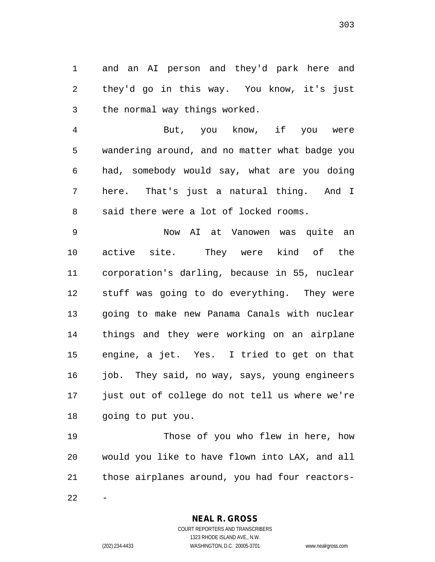and an AI person and they'd park here and they'd go in this way. You know, it's just the normal way things worked.

 But, you know, if you were wandering around, and no matter what badge you had, somebody would say, what are you doing here. That's just a natural thing. And I said there were a lot of locked rooms.

 Now AI at Vanowen was quite an active site. They were kind of the corporation's darling, because in 55, nuclear stuff was going to do everything. They were going to make new Panama Canals with nuclear things and they were working on an airplane engine, a jet. Yes. I tried to get on that 16 job. They said, no way, says, young engineers just out of college do not tell us where we're going to put you.

 Those of you who flew in here, how would you like to have flown into LAX, and all those airplanes around, you had four reactors- $22 - -$ 

**NEAL R. GROSS**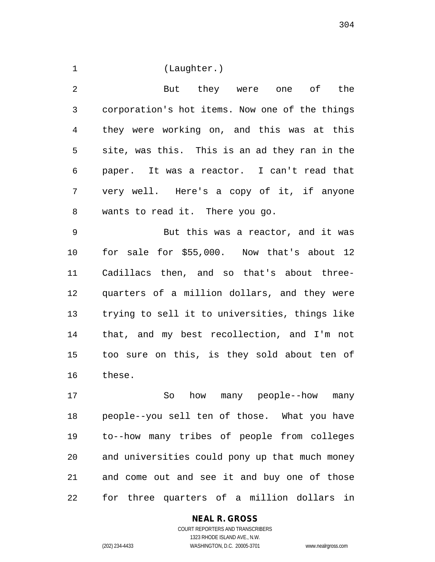(Laughter.)

 But they were one of the corporation's hot items. Now one of the things they were working on, and this was at this site, was this. This is an ad they ran in the paper. It was a reactor. I can't read that very well. Here's a copy of it, if anyone wants to read it. There you go.

 But this was a reactor, and it was for sale for \$55,000. Now that's about 12 Cadillacs then, and so that's about three- quarters of a million dollars, and they were trying to sell it to universities, things like that, and my best recollection, and I'm not too sure on this, is they sold about ten of these.

 So how many people--how many people--you sell ten of those. What you have to--how many tribes of people from colleges and universities could pony up that much money and come out and see it and buy one of those for three quarters of a million dollars in

### **NEAL R. GROSS**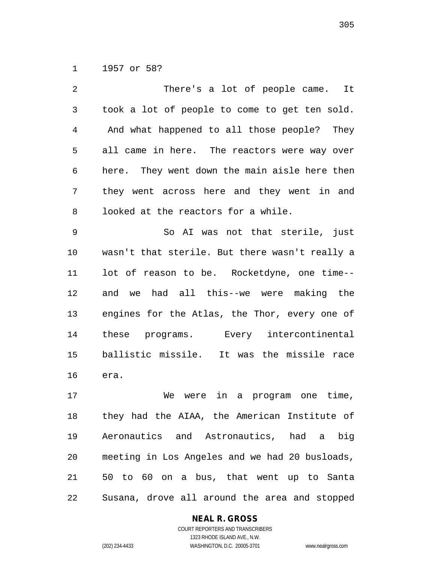1957 or 58?

| 2       | There's a lot of people came. It               |
|---------|------------------------------------------------|
| 3       | took a lot of people to come to get ten sold.  |
| 4       | And what happened to all those people? They    |
| 5       | all came in here. The reactors were way over   |
| 6       | here. They went down the main aisle here then  |
| 7       | they went across here and they went in and     |
| $\,8\,$ | looked at the reactors for a while.            |
| 9       | So AI was not that sterile, just               |
| 10      | wasn't that sterile. But there wasn't really a |
| 11      | lot of reason to be. Rocketdyne, one time--    |
| 12      | and we had all this--we were making the        |
| 13      | engines for the Atlas, the Thor, every one of  |
| 14      | these programs. Every intercontinental         |
| 15      | ballistic missile. It was the missile race     |
| 16      | era.                                           |
| 17      | We were in a program one time,                 |
| 18      | they had the AIAA, the American Institute of   |
|         |                                                |

 Aeronautics and Astronautics, had a big meeting in Los Angeles and we had 20 busloads, 50 to 60 on a bus, that went up to Santa Susana, drove all around the area and stopped

#### **NEAL R. GROSS**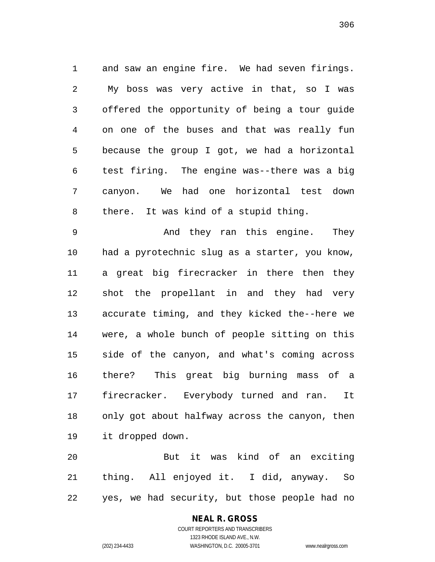and saw an engine fire. We had seven firings. My boss was very active in that, so I was offered the opportunity of being a tour guide on one of the buses and that was really fun because the group I got, we had a horizontal test firing. The engine was--there was a big canyon. We had one horizontal test down there. It was kind of a stupid thing.

 And they ran this engine. They had a pyrotechnic slug as a starter, you know, a great big firecracker in there then they shot the propellant in and they had very accurate timing, and they kicked the--here we were, a whole bunch of people sitting on this side of the canyon, and what's coming across there? This great big burning mass of a firecracker. Everybody turned and ran. It only got about halfway across the canyon, then it dropped down.

 But it was kind of an exciting thing. All enjoyed it. I did, anyway. So yes, we had security, but those people had no

### **NEAL R. GROSS**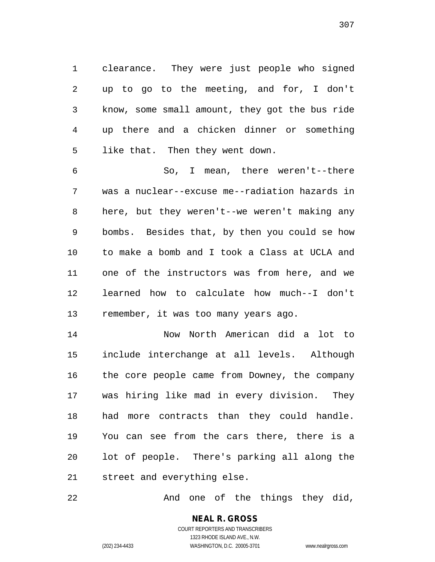clearance. They were just people who signed up to go to the meeting, and for, I don't know, some small amount, they got the bus ride up there and a chicken dinner or something like that. Then they went down.

 So, I mean, there weren't--there was a nuclear--excuse me--radiation hazards in here, but they weren't--we weren't making any bombs. Besides that, by then you could se how to make a bomb and I took a Class at UCLA and one of the instructors was from here, and we learned how to calculate how much--I don't remember, it was too many years ago.

 Now North American did a lot to include interchange at all levels. Although the core people came from Downey, the company was hiring like mad in every division. They had more contracts than they could handle. You can see from the cars there, there is a lot of people. There's parking all along the street and everything else.

And one of the things they did,

**NEAL R. GROSS** COURT REPORTERS AND TRANSCRIBERS

1323 RHODE ISLAND AVE., N.W.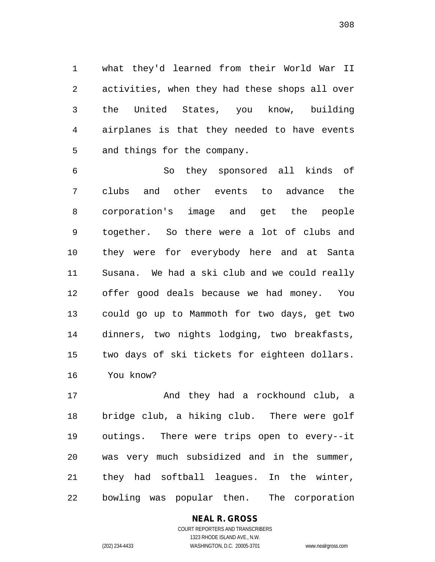what they'd learned from their World War II activities, when they had these shops all over the United States, you know, building airplanes is that they needed to have events and things for the company.

 So they sponsored all kinds of clubs and other events to advance the corporation's image and get the people together. So there were a lot of clubs and they were for everybody here and at Santa Susana. We had a ski club and we could really offer good deals because we had money. You could go up to Mammoth for two days, get two dinners, two nights lodging, two breakfasts, two days of ski tickets for eighteen dollars. You know?

 And they had a rockhound club, a bridge club, a hiking club. There were golf outings. There were trips open to every--it was very much subsidized and in the summer, they had softball leagues. In the winter, bowling was popular then. The corporation

# **NEAL R. GROSS**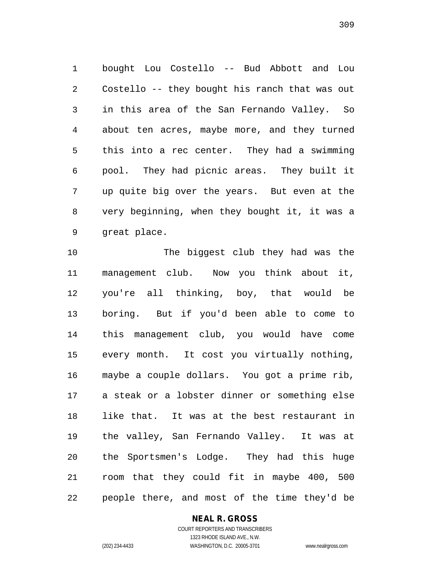bought Lou Costello -- Bud Abbott and Lou Costello -- they bought his ranch that was out in this area of the San Fernando Valley. So about ten acres, maybe more, and they turned this into a rec center. They had a swimming pool. They had picnic areas. They built it up quite big over the years. But even at the very beginning, when they bought it, it was a great place.

 The biggest club they had was the management club. Now you think about it, you're all thinking, boy, that would be boring. But if you'd been able to come to this management club, you would have come every month. It cost you virtually nothing, maybe a couple dollars. You got a prime rib, a steak or a lobster dinner or something else like that. It was at the best restaurant in the valley, San Fernando Valley. It was at the Sportsmen's Lodge. They had this huge room that they could fit in maybe 400, 500 people there, and most of the time they'd be

### **NEAL R. GROSS**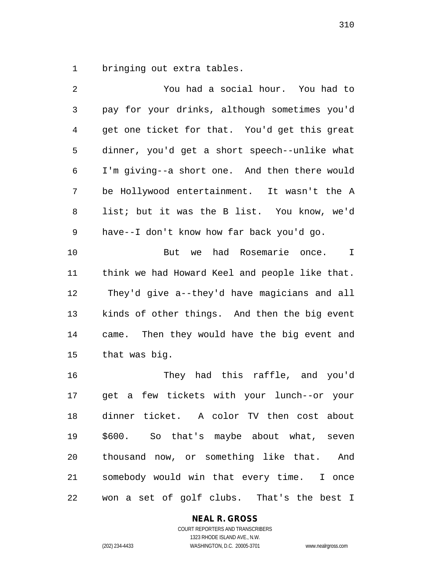bringing out extra tables.

| $\overline{2}$ | You had a social hour. You had to              |
|----------------|------------------------------------------------|
| 3              | pay for your drinks, although sometimes you'd  |
| 4              | get one ticket for that. You'd get this great  |
| 5              | dinner, you'd get a short speech--unlike what  |
| 6              | I'm giving--a short one. And then there would  |
| 7              | be Hollywood entertainment. It wasn't the A    |
| 8              | list; but it was the B list. You know, we'd    |
| 9              | have--I don't know how far back you'd go.      |
| 10             | But we had Rosemarie once.<br>$\mathbb{I}$     |
| 11             | think we had Howard Keel and people like that. |
| 12             | They'd give a--they'd have magicians and all   |
| 13             | kinds of other things. And then the big event  |
| 14             | came. Then they would have the big event and   |
| 15             | that was big.                                  |
| 16             | They had this raffle, and you'd                |
| 17             | get a few tickets with your lunch--or your     |
|                | 18 dinner ticket. A color TV then cost about   |
| 19             | \$600. So that's maybe about what, seven       |
| 20             | thousand now, or something like that. And      |
| 21             | somebody would win that every time. I once     |
| 22             | won a set of golf clubs. That's the best I     |

**NEAL R. GROSS**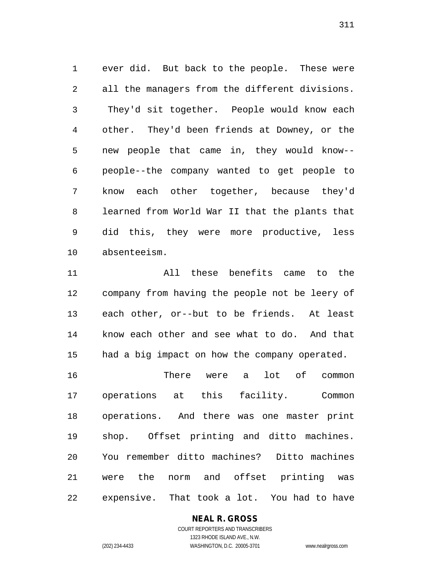ever did. But back to the people. These were all the managers from the different divisions. They'd sit together. People would know each other. They'd been friends at Downey, or the new people that came in, they would know-- people--the company wanted to get people to know each other together, because they'd learned from World War II that the plants that did this, they were more productive, less absenteeism.

 All these benefits came to the company from having the people not be leery of each other, or--but to be friends. At least know each other and see what to do. And that had a big impact on how the company operated.

 There were a lot of common operations at this facility. Common operations. And there was one master print shop. Offset printing and ditto machines. You remember ditto machines? Ditto machines were the norm and offset printing was expensive. That took a lot. You had to have

### **NEAL R. GROSS**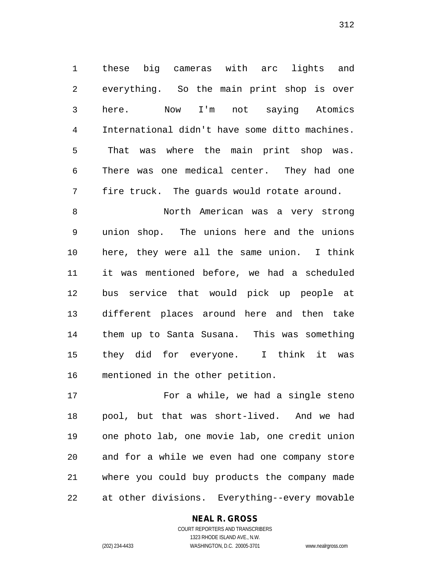these big cameras with arc lights and everything. So the main print shop is over here. Now I'm not saying Atomics International didn't have some ditto machines. That was where the main print shop was. There was one medical center. They had one fire truck. The guards would rotate around.

 North American was a very strong union shop. The unions here and the unions here, they were all the same union. I think it was mentioned before, we had a scheduled bus service that would pick up people at different places around here and then take them up to Santa Susana. This was something they did for everyone. I think it was mentioned in the other petition.

 For a while, we had a single steno pool, but that was short-lived. And we had one photo lab, one movie lab, one credit union and for a while we even had one company store where you could buy products the company made at other divisions. Everything--every movable

### **NEAL R. GROSS**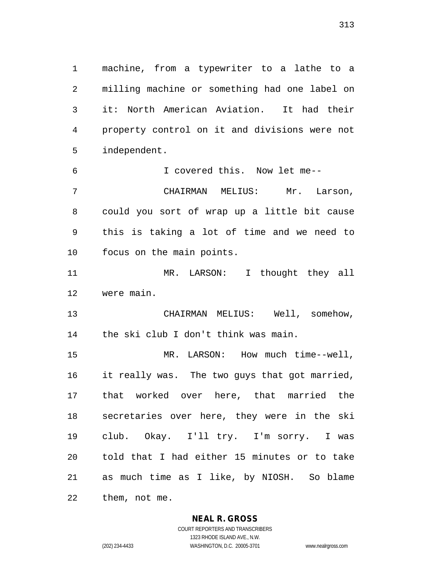machine, from a typewriter to a lathe to a milling machine or something had one label on it: North American Aviation. It had their property control on it and divisions were not independent.

 I covered this. Now let me-- CHAIRMAN MELIUS: Mr. Larson, could you sort of wrap up a little bit cause this is taking a lot of time and we need to focus on the main points.

 MR. LARSON: I thought they all were main.

 CHAIRMAN MELIUS: Well, somehow, the ski club I don't think was main.

 MR. LARSON: How much time--well, it really was. The two guys that got married, that worked over here, that married the secretaries over here, they were in the ski club. Okay. I'll try. I'm sorry. I was told that I had either 15 minutes or to take as much time as I like, by NIOSH. So blame them, not me.

**NEAL R. GROSS**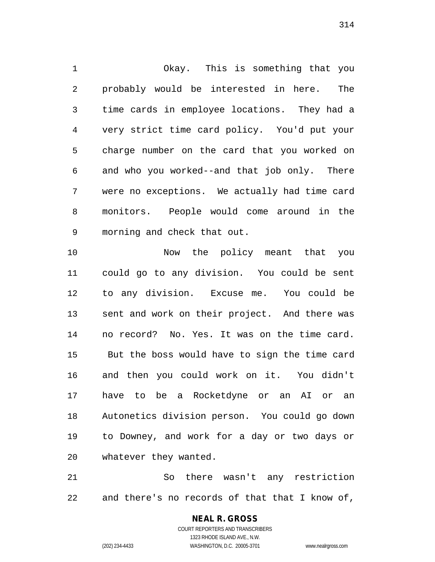Okay. This is something that you probably would be interested in here. The time cards in employee locations. They had a very strict time card policy. You'd put your charge number on the card that you worked on and who you worked--and that job only. There were no exceptions. We actually had time card monitors. People would come around in the morning and check that out.

 Now the policy meant that you could go to any division. You could be sent to any division. Excuse me. You could be sent and work on their project. And there was no record? No. Yes. It was on the time card. But the boss would have to sign the time card and then you could work on it. You didn't have to be a Rocketdyne or an AI or an Autonetics division person. You could go down to Downey, and work for a day or two days or whatever they wanted.

 So there wasn't any restriction and there's no records of that that I know of,

# **NEAL R. GROSS**

COURT REPORTERS AND TRANSCRIBERS 1323 RHODE ISLAND AVE., N.W. (202) 234-4433 WASHINGTON, D.C. 20005-3701 www.nealrgross.com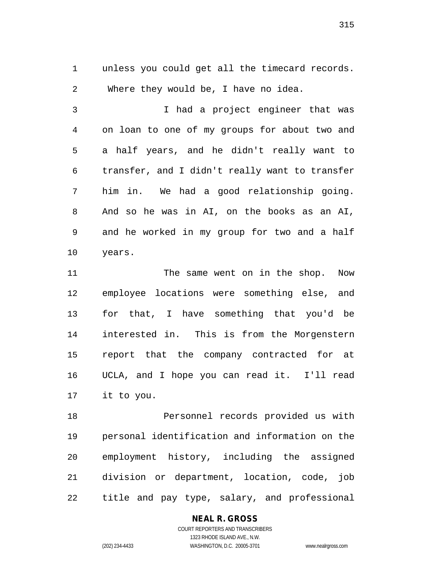unless you could get all the timecard records. Where they would be, I have no idea.

 I had a project engineer that was on loan to one of my groups for about two and a half years, and he didn't really want to transfer, and I didn't really want to transfer him in. We had a good relationship going. And so he was in AI, on the books as an AI, and he worked in my group for two and a half years.

11 The same went on in the shop. Now employee locations were something else, and for that, I have something that you'd be interested in. This is from the Morgenstern report that the company contracted for at UCLA, and I hope you can read it. I'll read it to you.

 Personnel records provided us with personal identification and information on the employment history, including the assigned division or department, location, code, job title and pay type, salary, and professional

### **NEAL R. GROSS**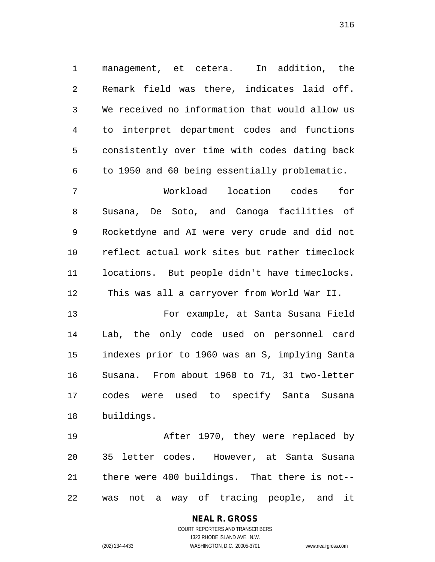management, et cetera. In addition, the Remark field was there, indicates laid off. We received no information that would allow us to interpret department codes and functions consistently over time with codes dating back to 1950 and 60 being essentially problematic.

 Workload location codes for Susana, De Soto, and Canoga facilities of Rocketdyne and AI were very crude and did not reflect actual work sites but rather timeclock locations. But people didn't have timeclocks. This was all a carryover from World War II.

 For example, at Santa Susana Field Lab, the only code used on personnel card indexes prior to 1960 was an S, implying Santa Susana. From about 1960 to 71, 31 two-letter codes were used to specify Santa Susana buildings.

 After 1970, they were replaced by 35 letter codes. However, at Santa Susana there were 400 buildings. That there is not-- was not a way of tracing people, and it

> COURT REPORTERS AND TRANSCRIBERS 1323 RHODE ISLAND AVE., N.W. (202) 234-4433 WASHINGTON, D.C. 20005-3701 www.nealrgross.com

**NEAL R. GROSS**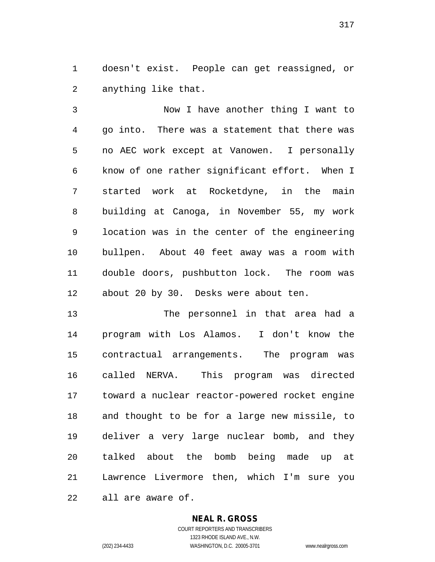doesn't exist. People can get reassigned, or anything like that.

 Now I have another thing I want to go into. There was a statement that there was no AEC work except at Vanowen. I personally know of one rather significant effort. When I started work at Rocketdyne, in the main building at Canoga, in November 55, my work location was in the center of the engineering bullpen. About 40 feet away was a room with double doors, pushbutton lock. The room was about 20 by 30. Desks were about ten.

 The personnel in that area had a program with Los Alamos. I don't know the contractual arrangements. The program was called NERVA. This program was directed toward a nuclear reactor-powered rocket engine and thought to be for a large new missile, to deliver a very large nuclear bomb, and they talked about the bomb being made up at Lawrence Livermore then, which I'm sure you all are aware of.

### **NEAL R. GROSS**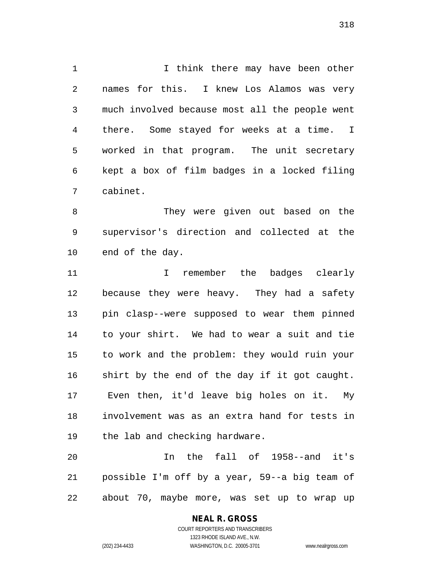1 1 I think there may have been other names for this. I knew Los Alamos was very much involved because most all the people went there. Some stayed for weeks at a time. I worked in that program. The unit secretary kept a box of film badges in a locked filing cabinet.

 They were given out based on the supervisor's direction and collected at the end of the day.

 I remember the badges clearly because they were heavy. They had a safety pin clasp--were supposed to wear them pinned to your shirt. We had to wear a suit and tie to work and the problem: they would ruin your shirt by the end of the day if it got caught. Even then, it'd leave big holes on it. My involvement was as an extra hand for tests in the lab and checking hardware.

 In the fall of 1958--and it's possible I'm off by a year, 59--a big team of about 70, maybe more, was set up to wrap up

# **NEAL R. GROSS**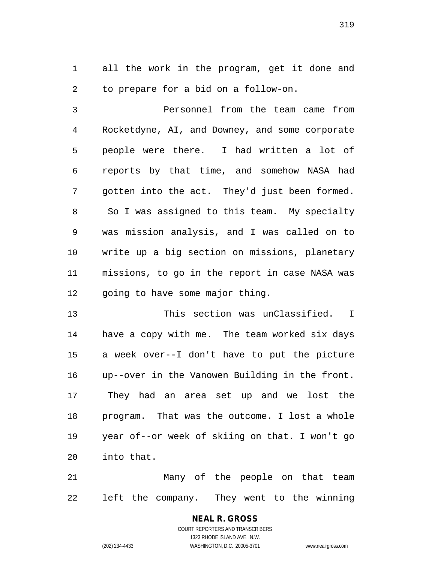all the work in the program, get it done and to prepare for a bid on a follow-on.

 Personnel from the team came from Rocketdyne, AI, and Downey, and some corporate people were there. I had written a lot of reports by that time, and somehow NASA had gotten into the act. They'd just been formed. So I was assigned to this team. My specialty was mission analysis, and I was called on to write up a big section on missions, planetary missions, to go in the report in case NASA was going to have some major thing.

 This section was unClassified. I have a copy with me. The team worked six days a week over--I don't have to put the picture up--over in the Vanowen Building in the front. They had an area set up and we lost the program. That was the outcome. I lost a whole year of--or week of skiing on that. I won't go into that.

 Many of the people on that team left the company. They went to the winning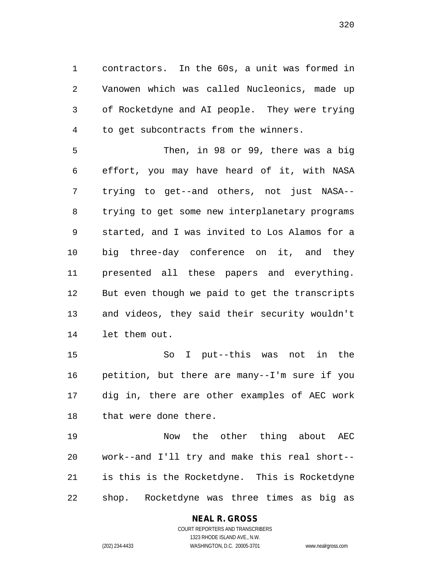contractors. In the 60s, a unit was formed in Vanowen which was called Nucleonics, made up of Rocketdyne and AI people. They were trying to get subcontracts from the winners.

 Then, in 98 or 99, there was a big effort, you may have heard of it, with NASA trying to get--and others, not just NASA-- trying to get some new interplanetary programs started, and I was invited to Los Alamos for a big three-day conference on it, and they presented all these papers and everything. But even though we paid to get the transcripts and videos, they said their security wouldn't let them out.

 So I put--this was not in the petition, but there are many--I'm sure if you dig in, there are other examples of AEC work that were done there.

 Now the other thing about AEC work--and I'll try and make this real short-- is this is the Rocketdyne. This is Rocketdyne shop. Rocketdyne was three times as big as

### **NEAL R. GROSS**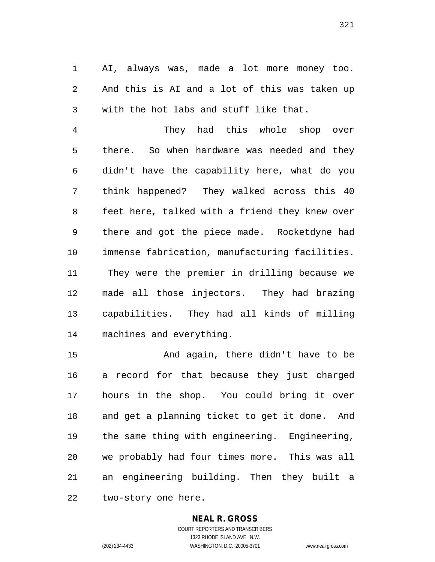AI, always was, made a lot more money too. And this is AI and a lot of this was taken up with the hot labs and stuff like that.

 They had this whole shop over there. So when hardware was needed and they didn't have the capability here, what do you think happened? They walked across this 40 feet here, talked with a friend they knew over there and got the piece made. Rocketdyne had immense fabrication, manufacturing facilities. They were the premier in drilling because we made all those injectors. They had brazing capabilities. They had all kinds of milling machines and everything.

 And again, there didn't have to be a record for that because they just charged hours in the shop. You could bring it over and get a planning ticket to get it done. And the same thing with engineering. Engineering, we probably had four times more. This was all an engineering building. Then they built a two-story one here.

### **NEAL R. GROSS**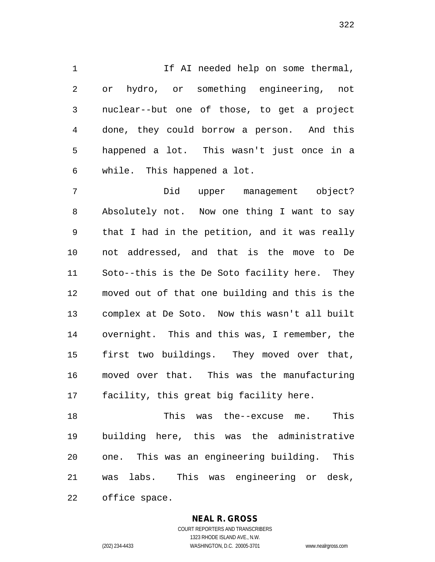1 1 If AI needed help on some thermal, or hydro, or something engineering, not nuclear--but one of those, to get a project done, they could borrow a person. And this happened a lot. This wasn't just once in a while. This happened a lot.

 Did upper management object? Absolutely not. Now one thing I want to say that I had in the petition, and it was really not addressed, and that is the move to De Soto--this is the De Soto facility here. They moved out of that one building and this is the complex at De Soto. Now this wasn't all built overnight. This and this was, I remember, the first two buildings. They moved over that, moved over that. This was the manufacturing facility, this great big facility here.

 This was the--excuse me. This building here, this was the administrative one. This was an engineering building. This was labs. This was engineering or desk, office space.

### **NEAL R. GROSS**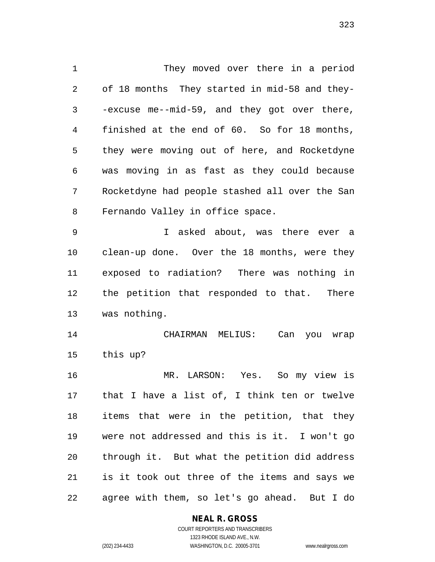They moved over there in a period of 18 months They started in mid-58 and they- -excuse me--mid-59, and they got over there, finished at the end of 60. So for 18 months, they were moving out of here, and Rocketdyne was moving in as fast as they could because Rocketdyne had people stashed all over the San Fernando Valley in office space. I asked about, was there ever a clean-up done. Over the 18 months, were they exposed to radiation? There was nothing in the petition that responded to that. There was nothing. CHAIRMAN MELIUS: Can you wrap this up?

 MR. LARSON: Yes. So my view is that I have a list of, I think ten or twelve items that were in the petition, that they were not addressed and this is it. I won't go through it. But what the petition did address is it took out three of the items and says we agree with them, so let's go ahead. But I do

**NEAL R. GROSS**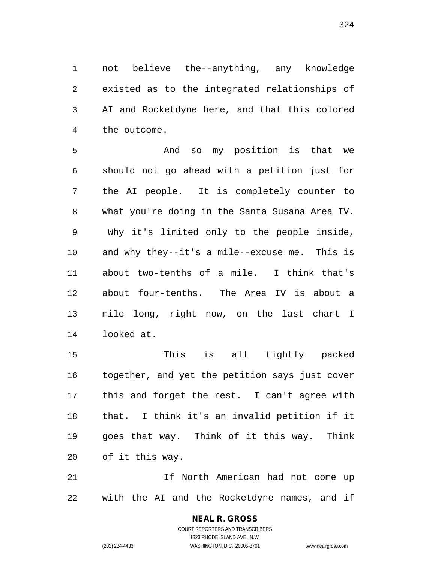not believe the--anything, any knowledge existed as to the integrated relationships of AI and Rocketdyne here, and that this colored the outcome.

 And so my position is that we should not go ahead with a petition just for the AI people. It is completely counter to what you're doing in the Santa Susana Area IV. Why it's limited only to the people inside, and why they--it's a mile--excuse me. This is about two-tenths of a mile. I think that's about four-tenths. The Area IV is about a mile long, right now, on the last chart I looked at.

 This is all tightly packed together, and yet the petition says just cover this and forget the rest. I can't agree with that. I think it's an invalid petition if it goes that way. Think of it this way. Think of it this way.

 If North American had not come up with the AI and the Rocketdyne names, and if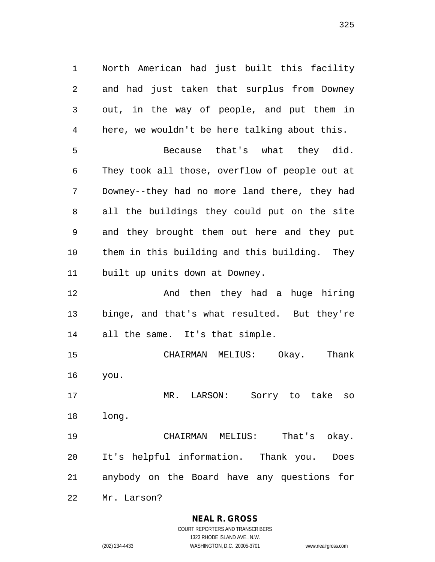North American had just built this facility and had just taken that surplus from Downey out, in the way of people, and put them in here, we wouldn't be here talking about this. Because that's what they did. They took all those, overflow of people out at Downey--they had no more land there, they had all the buildings they could put on the site and they brought them out here and they put them in this building and this building. They

built up units down at Downey.

 And then they had a huge hiring binge, and that's what resulted. But they're all the same. It's that simple.

 CHAIRMAN MELIUS: Okay. Thank you.

 MR. LARSON: Sorry to take so long.

 CHAIRMAN MELIUS: That's okay. It's helpful information. Thank you. Does anybody on the Board have any questions for

Mr. Larson?

## **NEAL R. GROSS**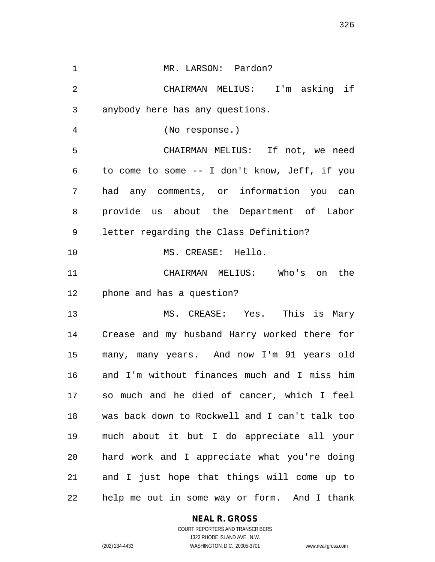| 1              | MR. LARSON: Pardon?                            |
|----------------|------------------------------------------------|
| $\overline{2}$ | CHAIRMAN MELIUS: I'm asking if                 |
| 3              | anybody here has any questions.                |
| $\overline{4}$ | (No response.)                                 |
| 5              | CHAIRMAN MELIUS: If not, we need               |
| 6              | to come to some -- I don't know, Jeff, if you  |
| 7              | had any comments, or information you can       |
| 8              | provide us about the Department of Labor       |
| 9              | letter regarding the Class Definition?         |
| 10             | MS. CREASE: Hello.                             |
| 11             | CHAIRMAN MELIUS: Who's on the                  |
| $12 \,$        | phone and has a question?                      |
| 13             | MS. CREASE: Yes. This is Mary                  |
| 14             | Crease and my husband Harry worked there for   |
| 15             | many, many years. And now I'm 91 years old     |
| 16             | and I'm without finances much and I miss him   |
| 17             | so much and he died of cancer, which I feel    |
| 18             | was back down to Rockwell and I can't talk too |
| 19             | much about it but I do appreciate all your     |
| 20             | hard work and I appreciate what you're doing   |
| 21             | and I just hope that things will come up to    |
| 22             | help me out in some way or form. And I thank   |

## **NEAL R. GROSS**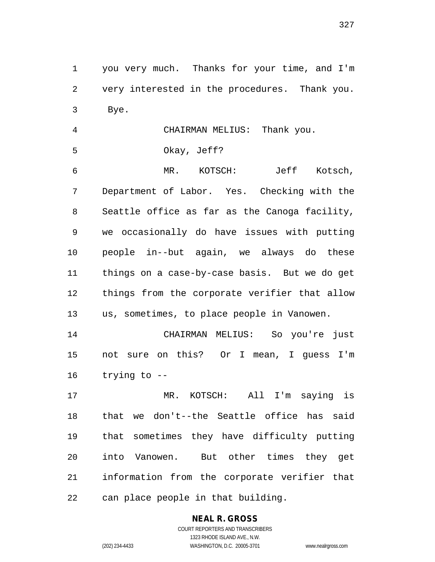you very much. Thanks for your time, and I'm very interested in the procedures. Thank you. Bye.

 CHAIRMAN MELIUS: Thank you. Okay, Jeff?

 MR. KOTSCH: Jeff Kotsch, Department of Labor. Yes. Checking with the Seattle office as far as the Canoga facility, we occasionally do have issues with putting people in--but again, we always do these things on a case-by-case basis. But we do get things from the corporate verifier that allow us, sometimes, to place people in Vanowen.

 CHAIRMAN MELIUS: So you're just not sure on this? Or I mean, I guess I'm trying to --

 MR. KOTSCH: All I'm saying is that we don't--the Seattle office has said that sometimes they have difficulty putting into Vanowen. But other times they get information from the corporate verifier that can place people in that building.

## **NEAL R. GROSS**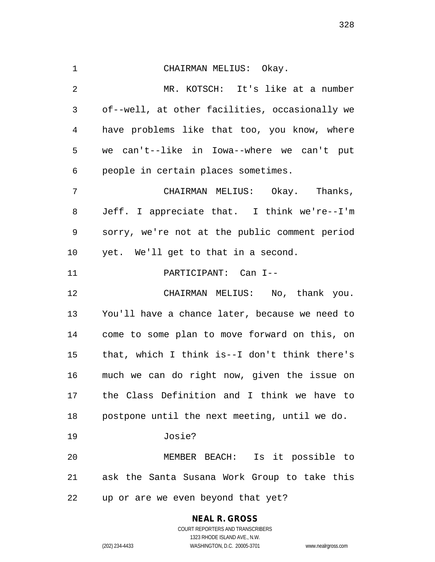CHAIRMAN MELIUS: Okay. MR. KOTSCH: It's like at a number of--well, at other facilities, occasionally we have problems like that too, you know, where we can't--like in Iowa--where we can't put people in certain places sometimes. CHAIRMAN MELIUS: Okay. Thanks, Jeff. I appreciate that. I think we're--I'm sorry, we're not at the public comment period yet. We'll get to that in a second. PARTICIPANT: Can I-- CHAIRMAN MELIUS: No, thank you. You'll have a chance later, because we need to come to some plan to move forward on this, on that, which I think is--I don't think there's much we can do right now, given the issue on the Class Definition and I think we have to postpone until the next meeting, until we do. Josie? MEMBER BEACH: Is it possible to ask the Santa Susana Work Group to take this up or are we even beyond that yet?

# **NEAL R. GROSS**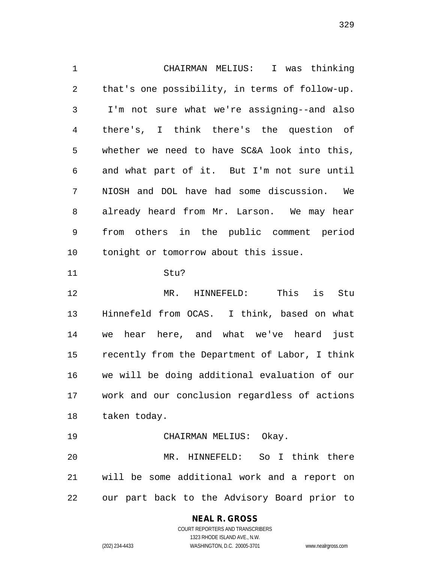CHAIRMAN MELIUS: I was thinking that's one possibility, in terms of follow-up. I'm not sure what we're assigning--and also there's, I think there's the question of whether we need to have SC&A look into this, and what part of it. But I'm not sure until NIOSH and DOL have had some discussion. We already heard from Mr. Larson. We may hear from others in the public comment period tonight or tomorrow about this issue.

Stu?

 MR. HINNEFELD: This is Stu Hinnefeld from OCAS. I think, based on what we hear here, and what we've heard just recently from the Department of Labor, I think we will be doing additional evaluation of our work and our conclusion regardless of actions taken today.

CHAIRMAN MELIUS: Okay.

 MR. HINNEFELD: So I think there will be some additional work and a report on our part back to the Advisory Board prior to

> **NEAL R. GROSS** COURT REPORTERS AND TRANSCRIBERS

1323 RHODE ISLAND AVE., N.W. (202) 234-4433 WASHINGTON, D.C. 20005-3701 www.nealrgross.com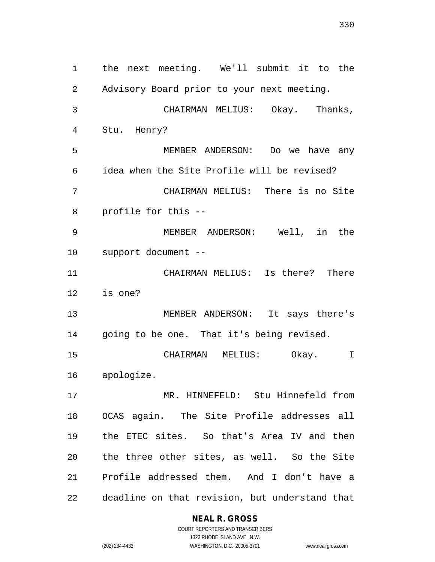the next meeting. We'll submit it to the Advisory Board prior to your next meeting. CHAIRMAN MELIUS: Okay. Thanks, Stu. Henry? MEMBER ANDERSON: Do we have any idea when the Site Profile will be revised? CHAIRMAN MELIUS: There is no Site profile for this -- MEMBER ANDERSON: Well, in the support document -- CHAIRMAN MELIUS: Is there? There is one? MEMBER ANDERSON: It says there's going to be one. That it's being revised. CHAIRMAN MELIUS: Okay. I apologize. MR. HINNEFELD: Stu Hinnefeld from OCAS again. The Site Profile addresses all the ETEC sites. So that's Area IV and then the three other sites, as well. So the Site Profile addressed them. And I don't have a deadline on that revision, but understand that

**NEAL R. GROSS**

COURT REPORTERS AND TRANSCRIBERS 1323 RHODE ISLAND AVE., N.W. (202) 234-4433 WASHINGTON, D.C. 20005-3701 www.nealrgross.com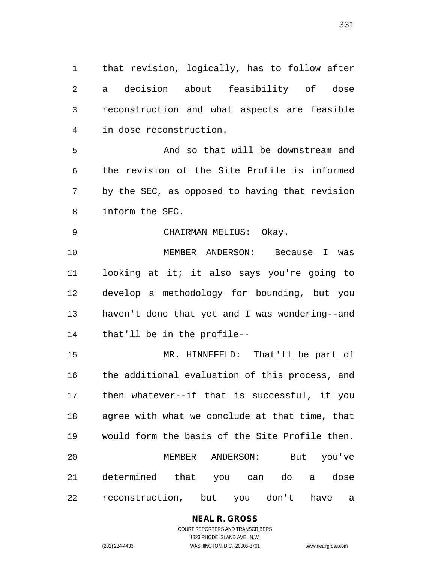that revision, logically, has to follow after a decision about feasibility of dose reconstruction and what aspects are feasible in dose reconstruction.

 And so that will be downstream and the revision of the Site Profile is informed by the SEC, as opposed to having that revision inform the SEC.

CHAIRMAN MELIUS: Okay.

 MEMBER ANDERSON: Because I was looking at it; it also says you're going to develop a methodology for bounding, but you haven't done that yet and I was wondering--and that'll be in the profile--

 MR. HINNEFELD: That'll be part of the additional evaluation of this process, and then whatever--if that is successful, if you agree with what we conclude at that time, that would form the basis of the Site Profile then. MEMBER ANDERSON: But you've determined that you can do a dose reconstruction, but you don't have a

#### **NEAL R. GROSS**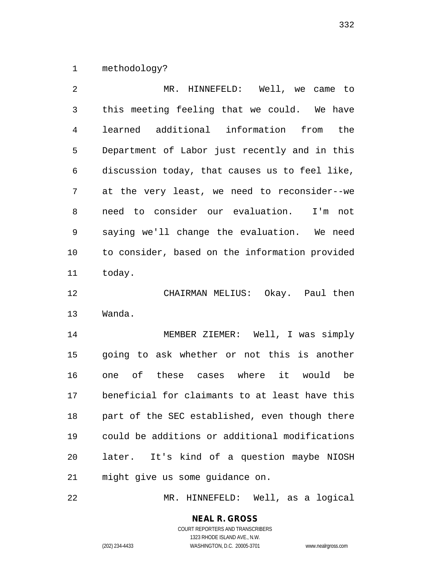methodology?

 MR. HINNEFELD: Well, we came to this meeting feeling that we could. We have learned additional information from the Department of Labor just recently and in this discussion today, that causes us to feel like, at the very least, we need to reconsider--we need to consider our evaluation. I'm not saying we'll change the evaluation. We need to consider, based on the information provided today.

 CHAIRMAN MELIUS: Okay. Paul then Wanda.

 MEMBER ZIEMER: Well, I was simply going to ask whether or not this is another one of these cases where it would be beneficial for claimants to at least have this part of the SEC established, even though there could be additions or additional modifications later. It's kind of a question maybe NIOSH might give us some guidance on.

MR. HINNEFELD: Well, as a logical

## **NEAL R. GROSS**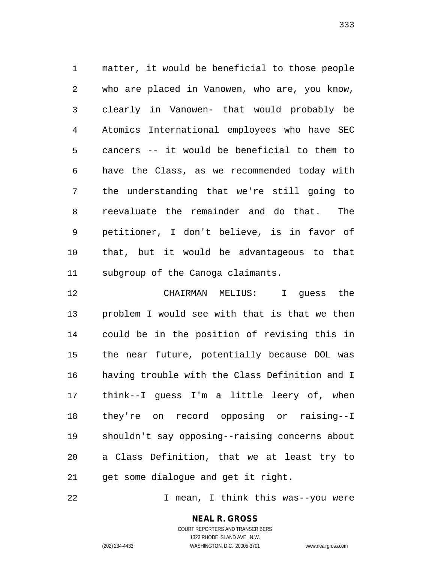matter, it would be beneficial to those people who are placed in Vanowen, who are, you know, clearly in Vanowen- that would probably be Atomics International employees who have SEC cancers -- it would be beneficial to them to have the Class, as we recommended today with the understanding that we're still going to reevaluate the remainder and do that. The petitioner, I don't believe, is in favor of that, but it would be advantageous to that subgroup of the Canoga claimants.

 CHAIRMAN MELIUS: I guess the problem I would see with that is that we then could be in the position of revising this in the near future, potentially because DOL was having trouble with the Class Definition and I think--I guess I'm a little leery of, when they're on record opposing or raising--I shouldn't say opposing--raising concerns about a Class Definition, that we at least try to 21 get some dialoque and get it right.

I mean, I think this was--you were

## **NEAL R. GROSS**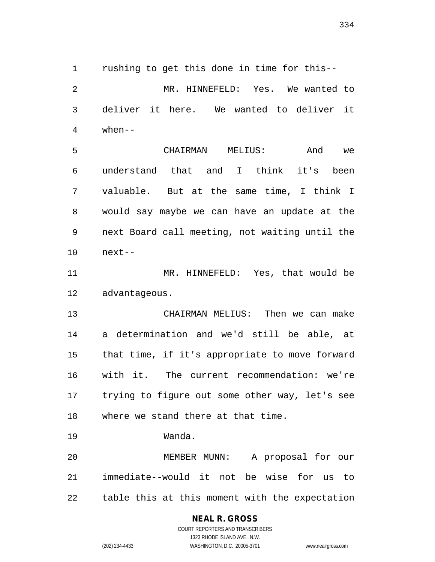rushing to get this done in time for this-- MR. HINNEFELD: Yes. We wanted to deliver it here. We wanted to deliver it when--

 CHAIRMAN MELIUS: And we understand that and I think it's been valuable. But at the same time, I think I would say maybe we can have an update at the next Board call meeting, not waiting until the next--

 MR. HINNEFELD: Yes, that would be advantageous.

 CHAIRMAN MELIUS: Then we can make a determination and we'd still be able, at that time, if it's appropriate to move forward with it. The current recommendation: we're trying to figure out some other way, let's see where we stand there at that time.

Wanda.

 MEMBER MUNN: A proposal for our immediate--would it not be wise for us to table this at this moment with the expectation

## **NEAL R. GROSS**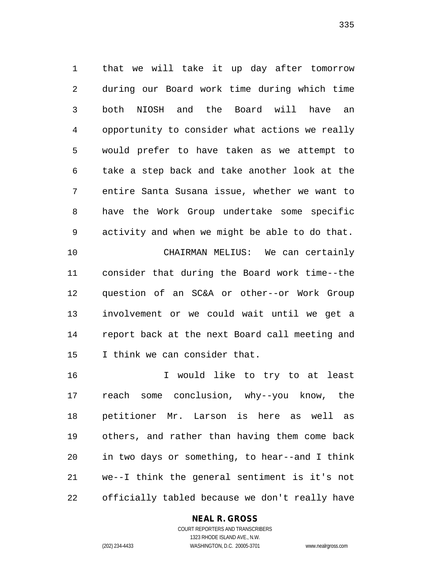that we will take it up day after tomorrow during our Board work time during which time both NIOSH and the Board will have an opportunity to consider what actions we really would prefer to have taken as we attempt to take a step back and take another look at the entire Santa Susana issue, whether we want to have the Work Group undertake some specific activity and when we might be able to do that. CHAIRMAN MELIUS: We can certainly consider that during the Board work time--the question of an SC&A or other--or Work Group involvement or we could wait until we get a report back at the next Board call meeting and I think we can consider that.

 I would like to try to at least reach some conclusion, why--you know, the petitioner Mr. Larson is here as well as others, and rather than having them come back in two days or something, to hear--and I think we--I think the general sentiment is it's not officially tabled because we don't really have

#### **NEAL R. GROSS**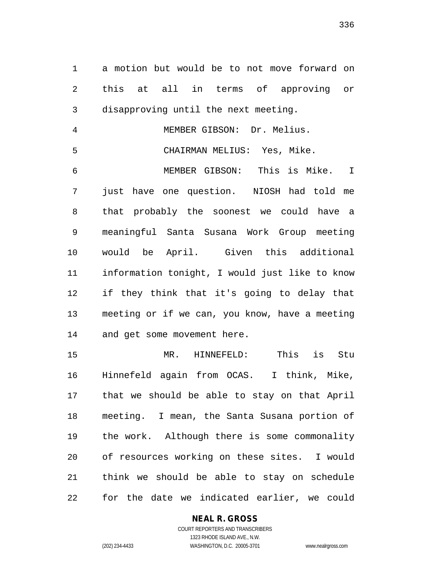a motion but would be to not move forward on this at all in terms of approving or disapproving until the next meeting.

MEMBER GIBSON: Dr. Melius.

 CHAIRMAN MELIUS: Yes, Mike. MEMBER GIBSON: This is Mike. I just have one question. NIOSH had told me that probably the soonest we could have a meaningful Santa Susana Work Group meeting would be April. Given this additional information tonight, I would just like to know if they think that it's going to delay that meeting or if we can, you know, have a meeting and get some movement here.

 MR. HINNEFELD: This is Stu Hinnefeld again from OCAS. I think, Mike, that we should be able to stay on that April meeting. I mean, the Santa Susana portion of the work. Although there is some commonality of resources working on these sites. I would think we should be able to stay on schedule for the date we indicated earlier, we could

#### **NEAL R. GROSS**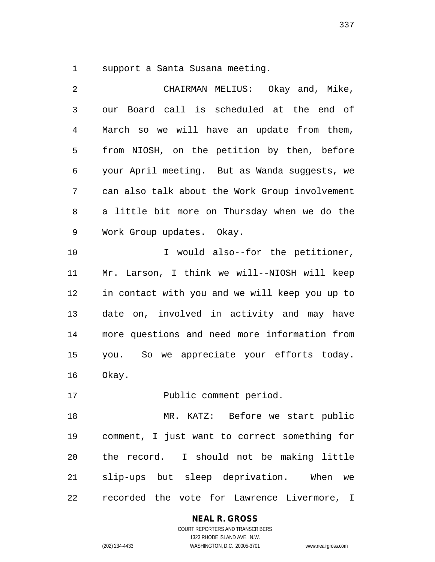support a Santa Susana meeting.

| 2  | CHAIRMAN MELIUS: Okay and, Mike,               |
|----|------------------------------------------------|
| 3  | Board call is scheduled at the end of<br>our   |
| 4  | March so we will have an update from them,     |
| 5  | from NIOSH, on the petition by then, before    |
| 6  | your April meeting. But as Wanda suggests, we  |
| 7  | can also talk about the Work Group involvement |
| 8  | a little bit more on Thursday when we do the   |
| 9  | Work Group updates. Okay.                      |
| 10 | I would also--for the petitioner,              |
| 11 | Mr. Larson, I think we will--NIOSH will keep   |
| 12 | in contact with you and we will keep you up to |
| 13 | date on, involved in activity and may have     |
| 14 | more questions and need more information from  |
| 15 | you. So we appreciate your efforts today.      |
| 16 | Okay.                                          |
| 17 | Public comment period.                         |
| 18 | MR. KATZ: Before we start public               |
| 19 | comment, I just want to correct something for  |
| 20 | the record. I should not be making little      |
| 21 | slip-ups but sleep deprivation. When we        |
| 22 | recorded the vote for Lawrence Livermore, I    |

**NEAL R. GROSS**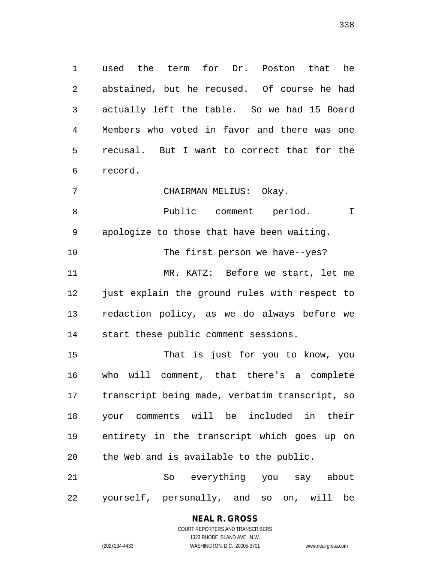used the term for Dr. Poston that he abstained, but he recused. Of course he had actually left the table. So we had 15 Board Members who voted in favor and there was one recusal. But I want to correct that for the record.

CHAIRMAN MELIUS: Okay.

 Public comment period. I apologize to those that have been waiting. The first person we have--yes? MR. KATZ: Before we start, let me just explain the ground rules with respect to redaction policy, as we do always before we start these public comment sessions.

 That is just for you to know, you who will comment, that there's a complete transcript being made, verbatim transcript, so your comments will be included in their entirety in the transcript which goes up on the Web and is available to the public.

 So everything you say about yourself, personally, and so on, will be

## **NEAL R. GROSS**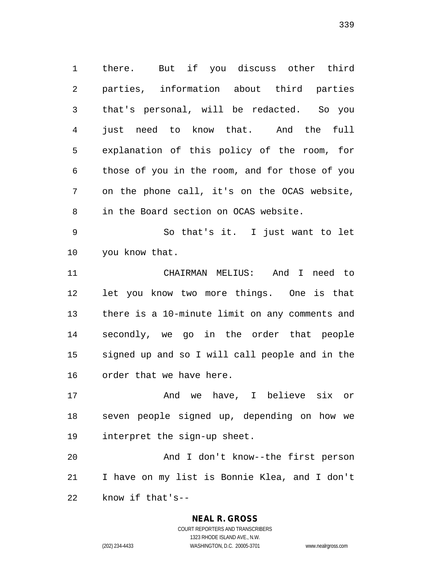there. But if you discuss other third parties, information about third parties that's personal, will be redacted. So you just need to know that. And the full explanation of this policy of the room, for those of you in the room, and for those of you on the phone call, it's on the OCAS website, in the Board section on OCAS website.

 So that's it. I just want to let you know that.

 CHAIRMAN MELIUS: And I need to let you know two more things. One is that there is a 10-minute limit on any comments and secondly, we go in the order that people signed up and so I will call people and in the order that we have here.

 And we have, I believe six or seven people signed up, depending on how we interpret the sign-up sheet.

 And I don't know--the first person I have on my list is Bonnie Klea, and I don't know if that's--

#### **NEAL R. GROSS**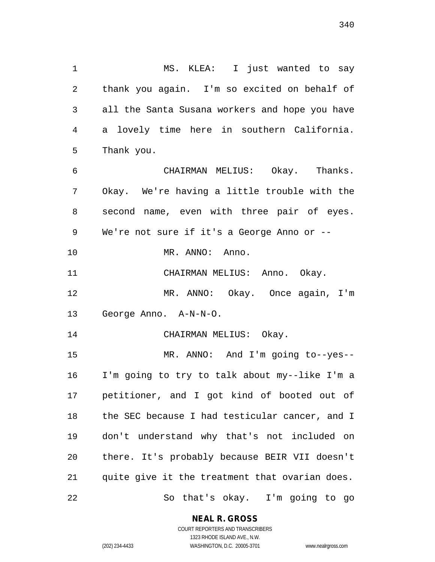MS. KLEA: I just wanted to say thank you again. I'm so excited on behalf of all the Santa Susana workers and hope you have a lovely time here in southern California. Thank you. CHAIRMAN MELIUS: Okay. Thanks. Okay. We're having a little trouble with the second name, even with three pair of eyes. We're not sure if it's a George Anno or -- MR. ANNO: Anno. CHAIRMAN MELIUS: Anno. Okay. MR. ANNO: Okay. Once again, I'm George Anno. A-N-N-O. 14 CHAIRMAN MELIUS: Okay. MR. ANNO: And I'm going to--yes-- I'm going to try to talk about my--like I'm a petitioner, and I got kind of booted out of the SEC because I had testicular cancer, and I don't understand why that's not included on there. It's probably because BEIR VII doesn't

quite give it the treatment that ovarian does.

So that's okay. I'm going to go

#### **NEAL R. GROSS**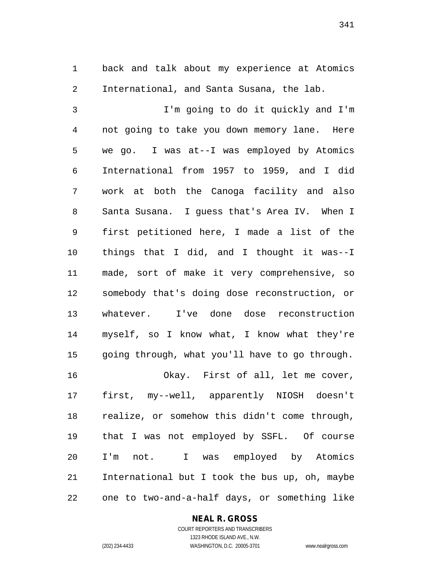back and talk about my experience at Atomics International, and Santa Susana, the lab.

 I'm going to do it quickly and I'm not going to take you down memory lane. Here we go. I was at--I was employed by Atomics International from 1957 to 1959, and I did work at both the Canoga facility and also Santa Susana. I guess that's Area IV. When I first petitioned here, I made a list of the things that I did, and I thought it was--I made, sort of make it very comprehensive, so somebody that's doing dose reconstruction, or whatever. I've done dose reconstruction myself, so I know what, I know what they're going through, what you'll have to go through.

 Okay. First of all, let me cover, first, my--well, apparently NIOSH doesn't realize, or somehow this didn't come through, that I was not employed by SSFL. Of course I'm not. I was employed by Atomics International but I took the bus up, oh, maybe one to two-and-a-half days, or something like

#### **NEAL R. GROSS**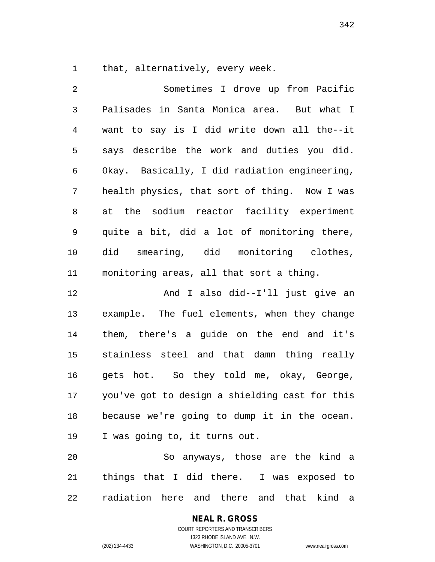that, alternatively, every week.

 Sometimes I drove up from Pacific Palisades in Santa Monica area. But what I want to say is I did write down all the--it says describe the work and duties you did. Okay. Basically, I did radiation engineering, health physics, that sort of thing. Now I was at the sodium reactor facility experiment quite a bit, did a lot of monitoring there, did smearing, did monitoring clothes, monitoring areas, all that sort a thing. And I also did--I'll just give an example. The fuel elements, when they change them, there's a guide on the end and it's stainless steel and that damn thing really gets hot. So they told me, okay, George,

 you've got to design a shielding cast for this because we're going to dump it in the ocean. I was going to, it turns out.

 So anyways, those are the kind a things that I did there. I was exposed to radiation here and there and that kind a

#### **NEAL R. GROSS** COURT REPORTERS AND TRANSCRIBERS 1323 RHODE ISLAND AVE., N.W.

(202) 234-4433 WASHINGTON, D.C. 20005-3701 www.nealrgross.com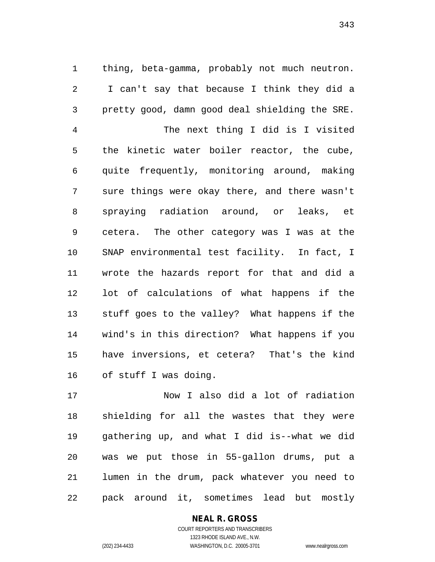thing, beta-gamma, probably not much neutron. I can't say that because I think they did a pretty good, damn good deal shielding the SRE. The next thing I did is I visited the kinetic water boiler reactor, the cube, quite frequently, monitoring around, making sure things were okay there, and there wasn't spraying radiation around, or leaks, et cetera. The other category was I was at the SNAP environmental test facility. In fact, I wrote the hazards report for that and did a lot of calculations of what happens if the stuff goes to the valley? What happens if the wind's in this direction? What happens if you have inversions, et cetera? That's the kind of stuff I was doing.

 Now I also did a lot of radiation shielding for all the wastes that they were gathering up, and what I did is--what we did was we put those in 55-gallon drums, put a lumen in the drum, pack whatever you need to pack around it, sometimes lead but mostly

> **NEAL R. GROSS** COURT REPORTERS AND TRANSCRIBERS 1323 RHODE ISLAND AVE., N.W.

(202) 234-4433 WASHINGTON, D.C. 20005-3701 www.nealrgross.com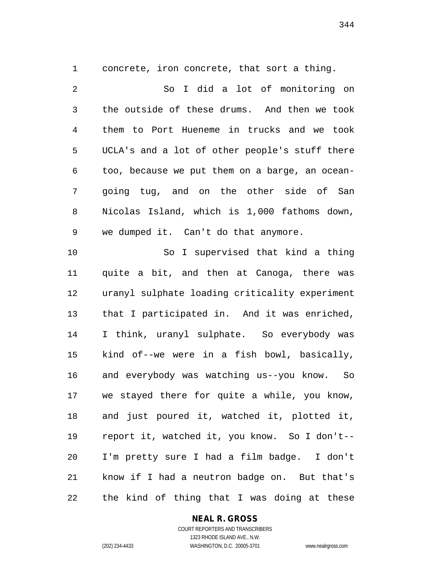concrete, iron concrete, that sort a thing.

 So I did a lot of monitoring on the outside of these drums. And then we took them to Port Hueneme in trucks and we took UCLA's and a lot of other people's stuff there too, because we put them on a barge, an ocean- going tug, and on the other side of San Nicolas Island, which is 1,000 fathoms down, we dumped it. Can't do that anymore. So I supervised that kind a thing quite a bit, and then at Canoga, there was uranyl sulphate loading criticality experiment that I participated in. And it was enriched, I think, uranyl sulphate. So everybody was kind of--we were in a fish bowl, basically, and everybody was watching us--you know. So we stayed there for quite a while, you know, and just poured it, watched it, plotted it, report it, watched it, you know. So I don't--

 know if I had a neutron badge on. But that's the kind of thing that I was doing at these

I'm pretty sure I had a film badge. I don't

**NEAL R. GROSS**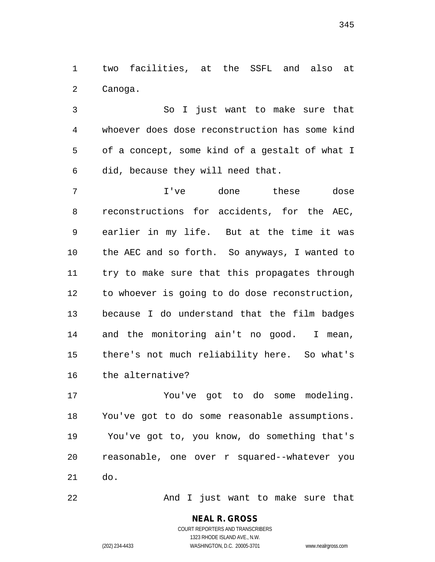two facilities, at the SSFL and also at Canoga.

 So I just want to make sure that whoever does dose reconstruction has some kind of a concept, some kind of a gestalt of what I did, because they will need that.

 I've done these dose reconstructions for accidents, for the AEC, earlier in my life. But at the time it was the AEC and so forth. So anyways, I wanted to try to make sure that this propagates through to whoever is going to do dose reconstruction, because I do understand that the film badges and the monitoring ain't no good. I mean, there's not much reliability here. So what's the alternative?

 You've got to do some modeling. You've got to do some reasonable assumptions. You've got to, you know, do something that's reasonable, one over r squared--whatever you do.

And I just want to make sure that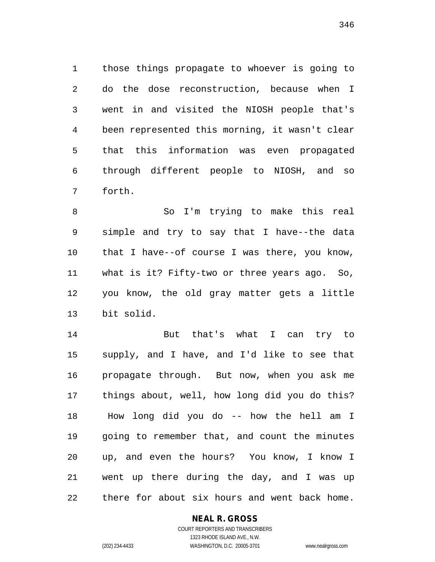those things propagate to whoever is going to do the dose reconstruction, because when I went in and visited the NIOSH people that's been represented this morning, it wasn't clear that this information was even propagated through different people to NIOSH, and so forth.

 So I'm trying to make this real simple and try to say that I have--the data that I have--of course I was there, you know, what is it? Fifty-two or three years ago. So, you know, the old gray matter gets a little bit solid.

 But that's what I can try to supply, and I have, and I'd like to see that propagate through. But now, when you ask me things about, well, how long did you do this? How long did you do -- how the hell am I going to remember that, and count the minutes up, and even the hours? You know, I know I went up there during the day, and I was up there for about six hours and went back home.

#### **NEAL R. GROSS**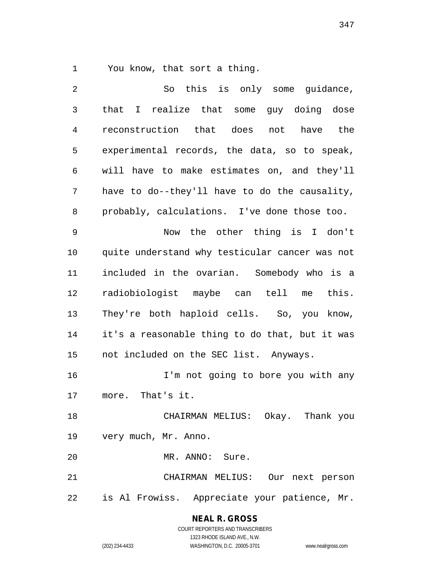You know, that sort a thing.

| $\overline{2}$ | So this is only some guidance,                           |
|----------------|----------------------------------------------------------|
| 3              | realize that some guy doing dose<br>that<br>$\mathbb{I}$ |
| 4              | reconstruction that does not<br>have the                 |
| 5              | experimental records, the data, so to speak,             |
| 6              | will have to make estimates on, and they'll              |
| 7              | have to do--they'll have to do the causality,            |
| 8              | probably, calculations. I've done those too.             |
| 9              | Now the other thing is I don't                           |
| 10             | quite understand why testicular cancer was not           |
| 11             | included in the ovarian. Somebody who is a               |
| 12             | radiobiologist maybe can tell me<br>this.                |
| 13             | They're both haploid cells. So, you know,                |
| 14             | it's a reasonable thing to do that, but it was           |
| 15             | not included on the SEC list. Anyways.                   |
| 16             | I'm not going to bore you with any                       |
| 17             | more. That's it.                                         |
| 18             | CHAIRMAN MELIUS: Okay. Thank you                         |
| 19             | very much, Mr. Anno.                                     |
| 20             | MR. ANNO: Sure.                                          |
| 21             | CHAIRMAN MELIUS: Our next person                         |
| 22             | is Al Frowiss. Appreciate your patience, Mr.             |

**NEAL R. GROSS** COURT REPORTERS AND TRANSCRIBERS

1323 RHODE ISLAND AVE., N.W.

(202) 234-4433 WASHINGTON, D.C. 20005-3701 www.nealrgross.com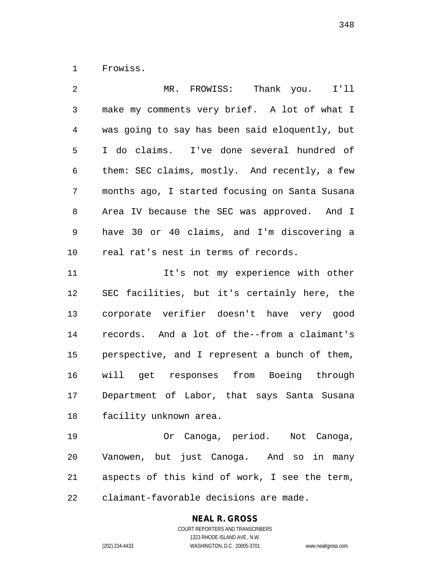Frowiss.

| 2              | MR. FROWISS:<br>Thank you.<br>I'11             |
|----------------|------------------------------------------------|
| 3              | make my comments very brief. A lot of what I   |
| $\overline{4}$ | was going to say has been said eloquently, but |
| 5              | I do claims. I've done several hundred of      |
| 6              | them: SEC claims, mostly. And recently, a few  |
| 7              | months ago, I started focusing on Santa Susana |
| 8              | Area IV because the SEC was approved. And I    |
| 9              | have 30 or 40 claims, and I'm discovering a    |
| 10             | real rat's nest in terms of records.           |
| 11             | It's not my experience with other              |
| 12             | SEC facilities, but it's certainly here, the   |
| 13             | corporate verifier doesn't have very good      |
| 14             | records. And a lot of the--from a claimant's   |
| 15             | perspective, and I represent a bunch of them,  |
| 16             | will get responses from Boeing through         |
| 17             | Department of Labor, that says Santa Susana    |
| 18             | facility unknown area.                         |
| 19             | Or Canoga, period. Not Canoga,                 |
| 20             | Vanowen, but just Canoga. And so in many       |
| 21             | aspects of this kind of work, I see the term,  |

claimant-favorable decisions are made.

## **NEAL R. GROSS**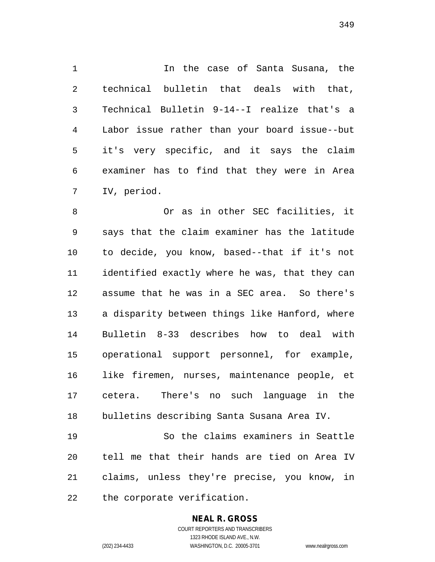In the case of Santa Susana, the technical bulletin that deals with that, Technical Bulletin 9-14--I realize that's a Labor issue rather than your board issue--but it's very specific, and it says the claim examiner has to find that they were in Area IV, period.

 Or as in other SEC facilities, it says that the claim examiner has the latitude to decide, you know, based--that if it's not identified exactly where he was, that they can assume that he was in a SEC area. So there's a disparity between things like Hanford, where Bulletin 8-33 describes how to deal with operational support personnel, for example, like firemen, nurses, maintenance people, et cetera. There's no such language in the bulletins describing Santa Susana Area IV.

 So the claims examiners in Seattle tell me that their hands are tied on Area IV claims, unless they're precise, you know, in the corporate verification.

#### **NEAL R. GROSS**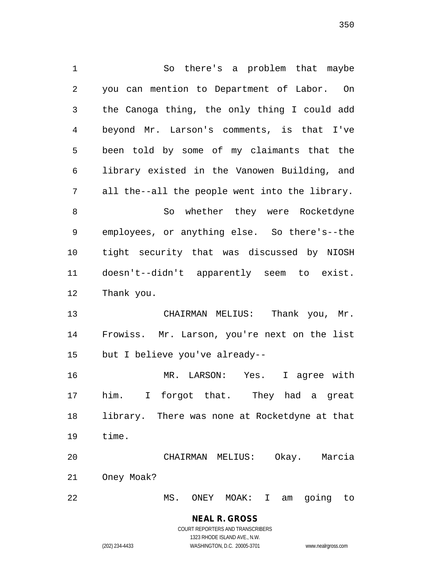So there's a problem that maybe you can mention to Department of Labor. On the Canoga thing, the only thing I could add beyond Mr. Larson's comments, is that I've been told by some of my claimants that the library existed in the Vanowen Building, and all the--all the people went into the library. 8 So whether they were Rocketdyne employees, or anything else. So there's--the tight security that was discussed by NIOSH doesn't--didn't apparently seem to exist. Thank you. CHAIRMAN MELIUS: Thank you, Mr. Frowiss. Mr. Larson, you're next on the list but I believe you've already-- MR. LARSON: Yes. I agree with him. I forgot that. They had a great library. There was none at Rocketdyne at that time. CHAIRMAN MELIUS: Okay. Marcia Oney Moak? MS. ONEY MOAK: I am going to

> **NEAL R. GROSS** COURT REPORTERS AND TRANSCRIBERS

1323 RHODE ISLAND AVE., N.W. (202) 234-4433 WASHINGTON, D.C. 20005-3701 www.nealrgross.com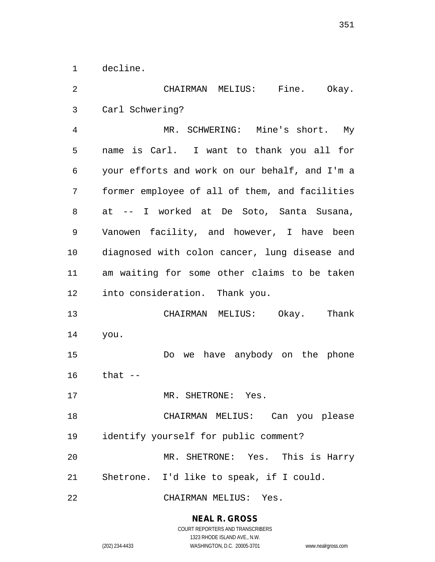decline.

| $\overline{2}$ | CHAIRMAN MELIUS:<br>Fine. Okay.                |
|----------------|------------------------------------------------|
| 3              | Carl Schwering?                                |
| 4              | MR. SCHWERING: Mine's short. My                |
| 5              | name is Carl. I want to thank you all for      |
| 6              | your efforts and work on our behalf, and I'm a |
| 7              | former employee of all of them, and facilities |
| 8              | at -- I worked at De Soto, Santa Susana,       |
| 9              | Vanowen facility, and however, I have been     |
| 10             | diagnosed with colon cancer, lung disease and  |
| 11             | am waiting for some other claims to be taken   |
| 12             | into consideration. Thank you.                 |
| 13             | CHAIRMAN MELIUS: Okay. Thank                   |
| 14             | you.                                           |
| 15             | Do we have anybody on the phone                |
| 16             | that $--$                                      |
| 17             | MR. SHETRONE: Yes.                             |
| 18             | CHAIRMAN MELIUS: Can you please                |
| 19             | identify yourself for public comment?          |
| 20             | MR. SHETRONE: Yes. This is Harry               |
| 21             | Shetrone. I'd like to speak, if I could.       |
| 22             | CHAIRMAN MELIUS: Yes.                          |

**NEAL R. GROSS**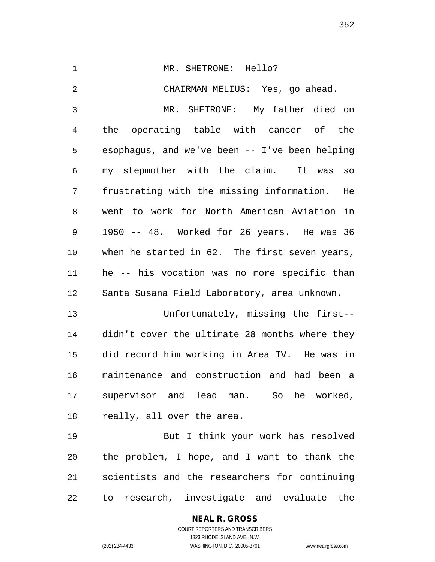1 MR. SHETRONE: Hello? CHAIRMAN MELIUS: Yes, go ahead. MR. SHETRONE: My father died on the operating table with cancer of the esophagus, and we've been -- I've been helping my stepmother with the claim. It was so frustrating with the missing information. He went to work for North American Aviation in 1950 -- 48. Worked for 26 years. He was 36 when he started in 62. The first seven years, he -- his vocation was no more specific than Santa Susana Field Laboratory, area unknown. Unfortunately, missing the first--

 didn't cover the ultimate 28 months where they did record him working in Area IV. He was in maintenance and construction and had been a supervisor and lead man. So he worked, really, all over the area.

 But I think your work has resolved the problem, I hope, and I want to thank the scientists and the researchers for continuing to research, investigate and evaluate the

#### **NEAL R. GROSS** COURT REPORTERS AND TRANSCRIBERS 1323 RHODE ISLAND AVE., N.W.

(202) 234-4433 WASHINGTON, D.C. 20005-3701 www.nealrgross.com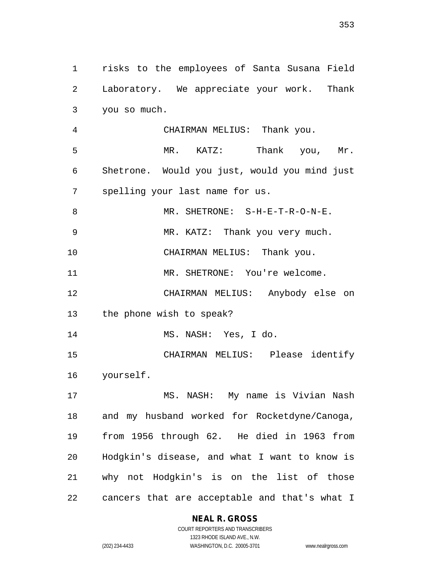risks to the employees of Santa Susana Field Laboratory. We appreciate your work. Thank you so much. CHAIRMAN MELIUS: Thank you. MR. KATZ: Thank you, Mr. Shetrone. Would you just, would you mind just spelling your last name for us. MR. SHETRONE: S-H-E-T-R-O-N-E. MR. KATZ: Thank you very much. CHAIRMAN MELIUS: Thank you. 11 MR. SHETRONE: You're welcome. CHAIRMAN MELIUS: Anybody else on the phone wish to speak? CHAIRMAN MELIUS: Please identify yourself. MS. NASH: My name is Vivian Nash and my husband worked for Rocketdyne/Canoga, from 1956 through 62. He died in 1963 from Hodgkin's disease, and what I want to know is why not Hodgkin's is on the list of those cancers that are acceptable and that's what I

**NEAL R. GROSS**

1323 RHODE ISLAND AVE., N.W.

MS. NASH: Yes, I do.

COURT REPORTERS AND TRANSCRIBERS (202) 234-4433 WASHINGTON, D.C. 20005-3701 www.nealrgross.com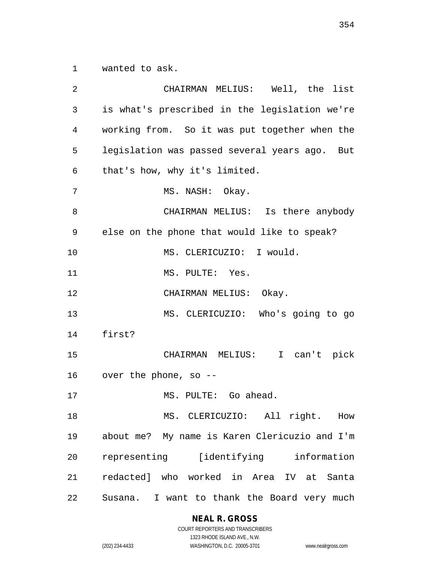wanted to ask.

 CHAIRMAN MELIUS: Well, the list is what's prescribed in the legislation we're working from. So it was put together when the legislation was passed several years ago. But that's how, why it's limited. 7 MS. NASH: Okay. CHAIRMAN MELIUS: Is there anybody else on the phone that would like to speak? 10 MS. CLERICUZIO: I would. 11 MS. PULTE: Yes. 12 CHAIRMAN MELIUS: Okay. MS. CLERICUZIO: Who's going to go first? CHAIRMAN MELIUS: I can't pick over the phone, so -- MS. PULTE: Go ahead. MS. CLERICUZIO: All right. How about me? My name is Karen Clericuzio and I'm representing [identifying information redacted] who worked in Area IV at Santa Susana. I want to thank the Board very much

#### **NEAL R. GROSS**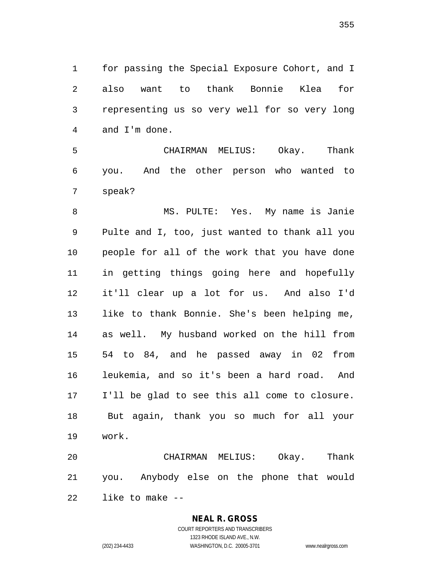for passing the Special Exposure Cohort, and I also want to thank Bonnie Klea for representing us so very well for so very long and I'm done.

 CHAIRMAN MELIUS: Okay. Thank you. And the other person who wanted to speak?

 MS. PULTE: Yes. My name is Janie Pulte and I, too, just wanted to thank all you people for all of the work that you have done in getting things going here and hopefully it'll clear up a lot for us. And also I'd like to thank Bonnie. She's been helping me, as well. My husband worked on the hill from 54 to 84, and he passed away in 02 from leukemia, and so it's been a hard road. And I'll be glad to see this all come to closure. But again, thank you so much for all your work.

 CHAIRMAN MELIUS: Okay. Thank you. Anybody else on the phone that would like to make --

#### **NEAL R. GROSS**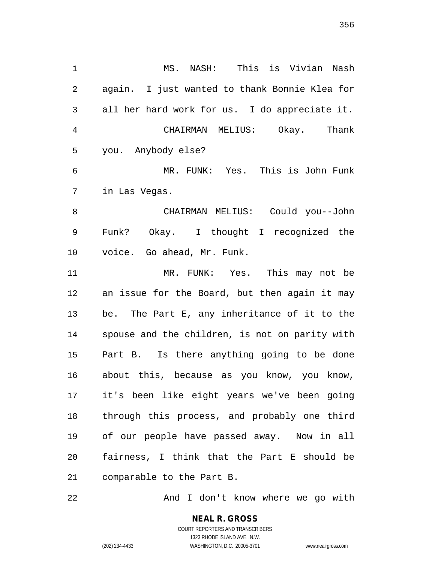MS. NASH: This is Vivian Nash again. I just wanted to thank Bonnie Klea for all her hard work for us. I do appreciate it. CHAIRMAN MELIUS: Okay. Thank you. Anybody else? MR. FUNK: Yes. This is John Funk in Las Vegas. CHAIRMAN MELIUS: Could you--John Funk? Okay. I thought I recognized the voice. Go ahead, Mr. Funk. MR. FUNK: Yes. This may not be an issue for the Board, but then again it may be. The Part E, any inheritance of it to the spouse and the children, is not on parity with Part B. Is there anything going to be done about this, because as you know, you know, it's been like eight years we've been going through this process, and probably one third of our people have passed away. Now in all fairness, I think that the Part E should be comparable to the Part B.

22 And I don't know where we go with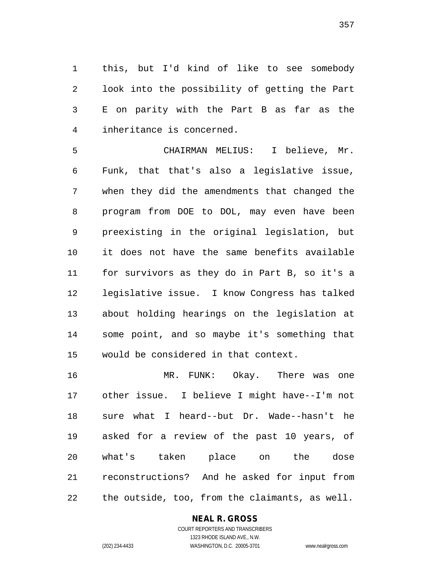this, but I'd kind of like to see somebody look into the possibility of getting the Part E on parity with the Part B as far as the inheritance is concerned.

 CHAIRMAN MELIUS: I believe, Mr. Funk, that that's also a legislative issue, when they did the amendments that changed the program from DOE to DOL, may even have been preexisting in the original legislation, but it does not have the same benefits available for survivors as they do in Part B, so it's a legislative issue. I know Congress has talked about holding hearings on the legislation at some point, and so maybe it's something that would be considered in that context.

 MR. FUNK: Okay. There was one other issue. I believe I might have--I'm not sure what I heard--but Dr. Wade--hasn't he asked for a review of the past 10 years, of what's taken place on the dose reconstructions? And he asked for input from the outside, too, from the claimants, as well.

#### **NEAL R. GROSS**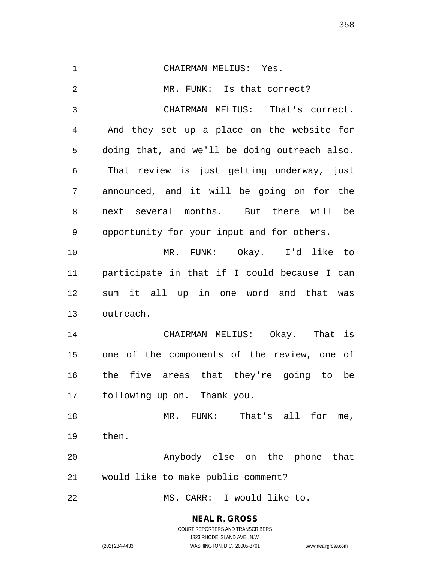CHAIRMAN MELIUS: Yes. 2 MR. FUNK: Is that correct? CHAIRMAN MELIUS: That's correct. And they set up a place on the website for doing that, and we'll be doing outreach also. That review is just getting underway, just announced, and it will be going on for the next several months. But there will be opportunity for your input and for others. MR. FUNK: Okay. I'd like to participate in that if I could because I can sum it all up in one word and that was outreach. CHAIRMAN MELIUS: Okay. That is one of the components of the review, one of the five areas that they're going to be following up on. Thank you. MR. FUNK: That's all for me, then. Anybody else on the phone that would like to make public comment? MS. CARR: I would like to.

**NEAL R. GROSS**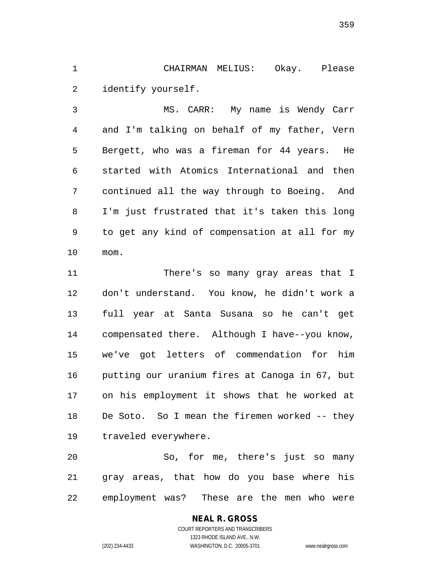CHAIRMAN MELIUS: Okay. Please identify yourself.

 MS. CARR: My name is Wendy Carr and I'm talking on behalf of my father, Vern Bergett, who was a fireman for 44 years. He started with Atomics International and then continued all the way through to Boeing. And I'm just frustrated that it's taken this long to get any kind of compensation at all for my mom.

 There's so many gray areas that I don't understand. You know, he didn't work a full year at Santa Susana so he can't get compensated there. Although I have--you know, we've got letters of commendation for him putting our uranium fires at Canoga in 67, but on his employment it shows that he worked at De Soto. So I mean the firemen worked -- they traveled everywhere.

 So, for me, there's just so many gray areas, that how do you base where his employment was? These are the men who were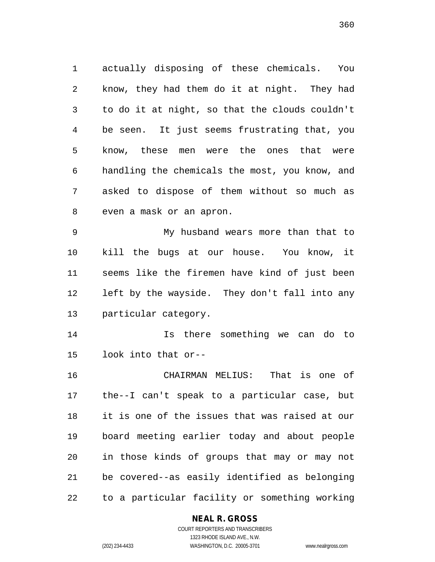actually disposing of these chemicals. You know, they had them do it at night. They had to do it at night, so that the clouds couldn't be seen. It just seems frustrating that, you know, these men were the ones that were handling the chemicals the most, you know, and asked to dispose of them without so much as even a mask or an apron.

 My husband wears more than that to kill the bugs at our house. You know, it seems like the firemen have kind of just been left by the wayside. They don't fall into any particular category.

 Is there something we can do to look into that or--

 CHAIRMAN MELIUS: That is one of the--I can't speak to a particular case, but it is one of the issues that was raised at our board meeting earlier today and about people in those kinds of groups that may or may not be covered--as easily identified as belonging to a particular facility or something working

#### **NEAL R. GROSS**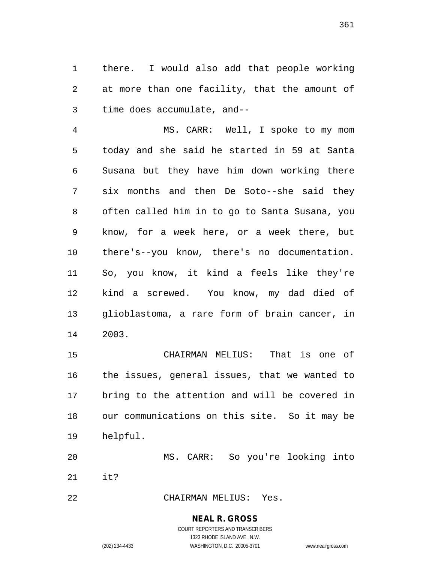there. I would also add that people working at more than one facility, that the amount of time does accumulate, and--

 MS. CARR: Well, I spoke to my mom today and she said he started in 59 at Santa Susana but they have him down working there six months and then De Soto--she said they often called him in to go to Santa Susana, you know, for a week here, or a week there, but there's--you know, there's no documentation. So, you know, it kind a feels like they're kind a screwed. You know, my dad died of glioblastoma, a rare form of brain cancer, in 2003.

 CHAIRMAN MELIUS: That is one of the issues, general issues, that we wanted to bring to the attention and will be covered in our communications on this site. So it may be helpful.

 MS. CARR: So you're looking into it?

CHAIRMAN MELIUS: Yes.

### **NEAL R. GROSS**

COURT REPORTERS AND TRANSCRIBERS 1323 RHODE ISLAND AVE., N.W. (202) 234-4433 WASHINGTON, D.C. 20005-3701 www.nealrgross.com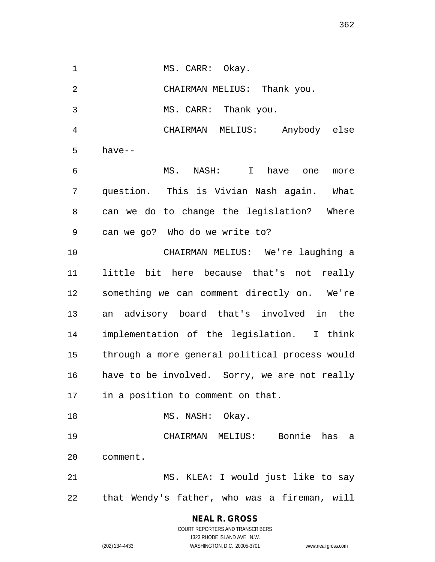1 MS. CARR: Okay. CHAIRMAN MELIUS: Thank you. MS. CARR: Thank you. CHAIRMAN MELIUS: Anybody else have-- MS. NASH: I have one more question. This is Vivian Nash again. What can we do to change the legislation? Where can we go? Who do we write to? CHAIRMAN MELIUS: We're laughing a little bit here because that's not really something we can comment directly on. We're an advisory board that's involved in the implementation of the legislation. I think through a more general political process would have to be involved. Sorry, we are not really in a position to comment on that. 18 MS. NASH: Okay. CHAIRMAN MELIUS: Bonnie has a comment. MS. KLEA: I would just like to say that Wendy's father, who was a fireman, will

> **NEAL R. GROSS** COURT REPORTERS AND TRANSCRIBERS

1323 RHODE ISLAND AVE., N.W. (202) 234-4433 WASHINGTON, D.C. 20005-3701 www.nealrgross.com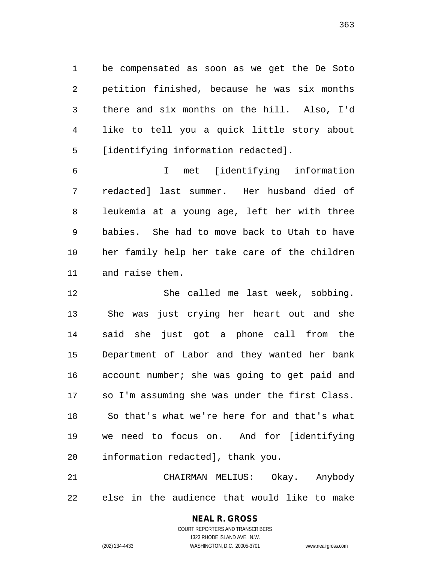be compensated as soon as we get the De Soto petition finished, because he was six months there and six months on the hill. Also, I'd like to tell you a quick little story about [identifying information redacted].

 I met [identifying information redacted] last summer. Her husband died of leukemia at a young age, left her with three babies. She had to move back to Utah to have her family help her take care of the children and raise them.

 She called me last week, sobbing. She was just crying her heart out and she said she just got a phone call from the Department of Labor and they wanted her bank account number; she was going to get paid and so I'm assuming she was under the first Class. So that's what we're here for and that's what we need to focus on. And for [identifying information redacted], thank you.

 CHAIRMAN MELIUS: Okay. Anybody else in the audience that would like to make

### **NEAL R. GROSS**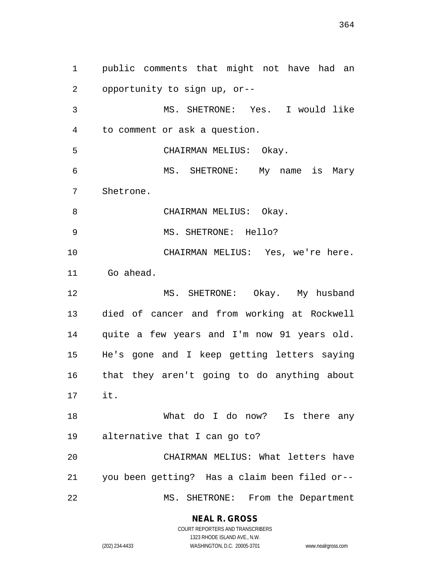public comments that might not have had an opportunity to sign up, or-- MS. SHETRONE: Yes. I would like to comment or ask a question. CHAIRMAN MELIUS: Okay. MS. SHETRONE: My name is Mary Shetrone. 8 CHAIRMAN MELIUS: Okay. 9 MS. SHETRONE: Hello? CHAIRMAN MELIUS: Yes, we're here. Go ahead. MS. SHETRONE: Okay. My husband died of cancer and from working at Rockwell quite a few years and I'm now 91 years old. He's gone and I keep getting letters saying that they aren't going to do anything about it. What do I do now? Is there any alternative that I can go to? CHAIRMAN MELIUS: What letters have you been getting? Has a claim been filed or-- MS. SHETRONE: From the Department

### **NEAL R. GROSS**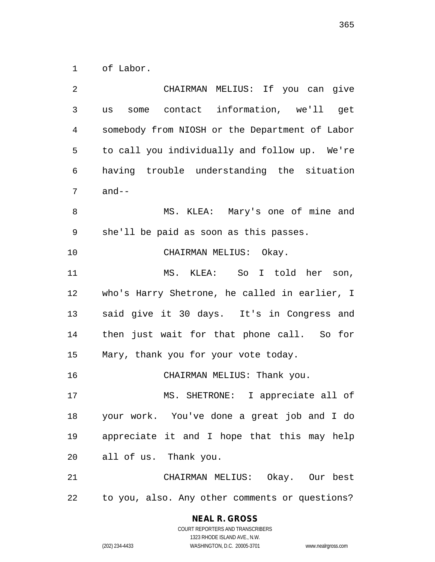of Labor.

| 2  | CHAIRMAN MELIUS: If you can give               |
|----|------------------------------------------------|
| 3  | us some contact information, we'll get         |
| 4  | somebody from NIOSH or the Department of Labor |
| 5  | to call you individually and follow up. We're  |
| 6  | having trouble understanding the situation     |
| 7  | $and--$                                        |
| 8  | MS. KLEA: Mary's one of mine and               |
| 9  | she'll be paid as soon as this passes.         |
| 10 | CHAIRMAN MELIUS: Okay.                         |
| 11 | MS. KLEA: So I told her son,                   |
| 12 | who's Harry Shetrone, he called in earlier, I  |
| 13 | said give it 30 days. It's in Congress and     |
| 14 | then just wait for that phone call. So for     |
| 15 | Mary, thank you for your vote today.           |
| 16 | CHAIRMAN MELIUS: Thank you.                    |
| 17 | MS. SHETRONE: I appreciate all of              |
| 18 | your work. You've done a great job and I do    |
| 19 | appreciate it and I hope that this may help    |
| 20 | all of us. Thank you.                          |
| 21 | CHAIRMAN MELIUS: Okay. Our best                |
| 22 | to you, also. Any other comments or questions? |

**NEAL R. GROSS** COURT REPORTERS AND TRANSCRIBERS

1323 RHODE ISLAND AVE., N.W. (202) 234-4433 WASHINGTON, D.C. 20005-3701 www.nealrgross.com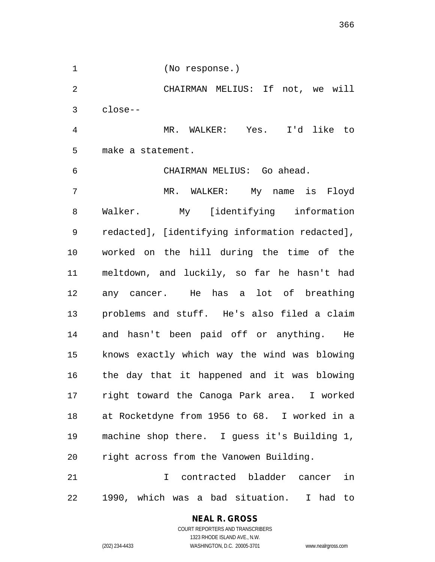(No response.)

 CHAIRMAN MELIUS: If not, we will close--

 MR. WALKER: Yes. I'd like to make a statement.

 CHAIRMAN MELIUS: Go ahead. 7 MR. WALKER: My name is Floyd Walker. My [identifying information redacted], [identifying information redacted], worked on the hill during the time of the meltdown, and luckily, so far he hasn't had any cancer. He has a lot of breathing problems and stuff. He's also filed a claim and hasn't been paid off or anything. He knows exactly which way the wind was blowing the day that it happened and it was blowing right toward the Canoga Park area. I worked at Rocketdyne from 1956 to 68. I worked in a machine shop there. I guess it's Building 1, right across from the Vanowen Building.

 I contracted bladder cancer in 1990, which was a bad situation. I had to

### **NEAL R. GROSS**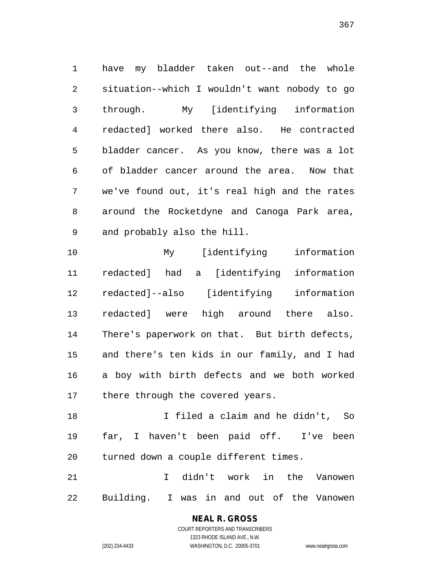have my bladder taken out--and the whole situation--which I wouldn't want nobody to go through. My [identifying information redacted] worked there also. He contracted bladder cancer. As you know, there was a lot of bladder cancer around the area. Now that we've found out, it's real high and the rates around the Rocketdyne and Canoga Park area, and probably also the hill.

 My [identifying information redacted] had a [identifying information redacted]--also [identifying information redacted] were high around there also. There's paperwork on that. But birth defects, and there's ten kids in our family, and I had a boy with birth defects and we both worked 17 there through the covered years.

 I filed a claim and he didn't, So far, I haven't been paid off. I've been turned down a couple different times.

 I didn't work in the Vanowen Building. I was in and out of the Vanowen

> **NEAL R. GROSS** COURT REPORTERS AND TRANSCRIBERS

> > 1323 RHODE ISLAND AVE., N.W.

(202) 234-4433 WASHINGTON, D.C. 20005-3701 www.nealrgross.com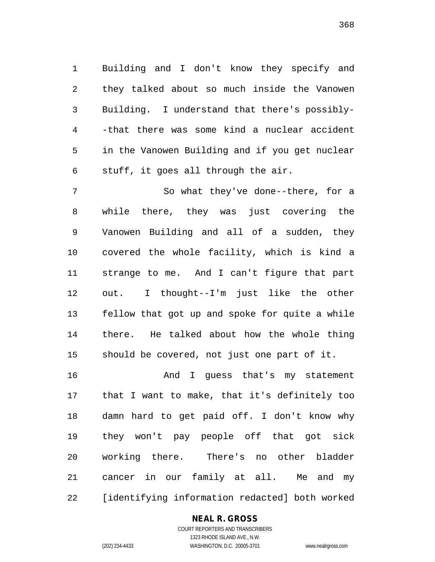Building and I don't know they specify and they talked about so much inside the Vanowen Building. I understand that there's possibly- -that there was some kind a nuclear accident in the Vanowen Building and if you get nuclear stuff, it goes all through the air.

 So what they've done--there, for a while there, they was just covering the Vanowen Building and all of a sudden, they covered the whole facility, which is kind a strange to me. And I can't figure that part out. I thought--I'm just like the other fellow that got up and spoke for quite a while there. He talked about how the whole thing should be covered, not just one part of it.

 And I guess that's my statement that I want to make, that it's definitely too damn hard to get paid off. I don't know why they won't pay people off that got sick working there. There's no other bladder cancer in our family at all. Me and my [identifying information redacted] both worked

### **NEAL R. GROSS**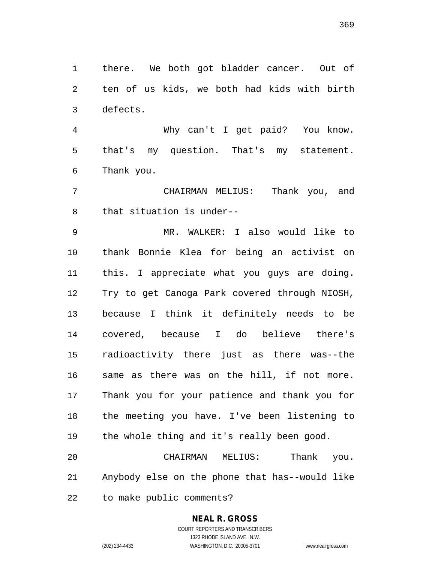there. We both got bladder cancer. Out of ten of us kids, we both had kids with birth defects.

 Why can't I get paid? You know. that's my question. That's my statement. Thank you.

 CHAIRMAN MELIUS: Thank you, and that situation is under--

 MR. WALKER: I also would like to thank Bonnie Klea for being an activist on this. I appreciate what you guys are doing. Try to get Canoga Park covered through NIOSH, because I think it definitely needs to be covered, because I do believe there's radioactivity there just as there was--the same as there was on the hill, if not more. Thank you for your patience and thank you for the meeting you have. I've been listening to the whole thing and it's really been good. CHAIRMAN MELIUS: Thank you. Anybody else on the phone that has--would like

to make public comments?

# **NEAL R. GROSS**